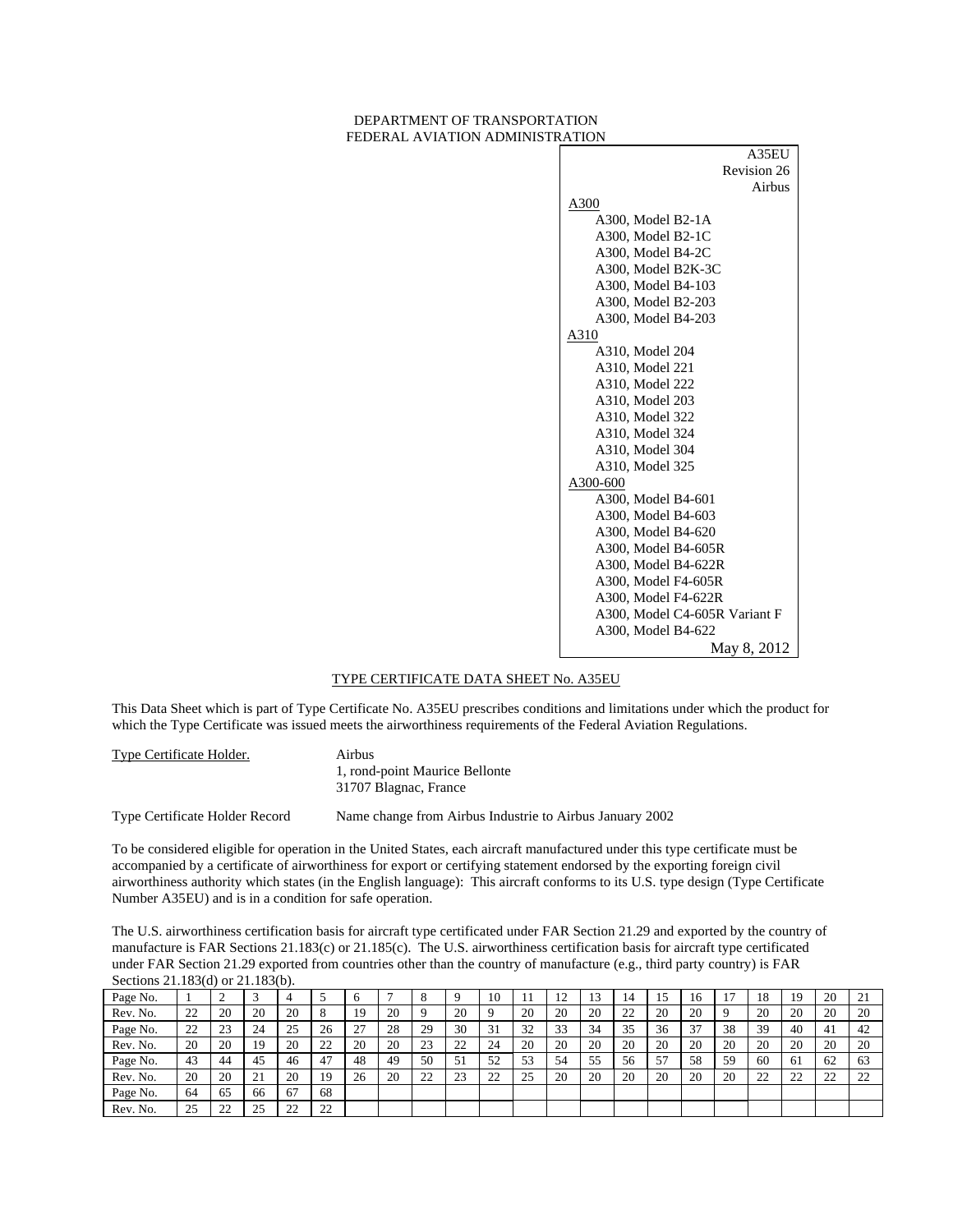#### DEPARTMENT OF TRANSPORTATION FEDERAL AVIATION ADMINISTRATION

| ,,,,,,,,                      |
|-------------------------------|
| A35EU                         |
| Revision 26                   |
| Airbus                        |
| A300                          |
| A300, Model B2-1A             |
| A300, Model B2-1C             |
| A300, Model B4-2C             |
| A300, Model B2K-3C            |
| A300, Model B4-103            |
| A300, Model B2-203            |
| A300, Model B4-203            |
| A310                          |
| A310, Model 204               |
| A310, Model 221               |
| A310, Model 222               |
| A310, Model 203               |
| A310, Model 322               |
| A310, Model 324               |
| A310, Model 304               |
| A310, Model 325               |
| A300-600                      |
| A300, Model B4-601            |
| A300, Model B4-603            |
| A300, Model B4-620            |
| A300, Model B4-605R           |
| A300, Model B4-622R           |
| A300, Model F4-605R           |
| A300, Model F4-622R           |
| A300, Model C4-605R Variant F |
| A300, Model B4-622            |
| May 8, 2012                   |

#### TYPE CERTIFICATE DATA SHEET No. A35EU

This Data Sheet which is part of Type Certificate No. A35EU prescribes conditions and limitations under which the product for which the Type Certificate was issued meets the airworthiness requirements of the Federal Aviation Regulations.

Type Certificate Holder. Airbus 1, rond-point Maurice Bellonte 31707 Blagnac, France

Type Certificate Holder Record Name change from Airbus Industrie to Airbus January 2002

To be considered eligible for operation in the United States, each aircraft manufactured under this type certificate must be accompanied by a certificate of airworthiness for export or certifying statement endorsed by the exporting foreign civil airworthiness authority which states (in the English language): This aircraft conforms to its U.S. type design (Type Certificate Number A35EU) and is in a condition for safe operation.

The U.S. airworthiness certification basis for aircraft type certificated under FAR Section 21.29 and exported by the country of manufacture is FAR Sections 21.183(c) or 21.185(c). The U.S. airworthiness certification basis for aircraft type certificated under FAR Section 21.29 exported from countries other than the country of manufacture (e.g., third party country) is FAR Sections 21.183(d) or 21.183(b).

| Page No. |    |              |                  |    |    | O  |    |    |    | 10                 |    | 12<br>- 4 | 1 <sub>2</sub> | 14 |    | 16 | 17 | 18       | 19 | 20                  | 21                   |
|----------|----|--------------|------------------|----|----|----|----|----|----|--------------------|----|-----------|----------------|----|----|----|----|----------|----|---------------------|----------------------|
| Rev. No. | 22 | 20           | 20               | 20 | 8  | 19 | 20 |    | 20 |                    | 20 | 20        | 20             | 22 | 20 | 20 |    | 20       | 20 | 20                  | 20                   |
| Page No. | 22 | 23           | 24               | 25 | 26 | 27 | 28 | 29 | 30 | 31                 | 32 | 33        | 34             | 35 | 36 | 37 | 38 | 39       | 40 | -41                 | 42                   |
| Rev. No. | 20 | 20           | 19               | 20 | 22 | 20 | 20 | 23 | 22 | 24                 | 20 | 20        | 20             | 20 | 20 | 20 | 20 | 20       | 20 | 20                  | 20                   |
| Page No. | 43 | 44           | 45               | 46 | 47 | 48 | 49 | 50 | 51 | 52                 | 53 | 54        | 55             | 56 | 57 | 58 | 59 | 60       | 61 | 62                  | 63                   |
| Rev. No. | 20 | 20           | 21<br>$\angle 1$ | 20 | 19 | 26 | 20 | 22 | 23 | $\mathcal{D}$<br>∸ | 25 | 20        | 20             | 20 | 20 | 20 | 20 | 22<br>∠∠ | 22 | $\mathcal{D}$<br>∠∠ | $\mathcal{D}$<br>ے ت |
| Page No. | 64 | 65           | 66               | 67 | 68 |    |    |    |    |                    |    |           |                |    |    |    |    |          |    |                     |                      |
| Rev. No. | 25 | $\cap$<br>∠∠ | 25               | 22 | 22 |    |    |    |    |                    |    |           |                |    |    |    |    |          |    |                     |                      |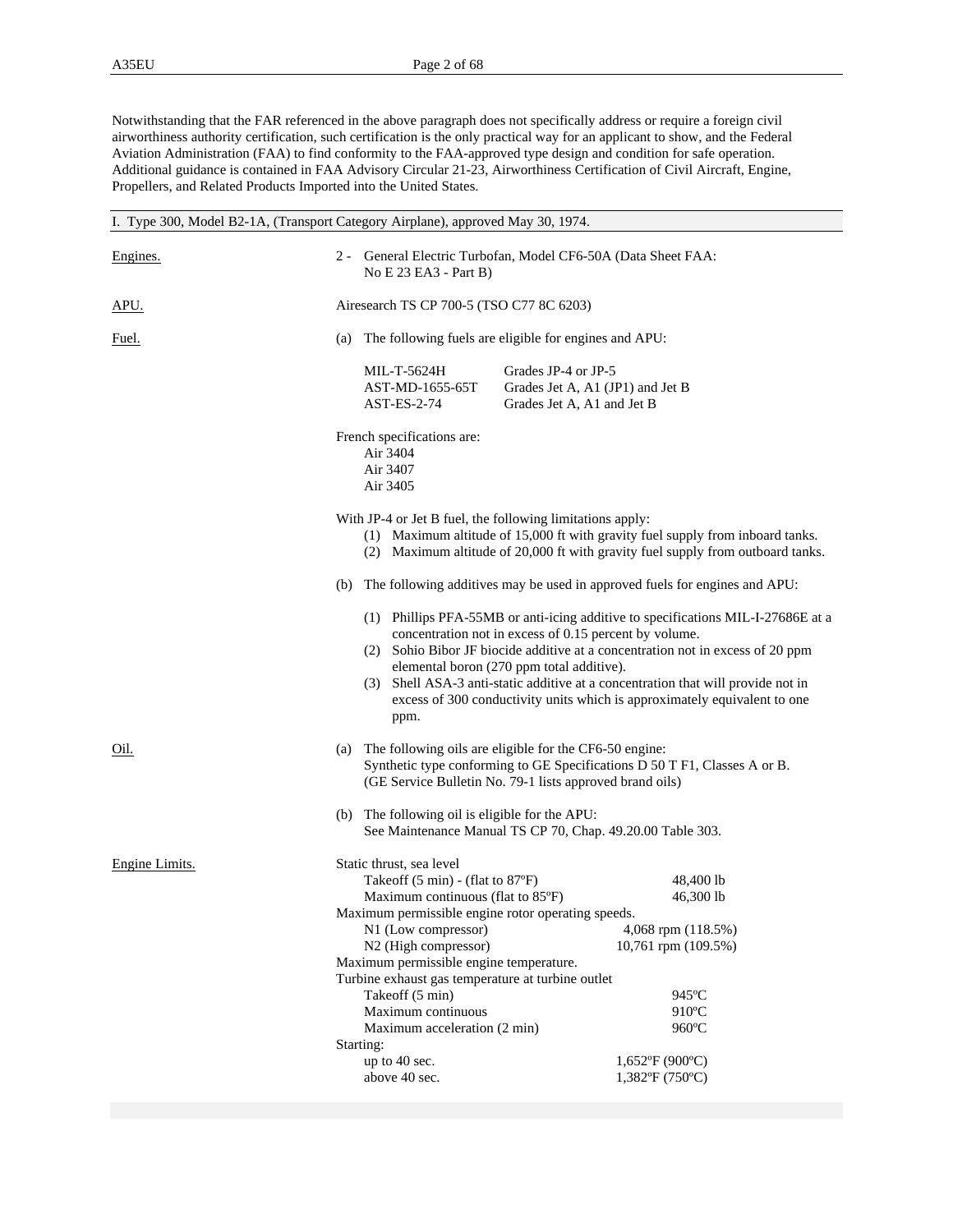Notwithstanding that the FAR referenced in the above paragraph does not specifically address or require a foreign civil airworthiness authority certification, such certification is the only practical way for an applicant to show, and the Federal Aviation Administration (FAA) to find conformity to the FAA-approved type design and condition for safe operation. Additional guidance is contained in FAA Advisory Circular 21-23, Airworthiness Certification of Civil Aircraft, Engine, Propellers, and Related Products Imported into the United States.

| I. Type 300, Model B2-1A, (Transport Category Airplane), approved May 30, 1974. |                                                                                                                                                                                                                                                                                                                                                                                                               |                                                                                                                                                                                                                                                                                                                                                                                                                                            |                                                   |  |  |  |  |
|---------------------------------------------------------------------------------|---------------------------------------------------------------------------------------------------------------------------------------------------------------------------------------------------------------------------------------------------------------------------------------------------------------------------------------------------------------------------------------------------------------|--------------------------------------------------------------------------------------------------------------------------------------------------------------------------------------------------------------------------------------------------------------------------------------------------------------------------------------------------------------------------------------------------------------------------------------------|---------------------------------------------------|--|--|--|--|
| Engines.                                                                        | No E 23 EA3 - Part B)                                                                                                                                                                                                                                                                                                                                                                                         | 2 - General Electric Turbofan, Model CF6-50A (Data Sheet FAA:                                                                                                                                                                                                                                                                                                                                                                              |                                                   |  |  |  |  |
| <u>APU.</u>                                                                     |                                                                                                                                                                                                                                                                                                                                                                                                               | Airesearch TS CP 700-5 (TSO C77 8C 6203)                                                                                                                                                                                                                                                                                                                                                                                                   |                                                   |  |  |  |  |
| <u>Fuel.</u>                                                                    | (a)                                                                                                                                                                                                                                                                                                                                                                                                           | The following fuels are eligible for engines and APU:                                                                                                                                                                                                                                                                                                                                                                                      |                                                   |  |  |  |  |
|                                                                                 | MIL-T-5624H<br>AST-MD-1655-65T<br>AST-ES-2-74                                                                                                                                                                                                                                                                                                                                                                 | Grades JP-4 or JP-5<br>Grades Jet A, A1 (JP1) and Jet B<br>Grades Jet A, A1 and Jet B                                                                                                                                                                                                                                                                                                                                                      |                                                   |  |  |  |  |
|                                                                                 | French specifications are:<br>Air 3404<br>Air 3407<br>Air 3405                                                                                                                                                                                                                                                                                                                                                |                                                                                                                                                                                                                                                                                                                                                                                                                                            |                                                   |  |  |  |  |
|                                                                                 | With JP-4 or Jet B fuel, the following limitations apply:<br>(1) Maximum altitude of 15,000 ft with gravity fuel supply from inboard tanks.<br>(2) Maximum altitude of 20,000 ft with gravity fuel supply from outboard tanks.                                                                                                                                                                                |                                                                                                                                                                                                                                                                                                                                                                                                                                            |                                                   |  |  |  |  |
|                                                                                 | (b)                                                                                                                                                                                                                                                                                                                                                                                                           | The following additives may be used in approved fuels for engines and APU:                                                                                                                                                                                                                                                                                                                                                                 |                                                   |  |  |  |  |
|                                                                                 | ppm.                                                                                                                                                                                                                                                                                                                                                                                                          | (1) Phillips PFA-55MB or anti-icing additive to specifications MIL-I-27686E at a<br>concentration not in excess of 0.15 percent by volume.<br>(2) Sohio Bibor JF biocide additive at a concentration not in excess of 20 ppm<br>elemental boron (270 ppm total additive).<br>(3) Shell ASA-3 anti-static additive at a concentration that will provide not in<br>excess of 300 conductivity units which is approximately equivalent to one |                                                   |  |  |  |  |
| <u>Oil.</u>                                                                     | (a)                                                                                                                                                                                                                                                                                                                                                                                                           | The following oils are eligible for the CF6-50 engine:<br>Synthetic type conforming to GE Specifications D 50 T F1, Classes A or B.<br>(GE Service Bulletin No. 79-1 lists approved brand oils)                                                                                                                                                                                                                                            |                                                   |  |  |  |  |
|                                                                                 | (b) The following oil is eligible for the APU:                                                                                                                                                                                                                                                                                                                                                                | See Maintenance Manual TS CP 70, Chap. 49.20.00 Table 303.                                                                                                                                                                                                                                                                                                                                                                                 |                                                   |  |  |  |  |
| Engine Limits.                                                                  | Static thrust, sea level<br>Takeoff (5 min) - (flat to 87°F)<br>Maximum continuous (flat to 85°F)<br>Maximum permissible engine rotor operating speeds.<br>N1 (Low compressor)<br>N2 (High compressor)<br>Maximum permissible engine temperature.<br>Turbine exhaust gas temperature at turbine outlet<br>Takeoff (5 min)<br>Maximum continuous<br>Maximum acceleration (2 min)<br>Starting:<br>up to 40 sec. | 4,068 rpm (118.5%)<br>10,761 rpm (109.5%)<br>$1,652$ °F (900°C)                                                                                                                                                                                                                                                                                                                                                                            | 48,400 lb<br>46,300 lb<br>945°C<br>910°C<br>960°C |  |  |  |  |
|                                                                                 | above 40 sec.                                                                                                                                                                                                                                                                                                                                                                                                 | $1,382$ °F (750°C)                                                                                                                                                                                                                                                                                                                                                                                                                         |                                                   |  |  |  |  |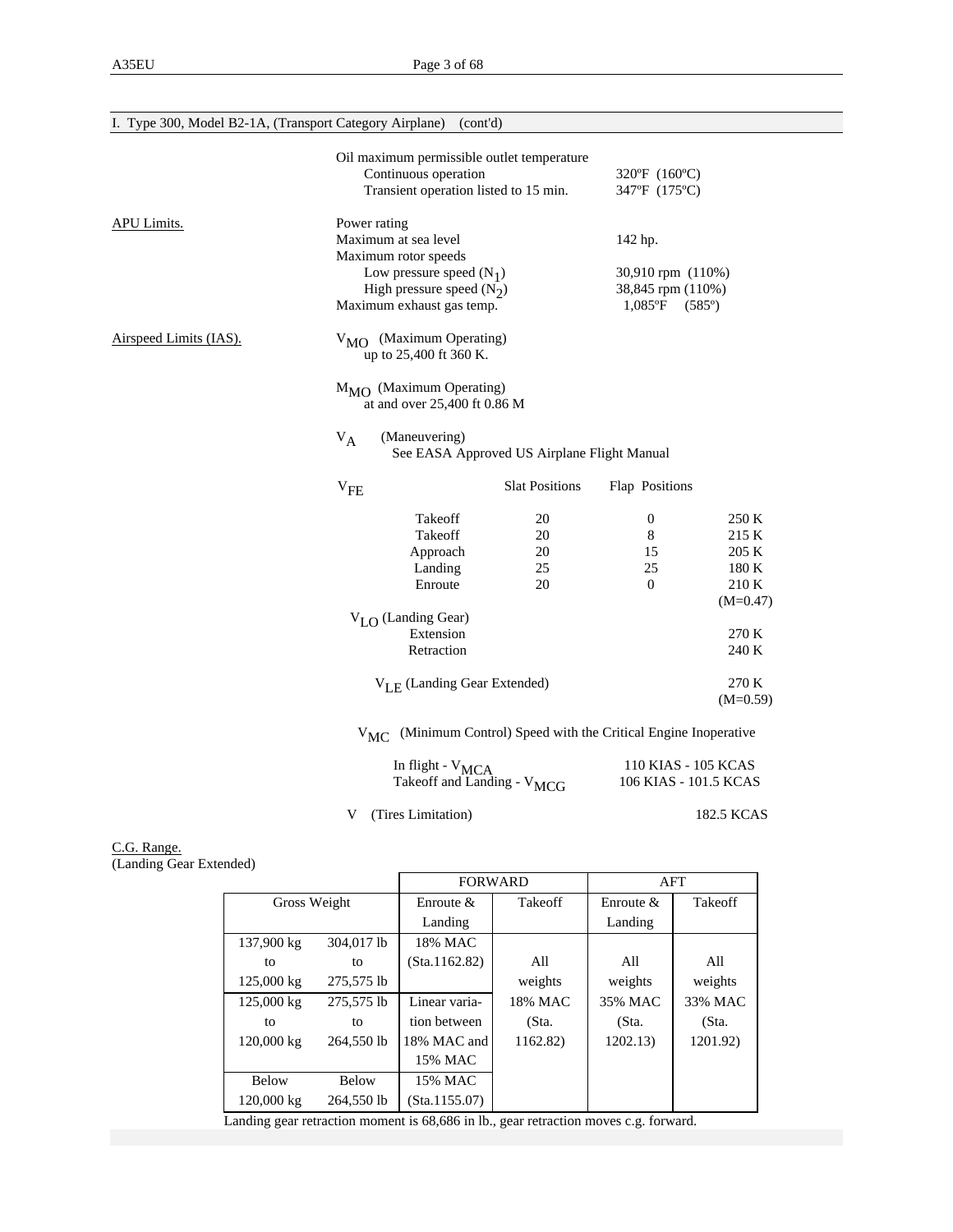| I. Type 300, Model B2-1A, (Transport Category Airplane) |                                                                                                                                                                                                               | (cont'd)                                                                                                                               |                                                                              |                                               |                                                         |  |  |
|---------------------------------------------------------|---------------------------------------------------------------------------------------------------------------------------------------------------------------------------------------------------------------|----------------------------------------------------------------------------------------------------------------------------------------|------------------------------------------------------------------------------|-----------------------------------------------|---------------------------------------------------------|--|--|
|                                                         |                                                                                                                                                                                                               | Oil maximum permissible outlet temperature<br>Continuous operation<br>Transient operation listed to 15 min.                            |                                                                              | 320°F (160°C)<br>347°F (175°C)                |                                                         |  |  |
| <b>APU Limits.</b>                                      | Power rating                                                                                                                                                                                                  | Maximum at sea level<br>Maximum rotor speeds<br>Low pressure speed $(N_1)$<br>High pressure speed $(N_2)$<br>Maximum exhaust gas temp. | 142 hp.<br>30,910 rpm (110%)<br>38,845 rpm (110%)<br>$1,085^{\circ}F$ (585°) |                                               |                                                         |  |  |
| Airspeed Limits (IAS).                                  | $V_{\text{MO}}$ (Maximum Operating)<br>up to 25,400 ft 360 K.<br>$M_{\text{MO}}$ (Maximum Operating)<br>at and over 25,400 ft 0.86 M<br>(Maneuvering)<br>$V_A$<br>See EASA Approved US Airplane Flight Manual |                                                                                                                                        |                                                                              |                                               |                                                         |  |  |
|                                                         | $V_{FE}$                                                                                                                                                                                                      |                                                                                                                                        | <b>Slat Positions</b>                                                        | Flap Positions                                |                                                         |  |  |
|                                                         |                                                                                                                                                                                                               | Takeoff<br>Takeoff<br>Approach<br>Landing<br>Enroute                                                                                   | 20<br>20<br>20<br>25<br>20                                                   | $\boldsymbol{0}$<br>8<br>15<br>25<br>$\Omega$ | 250 K<br>215 K<br>205 K<br>180 K<br>210 K<br>$(M=0.47)$ |  |  |
|                                                         |                                                                                                                                                                                                               | $V_{I,\Omega}$ (Landing Gear)<br>Extension<br>Retraction                                                                               |                                                                              |                                               | 270 K<br>240 K                                          |  |  |
|                                                         |                                                                                                                                                                                                               | $V_{LE}$ (Landing Gear Extended)                                                                                                       |                                                                              |                                               | 270 K<br>$(M=0.59)$                                     |  |  |
|                                                         |                                                                                                                                                                                                               |                                                                                                                                        | V <sub>MC</sub> (Minimum Control) Speed with the Critical Engine Inoperative |                                               |                                                         |  |  |

| In flight - $V_{MCA}$                  | 110 KIAS - 105 KCAS   |
|----------------------------------------|-----------------------|
| Takeoff and Landing - V <sub>MCG</sub> | 106 KIAS - 101.5 KCAS |
|                                        |                       |

V (Tires Limitation) 182.5 KCAS

C.G. Range. (Landing Gear Extended)

|              |              | <b>FORWARD</b> |          | AFT          |          |  |
|--------------|--------------|----------------|----------|--------------|----------|--|
| Gross Weight |              | Enroute $\&$   | Takeoff  | Enroute $\&$ | Takeoff  |  |
|              |              | Landing        |          | Landing      |          |  |
| 137,900 kg   | 304,017 lb   | 18% MAC        |          |              |          |  |
| to           | to           | (Sta.1162.82)  | All      | All          | All      |  |
| 125,000 kg   | 275,575 lb   |                | weights  | weights      | weights  |  |
| 125,000 kg   | 275,575 lb   | Linear varia-  | 18% MAC  | 35% MAC      | 33% MAC  |  |
| to           | to           | tion between   | (Sta.    | (Sta.        | (Sta.    |  |
| 120,000 kg   | 264,550 lb   | 18% MAC and    | 1162.82) | 1202.13      | 1201.92) |  |
|              |              | 15% MAC        |          |              |          |  |
| <b>Below</b> | <b>Below</b> | 15% MAC        |          |              |          |  |
| 120,000 kg   | 264,550 lb   | (Sta.1155.07)  |          |              |          |  |

Landing gear retraction moment is 68,686 in lb., gear retraction moves c.g. forward.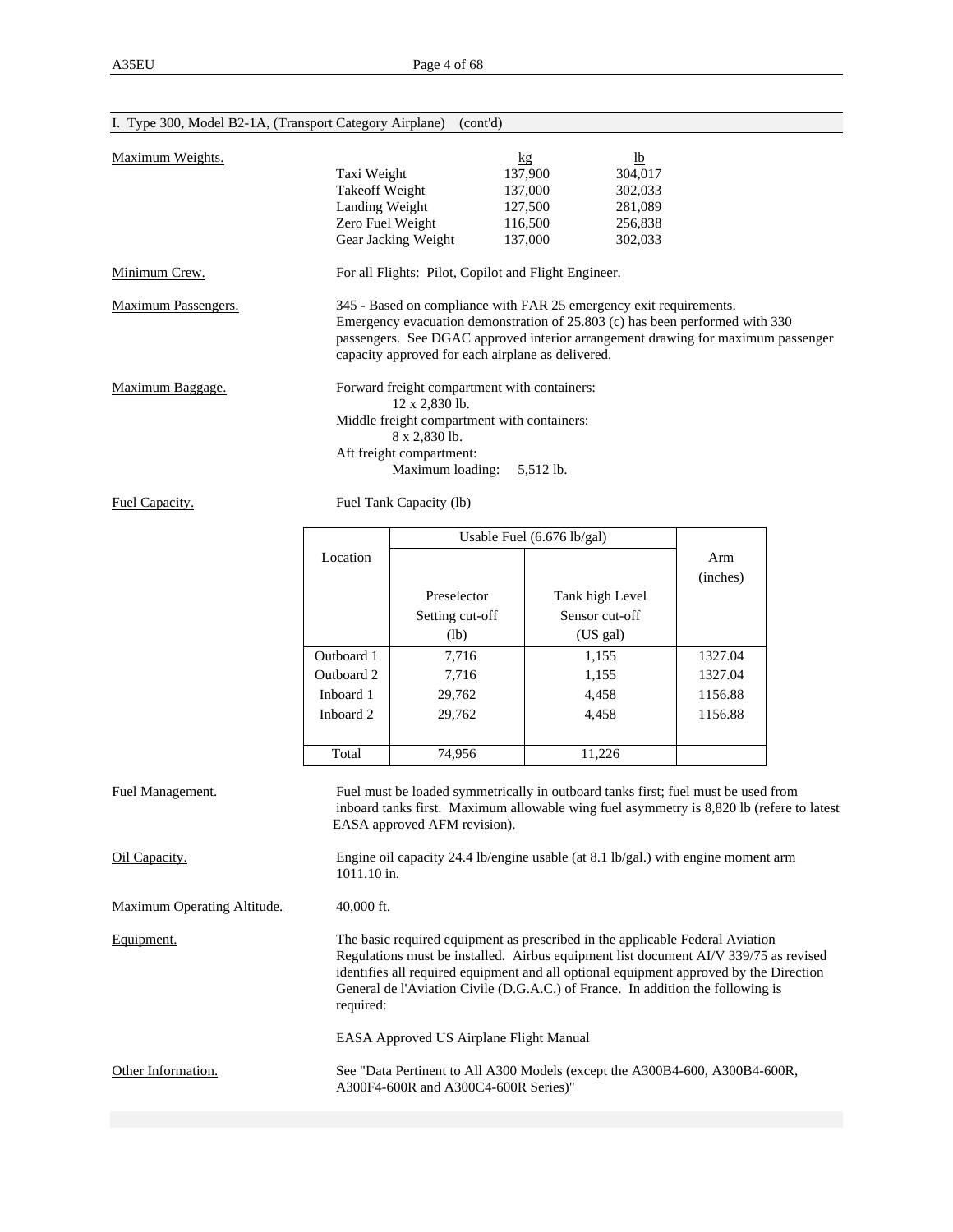| 1. Type 500, Model $D2$ -TA, (Transport Category Airplane) (com d) |                                    |                                                                                                                                                                                                                                                                                             |                 |         |                                                                                          |  |  |  |  |
|--------------------------------------------------------------------|------------------------------------|---------------------------------------------------------------------------------------------------------------------------------------------------------------------------------------------------------------------------------------------------------------------------------------------|-----------------|---------|------------------------------------------------------------------------------------------|--|--|--|--|
| Maximum Weights.                                                   |                                    |                                                                                                                                                                                                                                                                                             | kg              | $lb$    |                                                                                          |  |  |  |  |
|                                                                    | Taxi Weight                        |                                                                                                                                                                                                                                                                                             | 137,900         | 304,017 |                                                                                          |  |  |  |  |
|                                                                    | <b>Takeoff Weight</b>              |                                                                                                                                                                                                                                                                                             | 137,000         | 302,033 |                                                                                          |  |  |  |  |
|                                                                    |                                    |                                                                                                                                                                                                                                                                                             | 127,500         | 281,089 |                                                                                          |  |  |  |  |
|                                                                    | Landing Weight<br>Zero Fuel Weight |                                                                                                                                                                                                                                                                                             | 116,500         | 256,838 |                                                                                          |  |  |  |  |
|                                                                    |                                    | Gear Jacking Weight                                                                                                                                                                                                                                                                         | 137,000         | 302,033 |                                                                                          |  |  |  |  |
| Minimum Crew.                                                      |                                    | For all Flights: Pilot, Copilot and Flight Engineer.                                                                                                                                                                                                                                        |                 |         |                                                                                          |  |  |  |  |
| <b>Maximum Passengers.</b>                                         |                                    | 345 - Based on compliance with FAR 25 emergency exit requirements.<br>Emergency evacuation demonstration of 25.803 (c) has been performed with 330<br>passengers. See DGAC approved interior arrangement drawing for maximum passenger<br>capacity approved for each airplane as delivered. |                 |         |                                                                                          |  |  |  |  |
| Maximum Baggage.                                                   |                                    | Forward freight compartment with containers:                                                                                                                                                                                                                                                |                 |         |                                                                                          |  |  |  |  |
|                                                                    |                                    | 12 x 2,830 lb.                                                                                                                                                                                                                                                                              |                 |         |                                                                                          |  |  |  |  |
|                                                                    |                                    | Middle freight compartment with containers:                                                                                                                                                                                                                                                 |                 |         |                                                                                          |  |  |  |  |
|                                                                    |                                    | 8 x 2,830 lb.                                                                                                                                                                                                                                                                               |                 |         |                                                                                          |  |  |  |  |
|                                                                    |                                    | Aft freight compartment:                                                                                                                                                                                                                                                                    |                 |         |                                                                                          |  |  |  |  |
|                                                                    |                                    | Maximum loading:                                                                                                                                                                                                                                                                            | 5,512 lb.       |         |                                                                                          |  |  |  |  |
| Fuel Capacity.                                                     |                                    | Fuel Tank Capacity (lb)                                                                                                                                                                                                                                                                     |                 |         |                                                                                          |  |  |  |  |
|                                                                    |                                    | Usable Fuel (6.676 lb/gal)                                                                                                                                                                                                                                                                  |                 |         |                                                                                          |  |  |  |  |
|                                                                    | Location                           |                                                                                                                                                                                                                                                                                             |                 |         | Arm                                                                                      |  |  |  |  |
|                                                                    |                                    |                                                                                                                                                                                                                                                                                             |                 |         | (inches)                                                                                 |  |  |  |  |
|                                                                    |                                    | Preselector                                                                                                                                                                                                                                                                                 | Tank high Level |         |                                                                                          |  |  |  |  |
|                                                                    |                                    | Setting cut-off                                                                                                                                                                                                                                                                             | Sensor cut-off  |         |                                                                                          |  |  |  |  |
|                                                                    |                                    | (lb)                                                                                                                                                                                                                                                                                        | (US gal)        |         |                                                                                          |  |  |  |  |
|                                                                    |                                    |                                                                                                                                                                                                                                                                                             |                 |         |                                                                                          |  |  |  |  |
|                                                                    | Outboard 1                         | 7,716                                                                                                                                                                                                                                                                                       | 1,155           |         | 1327.04                                                                                  |  |  |  |  |
|                                                                    | Outboard 2                         | 7,716                                                                                                                                                                                                                                                                                       | 1,155           |         | 1327.04                                                                                  |  |  |  |  |
|                                                                    | Inboard 1                          | 29,762                                                                                                                                                                                                                                                                                      | 4,458           |         | 1156.88                                                                                  |  |  |  |  |
|                                                                    | Inboard 2                          | 29,762                                                                                                                                                                                                                                                                                      | 4,458           |         | 1156.88                                                                                  |  |  |  |  |
|                                                                    |                                    |                                                                                                                                                                                                                                                                                             |                 |         |                                                                                          |  |  |  |  |
|                                                                    | Total                              | 74,956                                                                                                                                                                                                                                                                                      | 11,226          |         |                                                                                          |  |  |  |  |
| Fuel Management.                                                   |                                    | Fuel must be loaded symmetrically in outboard tanks first; fuel must be used from<br>EASA approved AFM revision).                                                                                                                                                                           |                 |         | inboard tanks first. Maximum allowable wing fuel asymmetry is 8,820 lb (refere to latest |  |  |  |  |
| Oil Capacity.                                                      | 1011.10 in.                        | Engine oil capacity 24.4 lb/engine usable (at 8.1 lb/gal.) with engine moment arm                                                                                                                                                                                                           |                 |         |                                                                                          |  |  |  |  |
| Maximum Operating Altitude.                                        | 40,000 ft.                         |                                                                                                                                                                                                                                                                                             |                 |         |                                                                                          |  |  |  |  |
| Equipment.                                                         |                                    | The basic required equipment as prescribed in the applicable Federal Aviation                                                                                                                                                                                                               |                 |         |                                                                                          |  |  |  |  |

## I. Type 300, Model B2-1A, (Transport Category Airplane) (cont'd)

 General de l'Aviation Civile (D.G.A.C.) of France. In addition the following is required: EASA Approved US Airplane Flight Manual Other Information. See "Data Pertinent to All A300 Models (except the A300B4-600, A300B4-600R,

A300F4-600R and A300C4-600R Series)"

 Regulations must be installed. Airbus equipment list document AI/V 339/75 as revised identifies all required equipment and all optional equipment approved by the Direction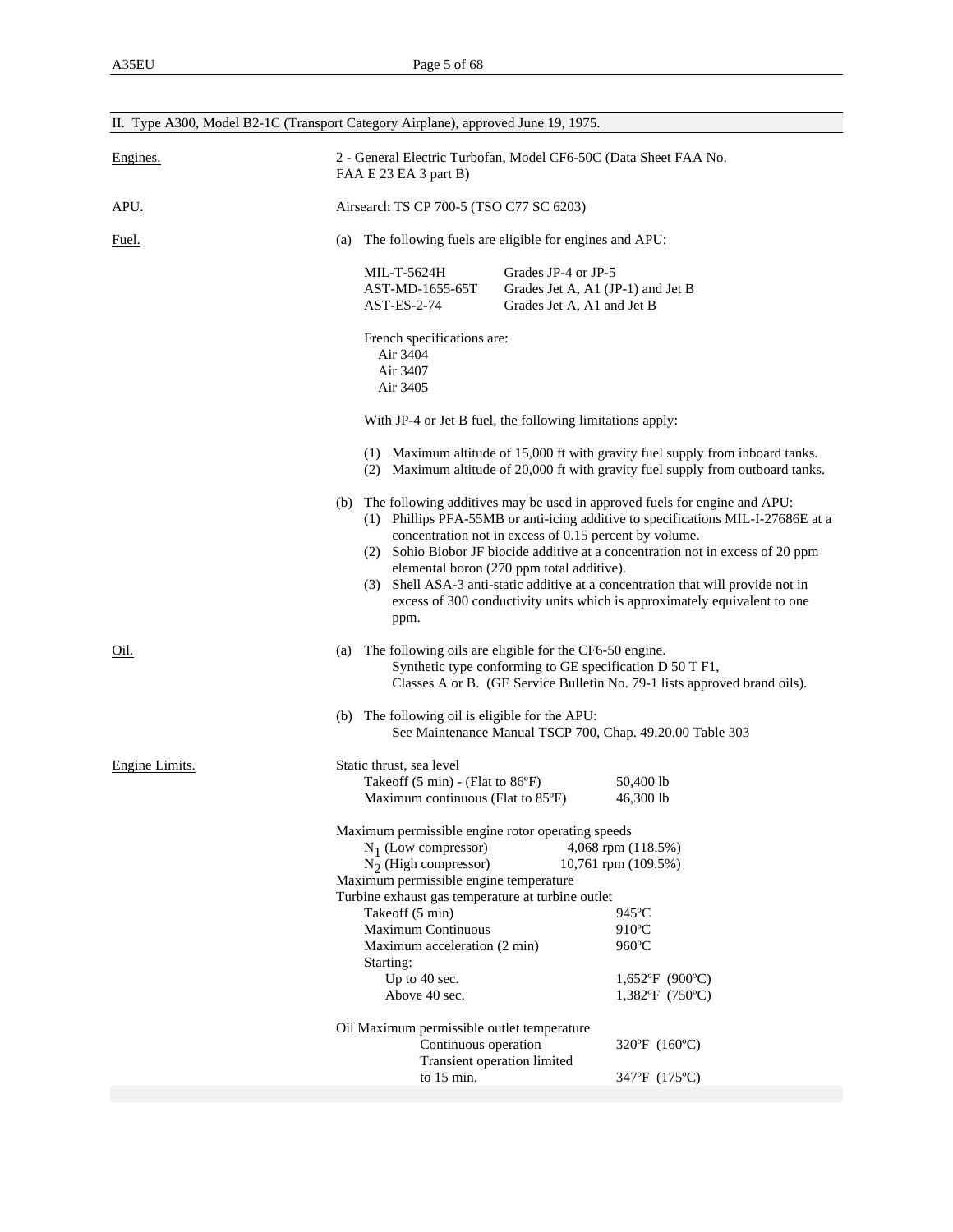|                | II. Type A300, Model B2-1C (Transport Category Airplane), approved June 19, 1975.                                                                                                                                                                                                                                                                                                                                                                                                                                                       |                                       |  |  |  |  |  |
|----------------|-----------------------------------------------------------------------------------------------------------------------------------------------------------------------------------------------------------------------------------------------------------------------------------------------------------------------------------------------------------------------------------------------------------------------------------------------------------------------------------------------------------------------------------------|---------------------------------------|--|--|--|--|--|
| Engines.       | 2 - General Electric Turbofan, Model CF6-50C (Data Sheet FAA No.<br>FAA E 23 EA 3 part B)                                                                                                                                                                                                                                                                                                                                                                                                                                               |                                       |  |  |  |  |  |
| APU.           | Airsearch TS CP 700-5 (TSO C77 SC 6203)                                                                                                                                                                                                                                                                                                                                                                                                                                                                                                 |                                       |  |  |  |  |  |
| Fuel.          | The following fuels are eligible for engines and APU:<br>(a)                                                                                                                                                                                                                                                                                                                                                                                                                                                                            |                                       |  |  |  |  |  |
|                | Grades JP-4 or JP-5<br>MIL-T-5624H<br>AST-MD-1655-65T<br>Grades Jet A, A1 (JP-1) and Jet B<br>AST-ES-2-74<br>Grades Jet A, A1 and Jet B<br>French specifications are:<br>Air 3404                                                                                                                                                                                                                                                                                                                                                       |                                       |  |  |  |  |  |
|                | Air 3407<br>Air 3405                                                                                                                                                                                                                                                                                                                                                                                                                                                                                                                    |                                       |  |  |  |  |  |
|                | With JP-4 or Jet B fuel, the following limitations apply:                                                                                                                                                                                                                                                                                                                                                                                                                                                                               |                                       |  |  |  |  |  |
|                | (1) Maximum altitude of 15,000 ft with gravity fuel supply from inboard tanks.<br>(2) Maximum altitude of 20,000 ft with gravity fuel supply from outboard tanks.                                                                                                                                                                                                                                                                                                                                                                       |                                       |  |  |  |  |  |
|                | The following additives may be used in approved fuels for engine and APU:<br>(b)<br>(1) Phillips PFA-55MB or anti-icing additive to specifications MIL-I-27686E at a<br>concentration not in excess of 0.15 percent by volume.<br>(2) Sohio Biobor JF biocide additive at a concentration not in excess of 20 ppm<br>elemental boron (270 ppm total additive).<br>(3) Shell ASA-3 anti-static additive at a concentration that will provide not in<br>excess of 300 conductivity units which is approximately equivalent to one<br>ppm. |                                       |  |  |  |  |  |
| Oil.           | (a) The following oils are eligible for the CF6-50 engine.<br>Synthetic type conforming to GE specification D 50 T F1,<br>Classes A or B. (GE Service Bulletin No. 79-1 lists approved brand oils).                                                                                                                                                                                                                                                                                                                                     |                                       |  |  |  |  |  |
|                | (b) The following oil is eligible for the APU:<br>See Maintenance Manual TSCP 700, Chap. 49.20.00 Table 303                                                                                                                                                                                                                                                                                                                                                                                                                             |                                       |  |  |  |  |  |
| Engine Limits. | Static thrust, sea level<br>Takeoff $(5 \text{ min})$ - (Flat to $86^{\circ}$ F)<br>Maximum continuous (Flat to 85°F)<br>Maximum permissible engine rotor operating speeds                                                                                                                                                                                                                                                                                                                                                              | 50,400 lb<br>46,300 lb                |  |  |  |  |  |
|                | $N_1$ (Low compressor)<br>4,068 rpm (118.5%)<br>$N_2$ (High compressor)<br>10,761 rpm (109.5%)<br>Maximum permissible engine temperature<br>Turbine exhaust gas temperature at turbine outlet<br>Takeoff (5 min)<br>$945^{\circ}$ C                                                                                                                                                                                                                                                                                                     |                                       |  |  |  |  |  |
|                | <b>Maximum Continuous</b><br>Maximum acceleration (2 min)<br>Starting:                                                                                                                                                                                                                                                                                                                                                                                                                                                                  | 910°C<br>960°C                        |  |  |  |  |  |
|                | Up to 40 sec.<br>Above 40 sec.                                                                                                                                                                                                                                                                                                                                                                                                                                                                                                          | $1,652$ °F (900°C)<br>1,382°F (750°C) |  |  |  |  |  |
|                | Oil Maximum permissible outlet temperature<br>Continuous operation<br>Transient operation limited                                                                                                                                                                                                                                                                                                                                                                                                                                       | 320°F (160°C)                         |  |  |  |  |  |
|                | to 15 min.                                                                                                                                                                                                                                                                                                                                                                                                                                                                                                                              | 347°F (175°C)                         |  |  |  |  |  |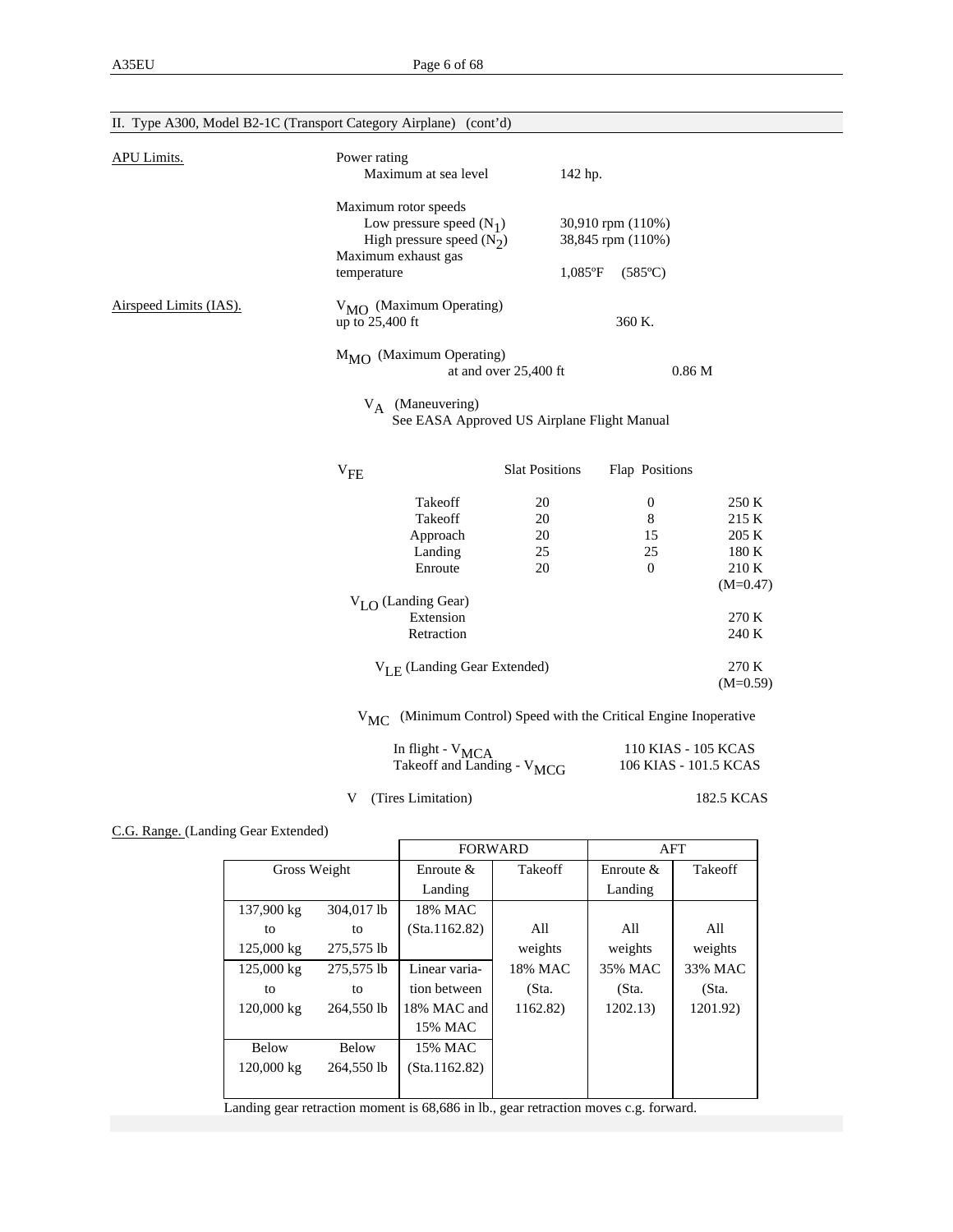| II. Type A300, Model B2-1C (Transport Category Airplane) (cont'd) |                                                                                                                         |                                                                          |                |  |  |
|-------------------------------------------------------------------|-------------------------------------------------------------------------------------------------------------------------|--------------------------------------------------------------------------|----------------|--|--|
| <b>APU Limits.</b>                                                | Power rating<br>Maximum at sea level                                                                                    | 142 hp.                                                                  |                |  |  |
|                                                                   | Maximum rotor speeds<br>Low pressure speed $(N_1)$<br>High pressure speed $(N_2)$<br>Maximum exhaust gas<br>temperature | 30,910 rpm (110%)<br>38,845 rpm (110%)<br>$1,085$ °F<br>$(585^{\circ}C)$ |                |  |  |
| Airspeed Limits (IAS).                                            | V <sub>MO</sub> (Maximum Operating)<br>up to 25,400 ft                                                                  | 360 K.                                                                   |                |  |  |
|                                                                   | $M_{\text{MO}}$ (Maximum Operating)<br>at and over 25,400 ft                                                            | 0.86 <sub>M</sub>                                                        |                |  |  |
|                                                                   | $V_A$ (Maneuvering)<br>See EASA Approved US Airplane Flight Manual                                                      |                                                                          |                |  |  |
|                                                                   | <b>Slat Positions</b><br>$V_{FE}$                                                                                       | Flap Positions                                                           |                |  |  |
|                                                                   | Takeoff<br>20                                                                                                           | $\boldsymbol{0}$                                                         | 250 K          |  |  |
|                                                                   | Takeoff<br>20                                                                                                           | 8                                                                        | 215 K          |  |  |
|                                                                   | Approach<br>20                                                                                                          | 15                                                                       | 205 K          |  |  |
|                                                                   | 25<br>Landing                                                                                                           | 25                                                                       | 180 K          |  |  |
|                                                                   | Enroute<br>20                                                                                                           | $\mathbf{0}$                                                             | 210 K          |  |  |
|                                                                   |                                                                                                                         |                                                                          | $(M=0.47)$     |  |  |
|                                                                   | $V_{LO}$ (Landing Gear)                                                                                                 |                                                                          |                |  |  |
|                                                                   | Extension<br>Retraction                                                                                                 |                                                                          | 270 K<br>240 K |  |  |
|                                                                   |                                                                                                                         |                                                                          |                |  |  |
|                                                                   | $V_{L,E}$ (Landing Gear Extended)                                                                                       |                                                                          | 270 K          |  |  |
|                                                                   |                                                                                                                         |                                                                          | $(M=0.59)$     |  |  |
|                                                                   | $V_{MC}$                                                                                                                | (Minimum Control) Speed with the Critical Engine Inoperative             |                |  |  |
|                                                                   |                                                                                                                         |                                                                          |                |  |  |

| In flight - $V_{MCA}$                  | 110 KIAS - 105 KCAS   |
|----------------------------------------|-----------------------|
| Takeoff and Landing - V <sub>MCG</sub> | 106 KIAS - 101.5 KCAS |

V (Tires Limitation) 182.5 KCAS

C.G. Range. (Landing Gear Extended)

|                              | <b>FORWARD</b> |          | AFT          |          |
|------------------------------|----------------|----------|--------------|----------|
| Gross Weight                 | Enroute $&$    | Takeoff  | Enroute $\&$ | Takeoff  |
|                              | Landing        |          | Landing      |          |
| 137,900 kg<br>304,017 lb     | 18% MAC        |          |              |          |
| to<br>to                     | (Sta.1162.82)  | All      | All          | All      |
| 125,000 kg<br>275,575 lb     |                | weights  | weights      | weights  |
| 125,000 kg<br>275,575 lb     | Linear varia-  | 18% MAC  | 35% MAC      | 33% MAC  |
| to<br>to                     | tion between   | (Sta.    | (Sta.        | (Sta.    |
| 120,000 kg<br>264,550 lb     | 18% MAC and    | 1162.82) | 1202.13)     | 1201.92) |
|                              | 15% MAC        |          |              |          |
| <b>Below</b><br><b>Below</b> | 15% MAC        |          |              |          |
| 120,000 kg<br>264,550 lb     | (Sta.1162.82)  |          |              |          |
|                              |                |          |              |          |

Landing gear retraction moment is 68,686 in lb., gear retraction moves c.g. forward.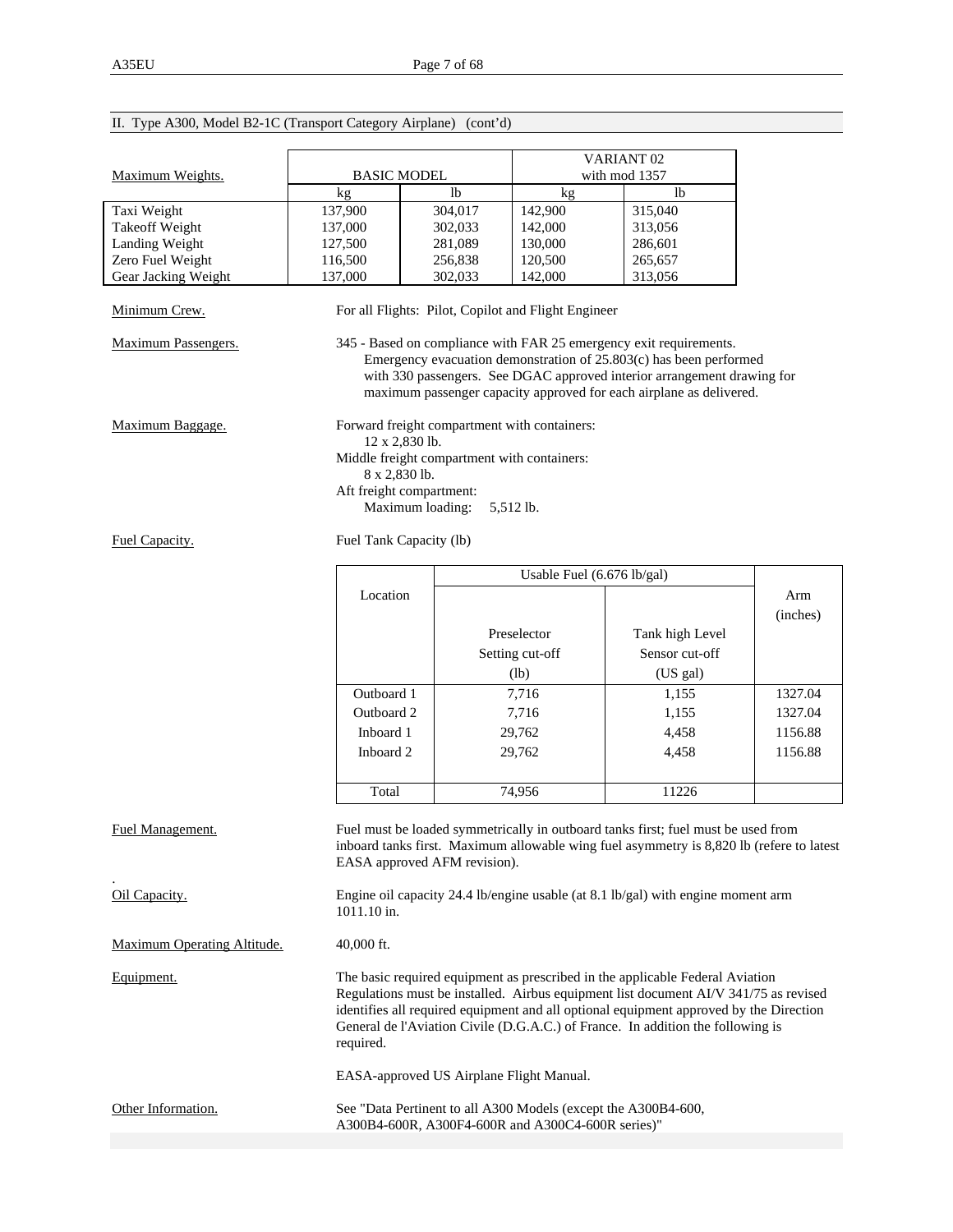|                             |                    |                                                                                                                                                                                                                                                                                                                                                    |                            | VARIANT <sub>02</sub>                                                                                                                                                                                                                                                                      |          |  |  |
|-----------------------------|--------------------|----------------------------------------------------------------------------------------------------------------------------------------------------------------------------------------------------------------------------------------------------------------------------------------------------------------------------------------------------|----------------------------|--------------------------------------------------------------------------------------------------------------------------------------------------------------------------------------------------------------------------------------------------------------------------------------------|----------|--|--|
| Maximum Weights.            | <b>BASIC MODEL</b> |                                                                                                                                                                                                                                                                                                                                                    |                            | with mod 1357                                                                                                                                                                                                                                                                              |          |  |  |
|                             | kg                 | lb                                                                                                                                                                                                                                                                                                                                                 | kg                         | <sup>1</sup>                                                                                                                                                                                                                                                                               |          |  |  |
| Taxi Weight                 | 137,900            | 304,017                                                                                                                                                                                                                                                                                                                                            | 142,900                    | 315,040                                                                                                                                                                                                                                                                                    |          |  |  |
| <b>Takeoff Weight</b>       | 137,000            | 302,033                                                                                                                                                                                                                                                                                                                                            | 142,000                    | 313,056                                                                                                                                                                                                                                                                                    |          |  |  |
| Landing Weight              | 127,500            | 281,089                                                                                                                                                                                                                                                                                                                                            | 130,000                    | 286,601                                                                                                                                                                                                                                                                                    |          |  |  |
|                             |                    |                                                                                                                                                                                                                                                                                                                                                    |                            |                                                                                                                                                                                                                                                                                            |          |  |  |
| Zero Fuel Weight            | 116,500            | 256,838                                                                                                                                                                                                                                                                                                                                            | 120,500                    | 265,657                                                                                                                                                                                                                                                                                    |          |  |  |
| Gear Jacking Weight         | 137,000            | 302,033                                                                                                                                                                                                                                                                                                                                            | 142,000                    | 313,056                                                                                                                                                                                                                                                                                    |          |  |  |
| Minimum Crew.               |                    | For all Flights: Pilot, Copilot and Flight Engineer                                                                                                                                                                                                                                                                                                |                            |                                                                                                                                                                                                                                                                                            |          |  |  |
| Maximum Passengers.         |                    |                                                                                                                                                                                                                                                                                                                                                    |                            | 345 - Based on compliance with FAR 25 emergency exit requirements.<br>Emergency evacuation demonstration of 25.803(c) has been performed<br>with 330 passengers. See DGAC approved interior arrangement drawing for<br>maximum passenger capacity approved for each airplane as delivered. |          |  |  |
| Maximum Baggage.            |                    | Forward freight compartment with containers:<br>12 x 2,830 lb.<br>Middle freight compartment with containers:                                                                                                                                                                                                                                      |                            |                                                                                                                                                                                                                                                                                            |          |  |  |
|                             | 8 x 2,830 lb.      |                                                                                                                                                                                                                                                                                                                                                    |                            |                                                                                                                                                                                                                                                                                            |          |  |  |
|                             |                    | Aft freight compartment:<br>Maximum loading:                                                                                                                                                                                                                                                                                                       | 5,512 lb.                  |                                                                                                                                                                                                                                                                                            |          |  |  |
| Fuel Capacity.              |                    | Fuel Tank Capacity (lb)                                                                                                                                                                                                                                                                                                                            |                            |                                                                                                                                                                                                                                                                                            |          |  |  |
|                             |                    |                                                                                                                                                                                                                                                                                                                                                    | Usable Fuel (6.676 lb/gal) |                                                                                                                                                                                                                                                                                            |          |  |  |
|                             | Location           |                                                                                                                                                                                                                                                                                                                                                    |                            |                                                                                                                                                                                                                                                                                            |          |  |  |
|                             |                    |                                                                                                                                                                                                                                                                                                                                                    |                            |                                                                                                                                                                                                                                                                                            | Arm      |  |  |
|                             |                    |                                                                                                                                                                                                                                                                                                                                                    |                            |                                                                                                                                                                                                                                                                                            | (inches) |  |  |
|                             |                    |                                                                                                                                                                                                                                                                                                                                                    | Preselector                | Tank high Level                                                                                                                                                                                                                                                                            |          |  |  |
|                             |                    |                                                                                                                                                                                                                                                                                                                                                    | Setting cut-off            | Sensor cut-off                                                                                                                                                                                                                                                                             |          |  |  |
|                             |                    |                                                                                                                                                                                                                                                                                                                                                    |                            |                                                                                                                                                                                                                                                                                            |          |  |  |
|                             |                    |                                                                                                                                                                                                                                                                                                                                                    | (lb)                       | (US gal)                                                                                                                                                                                                                                                                                   |          |  |  |
|                             | Outboard 1         |                                                                                                                                                                                                                                                                                                                                                    | 7,716                      | 1,155                                                                                                                                                                                                                                                                                      | 1327.04  |  |  |
|                             | Outboard 2         |                                                                                                                                                                                                                                                                                                                                                    | 7,716                      | 1,155                                                                                                                                                                                                                                                                                      | 1327.04  |  |  |
|                             | Inboard 1          |                                                                                                                                                                                                                                                                                                                                                    | 29,762                     | 4,458                                                                                                                                                                                                                                                                                      | 1156.88  |  |  |
|                             |                    |                                                                                                                                                                                                                                                                                                                                                    |                            |                                                                                                                                                                                                                                                                                            |          |  |  |
|                             | Inboard 2          |                                                                                                                                                                                                                                                                                                                                                    | 29,762                     | 4,458                                                                                                                                                                                                                                                                                      | 1156.88  |  |  |
|                             |                    |                                                                                                                                                                                                                                                                                                                                                    |                            |                                                                                                                                                                                                                                                                                            |          |  |  |
|                             | Total              |                                                                                                                                                                                                                                                                                                                                                    | 74,956                     | 11226                                                                                                                                                                                                                                                                                      |          |  |  |
| Fuel Management.            |                    | EASA approved AFM revision).                                                                                                                                                                                                                                                                                                                       |                            | Fuel must be loaded symmetrically in outboard tanks first; fuel must be used from<br>inboard tanks first. Maximum allowable wing fuel asymmetry is 8,820 lb (refere to latest                                                                                                              |          |  |  |
| Oil Capacity.               | 1011.10 in.        |                                                                                                                                                                                                                                                                                                                                                    |                            | Engine oil capacity 24.4 lb/engine usable (at 8.1 lb/gal) with engine moment arm                                                                                                                                                                                                           |          |  |  |
| Maximum Operating Altitude. | 40,000 ft.         |                                                                                                                                                                                                                                                                                                                                                    |                            |                                                                                                                                                                                                                                                                                            |          |  |  |
| Equipment.                  | required.          | The basic required equipment as prescribed in the applicable Federal Aviation<br>Regulations must be installed. Airbus equipment list document AI/V 341/75 as revised<br>identifies all required equipment and all optional equipment approved by the Direction<br>General de l'Aviation Civile (D.G.A.C.) of France. In addition the following is |                            |                                                                                                                                                                                                                                                                                            |          |  |  |
|                             |                    | EASA-approved US Airplane Flight Manual.                                                                                                                                                                                                                                                                                                           |                            |                                                                                                                                                                                                                                                                                            |          |  |  |
| Other Information.          |                    | See "Data Pertinent to all A300 Models (except the A300B4-600,<br>A300B4-600R, A300F4-600R and A300C4-600R series)"                                                                                                                                                                                                                                |                            |                                                                                                                                                                                                                                                                                            |          |  |  |

# II. Type A300, Model B2-1C (Transport Category Airplane) (cont'd)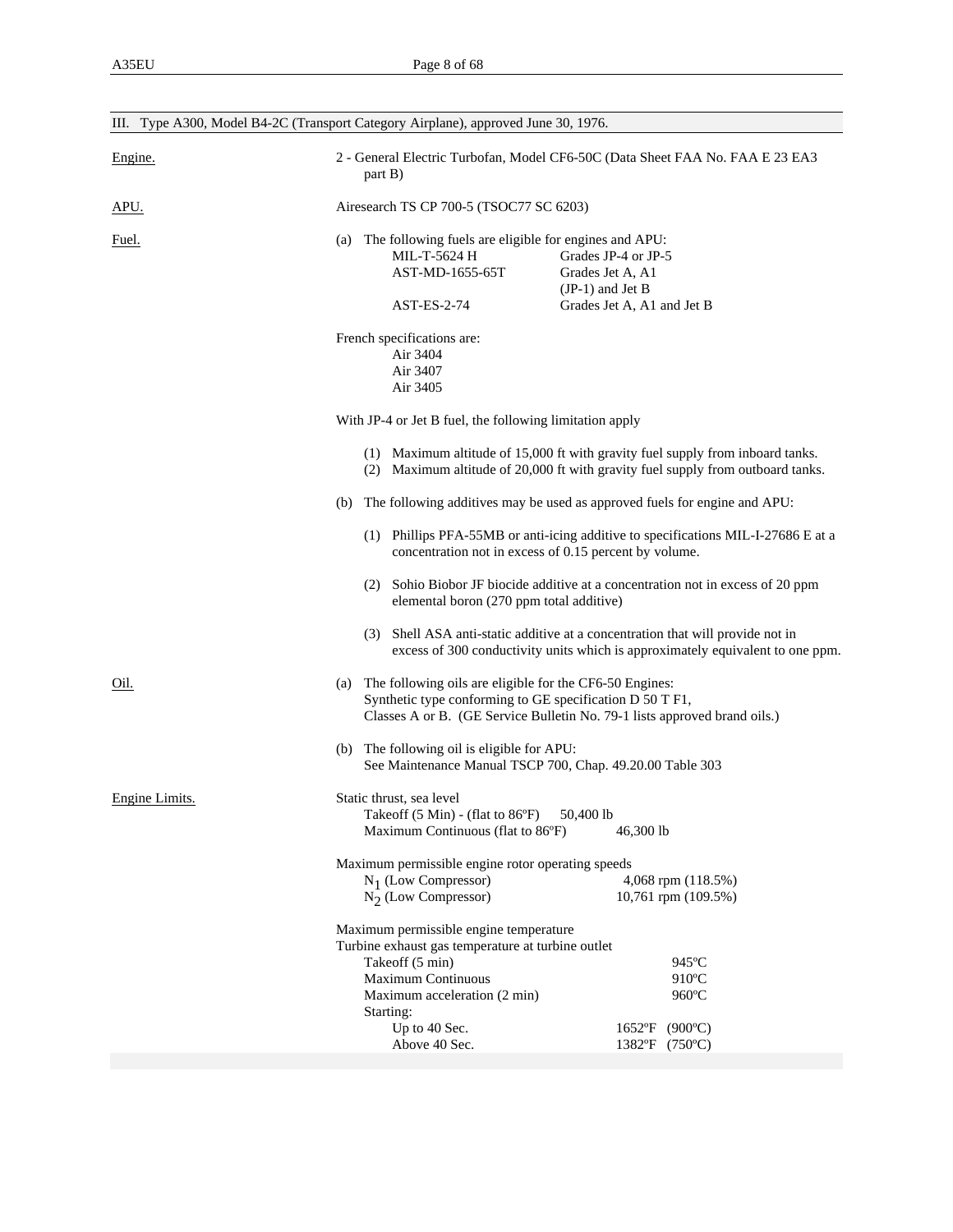| III. Type A300, Model B4-2C (Transport Category Airplane), approved June 30, 1976. |                                                                                                                                                                                   |                                                                                                                                                                   |  |  |  |
|------------------------------------------------------------------------------------|-----------------------------------------------------------------------------------------------------------------------------------------------------------------------------------|-------------------------------------------------------------------------------------------------------------------------------------------------------------------|--|--|--|
| Engine.                                                                            | 2 - General Electric Turbofan, Model CF6-50C (Data Sheet FAA No. FAA E 23 EA3<br>part B)                                                                                          |                                                                                                                                                                   |  |  |  |
| APU.                                                                               | Airesearch TS CP 700-5 (TSOC77 SC 6203)                                                                                                                                           |                                                                                                                                                                   |  |  |  |
| <u>Fuel.</u>                                                                       | (a) The following fuels are eligible for engines and APU:<br>MIL-T-5624 H<br>AST-MD-1655-65T<br>$AST-ES-2-74$                                                                     | Grades JP-4 or JP-5<br>Grades Jet A, A1<br>$(JP-1)$ and Jet B<br>Grades Jet A, A1 and Jet B                                                                       |  |  |  |
|                                                                                    | French specifications are:<br>Air 3404<br>Air 3407<br>Air 3405                                                                                                                    |                                                                                                                                                                   |  |  |  |
|                                                                                    | With JP-4 or Jet B fuel, the following limitation apply                                                                                                                           |                                                                                                                                                                   |  |  |  |
|                                                                                    |                                                                                                                                                                                   | (1) Maximum altitude of 15,000 ft with gravity fuel supply from inboard tanks.<br>(2) Maximum altitude of 20,000 ft with gravity fuel supply from outboard tanks. |  |  |  |
|                                                                                    |                                                                                                                                                                                   | (b) The following additives may be used as approved fuels for engine and APU:                                                                                     |  |  |  |
|                                                                                    |                                                                                                                                                                                   | (1) Phillips PFA-55MB or anti-icing additive to specifications MIL-I-27686 E at a<br>concentration not in excess of 0.15 percent by volume.                       |  |  |  |
|                                                                                    | elemental boron (270 ppm total additive)                                                                                                                                          | (2) Sohio Biobor JF biocide additive at a concentration not in excess of 20 ppm                                                                                   |  |  |  |
|                                                                                    |                                                                                                                                                                                   | (3) Shell ASA anti-static additive at a concentration that will provide not in<br>excess of 300 conductivity units which is approximately equivalent to one ppm.  |  |  |  |
| Oil.                                                                               | The following oils are eligible for the CF6-50 Engines:<br>(a)<br>Synthetic type conforming to GE specification D 50 T F1,                                                        | Classes A or B. (GE Service Bulletin No. 79-1 lists approved brand oils.)                                                                                         |  |  |  |
|                                                                                    | (b) The following oil is eligible for APU:                                                                                                                                        | See Maintenance Manual TSCP 700, Chap. 49.20.00 Table 303                                                                                                         |  |  |  |
| Engine Limits.                                                                     | Static thrust, sea level<br>Takeoff (5 Min) - (flat to 86°F) 50,400 lb<br>Maximum Continuous (flat to 86°F)                                                                       | 46,300 lb                                                                                                                                                         |  |  |  |
|                                                                                    | Maximum permissible engine rotor operating speeds<br>$N_1$ (Low Compressor)<br>$N_2$ (Low Compressor)                                                                             | 4,068 rpm (118.5%)<br>10,761 rpm (109.5%)                                                                                                                         |  |  |  |
|                                                                                    | Maximum permissible engine temperature<br>Turbine exhaust gas temperature at turbine outlet<br>Takeoff (5 min)<br>Maximum Continuous<br>Maximum acceleration (2 min)<br>Starting: | 945°C<br>910°C<br>960°C                                                                                                                                           |  |  |  |
|                                                                                    | Up to 40 Sec.<br>Above 40 Sec.                                                                                                                                                    | $(900^{\circ}C)$<br>$1652$ °F<br>1382°F (750°C)                                                                                                                   |  |  |  |
|                                                                                    |                                                                                                                                                                                   |                                                                                                                                                                   |  |  |  |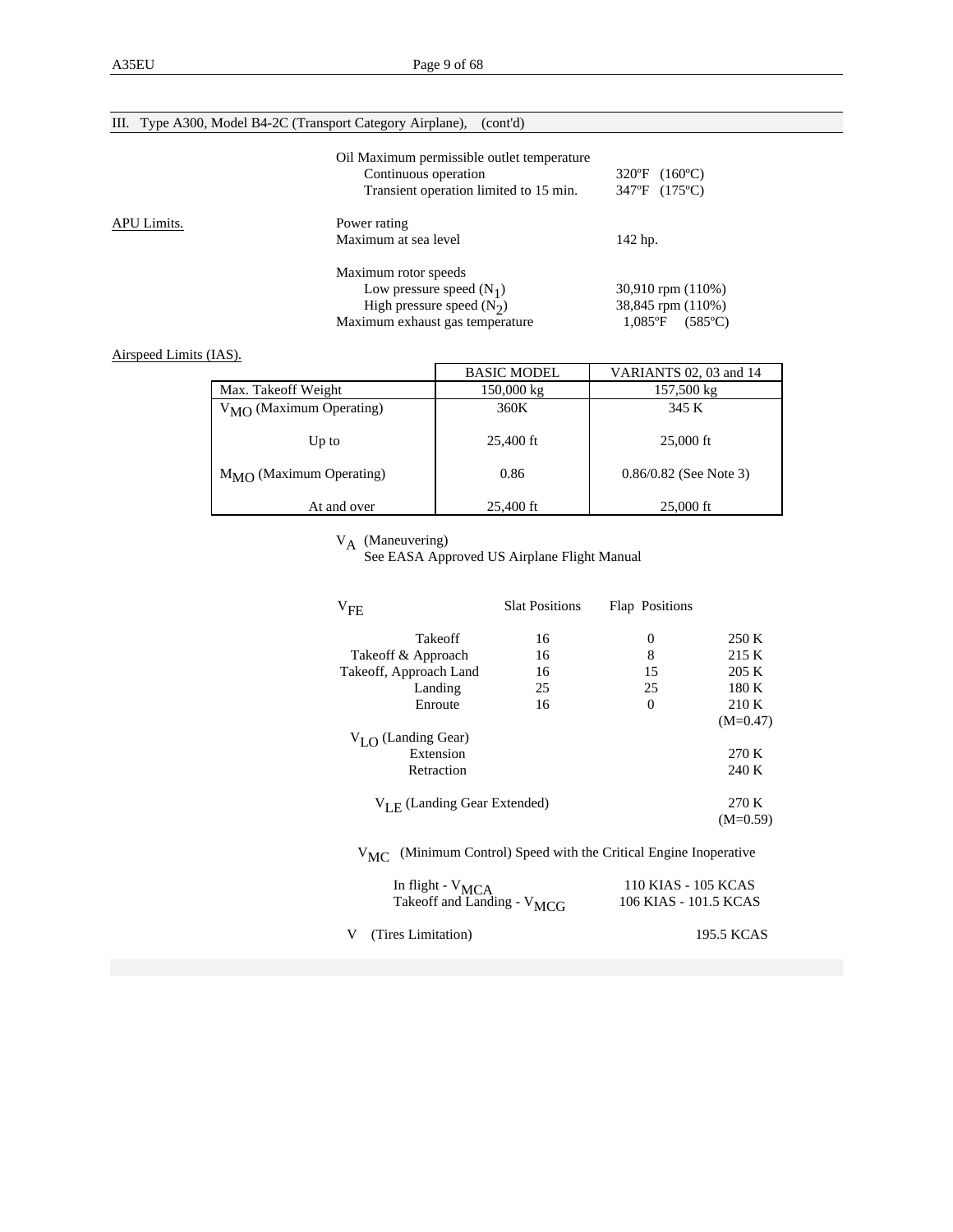|  |  | III. Type A300, Model B4-2C (Transport Category Airplane), (cont'd) |  |  |  |  |
|--|--|---------------------------------------------------------------------|--|--|--|--|
|--|--|---------------------------------------------------------------------|--|--|--|--|

|             | Oil Maximum permissible outlet temperature<br>Continuous operation<br>Transient operation limited to 15 min. | $(160^{\circ}C)$<br>$320^{\circ}$ F<br>347°F (175°C) |
|-------------|--------------------------------------------------------------------------------------------------------------|------------------------------------------------------|
| APU Limits. | Power rating<br>Maximum at sea level                                                                         | 142 hp.                                              |
|             | Maximum rotor speeds                                                                                         |                                                      |
|             | Low pressure speed $(N_1)$                                                                                   | $30,910$ rpm $(110%)$                                |
|             | High pressure speed $(N2)$                                                                                   | 38,845 rpm (110%)                                    |
|             | Maximum exhaust gas temperature                                                                              | $1.085$ °F<br>$(585^{\circ}C)$                       |

Airspeed Limits (IAS).

|                                     | <b>BASIC MODEL</b> | VARIANTS 02, 03 and 14   |
|-------------------------------------|--------------------|--------------------------|
| Max. Takeoff Weight                 | 150,000 kg         | 157,500 kg               |
| $V_{\text{MO}}$ (Maximum Operating) | 360K               | 345 K                    |
| Up to                               | 25,400 ft          | $25,000$ ft              |
| $M_{\rm MO}$ (Maximum Operating)    | 0.86               | $0.86/0.82$ (See Note 3) |
| At and over                         | 25,400 ft          | $25,000 \text{ ft}$      |

 $V_A$  (Maneuvering)<br>See EASA Approved US Airplane Flight Manual

| $V_{FE}$                                                        | <b>Slat Positions</b> | Flap Positions                                               |                     |
|-----------------------------------------------------------------|-----------------------|--------------------------------------------------------------|---------------------|
| Takeoff                                                         | 16                    | $\boldsymbol{0}$                                             | 250 K               |
| Takeoff & Approach                                              | 16                    | 8                                                            | 215 K               |
| Takeoff, Approach Land                                          | 16                    | 15                                                           | 205 K               |
| Landing                                                         | 25                    | 25                                                           | 180 K               |
| Enroute                                                         | 16                    | $\Omega$                                                     | 210 K               |
|                                                                 |                       |                                                              | $(M=0.47)$          |
| $V_{I,\Omega}$ (Landing Gear)                                   |                       |                                                              |                     |
| Extension                                                       |                       |                                                              | 270 K               |
| Retraction                                                      |                       |                                                              | 240 K               |
| $V_{L,E}$ (Landing Gear Extended)                               |                       |                                                              | 270 K<br>$(M=0.59)$ |
| $V_{MC}$                                                        |                       | (Minimum Control) Speed with the Critical Engine Inoperative |                     |
| In flight - $V_{MCA}$<br>Takeoff and Landing - V <sub>MCG</sub> |                       | 110 KIAS - 105 KCAS<br>106 KIAS - 101.5 KCAS                 |                     |
| (Tires Limitation)                                              |                       |                                                              | 195.5 KCAS          |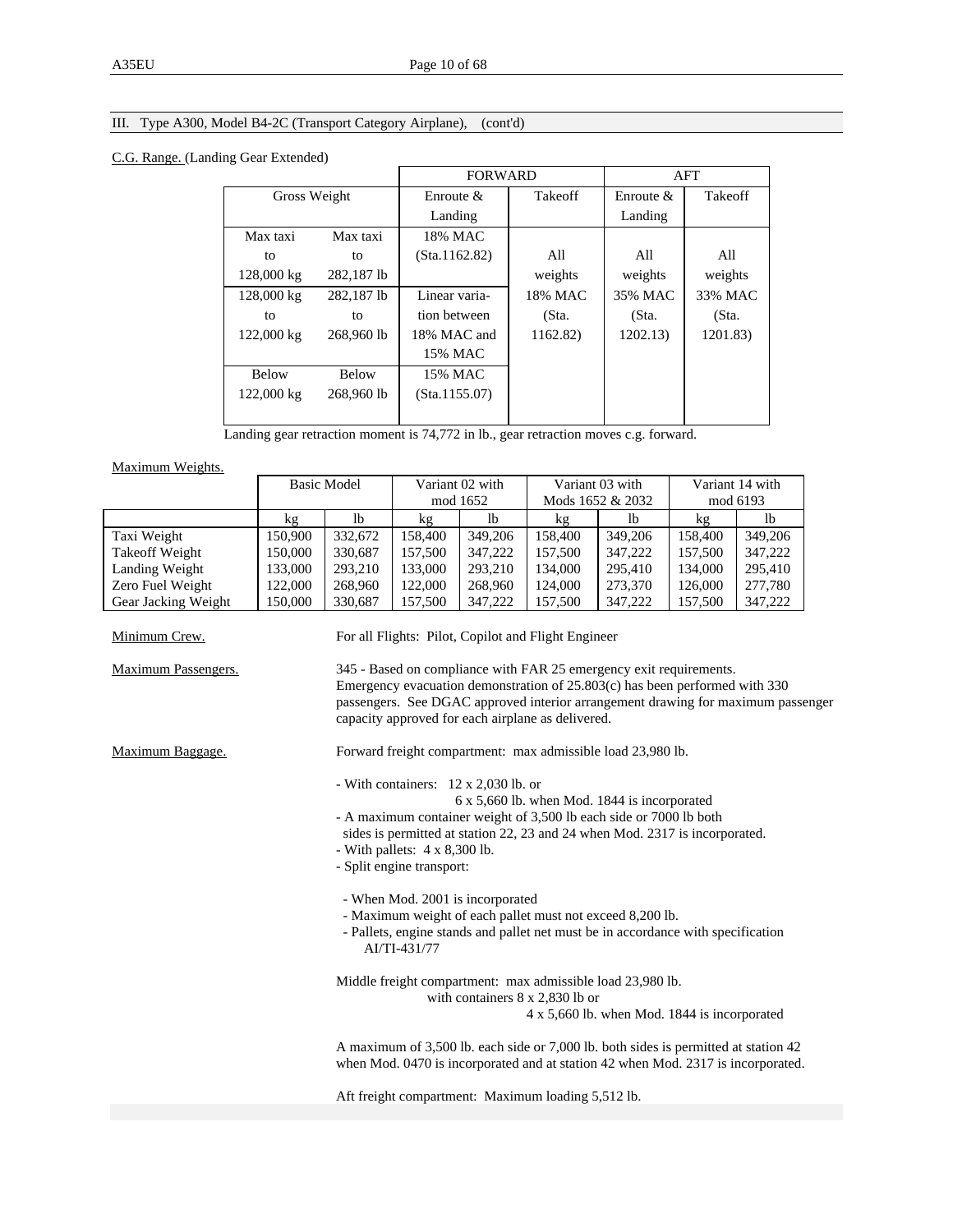# III. Type A300, Model B4-2C (Transport Category Airplane), (cont'd)

### C.G. Range. (Landing Gear Extended)

|              |              | <b>FORWARD</b> |          |              | AFT      |
|--------------|--------------|----------------|----------|--------------|----------|
|              | Gross Weight |                | Takeoff  | Enroute $\&$ | Takeoff  |
|              |              | Landing        |          | Landing      |          |
| Max taxi     | Max taxi     | 18% MAC        |          |              |          |
| to           | to           | (Sta.1162.82)  | All      | All          | All      |
| 128,000 kg   | 282,187 lb   |                | weights  | weights      | weights  |
| 128,000 kg   | 282.187 lb   | Linear varia-  | 18% MAC  | 35% MAC      | 33% MAC  |
| to           | to           | tion between   | (Sta.    | (Sta.        | (Sta.    |
| 122,000 kg   | 268,960 lb   | 18% MAC and    | 1162.82) | 1202.13)     | 1201.83) |
|              |              | 15% MAC        |          |              |          |
| <b>Below</b> | <b>Below</b> | 15% MAC        |          |              |          |
| 122,000 kg   | 268,960 lb   | (Sta.1155.07)  |          |              |          |
|              |              |                |          |              |          |

Landing gear retraction moment is 74,772 in lb., gear retraction moves c.g. forward.

Maximum Weights.

|                                      |                                                                                                      | <b>Basic Model</b>                                                                                                                                                                                                   |                                      | Variant 02 with                      |                                                                                  | Variant 03 with  |         | Variant 14 with |  |
|--------------------------------------|------------------------------------------------------------------------------------------------------|----------------------------------------------------------------------------------------------------------------------------------------------------------------------------------------------------------------------|--------------------------------------|--------------------------------------|----------------------------------------------------------------------------------|------------------|---------|-----------------|--|
|                                      |                                                                                                      |                                                                                                                                                                                                                      |                                      | mod 1652                             |                                                                                  | Mods 1652 & 2032 |         | mod 6193        |  |
|                                      | kg                                                                                                   | 1 <sub>b</sub>                                                                                                                                                                                                       | kg                                   | <b>lb</b>                            | kg                                                                               | lb               | kg      | <b>lb</b>       |  |
| Taxi Weight                          | 150,900                                                                                              | 332,672                                                                                                                                                                                                              | 158,400                              | 349,206                              | 158,400                                                                          | 349,206          | 158,400 | 349,206         |  |
| <b>Takeoff Weight</b>                | 150,000                                                                                              | 330,687                                                                                                                                                                                                              | 157,500                              | 347,222                              | 157,500                                                                          | 347,222          | 157,500 | 347,222         |  |
| Landing Weight                       | 133,000                                                                                              | 293,210                                                                                                                                                                                                              | 133,000                              | 293,210                              | 134,000                                                                          | 295,410          | 134,000 | 295,410         |  |
| Zero Fuel Weight                     | 122,000                                                                                              | 268,960                                                                                                                                                                                                              | 122,000                              | 268,960                              | 124,000                                                                          | 273,370          | 126,000 | 277,780         |  |
| Gear Jacking Weight                  | 150,000                                                                                              | 330,687                                                                                                                                                                                                              | 157,500                              | 347,222                              | 157,500                                                                          | 347,222          | 157,500 | 347,222         |  |
| Minimum Crew.<br>Maximum Passengers. |                                                                                                      | For all Flights: Pilot, Copilot and Flight Engineer<br>345 - Based on compliance with FAR 25 emergency exit requirements.                                                                                            |                                      |                                      |                                                                                  |                  |         |                 |  |
|                                      |                                                                                                      | Emergency evacuation demonstration of 25.803(c) has been performed with 330<br>passengers. See DGAC approved interior arrangement drawing for maximum passenger<br>capacity approved for each airplane as delivered. |                                      |                                      |                                                                                  |                  |         |                 |  |
| Maximum Baggage.                     |                                                                                                      |                                                                                                                                                                                                                      |                                      |                                      | Forward freight compartment: max admissible load 23,980 lb.                      |                  |         |                 |  |
|                                      |                                                                                                      |                                                                                                                                                                                                                      |                                      | - With containers: 12 x 2,030 lb. or | 6 x 5,660 lb. when Mod. 1844 is incorporated                                     |                  |         |                 |  |
|                                      |                                                                                                      |                                                                                                                                                                                                                      |                                      |                                      | - A maximum container weight of 3,500 lb each side or 7000 lb both               |                  |         |                 |  |
|                                      |                                                                                                      |                                                                                                                                                                                                                      |                                      |                                      | sides is permitted at station 22, 23 and 24 when Mod. 2317 is incorporated.      |                  |         |                 |  |
|                                      |                                                                                                      |                                                                                                                                                                                                                      | - With pallets: $4 \times 8,300$ lb. |                                      |                                                                                  |                  |         |                 |  |
|                                      |                                                                                                      |                                                                                                                                                                                                                      | - Split engine transport:            |                                      |                                                                                  |                  |         |                 |  |
|                                      |                                                                                                      |                                                                                                                                                                                                                      |                                      | - When Mod. 2001 is incorporated     |                                                                                  |                  |         |                 |  |
|                                      |                                                                                                      |                                                                                                                                                                                                                      |                                      |                                      | - Maximum weight of each pallet must not exceed 8,200 lb.                        |                  |         |                 |  |
|                                      |                                                                                                      |                                                                                                                                                                                                                      | AI/TI-431/77                         |                                      | - Pallets, engine stands and pallet net must be in accordance with specification |                  |         |                 |  |
|                                      | Middle freight compartment: max admissible load 23,980 lb.<br>with containers $8 \times 2,830$ lb or |                                                                                                                                                                                                                      |                                      |                                      |                                                                                  |                  |         |                 |  |
|                                      |                                                                                                      |                                                                                                                                                                                                                      |                                      |                                      | 4 x 5,660 lb. when Mod. 1844 is incorporated                                     |                  |         |                 |  |
|                                      |                                                                                                      | A maximum of 3,500 lb. each side or 7,000 lb. both sides is permitted at station 42<br>when Mod. 0470 is incorporated and at station 42 when Mod. 2317 is incorporated.                                              |                                      |                                      |                                                                                  |                  |         |                 |  |
|                                      |                                                                                                      |                                                                                                                                                                                                                      |                                      |                                      | Aft freight compartment: Maximum loading 5,512 lb.                               |                  |         |                 |  |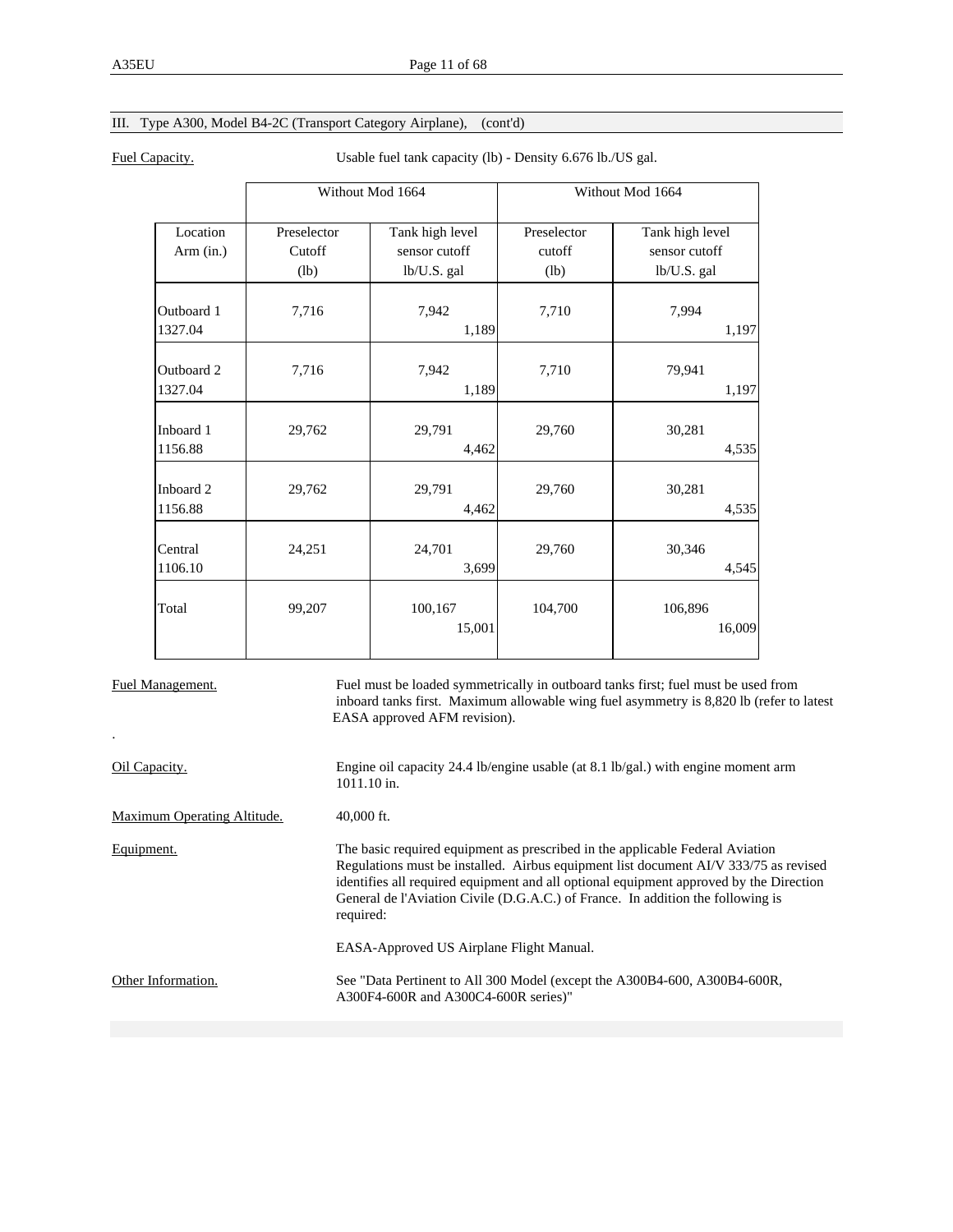# III. Type A300, Model B4-2C (Transport Category Airplane), (cont'd)

Fuel Capacity. Usable fuel tank capacity (lb) - Density 6.676 lb./US gal.

|                       |                               | Without Mod 1664                                | Without Mod 1664              |                                                 |  |
|-----------------------|-------------------------------|-------------------------------------------------|-------------------------------|-------------------------------------------------|--|
| Location<br>Arm (in.) | Preselector<br>Cutoff<br>(lb) | Tank high level<br>sensor cutoff<br>lb/U.S. gal | Preselector<br>cutoff<br>(lb) | Tank high level<br>sensor cutoff<br>lb/U.S. gal |  |
| Outboard 1<br>1327.04 | 7,716                         | 7,942<br>1,189                                  | 7,710                         | 7,994<br>1,197                                  |  |
| Outboard 2<br>1327.04 | 7,716                         | 7,942<br>1,189                                  | 7,710                         | 79,941<br>1,197                                 |  |
| Inboard 1<br>1156.88  | 29,762                        | 29,791<br>4,462                                 | 29,760                        | 30,281<br>4,535                                 |  |
| Inboard 2<br>1156.88  | 29,762                        | 29,791<br>4,462                                 | 29,760                        | 30,281<br>4,535                                 |  |
| Central<br>1106.10    | 24,251                        | 24,701<br>3,699                                 | 29,760                        | 30,346<br>4,545                                 |  |
| Total                 | 99,207                        | 100,167<br>15,001                               | 104,700                       | 106,896<br>16,009                               |  |

.

Fuel Management. Fuel must be loaded symmetrically in outboard tanks first; fuel must be used from inboard tanks first. Maximum allowable wing fuel asymmetry is 8,820 lb (refer to latest EASA approved AFM revision).

| Oil Capacity.               | Engine oil capacity 24.4 lb/engine usable (at 8.1 lb/gal.) with engine moment arm<br>$1011.10$ in.                                                                                                                                                                                                                                                              |
|-----------------------------|-----------------------------------------------------------------------------------------------------------------------------------------------------------------------------------------------------------------------------------------------------------------------------------------------------------------------------------------------------------------|
| Maximum Operating Altitude. | $40,000$ ft.                                                                                                                                                                                                                                                                                                                                                    |
| Equipment.                  | The basic required equipment as prescribed in the applicable Federal Aviation<br>Regulations must be installed. Airbus equipment list document AI/V 333/75 as revised<br>identifies all required equipment and all optional equipment approved by the Direction<br>General de l'Aviation Civile (D.G.A.C.) of France. In addition the following is<br>required: |
|                             | EASA-Approved US Airplane Flight Manual.                                                                                                                                                                                                                                                                                                                        |
| Other Information.          | See "Data Pertinent to All 300 Model (except the A300B4-600, A300B4-600R,<br>A300F4-600R and A300C4-600R series)"                                                                                                                                                                                                                                               |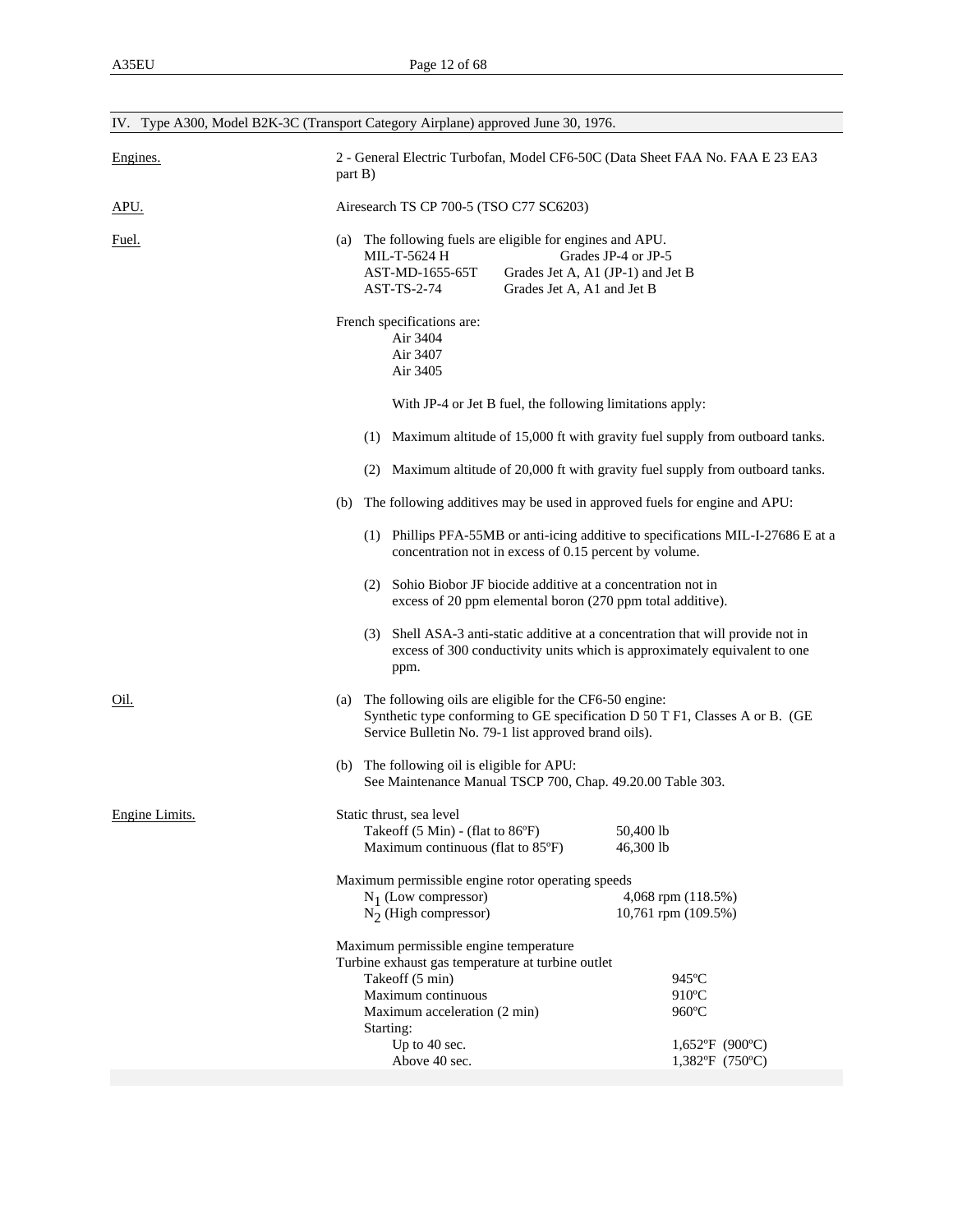|                | IV. Type A300, Model B2K-3C (Transport Category Airplane) approved June 30, 1976.                                                                                                                        |  |  |  |  |
|----------------|----------------------------------------------------------------------------------------------------------------------------------------------------------------------------------------------------------|--|--|--|--|
| Engines.       | 2 - General Electric Turbofan, Model CF6-50C (Data Sheet FAA No. FAA E 23 EA3<br>part B)                                                                                                                 |  |  |  |  |
| <u>APU.</u>    | Airesearch TS CP 700-5 (TSO C77 SC6203)                                                                                                                                                                  |  |  |  |  |
| Fuel.          | The following fuels are eligible for engines and APU.<br>(a)<br>MIL-T-5624 H<br>Grades JP-4 or JP-5<br>AST-MD-1655-65T<br>Grades Jet A, A1 (JP-1) and Jet B<br>AST-TS-2-74<br>Grades Jet A, A1 and Jet B |  |  |  |  |
|                | French specifications are:<br>Air 3404<br>Air 3407<br>Air 3405                                                                                                                                           |  |  |  |  |
|                | With JP-4 or Jet B fuel, the following limitations apply:                                                                                                                                                |  |  |  |  |
|                | Maximum altitude of 15,000 ft with gravity fuel supply from outboard tanks.<br>(1)                                                                                                                       |  |  |  |  |
|                | Maximum altitude of 20,000 ft with gravity fuel supply from outboard tanks.<br>(2)                                                                                                                       |  |  |  |  |
|                | The following additives may be used in approved fuels for engine and APU:<br>(b)                                                                                                                         |  |  |  |  |
|                | (1) Phillips PFA-55MB or anti-icing additive to specifications MIL-I-27686 E at a<br>concentration not in excess of 0.15 percent by volume.                                                              |  |  |  |  |
|                | (2) Sohio Biobor JF biocide additive at a concentration not in<br>excess of 20 ppm elemental boron (270 ppm total additive).                                                                             |  |  |  |  |
|                | (3) Shell ASA-3 anti-static additive at a concentration that will provide not in<br>excess of 300 conductivity units which is approximately equivalent to one<br>ppm.                                    |  |  |  |  |
| Oil.           | The following oils are eligible for the CF6-50 engine:<br>(a)<br>Synthetic type conforming to GE specification D 50 T F1, Classes A or B. (GE<br>Service Bulletin No. 79-1 list approved brand oils).    |  |  |  |  |
|                | (b) The following oil is eligible for APU:<br>See Maintenance Manual TSCP 700, Chap. 49.20.00 Table 303.                                                                                                 |  |  |  |  |
| Engine Limits. | Static thrust, sea level<br>Takeoff $(5 \text{ Min})$ - (flat to 86 $\degree$ F)<br>50,400 lb<br>Maximum continuous (flat to 85°F)<br>46,300 lb                                                          |  |  |  |  |
|                | Maximum permissible engine rotor operating speeds<br>$N_1$ (Low compressor)<br>4,068 rpm (118.5%)                                                                                                        |  |  |  |  |
|                | $N_2$ (High compressor)<br>10,761 rpm (109.5%)                                                                                                                                                           |  |  |  |  |
|                | Maximum permissible engine temperature<br>Turbine exhaust gas temperature at turbine outlet                                                                                                              |  |  |  |  |
|                | Takeoff (5 min)<br>945°C                                                                                                                                                                                 |  |  |  |  |
|                | Maximum continuous<br>$910^{\circ}$ C<br>960°C<br>Maximum acceleration (2 min)                                                                                                                           |  |  |  |  |
|                | Starting:<br>Up to 40 sec.<br>$1,652$ °F (900°C)<br>Above 40 sec.<br>1,382°F (750°C)                                                                                                                     |  |  |  |  |
|                |                                                                                                                                                                                                          |  |  |  |  |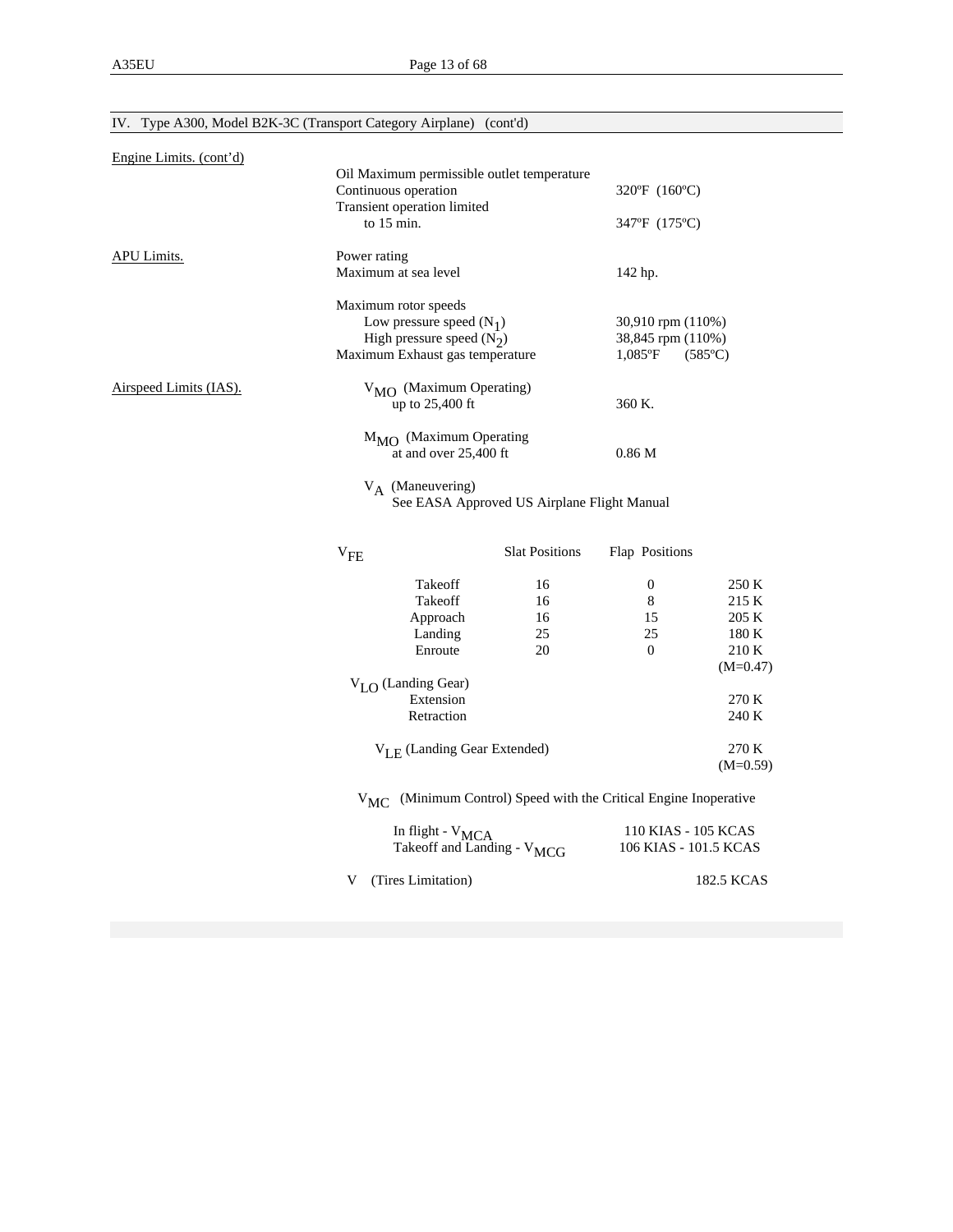| Engine Limits. (cont'd) |                                                                                                                      |                                             |                                                      |                                           |
|-------------------------|----------------------------------------------------------------------------------------------------------------------|---------------------------------------------|------------------------------------------------------|-------------------------------------------|
|                         | Oil Maximum permissible outlet temperature<br>Continuous operation<br>Transient operation limited                    |                                             | 320°F (160°C)                                        |                                           |
|                         | to $15 \text{ min}$ .                                                                                                |                                             | 347°F (175°C)                                        |                                           |
| APU Limits.             | Power rating<br>Maximum at sea level                                                                                 |                                             | 142 hp.                                              |                                           |
|                         | Maximum rotor speeds<br>Low pressure speed $(N_1)$<br>High pressure speed $(N_2)$<br>Maximum Exhaust gas temperature |                                             | 30,910 rpm (110%)<br>38,845 rpm (110%)<br>$1,085$ °F | $(585^{\circ}C)$                          |
| Airspeed Limits (IAS).  | $V_{\text{MO}}$ (Maximum Operating)<br>up to 25,400 ft                                                               |                                             | 360 K.                                               |                                           |
|                         | $M_{\rm MO}$ (Maximum Operating<br>at and over 25,400 ft                                                             |                                             | 0.86 <sub>M</sub>                                    |                                           |
|                         | $V_A$ (Maneuvering)                                                                                                  | See EASA Approved US Airplane Flight Manual |                                                      |                                           |
|                         | ${\rm v}_{\rm FE}$                                                                                                   | <b>Slat Positions</b>                       | Flap Positions                                       |                                           |
|                         | Takeoff<br>Takeoff<br>Approach<br>Landing<br>Enroute                                                                 | 16<br>16<br>16<br>25<br>20                  | $\boldsymbol{0}$<br>8<br>15<br>25<br>$\mathbf{0}$    | 250 K<br>215 K<br>205 K<br>180 K<br>210 K |
|                         | $V_{LO}$ (Landing Gear)<br>Extension<br>Retraction                                                                   |                                             |                                                      | $(M=0.47)$<br>270 K<br>240 K              |
|                         | $V_{LE}$ (Landing Gear Extended)                                                                                     |                                             |                                                      | 270 K<br>$(M=0.59)$                       |
|                         | V <sub>MC</sub> (Minimum Control) Speed with the Critical Engine Inoperative                                         |                                             |                                                      |                                           |
|                         | In flight - V <sub>MCA</sub><br>Takeoff and Landing - V <sub>MCG</sub>                                               |                                             | 110 KIAS - 105 KCAS<br>106 KIAS - 101.5 KCAS         |                                           |
|                         | (Tires Limitation)<br>V                                                                                              |                                             |                                                      | 182.5 KCAS                                |

# IV. Type A300, Model B2K-3C (Transport Category Airplane) (cont'd)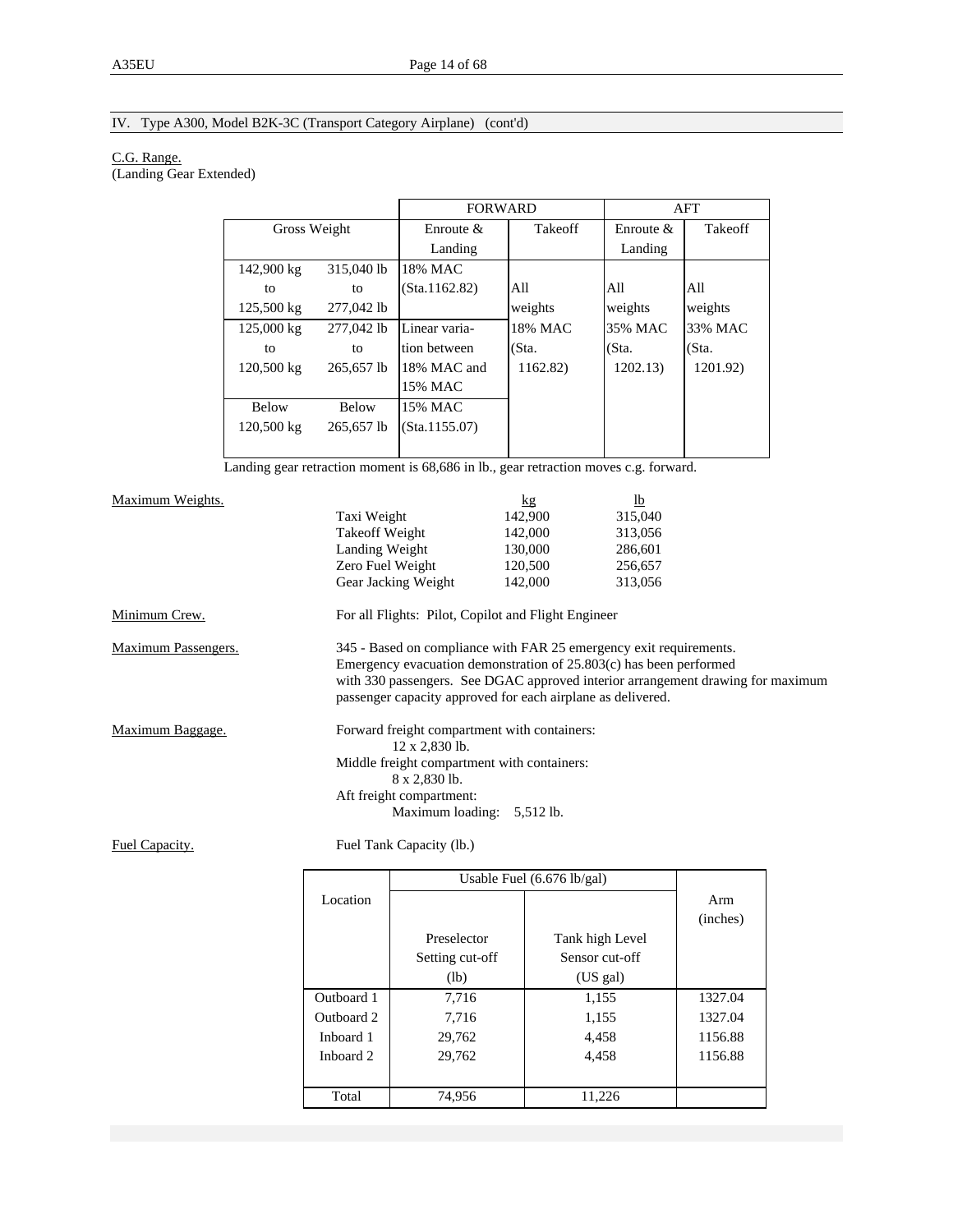# IV. Type A300, Model B2K-3C (Transport Category Airplane) (cont'd)

#### C.G. Range.

(Landing Gear Extended)

|                      |              |               | <b>FORWARD</b> |              | AFT      |
|----------------------|--------------|---------------|----------------|--------------|----------|
| Gross Weight         |              | Enroute $\&$  | <b>Takeoff</b> | Enroute $\&$ | Takeoff  |
|                      |              | Landing       |                | Landing      |          |
| 142,900 kg           | 315,040 lb   | 18% MAC       |                |              |          |
| to                   | to           | (Sta.1162.82) | All            | All          | All      |
| 125,500 kg           | 277,042 lb   |               | weights        | weights      | weights  |
| 125,000 kg           | 277,042 lb   | Linear varia- | 18% MAC        | 35% MAC      | 33% MAC  |
| to                   | to           | tion between  | (Sta.          | (Sta.        | (Sta.    |
| 120,500 kg           | 265,657 lb   | 18% MAC and   | 1162.82)       | 1202.13)     | 1201.92) |
|                      |              | 15% MAC       |                |              |          |
| <b>Below</b>         | <b>Below</b> | 15% MAC       |                |              |          |
| $120,500 \text{ kg}$ | 265.657 lb   | (Sta.1155.07) |                |              |          |
|                      |              |               |                |              |          |

Landing gear retraction moment is 68,686 in lb., gear retraction moves c.g. forward.

| Maximum Weights.    |                                                                                 | kg      | $lb$    |  |
|---------------------|---------------------------------------------------------------------------------|---------|---------|--|
|                     | Taxi Weight                                                                     | 142,900 | 315,040 |  |
|                     | Takeoff Weight                                                                  | 142,000 | 313,056 |  |
|                     | Landing Weight                                                                  | 130,000 | 286,601 |  |
|                     | Zero Fuel Weight                                                                | 120,500 | 256,657 |  |
|                     | Gear Jacking Weight                                                             | 142,000 | 313,056 |  |
| Minimum Crew.       | For all Flights: Pilot, Copilot and Flight Engineer                             |         |         |  |
| Maximum Passengers. | 345 - Based on compliance with FAR 25 emergency exit requirements.              |         |         |  |
|                     | Emergency evacuation demonstration of 25.803(c) has been performed              |         |         |  |
|                     | with 330 passengers. See DGAC approved interior arrangement drawing for maximum |         |         |  |
|                     | passenger capacity approved for each airplane as delivered.                     |         |         |  |
| Maximum Baggage.    | Forward freight compartment with containers:                                    |         |         |  |
|                     | $12 \times 2,830$ lb.                                                           |         |         |  |
|                     | Middle freight compartment with containers:                                     |         |         |  |
|                     | 8 x 2,830 lb.                                                                   |         |         |  |
|                     | Aft freight compartment:                                                        |         |         |  |
|                     | Maximum loading: 5,512 lb.                                                      |         |         |  |

Fuel Capacity. Fuel Tank Capacity (lb.)

|            |                 | Usable Fuel $(6.676 \text{ lb/gal})$ |          |
|------------|-----------------|--------------------------------------|----------|
| Location   |                 |                                      | Arm      |
|            |                 |                                      | (inches) |
|            | Preselector     | Tank high Level                      |          |
|            | Setting cut-off | Sensor cut-off                       |          |
|            | (lb)            | (US gal)                             |          |
| Outboard 1 | 7,716           | 1,155                                | 1327.04  |
| Outboard 2 | 7,716           | 1,155                                | 1327.04  |
| Inboard 1  | 29,762          | 4,458                                | 1156.88  |
| Inboard 2  | 29,762          | 4,458                                | 1156.88  |
|            |                 |                                      |          |
| Total      | 74,956          | 11,226                               |          |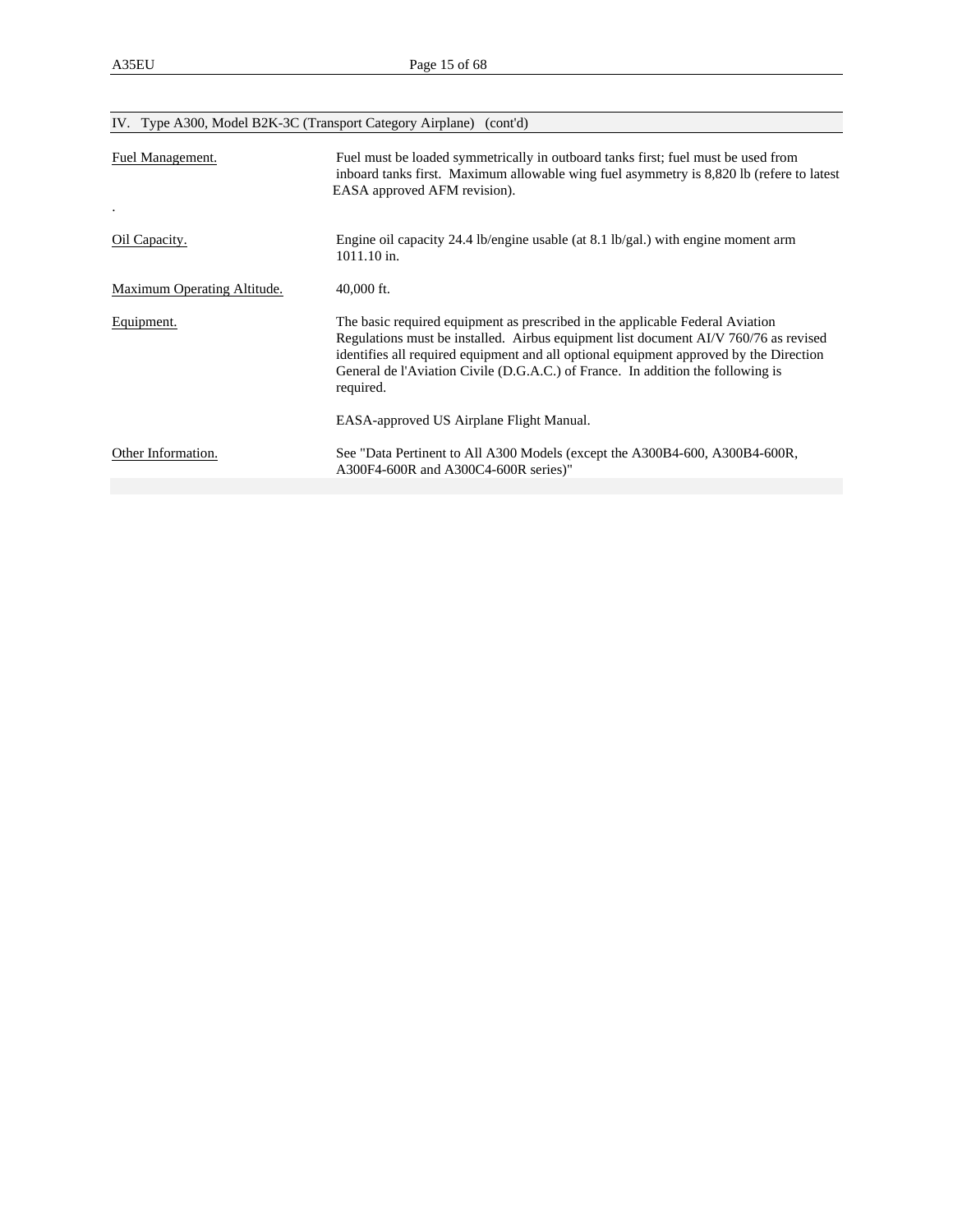|                             | IV. Type A300, Model B2K-3C (Transport Category Airplane) (cont'd)                                                                                                                                                                                                                                                                                              |
|-----------------------------|-----------------------------------------------------------------------------------------------------------------------------------------------------------------------------------------------------------------------------------------------------------------------------------------------------------------------------------------------------------------|
| Fuel Management.            | Fuel must be loaded symmetrically in outboard tanks first; fuel must be used from<br>inboard tanks first. Maximum allowable wing fuel asymmetry is 8,820 lb (refere to latest<br>EASA approved AFM revision).                                                                                                                                                   |
| Oil Capacity.               | Engine oil capacity 24.4 lb/engine usable (at 8.1 lb/gal.) with engine moment arm<br>1011.10 in.                                                                                                                                                                                                                                                                |
| Maximum Operating Altitude. | $40,000$ ft.                                                                                                                                                                                                                                                                                                                                                    |
| Equipment.                  | The basic required equipment as prescribed in the applicable Federal Aviation<br>Regulations must be installed. Airbus equipment list document AI/V 760/76 as revised<br>identifies all required equipment and all optional equipment approved by the Direction<br>General de l'Aviation Civile (D.G.A.C.) of France. In addition the following is<br>required. |
|                             | EASA-approved US Airplane Flight Manual.                                                                                                                                                                                                                                                                                                                        |
| Other Information.          | See "Data Pertinent to All A300 Models (except the A300B4-600, A300B4-600R,<br>A300F4-600R and A300C4-600R series)"                                                                                                                                                                                                                                             |
|                             |                                                                                                                                                                                                                                                                                                                                                                 |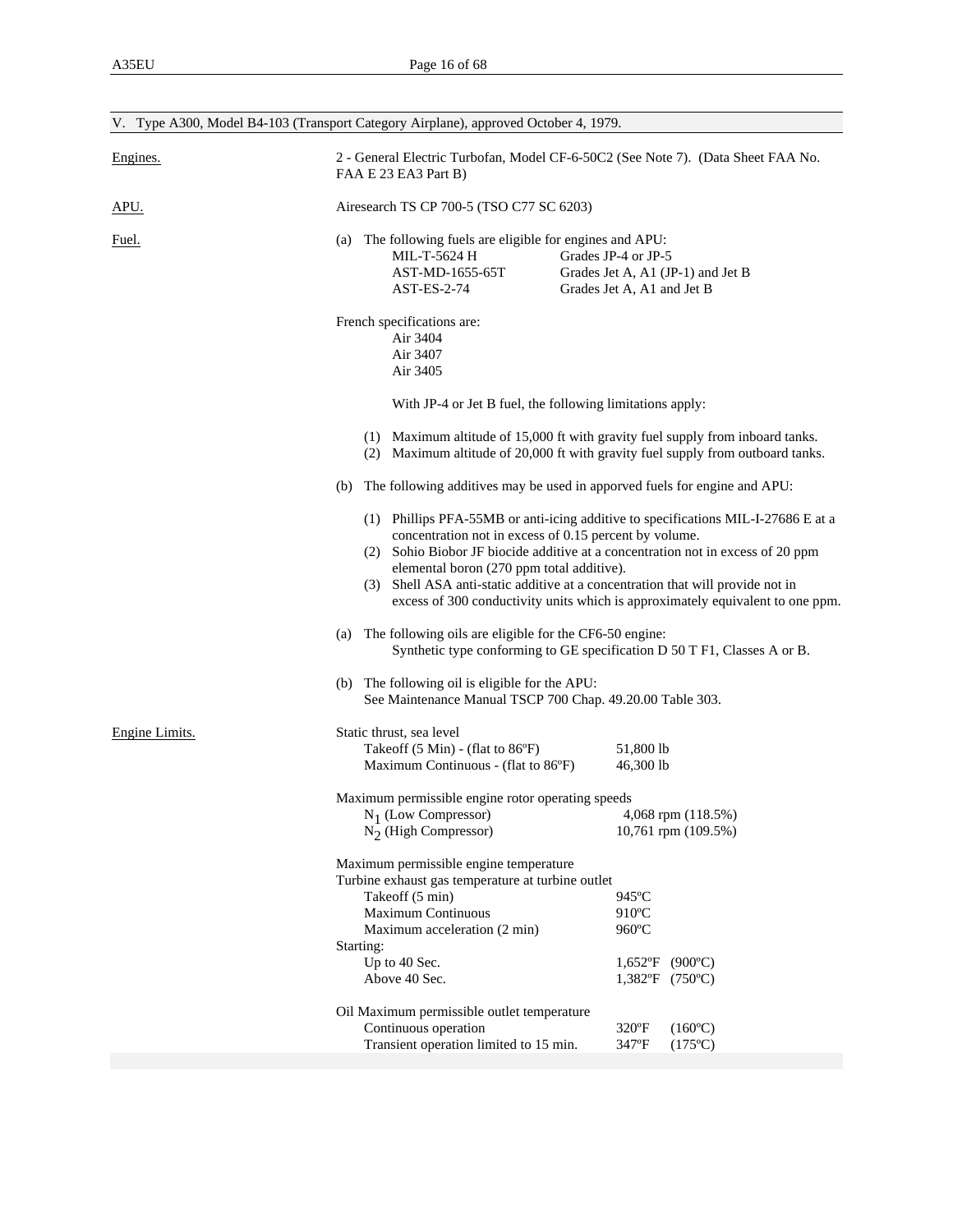|                | V. Type A300, Model B4-103 (Transport Category Airplane), approved October 4, 1979.                                                                                                                                                                                                                                                                                                                                                             |  |  |  |
|----------------|-------------------------------------------------------------------------------------------------------------------------------------------------------------------------------------------------------------------------------------------------------------------------------------------------------------------------------------------------------------------------------------------------------------------------------------------------|--|--|--|
| Engines.       | 2 - General Electric Turbofan, Model CF-6-50C2 (See Note 7). (Data Sheet FAA No.<br>FAA E 23 EA3 Part B)                                                                                                                                                                                                                                                                                                                                        |  |  |  |
| APU.           | Airesearch TS CP 700-5 (TSO C77 SC 6203)                                                                                                                                                                                                                                                                                                                                                                                                        |  |  |  |
| <u>Fuel.</u>   | (a) The following fuels are eligible for engines and APU:<br>Grades JP-4 or JP-5<br>MIL-T-5624 H<br>AST-MD-1655-65T<br>Grades Jet A, A1 (JP-1) and Jet B<br><b>AST-ES-2-74</b><br>Grades Jet A, A1 and Jet B                                                                                                                                                                                                                                    |  |  |  |
|                | French specifications are:<br>Air 3404<br>Air 3407<br>Air 3405                                                                                                                                                                                                                                                                                                                                                                                  |  |  |  |
|                | With JP-4 or Jet B fuel, the following limitations apply:                                                                                                                                                                                                                                                                                                                                                                                       |  |  |  |
|                | (1) Maximum altitude of 15,000 ft with gravity fuel supply from inboard tanks.<br>(2) Maximum altitude of 20,000 ft with gravity fuel supply from outboard tanks.                                                                                                                                                                                                                                                                               |  |  |  |
|                | (b) The following additives may be used in apported fuels for engine and APU:                                                                                                                                                                                                                                                                                                                                                                   |  |  |  |
|                | (1) Phillips PFA-55MB or anti-icing additive to specifications MIL-I-27686 E at a<br>concentration not in excess of 0.15 percent by volume.<br>(2) Sohio Biobor JF biocide additive at a concentration not in excess of 20 ppm<br>elemental boron (270 ppm total additive).<br>(3) Shell ASA anti-static additive at a concentration that will provide not in<br>excess of 300 conductivity units which is approximately equivalent to one ppm. |  |  |  |
|                | (a) The following oils are eligible for the CF6-50 engine:<br>Synthetic type conforming to GE specification D 50 T F1, Classes A or B.                                                                                                                                                                                                                                                                                                          |  |  |  |
|                | (b) The following oil is eligible for the APU:<br>See Maintenance Manual TSCP 700 Chap. 49.20.00 Table 303.                                                                                                                                                                                                                                                                                                                                     |  |  |  |
| Engine Limits. | Static thrust, sea level<br>Takeoff (5 Min) - (flat to 86°F)<br>51,800 lb<br>46,300 lb<br>Maximum Continuous - (flat to 86°F)                                                                                                                                                                                                                                                                                                                   |  |  |  |
|                | Maximum permissible engine rotor operating speeds<br>4,068 rpm (118.5%)<br>$N_1$ (Low Compressor)<br>$N_2$ (High Compressor)<br>10,761 rpm (109.5%)                                                                                                                                                                                                                                                                                             |  |  |  |
|                | Maximum permissible engine temperature<br>Turbine exhaust gas temperature at turbine outlet<br>Takeoff (5 min)<br>945°C<br><b>Maximum Continuous</b><br>910°C<br>960°C<br>Maximum acceleration (2 min)<br>Starting:<br>Up to 40 Sec.<br>$(900^{\circ}C)$<br>$1,652$ °F<br>Above 40 Sec.<br>$1,382$ °F<br>$(750^{\circ}C)$<br>Oil Maximum permissible outlet temperature                                                                         |  |  |  |
|                | Continuous operation<br>$320^{\circ}F$<br>$(160^{\circ}C)$<br>Transient operation limited to 15 min.<br>347°F<br>$(175^{\circ}C)$                                                                                                                                                                                                                                                                                                               |  |  |  |
|                |                                                                                                                                                                                                                                                                                                                                                                                                                                                 |  |  |  |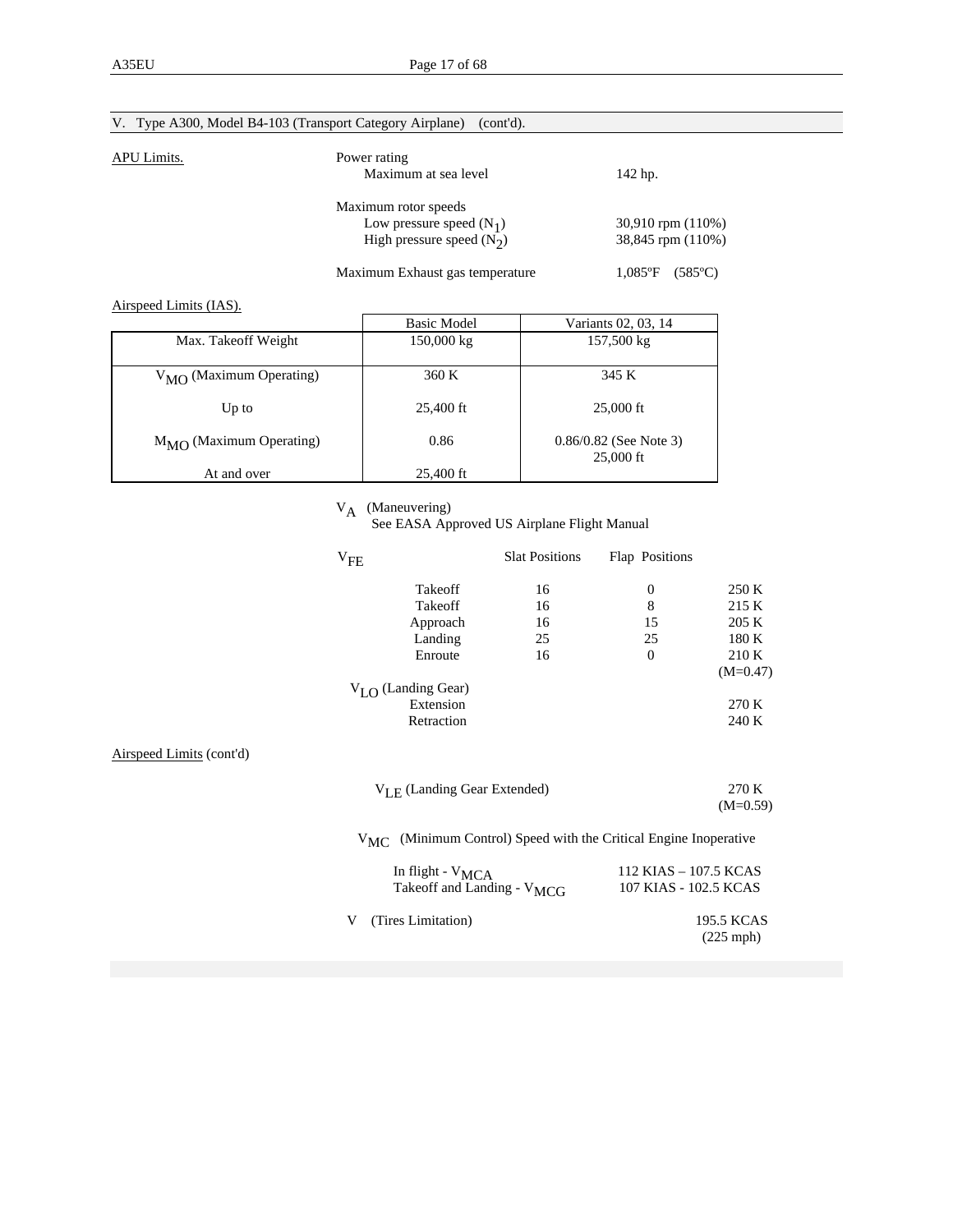|             | V. Type A300, Model B4-103 (Transport Category Airplane)<br>(cont'd).             |                                            |
|-------------|-----------------------------------------------------------------------------------|--------------------------------------------|
| APU Limits. | Power rating<br>Maximum at sea level                                              | 142 hp.                                    |
|             | Maximum rotor speeds<br>Low pressure speed $(N_1)$<br>High pressure speed $(N_2)$ | $30,910$ rpm $(110%)$<br>38,845 rpm (110%) |
|             | Maximum Exhaust gas temperature                                                   | $1.085$ °F<br>$(585^{\circ}C)$             |

Airspeed Limits (IAS).

|                                  | <b>Basic Model</b> | Variants 02, 03, 14                   |
|----------------------------------|--------------------|---------------------------------------|
| Max. Takeoff Weight              | 150,000 kg         | 157,500 kg                            |
| $V_{\rm MO}$ (Maximum Operating) | 360 K              | 345 K                                 |
| Up to                            | 25,400 ft          | $25,000 \text{ ft}$                   |
| $M_{\rm MO}$ (Maximum Operating) | 0.86               | $0.86/0.82$ (See Note 3)<br>25,000 ft |
| At and over                      | 25,400 ft          |                                       |

V<sub>A</sub> (Maneuvering)<br>See EASA Approved US Airplane Flight Manual

|                          | $V_{FE}$                                | <b>Slat Positions</b>                                        | Flap Positions        |                           |
|--------------------------|-----------------------------------------|--------------------------------------------------------------|-----------------------|---------------------------|
|                          | Takeoff                                 | 16                                                           | $\boldsymbol{0}$      | 250 K                     |
|                          | Takeoff                                 | 16                                                           | $\,8\,$               | 215 K                     |
|                          | Approach                                | 16                                                           | 15                    | 205 K                     |
|                          | Landing                                 | 25                                                           | 25                    | 180 K                     |
|                          | Enroute                                 | 16                                                           | $\theta$              | 210K                      |
|                          |                                         |                                                              |                       | $(M=0.47)$                |
|                          | $V_{LO}$ (Landing Gear)                 |                                                              |                       |                           |
|                          | Extension                               |                                                              |                       | 270 K                     |
|                          | Retraction                              |                                                              |                       | 240 K                     |
| Airspeed Limits (cont'd) |                                         |                                                              |                       |                           |
|                          | $V_{\text{LE}}$ (Landing Gear Extended) |                                                              |                       | 270 K                     |
|                          |                                         |                                                              |                       | $(M=0.59)$                |
|                          | $V_{MC}$                                | (Minimum Control) Speed with the Critical Engine Inoperative |                       |                           |
|                          | In flight - V <sub>MCA</sub>            |                                                              | 112 KIAS - 107.5 KCAS |                           |
|                          | Takeoff and Landing - V <sub>MCG</sub>  |                                                              | 107 KIAS - 102.5 KCAS |                           |
|                          | (Tires Limitation)<br>V                 |                                                              |                       | 195.5 KCAS<br>$(225$ mph) |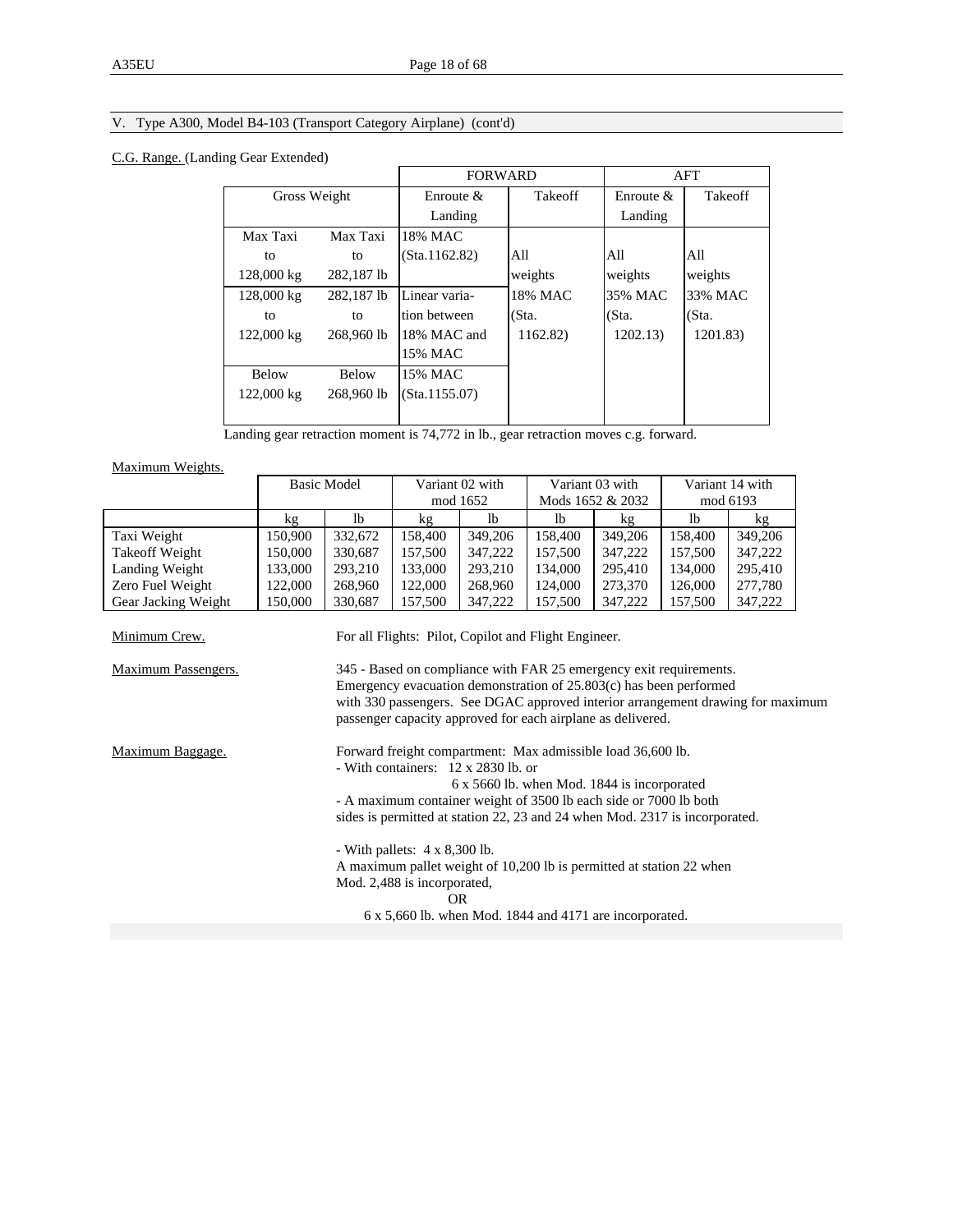# V. Type A300, Model B4-103 (Transport Category Airplane) (cont'd)

### C.G. Range. (Landing Gear Extended)

|              |              |               | <b>FORWARD</b> |              | AFT            |
|--------------|--------------|---------------|----------------|--------------|----------------|
| Gross Weight |              | Enroute $\&$  | <b>Takeoff</b> | Enroute $\&$ | <b>Takeoff</b> |
|              |              | Landing       |                | Landing      |                |
| Max Taxi     | Max Taxi     | 18% MAC       |                |              |                |
| to           | to           | (Sta.1162.82) | All            | All          | A11            |
| 128,000 kg   | 282.187 lb   |               | weights        | weights      | weights        |
| 128,000 kg   | 282.187 lb   | Linear varia- | 18% MAC        | 35% MAC      | 33% MAC        |
| to           | to           | tion between  | (Sta.          | (Sta.        | (Sta.          |
| 122,000 kg   | 268,960 lb   | 18% MAC and   | 1162.82)       | 1202.13)     | 1201.83)       |
|              |              | 15% MAC       |                |              |                |
| <b>Below</b> | <b>Below</b> | 15% MAC       |                |              |                |
| 122,000 kg   | 268,960 lb   | (Sta.1155.07) |                |              |                |
|              |              |               |                |              |                |

Landing gear retraction moment is 74,772 in lb., gear retraction moves c.g. forward.

Maximum Weights.

|                            |         | <b>Basic Model</b> |                                                                                                                                                                                                           | Variant 02 with |                                             | Variant 03 with  |         | Variant 14 with                                                                 |  |
|----------------------------|---------|--------------------|-----------------------------------------------------------------------------------------------------------------------------------------------------------------------------------------------------------|-----------------|---------------------------------------------|------------------|---------|---------------------------------------------------------------------------------|--|
|                            |         |                    |                                                                                                                                                                                                           | mod 1652        |                                             | Mods 1652 & 2032 |         | mod 6193                                                                        |  |
|                            | kg      | 1 <sub>b</sub>     | kg                                                                                                                                                                                                        | 1 <sub>b</sub>  | 1 <sub>b</sub>                              | kg               | lb      | kg                                                                              |  |
| Taxi Weight                | 150,900 | 332,672            | 158,400                                                                                                                                                                                                   | 349,206         | 158,400                                     | 349,206          | 158,400 | 349,206                                                                         |  |
| Takeoff Weight             | 150,000 | 330,687            | 157,500                                                                                                                                                                                                   | 347,222         | 157,500                                     | 347,222          | 157,500 | 347,222                                                                         |  |
| Landing Weight             | 133,000 | 293,210            | 133,000                                                                                                                                                                                                   | 293,210         | 134,000                                     | 295,410          | 134,000 | 295,410                                                                         |  |
| Zero Fuel Weight           | 122,000 | 268,960            | 122,000                                                                                                                                                                                                   | 268,960         | 124,000                                     | 273,370          | 126,000 | 277,780                                                                         |  |
| Gear Jacking Weight        | 150,000 | 330,687            | 157,500                                                                                                                                                                                                   | 347,222         | 157,500                                     | 347,222          | 157,500 | 347,222                                                                         |  |
| Minimum Crew.              |         |                    | For all Flights: Pilot, Copilot and Flight Engineer.                                                                                                                                                      |                 |                                             |                  |         |                                                                                 |  |
| <b>Maximum Passengers.</b> |         |                    | 345 - Based on compliance with FAR 25 emergency exit requirements.<br>Emergency evacuation demonstration of $25.803(c)$ has been performed<br>passenger capacity approved for each airplane as delivered. |                 |                                             |                  |         | with 330 passengers. See DGAC approved interior arrangement drawing for maximum |  |
| Maximum Baggage.           |         |                    | Forward freight compartment: Max admissible load 36,600 lb.<br>- With containers: 12 x 2830 lb. or                                                                                                        |                 |                                             |                  |         |                                                                                 |  |
|                            |         |                    |                                                                                                                                                                                                           |                 | 6 x 5660 lb. when Mod. 1844 is incorporated |                  |         |                                                                                 |  |
|                            |         |                    | - A maximum container weight of 3500 lb each side or 7000 lb both                                                                                                                                         |                 |                                             |                  |         |                                                                                 |  |
|                            |         |                    | sides is permitted at station 22, 23 and 24 when Mod. 2317 is incorporated.                                                                                                                               |                 |                                             |                  |         |                                                                                 |  |
|                            |         |                    | - With pallets: $4 \times 8,300$ lb.<br>A maximum pallet weight of 10,200 lb is permitted at station 22 when<br>Mod. 2,488 is incorporated,                                                               |                 |                                             |                  |         |                                                                                 |  |
|                            |         |                    | <b>OR</b>                                                                                                                                                                                                 |                 |                                             |                  |         |                                                                                 |  |
|                            |         |                    | $6 \times 5,660$ lb. when Mod. 1844 and 4171 are incorporated.                                                                                                                                            |                 |                                             |                  |         |                                                                                 |  |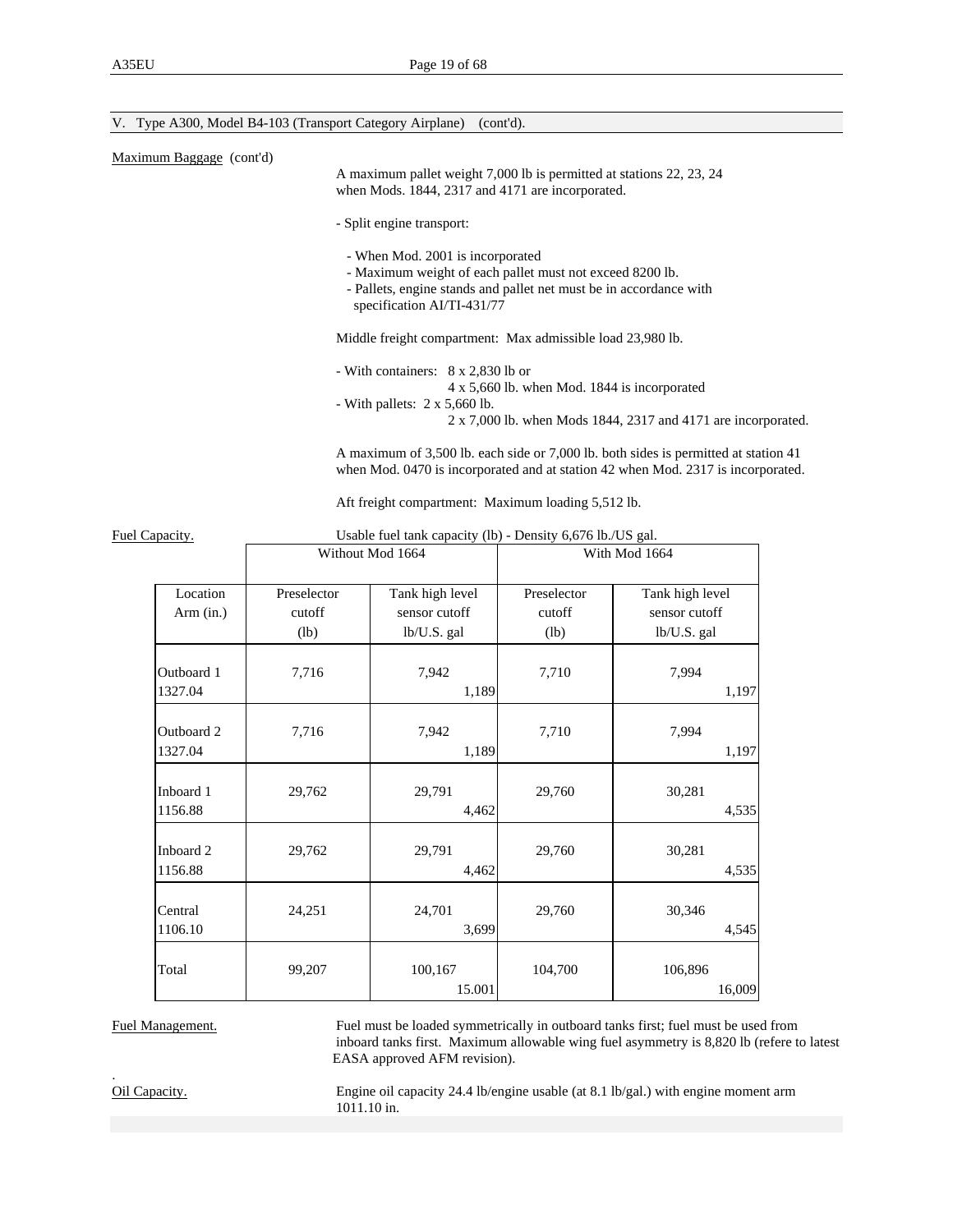#### V. Type A300, Model B4-103 (Transport Category Airplane) (cont'd).

| Maximum Baggage (cont'd) |  |  |  |
|--------------------------|--|--|--|
|--------------------------|--|--|--|

 A maximum pallet weight 7,000 lb is permitted at stations 22, 23, 24 when Mods. 1844, 2317 and 4171 are incorporated.

- Split engine transport:

- When Mod. 2001 is incorporated
- Maximum weight of each pallet must not exceed 8200 lb.
- Pallets, engine stands and pallet net must be in accordance with specification AI/TI-431/77

Middle freight compartment: Max admissible load 23,980 lb.

- With containers: 8 x 2,830 lb or
	- 4 x 5,660 lb. when Mod. 1844 is incorporated
- With pallets: 2 x 5,660 lb.
	- 2 x 7,000 lb. when Mods 1844, 2317 and 4171 are incorporated.

 A maximum of 3,500 lb. each side or 7,000 lb. both sides is permitted at station 41 when Mod. 0470 is incorporated and at station 42 when Mod. 2317 is incorporated.

Aft freight compartment: Maximum loading 5,512 lb.

| Capacity.             |                       | Usable fuel tank capacity (10) - Density 6,676 ib./US gal. |                       |                                  |
|-----------------------|-----------------------|------------------------------------------------------------|-----------------------|----------------------------------|
|                       |                       | Without Mod 1664                                           |                       | With Mod 1664                    |
| Location              | Preselector<br>cutoff | Tank high level<br>sensor cutoff                           | Preselector<br>cutoff | Tank high level<br>sensor cutoff |
| Arm (in.)             | (lb)                  | lb/U.S. gal                                                | (lb)                  | lb/U.S. gal                      |
| Outboard 1<br>1327.04 | 7,716                 | 7,942<br>1,189                                             | 7,710                 | 7,994<br>1,197                   |
| Outboard 2<br>1327.04 | 7,716                 | 7,942<br>1,189                                             | 7,710                 | 7,994<br>1,197                   |
| Inboard 1<br>1156.88  | 29,762                | 29,791<br>4,462                                            | 29,760                | 30,281<br>4,535                  |
| Inboard 2<br>1156.88  | 29,762                | 29,791<br>4,462                                            | 29,760                | 30,281<br>4,535                  |
| Central<br>1106.10    | 24,251                | 24,701<br>3,699                                            | 29,760                | 30,346<br>4,545                  |
| Total                 | 99,207                | 100,167<br>15.001                                          | 104,700               | 106,896<br>16,009                |

Fuel Capacity. Usable fuel tank capacity (lb) - Density 6,676 lb./US gal.

Fuel Management. Fuel must be loaded symmetrically in outboard tanks first; fuel must be used from inboard tanks first. Maximum allowable wing fuel asymmetry is 8,820 lb (refere to latest EASA approved AFM revision).

.

Oil Capacity. Engine oil capacity 24.4 lb/engine usable (at 8.1 lb/gal.) with engine moment arm 1011.10 in.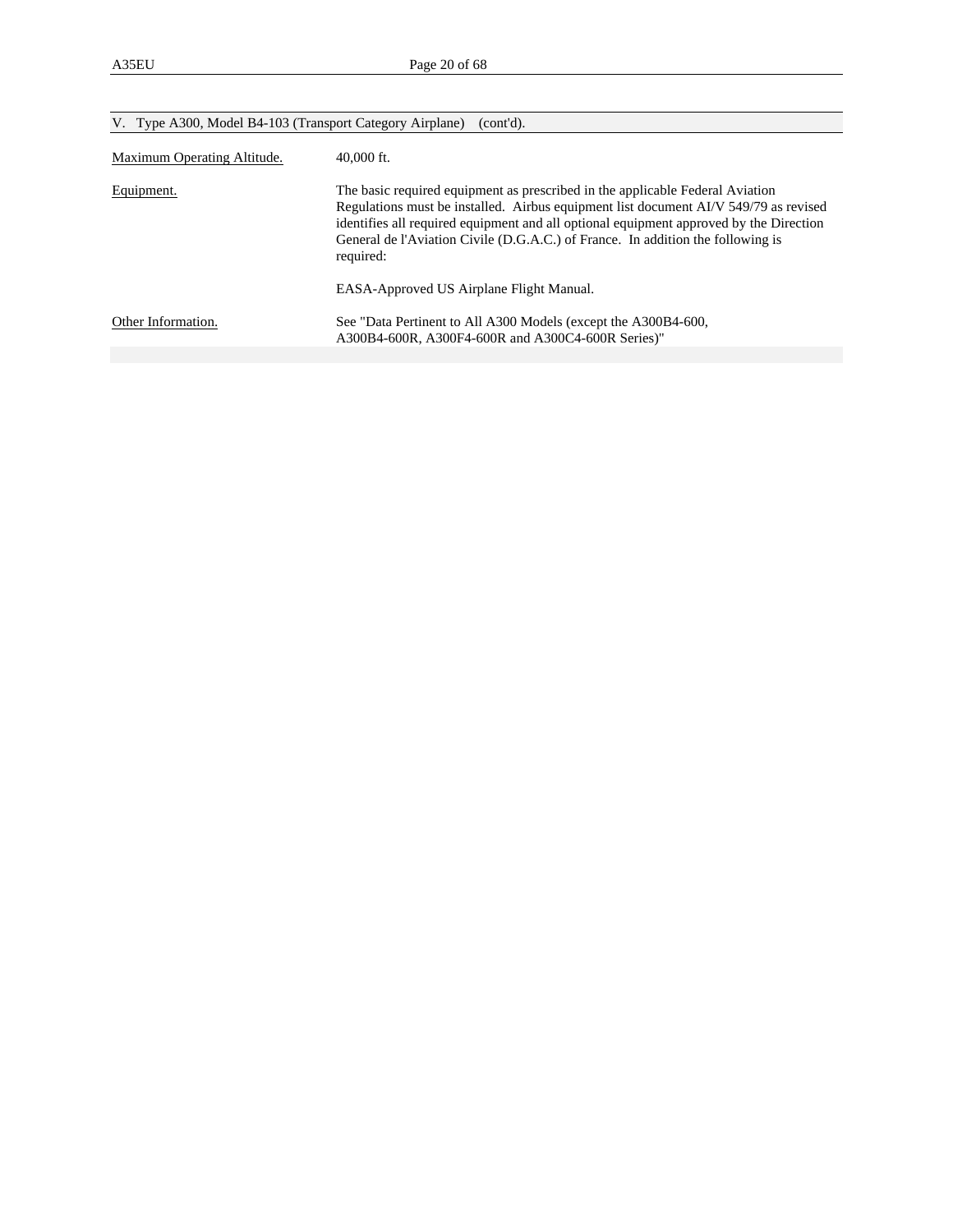| V. Type A300, Model B4-103 (Transport Category Airplane)<br>(cont'd). |                                                                                                                                                                                                                                                                                                                                                                                                             |  |  |  |
|-----------------------------------------------------------------------|-------------------------------------------------------------------------------------------------------------------------------------------------------------------------------------------------------------------------------------------------------------------------------------------------------------------------------------------------------------------------------------------------------------|--|--|--|
| Maximum Operating Altitude.                                           | $40,000$ ft.                                                                                                                                                                                                                                                                                                                                                                                                |  |  |  |
| Equipment.                                                            | The basic required equipment as prescribed in the applicable Federal Aviation<br>Regulations must be installed. Airbus equipment list document AI/V 549/79 as revised<br>identifies all required equipment and all optional equipment approved by the Direction<br>General de l'Aviation Civile (D.G.A.C.) of France. In addition the following is<br>required:<br>EASA-Approved US Airplane Flight Manual. |  |  |  |
| Other Information.                                                    | See "Data Pertinent to All A300 Models (except the A300B4-600,<br>A300B4-600R, A300F4-600R and A300C4-600R Series)"                                                                                                                                                                                                                                                                                         |  |  |  |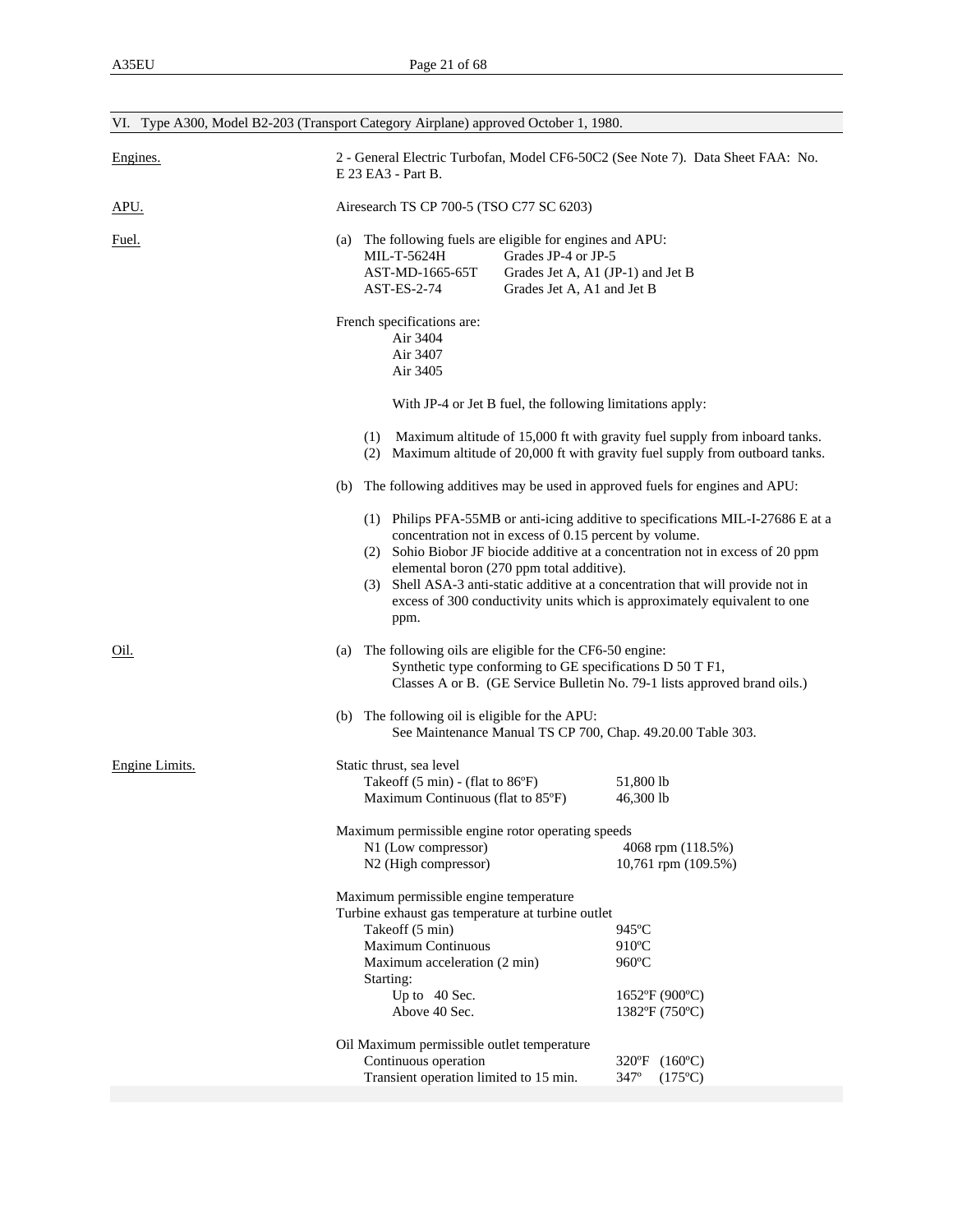|                | VI. Type A300, Model B2-203 (Transport Category Airplane) approved October 1, 1980.                                                                                                                                                                                                                                                                                    |                                                                            |
|----------------|------------------------------------------------------------------------------------------------------------------------------------------------------------------------------------------------------------------------------------------------------------------------------------------------------------------------------------------------------------------------|----------------------------------------------------------------------------|
| Engines.       | 2 - General Electric Turbofan, Model CF6-50C2 (See Note 7). Data Sheet FAA: No.<br>E 23 EA3 - Part B.                                                                                                                                                                                                                                                                  |                                                                            |
| APU.           | Airesearch TS CP 700-5 (TSO C77 SC 6203)                                                                                                                                                                                                                                                                                                                               |                                                                            |
| Fuel.          | The following fuels are eligible for engines and APU:<br>(a)<br>MIL-T-5624H<br>Grades JP-4 or JP-5<br>AST-MD-1665-65T<br>Grades Jet A, A1 (JP-1) and Jet B<br>AST-ES-2-74<br>Grades Jet A, A1 and Jet B                                                                                                                                                                |                                                                            |
|                | French specifications are:<br>Air 3404<br>Air 3407<br>Air 3405                                                                                                                                                                                                                                                                                                         |                                                                            |
|                | With JP-4 or Jet B fuel, the following limitations apply:                                                                                                                                                                                                                                                                                                              |                                                                            |
|                | (1)<br>(2) Maximum altitude of 20,000 ft with gravity fuel supply from outboard tanks.                                                                                                                                                                                                                                                                                 | Maximum altitude of 15,000 ft with gravity fuel supply from inboard tanks. |
|                | The following additives may be used in approved fuels for engines and APU:<br>(b)                                                                                                                                                                                                                                                                                      |                                                                            |
|                | (1) Philips PFA-55MB or anti-icing additive to specifications MIL-I-27686 E at a<br>concentration not in excess of 0.15 percent by volume.<br>(2) Sohio Biobor JF biocide additive at a concentration not in excess of 20 ppm<br>elemental boron (270 ppm total additive).<br>(3) Shell ASA-3 anti-static additive at a concentration that will provide not in<br>ppm. | excess of 300 conductivity units which is approximately equivalent to one  |
| Oil.           | The following oils are eligible for the CF6-50 engine:<br>(a)<br>Synthetic type conforming to GE specifications D 50 T F1,<br>Classes A or B. (GE Service Bulletin No. 79-1 lists approved brand oils.)                                                                                                                                                                |                                                                            |
|                | The following oil is eligible for the APU:<br>(b)<br>See Maintenance Manual TS CP 700, Chap. 49.20.00 Table 303.                                                                                                                                                                                                                                                       |                                                                            |
| Engine Limits. | Static thrust, sea level<br>Takeoff $(5 \text{ min})$ - (flat to $86^{\circ}$ F)<br>Maximum Continuous (flat to 85°F)<br>Maximum permissible engine rotor operating speeds                                                                                                                                                                                             | 51,800 lb<br>46,300 lb                                                     |
|                | N1 (Low compressor)<br>N2 (High compressor)                                                                                                                                                                                                                                                                                                                            | 4068 rpm (118.5%)<br>10,761 rpm (109.5%)                                   |
|                | Maximum permissible engine temperature<br>Turbine exhaust gas temperature at turbine outlet<br>Takeoff (5 min)<br><b>Maximum Continuous</b><br>Maximum acceleration (2 min)<br>Starting:<br>Up to 40 Sec.<br>Above 40 Sec.                                                                                                                                             | 945°C<br>910°C<br>960°C<br>$1652$ °F (900°C)<br>1382°F (750°C)             |
|                | Oil Maximum permissible outlet temperature<br>Continuous operation<br>Transient operation limited to 15 min.                                                                                                                                                                                                                                                           | 320°F (160°C)<br>347°<br>$(175^{\circ}C)$                                  |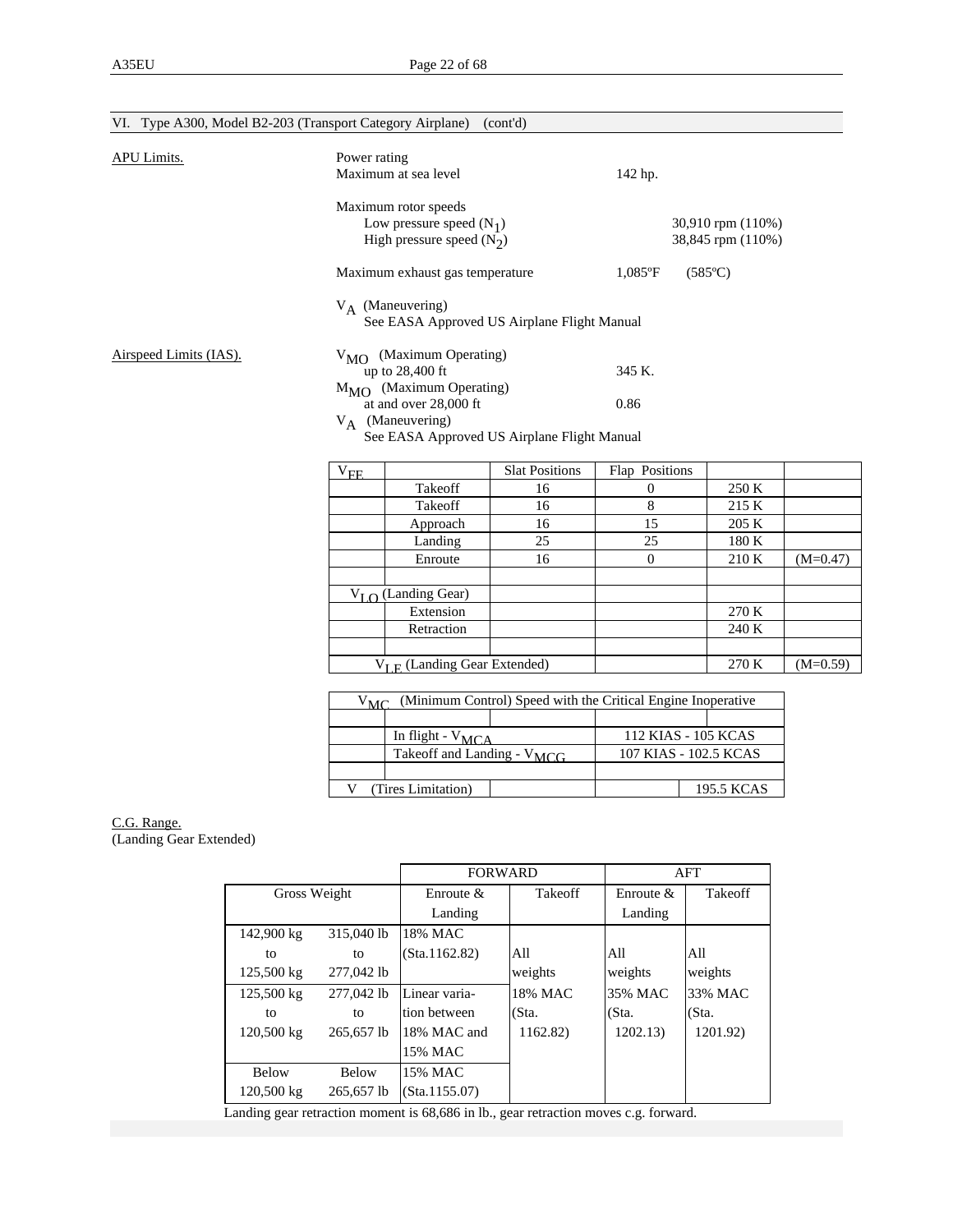| VI. Type A300, Model B2-203 (Transport Category Airplane) |                                         |                                                                                               | (cont'd)                                    |                                                              |                  |            |  |  |  |
|-----------------------------------------------------------|-----------------------------------------|-----------------------------------------------------------------------------------------------|---------------------------------------------|--------------------------------------------------------------|------------------|------------|--|--|--|
| <b>APU Limits.</b>                                        | Power rating                            | Maximum at sea level                                                                          |                                             | 142 hp.                                                      |                  |            |  |  |  |
|                                                           |                                         | Maximum rotor speeds<br>Low pressure speed $(N_1)$<br>High pressure speed $(N_2)$             |                                             | 30,910 rpm (110%)<br>38,845 rpm (110%)                       |                  |            |  |  |  |
|                                                           |                                         | Maximum exhaust gas temperature                                                               |                                             | $1,085$ °F                                                   | $(585^{\circ}C)$ |            |  |  |  |
|                                                           |                                         | $V_A$ (Maneuvering)<br>See EASA Approved US Airplane Flight Manual                            |                                             |                                                              |                  |            |  |  |  |
| Airspeed Limits (IAS).                                    |                                         | V <sub>MO</sub> (Maximum Operating)<br>up to 28,400 ft<br>$M_{\text{MO}}$ (Maximum Operating) |                                             | 345 K.                                                       |                  |            |  |  |  |
|                                                           |                                         | at and over 28,000 ft<br>$V_A$ (Maneuvering)                                                  | See EASA Approved US Airplane Flight Manual | 0.86                                                         |                  |            |  |  |  |
|                                                           | $\ensuremath{\mathrm{V}_{\mathrm{FE}}}$ |                                                                                               | <b>Slat Positions</b>                       | Flap Positions                                               |                  |            |  |  |  |
|                                                           |                                         | Takeoff                                                                                       | 16                                          | $\mathbf{0}$                                                 | 250 K            |            |  |  |  |
|                                                           |                                         | Takeoff                                                                                       | 16                                          | 8                                                            | 215 K            |            |  |  |  |
|                                                           |                                         | Approach                                                                                      | 16                                          | 15                                                           | 205 K            |            |  |  |  |
|                                                           |                                         | Landing                                                                                       | 25                                          | 25                                                           | 180 K            |            |  |  |  |
|                                                           |                                         | Enroute                                                                                       | 16                                          | $\overline{0}$                                               | 210 K            | $(M=0.47)$ |  |  |  |
|                                                           |                                         | $V_I \cap$ (Landing Gear)                                                                     |                                             |                                                              |                  |            |  |  |  |
|                                                           |                                         | Extension                                                                                     |                                             |                                                              | 270 K            |            |  |  |  |
|                                                           |                                         | Retraction                                                                                    |                                             |                                                              | 240 K            |            |  |  |  |
|                                                           |                                         | $V_{I,F}$ (Landing Gear Extended)                                                             |                                             |                                                              | 270 K            | $(M=0.59)$ |  |  |  |
|                                                           | $V_{MC}$                                |                                                                                               |                                             | (Minimum Control) Speed with the Critical Engine Inoperative |                  |            |  |  |  |
|                                                           |                                         |                                                                                               |                                             |                                                              |                  |            |  |  |  |
|                                                           |                                         | In flight - $V_{MCA}$                                                                         |                                             | 112 KIAS - 105 KCAS                                          |                  |            |  |  |  |
|                                                           |                                         | Takeoff and Landing - V <sub>MCG</sub>                                                        |                                             | 107 KIAS - 102.5 KCAS                                        |                  |            |  |  |  |

#### C.G. Range. (Landing Gear Extended)

|               | <b>FORWARD</b>                                                     |              | AFT            |
|---------------|--------------------------------------------------------------------|--------------|----------------|
| Enroute $\&$  | <b>Takeoff</b>                                                     | Enroute $\&$ | <b>Takeoff</b> |
| Landing       |                                                                    | Landing      |                |
| 18% MAC       |                                                                    |              |                |
| (Sta.1162.82) | All                                                                | All          | All            |
|               | weights                                                            | weights      | weights        |
| Linear varia- | 18% MAC                                                            | 35% MAC      | 33% MAC        |
| tion between  | (Sta.                                                              | (Sta.        | (Sta.          |
| 18% MAC and   | 1162.82)                                                           | 1202.13)     | 1201.92)       |
| 15% MAC       |                                                                    |              |                |
| 15% MAC       |                                                                    |              |                |
| (Sta.1155.07) |                                                                    |              |                |
|               | 315,040 lb<br>277,042 lb<br>277,042 lb<br>265,657 lb<br>265.657 lb |              |                |

V (Tires Limitation) 195.5 KCAS

Landing gear retraction moment is 68,686 in lb., gear retraction moves c.g. forward.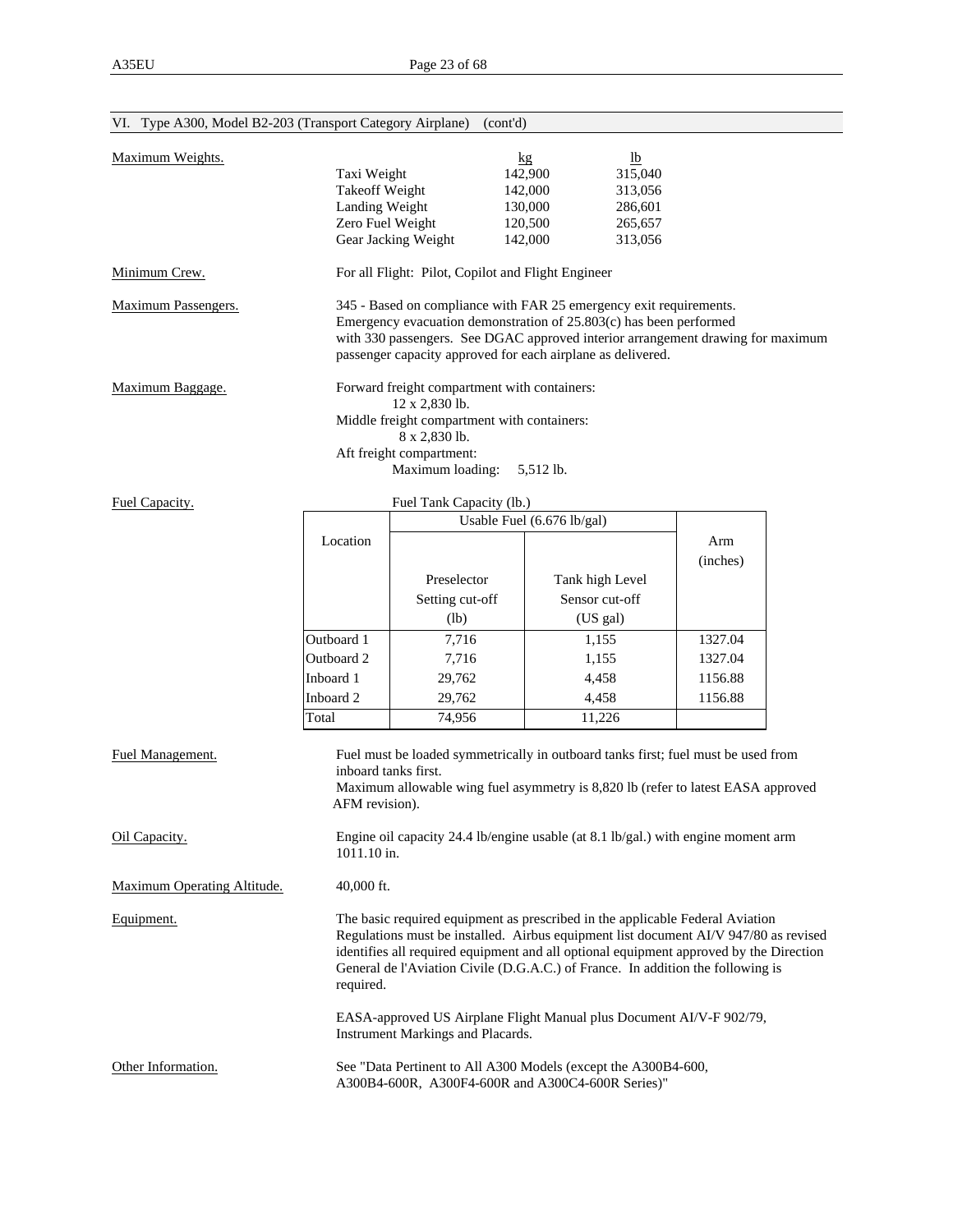| VI. Type A300, Model B2-203 (Transport Category Airplane) |                                        | (cont'd)                                                                                                                                                                                                                                                                                                                                           |                            |                |  |  |  |
|-----------------------------------------------------------|----------------------------------------|----------------------------------------------------------------------------------------------------------------------------------------------------------------------------------------------------------------------------------------------------------------------------------------------------------------------------------------------------|----------------------------|----------------|--|--|--|
| Maximum Weights.                                          |                                        |                                                                                                                                                                                                                                                                                                                                                    | $\mathbf{kg}$              | 1 <sub>b</sub> |  |  |  |
|                                                           | Taxi Weight                            |                                                                                                                                                                                                                                                                                                                                                    | 142,900                    | 315,040        |  |  |  |
|                                                           | <b>Takeoff Weight</b>                  |                                                                                                                                                                                                                                                                                                                                                    | 142,000                    | 313,056        |  |  |  |
|                                                           | Landing Weight                         |                                                                                                                                                                                                                                                                                                                                                    | 130,000                    | 286,601        |  |  |  |
|                                                           | Zero Fuel Weight                       |                                                                                                                                                                                                                                                                                                                                                    | 120,500                    | 265,657        |  |  |  |
|                                                           |                                        | Gear Jacking Weight                                                                                                                                                                                                                                                                                                                                | 142,000                    | 313,056        |  |  |  |
| Minimum Crew.                                             |                                        | For all Flight: Pilot, Copilot and Flight Engineer                                                                                                                                                                                                                                                                                                 |                            |                |  |  |  |
| Maximum Passengers.                                       |                                        | 345 - Based on compliance with FAR 25 emergency exit requirements.<br>Emergency evacuation demonstration of 25.803(c) has been performed<br>with 330 passengers. See DGAC approved interior arrangement drawing for maximum                                                                                                                        |                            |                |  |  |  |
|                                                           |                                        | passenger capacity approved for each airplane as delivered.                                                                                                                                                                                                                                                                                        |                            |                |  |  |  |
| Maximum Baggage.                                          |                                        | Forward freight compartment with containers:<br>12 x 2,830 lb.                                                                                                                                                                                                                                                                                     |                            |                |  |  |  |
|                                                           |                                        | Middle freight compartment with containers:<br>8 x 2,830 lb.                                                                                                                                                                                                                                                                                       |                            |                |  |  |  |
|                                                           |                                        | Aft freight compartment:                                                                                                                                                                                                                                                                                                                           |                            |                |  |  |  |
|                                                           |                                        | Maximum loading:                                                                                                                                                                                                                                                                                                                                   | 5,512 lb.                  |                |  |  |  |
| Fuel Capacity.                                            |                                        | Fuel Tank Capacity (lb.)                                                                                                                                                                                                                                                                                                                           |                            |                |  |  |  |
|                                                           |                                        |                                                                                                                                                                                                                                                                                                                                                    | Usable Fuel (6.676 lb/gal) |                |  |  |  |
|                                                           | Location                               |                                                                                                                                                                                                                                                                                                                                                    |                            | Arm            |  |  |  |
|                                                           |                                        |                                                                                                                                                                                                                                                                                                                                                    |                            | (inches)       |  |  |  |
|                                                           |                                        | Preselector                                                                                                                                                                                                                                                                                                                                        | Tank high Level            |                |  |  |  |
|                                                           |                                        | Setting cut-off                                                                                                                                                                                                                                                                                                                                    | Sensor cut-off             |                |  |  |  |
|                                                           |                                        | (lb)                                                                                                                                                                                                                                                                                                                                               | (US gal)                   |                |  |  |  |
|                                                           | Outboard 1                             | 7,716                                                                                                                                                                                                                                                                                                                                              | 1,155                      | 1327.04        |  |  |  |
|                                                           |                                        |                                                                                                                                                                                                                                                                                                                                                    |                            |                |  |  |  |
|                                                           | Outboard 2                             | 7,716                                                                                                                                                                                                                                                                                                                                              | 1,155                      | 1327.04        |  |  |  |
|                                                           | Inboard 1                              | 29,762                                                                                                                                                                                                                                                                                                                                             | 4,458                      | 1156.88        |  |  |  |
|                                                           | Inboard 2                              | 29,762                                                                                                                                                                                                                                                                                                                                             | 4,458                      | 1156.88        |  |  |  |
|                                                           | Total                                  | 74,956                                                                                                                                                                                                                                                                                                                                             | 11,226                     |                |  |  |  |
| Fuel Management.                                          | inboard tanks first.<br>AFM revision). | Fuel must be loaded symmetrically in outboard tanks first; fuel must be used from<br>Maximum allowable wing fuel asymmetry is 8,820 lb (refer to latest EASA approved                                                                                                                                                                              |                            |                |  |  |  |
| Oil Capacity.                                             | 1011.10 in.                            | Engine oil capacity 24.4 lb/engine usable (at 8.1 lb/gal.) with engine moment arm                                                                                                                                                                                                                                                                  |                            |                |  |  |  |
| <b>Maximum Operating Altitude.</b>                        | $40,000$ ft.                           |                                                                                                                                                                                                                                                                                                                                                    |                            |                |  |  |  |
| Equipment.                                                | required.                              | The basic required equipment as prescribed in the applicable Federal Aviation<br>Regulations must be installed. Airbus equipment list document AI/V 947/80 as revised<br>identifies all required equipment and all optional equipment approved by the Direction<br>General de l'Aviation Civile (D.G.A.C.) of France. In addition the following is |                            |                |  |  |  |
|                                                           |                                        | EASA-approved US Airplane Flight Manual plus Document AI/V-F 902/79,<br>Instrument Markings and Placards.                                                                                                                                                                                                                                          |                            |                |  |  |  |
| Other Information.                                        |                                        | See "Data Pertinent to All A300 Models (except the A300B4-600,<br>A300B4-600R, A300F4-600R and A300C4-600R Series)"                                                                                                                                                                                                                                |                            |                |  |  |  |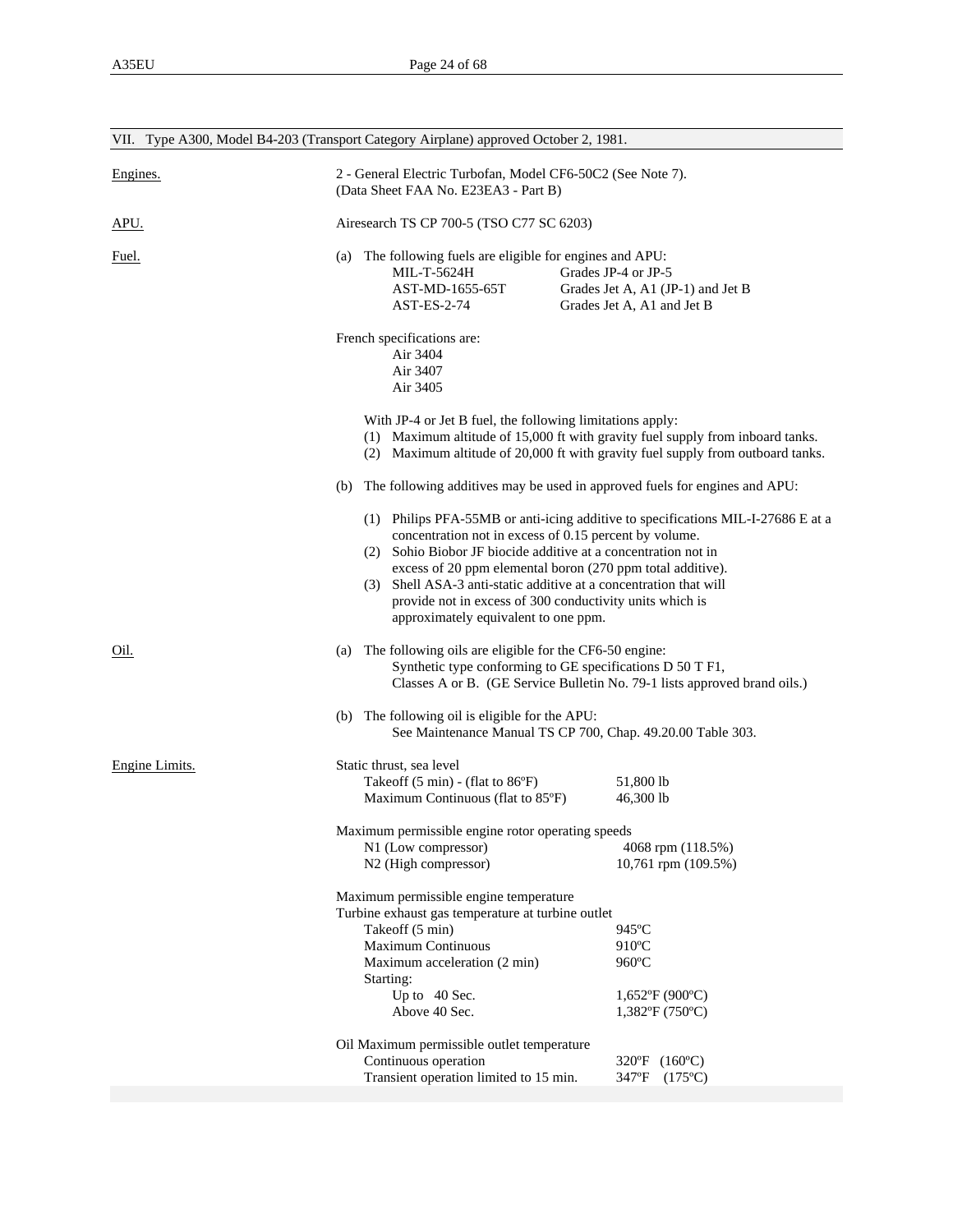|                | VII. Type A300, Model B4-203 (Transport Category Airplane) approved October 2, 1981.                                                                                                                                                                                                                                                                               |                                                                                                                                                                   |  |  |  |  |
|----------------|--------------------------------------------------------------------------------------------------------------------------------------------------------------------------------------------------------------------------------------------------------------------------------------------------------------------------------------------------------------------|-------------------------------------------------------------------------------------------------------------------------------------------------------------------|--|--|--|--|
| Engines.       | (Data Sheet FAA No. E23EA3 - Part B)                                                                                                                                                                                                                                                                                                                               | 2 - General Electric Turbofan, Model CF6-50C2 (See Note 7).                                                                                                       |  |  |  |  |
| <u>APU.</u>    |                                                                                                                                                                                                                                                                                                                                                                    | Airesearch TS CP 700-5 (TSO C77 SC 6203)                                                                                                                          |  |  |  |  |
| <u>Fuel.</u>   | (a) The following fuels are eligible for engines and APU:<br>MIL-T-5624H<br>AST-MD-1655-65T<br>AST-ES-2-74                                                                                                                                                                                                                                                         | Grades JP-4 or JP-5<br>Grades Jet A, A1 (JP-1) and Jet B<br>Grades Jet A, A1 and Jet B                                                                            |  |  |  |  |
|                | French specifications are:<br>Air 3404<br>Air 3407<br>Air 3405                                                                                                                                                                                                                                                                                                     |                                                                                                                                                                   |  |  |  |  |
|                | With JP-4 or Jet B fuel, the following limitations apply:                                                                                                                                                                                                                                                                                                          | (1) Maximum altitude of 15,000 ft with gravity fuel supply from inboard tanks.<br>(2) Maximum altitude of 20,000 ft with gravity fuel supply from outboard tanks. |  |  |  |  |
|                | The following additives may be used in approved fuels for engines and APU:<br>(b)                                                                                                                                                                                                                                                                                  |                                                                                                                                                                   |  |  |  |  |
|                | concentration not in excess of 0.15 percent by volume.<br>(2) Sohio Biobor JF biocide additive at a concentration not in<br>excess of 20 ppm elemental boron (270 ppm total additive).<br>Shell ASA-3 anti-static additive at a concentration that will<br>(3)<br>provide not in excess of 300 conductivity units which is<br>approximately equivalent to one ppm. | (1) Philips PFA-55MB or anti-icing additive to specifications MIL-I-27686 E at a                                                                                  |  |  |  |  |
| Oil.           | (a) The following oils are eligible for the CF6-50 engine:<br>Synthetic type conforming to GE specifications D 50 T F1,                                                                                                                                                                                                                                            | Classes A or B. (GE Service Bulletin No. 79-1 lists approved brand oils.)                                                                                         |  |  |  |  |
|                | (b) The following oil is eligible for the APU:<br>See Maintenance Manual TS CP 700, Chap. 49.20.00 Table 303.                                                                                                                                                                                                                                                      |                                                                                                                                                                   |  |  |  |  |
| Engine Limits. | Static thrust, sea level<br>Takeoff $(5 \text{ min})$ - (flat to $86^{\circ}$ F)<br>Maximum Continuous (flat to 85°F)                                                                                                                                                                                                                                              | 51,800 lb<br>46,300 lb                                                                                                                                            |  |  |  |  |
|                | Maximum permissible engine rotor operating speeds<br>N1 (Low compressor)<br>N2 (High compressor)                                                                                                                                                                                                                                                                   | 4068 rpm (118.5%)<br>10,761 rpm (109.5%)                                                                                                                          |  |  |  |  |
|                | Maximum permissible engine temperature<br>Turbine exhaust gas temperature at turbine outlet<br>Takeoff (5 min)<br>Maximum Continuous<br>Maximum acceleration (2 min)<br>Starting:<br>Up to 40 Sec.<br>Above 40 Sec.                                                                                                                                                | 945°C<br>$910^{\circ}$ C<br>960°C<br>$1,652$ °F (900°C)<br>$1,382$ °F (750°C)                                                                                     |  |  |  |  |
|                | Oil Maximum permissible outlet temperature<br>Continuous operation<br>Transient operation limited to 15 min.                                                                                                                                                                                                                                                       | 320°F (160°C)<br>347°F<br>$(175^{\circ}C)$                                                                                                                        |  |  |  |  |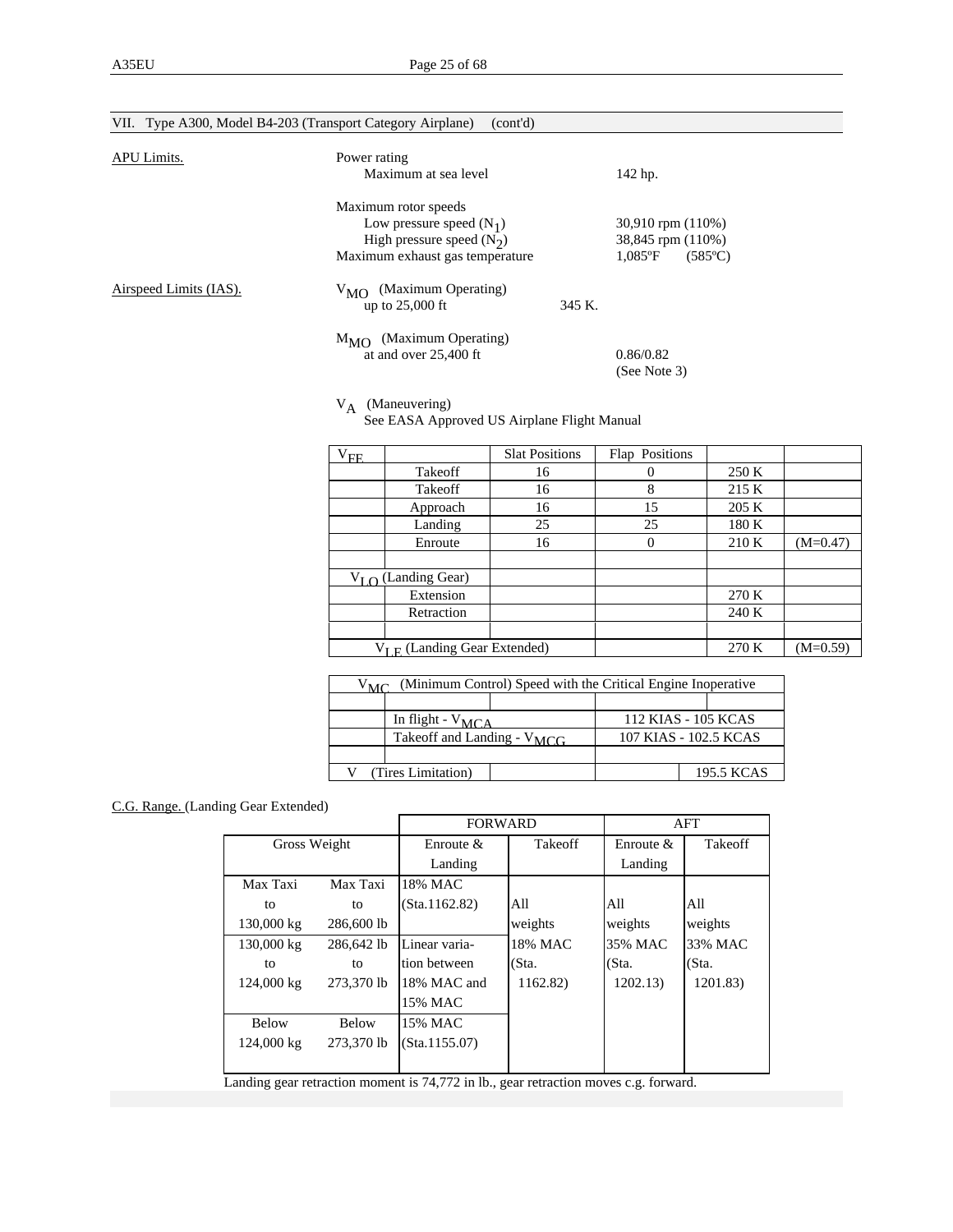| VII. Type A300, Model B4-203 (Transport Category Airplane) | (cont'd)                                                                                                                                                                                                                                        |        |                                                                                                       |
|------------------------------------------------------------|-------------------------------------------------------------------------------------------------------------------------------------------------------------------------------------------------------------------------------------------------|--------|-------------------------------------------------------------------------------------------------------|
| APU Limits.                                                | Power rating<br>Maximum at sea level                                                                                                                                                                                                            |        | 142 hp.                                                                                               |
| Airspeed Limits (IAS).                                     | Maximum rotor speeds<br>Low pressure speed $(N_1)$<br>High pressure speed $(N_2)$<br>Maximum exhaust gas temperature<br>(Maximum Operating)<br>$V_{\text{MO}}$<br>up to $25,000$ ft<br>(Maximum Operating)<br>$M_{MO}$<br>at and over 25,400 ft | 345 K. | 30,910 rpm (110%)<br>38,845 rpm (110%)<br>$1.085$ °F<br>$(585^{\circ}C)$<br>0.86/0.82<br>(See Note 3) |
|                                                            |                                                                                                                                                                                                                                                 |        |                                                                                                       |

 $V_A$  (Maneuvering)<br>See EASA Approved US Airplane Flight Manual

| ${\rm V_{FE}}$ |                                   | <b>Slat Positions</b> | Flap Positions |       |            |
|----------------|-----------------------------------|-----------------------|----------------|-------|------------|
|                | Takeoff                           | 16                    |                | 250 K |            |
|                | Takeoff                           | 16                    | 8              | 215 K |            |
|                | Approach                          | 16                    | 15             | 205 K |            |
|                | Landing                           | 25                    | 25             | 180 K |            |
|                | Enroute                           | 16                    | 0              | 210K  | $(M=0.47)$ |
|                |                                   |                       |                |       |            |
|                | $V_I \cap (Landing Gear)$         |                       |                |       |            |
|                | Extension                         |                       |                | 270 K |            |
|                | Retraction                        |                       |                | 240 K |            |
|                |                                   |                       |                |       |            |
|                | $V_{I E}$ (Landing Gear Extended) |                       |                | 270 K | $(M=0.59)$ |

| (Minimum Control) Speed with the Critical Engine Inoperative<br>$V_{MC}$ |                                 |  |  |                       |
|--------------------------------------------------------------------------|---------------------------------|--|--|-----------------------|
|                                                                          |                                 |  |  |                       |
|                                                                          | In flight - $V_{MCA}$           |  |  | 112 KIAS - 105 KCAS   |
|                                                                          | Takeoff and Landing - $V_{MCG}$ |  |  | 107 KIAS - 102.5 KCAS |
|                                                                          |                                 |  |  |                       |
|                                                                          | (Tires Limitation)              |  |  | 195.5 KCAS            |

### C.G. Range. (Landing Gear Extended)

|              |              | <b>FORWARD</b> |                |              | AFT            |
|--------------|--------------|----------------|----------------|--------------|----------------|
| Gross Weight |              | Enroute $\&$   | <b>Takeoff</b> | Enroute $\&$ | <b>Takeoff</b> |
|              |              | Landing        |                | Landing      |                |
| Max Taxi     | Max Taxi     | 18% MAC        |                |              |                |
| to           | to           | (Sta.1162.82)  | All            | All          | All            |
| 130,000 kg   | 286,600 lb   |                | weights        | weights      | weights        |
| 130,000 kg   | 286,642 lb   | Linear varia-  | 18% MAC        | 35% MAC      | 33% MAC        |
| to           | to           | tion between   | (Sta.          | (Sta.        | (Sta.          |
| 124,000 kg   | 273,370 lb   | 18% MAC and    | 1162.82)       | 1202.13)     | 1201.83)       |
|              |              | 15% MAC        |                |              |                |
| <b>Below</b> | <b>Below</b> | 15% MAC        |                |              |                |
| 124,000 kg   | 273,370 lb   | (Sta.1155.07)  |                |              |                |
|              |              |                |                |              |                |

Landing gear retraction moment is 74,772 in lb., gear retraction moves c.g. forward.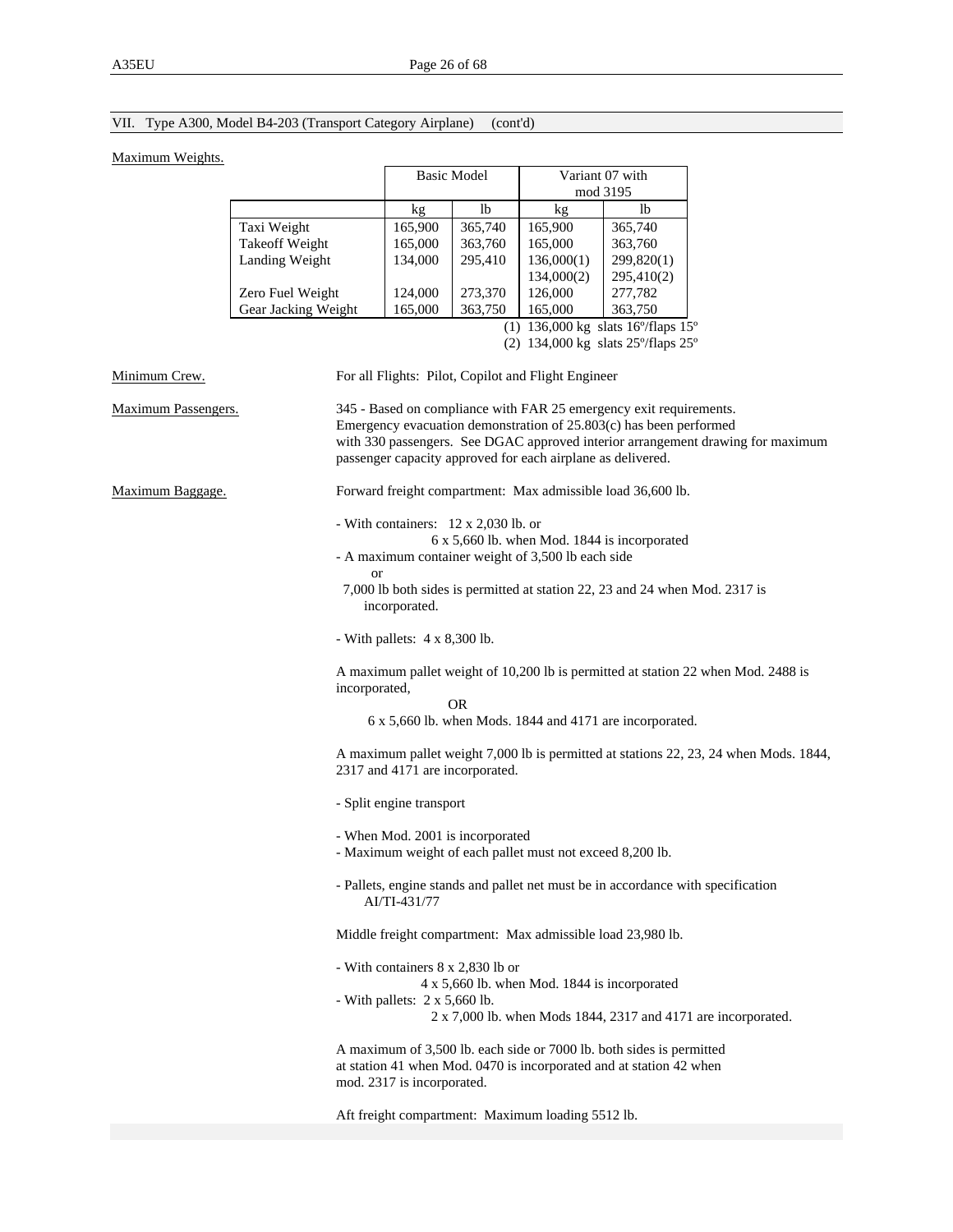# VII. Type A300, Model B4-203 (Transport Category Airplane) (cont'd)

### Maximum Weights.

|                     | <b>Basic Model</b> |         |            | Variant 07 with<br>mod 3195                                |
|---------------------|--------------------|---------|------------|------------------------------------------------------------|
|                     | kg                 | lb      | kg         | lb                                                         |
| Taxi Weight         | 165,900            | 365,740 | 165,900    | 365,740                                                    |
| Takeoff Weight      | 165,000            | 363,760 | 165,000    | 363,760                                                    |
| Landing Weight      | 134,000            | 295,410 | 136,000(1) | 299,820(1)                                                 |
|                     |                    |         | 134,000(2) | 295,410(2)                                                 |
| Zero Fuel Weight    | 124,000            | 273,370 | 126,000    | 277,782                                                    |
| Gear Jacking Weight | 165,000            | 363,750 | 165,000    | 363,750                                                    |
|                     |                    |         |            | 136,000 kg slats $16^{\circ}/\text{flaps}$ 15 <sup>o</sup> |

(2)  $134,000 \text{ kg}$  slats  $25^{\circ}/\text{flops } 25^{\circ}$ 

| Minimum Crew.       | For all Flights: Pilot, Copilot and Flight Engineer                                                                                                                                                                                                                                        |
|---------------------|--------------------------------------------------------------------------------------------------------------------------------------------------------------------------------------------------------------------------------------------------------------------------------------------|
| Maximum Passengers. | 345 - Based on compliance with FAR 25 emergency exit requirements.<br>Emergency evacuation demonstration of 25.803(c) has been performed<br>with 330 passengers. See DGAC approved interior arrangement drawing for maximum<br>passenger capacity approved for each airplane as delivered. |
| Maximum Baggage.    | Forward freight compartment: Max admissible load 36,600 lb.                                                                                                                                                                                                                                |
|                     | - With containers: 12 x 2,030 lb. or<br>6 x 5,660 lb. when Mod. 1844 is incorporated<br>- A maximum container weight of 3,500 lb each side                                                                                                                                                 |
|                     | <b>or</b><br>7,000 lb both sides is permitted at station 22, 23 and 24 when Mod. 2317 is<br>incorporated.                                                                                                                                                                                  |
|                     | - With pallets: $4 \times 8,300$ lb.                                                                                                                                                                                                                                                       |
|                     | A maximum pallet weight of 10,200 lb is permitted at station 22 when Mod. 2488 is<br>incorporated,<br><b>OR</b><br>6 x 5,660 lb. when Mods. 1844 and 4171 are incorporated.                                                                                                                |
|                     | A maximum pallet weight 7,000 lb is permitted at stations 22, 23, 24 when Mods. 1844,<br>2317 and 4171 are incorporated.                                                                                                                                                                   |
|                     | - Split engine transport                                                                                                                                                                                                                                                                   |
|                     | - When Mod. 2001 is incorporated<br>- Maximum weight of each pallet must not exceed 8,200 lb.                                                                                                                                                                                              |
|                     | - Pallets, engine stands and pallet net must be in accordance with specification<br>AI/TI-431/77                                                                                                                                                                                           |
|                     | Middle freight compartment: Max admissible load 23,980 lb.                                                                                                                                                                                                                                 |
|                     | - With containers 8 x 2,830 lb or<br>4 x 5,660 lb. when Mod. 1844 is incorporated<br>- With pallets: $2 \times 5,660$ lb.<br>2 x 7,000 lb. when Mods 1844, 2317 and 4171 are incorporated.                                                                                                 |
|                     | A maximum of 3,500 lb. each side or 7000 lb. both sides is permitted<br>at station 41 when Mod. 0470 is incorporated and at station 42 when<br>mod. 2317 is incorporated.                                                                                                                  |
|                     | Aft freight compartment: Maximum loading 5512 lb.                                                                                                                                                                                                                                          |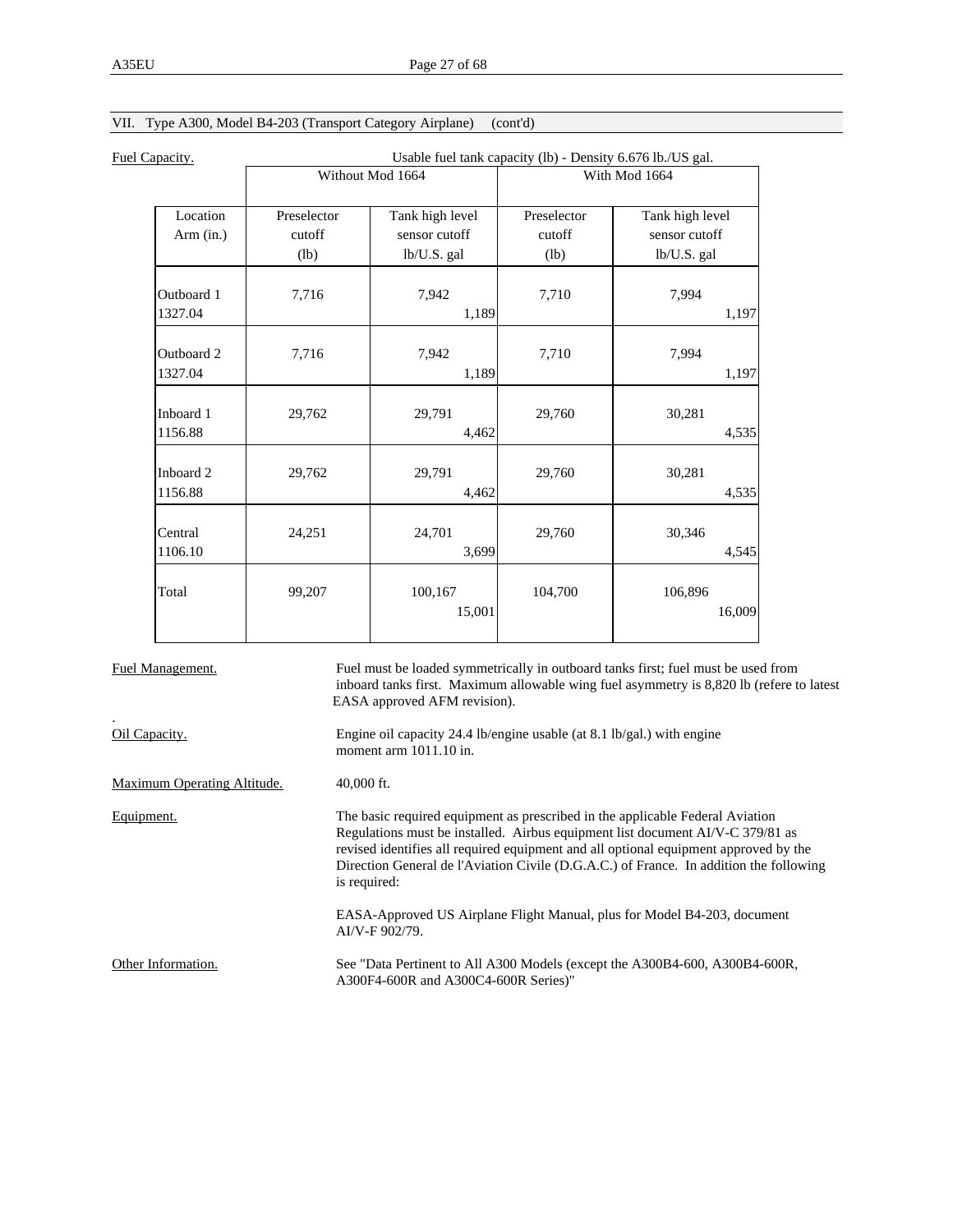| Usable fuel tank capacity (lb) - Density 6.676 lb./US gal. |                                                        |                                                         |                                                         |
|------------------------------------------------------------|--------------------------------------------------------|---------------------------------------------------------|---------------------------------------------------------|
| Without Mod 1664                                           |                                                        | With Mod 1664                                           |                                                         |
| Preselector                                                | Tank high level                                        | Preselector                                             | Tank high level                                         |
| cutoff                                                     | sensor cutoff                                          | cutoff                                                  | sensor cutoff                                           |
| (lb)                                                       | lb/U.S. gal                                            | (lb)                                                    | lb/U.S. gal                                             |
|                                                            |                                                        |                                                         | 7,994                                                   |
|                                                            | 1,189                                                  |                                                         | 1,197                                                   |
|                                                            |                                                        |                                                         | 7,994                                                   |
|                                                            | 1,189                                                  |                                                         | 1,197                                                   |
|                                                            |                                                        |                                                         | 30,281                                                  |
|                                                            | 4,462                                                  |                                                         | 4,535                                                   |
|                                                            |                                                        |                                                         | 30,281                                                  |
|                                                            | 4,462                                                  |                                                         | 4,535                                                   |
|                                                            |                                                        |                                                         | 30,346                                                  |
|                                                            | 3,699                                                  |                                                         | 4,545                                                   |
|                                                            |                                                        |                                                         | 106,896                                                 |
|                                                            | 15,001                                                 |                                                         | 16,009                                                  |
|                                                            | 7,716<br>7,716<br>29,762<br>29,762<br>24,251<br>99,207 | 7,942<br>7,942<br>29,791<br>29,791<br>24,701<br>100,167 | 7,710<br>7,710<br>29,760<br>29,760<br>29,760<br>104,700 |

# VII. Type A300, Model B4-203 (Transport Category Airplane) (cont'd)

| Fuel Management.            | Fuel must be loaded symmetrically in outboard tanks first; fuel must be used from<br>inboard tanks first. Maximum allowable wing fuel asymmetry is 8,820 lb (refere to latest<br>EASA approved AFM revision).                                                                                                                                                     |
|-----------------------------|-------------------------------------------------------------------------------------------------------------------------------------------------------------------------------------------------------------------------------------------------------------------------------------------------------------------------------------------------------------------|
| Oil Capacity.               | Engine oil capacity 24.4 lb/engine usable (at 8.1 lb/gal.) with engine<br>moment arm $1011.10$ in.                                                                                                                                                                                                                                                                |
| Maximum Operating Altitude. | $40,000$ ft.                                                                                                                                                                                                                                                                                                                                                      |
| Equipment.                  | The basic required equipment as prescribed in the applicable Federal Aviation<br>Regulations must be installed. Airbus equipment list document AI/V-C 379/81 as<br>revised identifies all required equipment and all optional equipment approved by the<br>Direction General de l'Aviation Civile (D.G.A.C.) of France. In addition the following<br>is required: |
|                             | EASA-Approved US Airplane Flight Manual, plus for Model B4-203, document<br>AI/V-F 902/79.                                                                                                                                                                                                                                                                        |
| Other Information.          | See "Data Pertinent to All A300 Models (except the A300B4-600, A300B4-600R,<br>A300F4-600R and A300C4-600R Series)"                                                                                                                                                                                                                                               |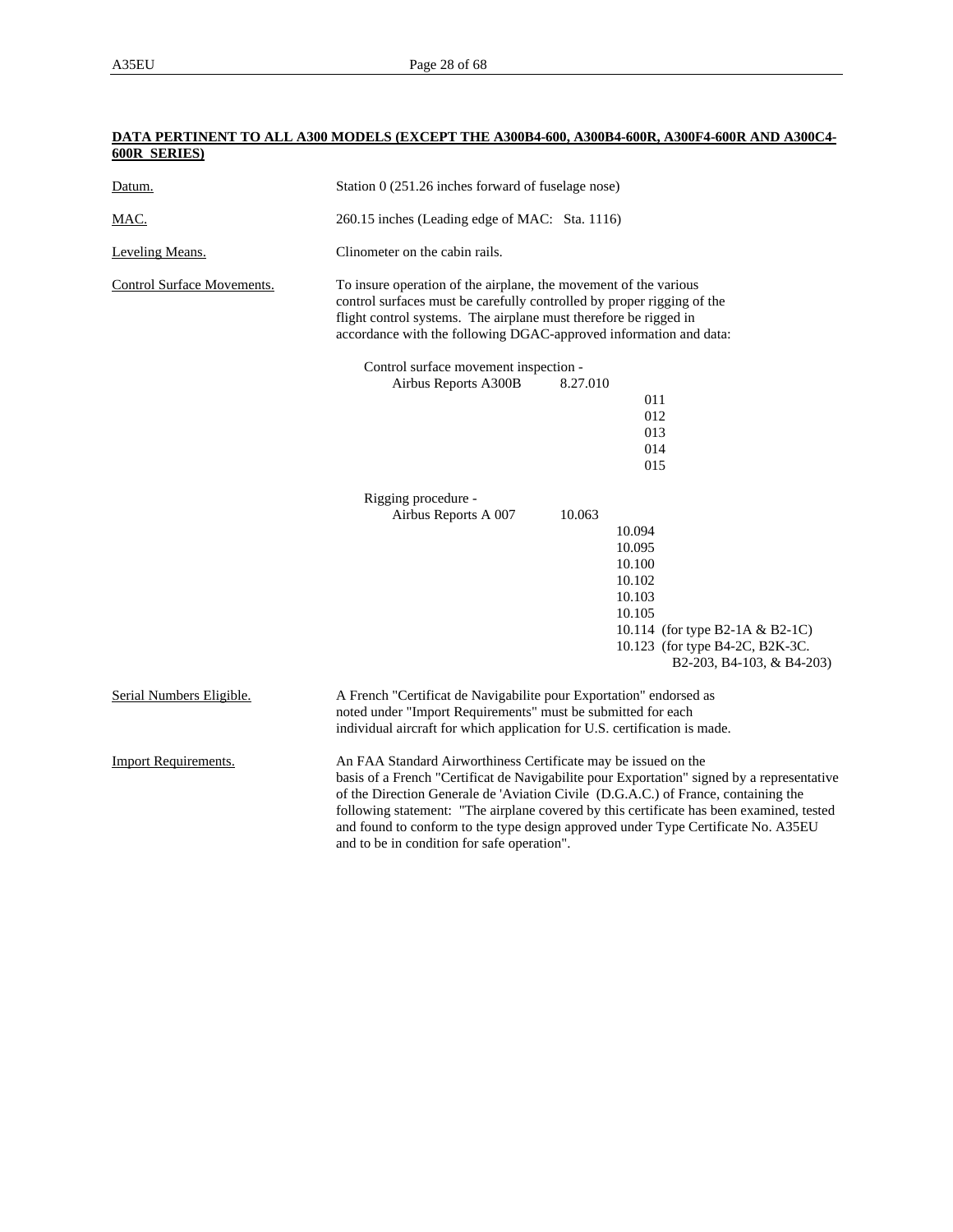### **DATA PERTINENT TO ALL A300 MODELS (EXCEPT THE A300B4-600, A300B4-600R, A300F4-600R AND A300C4- 600R SERIES)**

| Datum.                            | Station 0 (251.26 inches forward of fuselage nose)                                                                                                                                                                                                                                                                                                                                                                                                                                 |
|-----------------------------------|------------------------------------------------------------------------------------------------------------------------------------------------------------------------------------------------------------------------------------------------------------------------------------------------------------------------------------------------------------------------------------------------------------------------------------------------------------------------------------|
| MAC.                              | 260.15 inches (Leading edge of MAC: Sta. 1116)                                                                                                                                                                                                                                                                                                                                                                                                                                     |
| Leveling Means.                   | Clinometer on the cabin rails.                                                                                                                                                                                                                                                                                                                                                                                                                                                     |
| <b>Control Surface Movements.</b> | To insure operation of the airplane, the movement of the various<br>control surfaces must be carefully controlled by proper rigging of the<br>flight control systems. The airplane must therefore be rigged in<br>accordance with the following DGAC-approved information and data:                                                                                                                                                                                                |
|                                   | Control surface movement inspection -                                                                                                                                                                                                                                                                                                                                                                                                                                              |
|                                   | Airbus Reports A300B<br>8.27.010                                                                                                                                                                                                                                                                                                                                                                                                                                                   |
|                                   | 011                                                                                                                                                                                                                                                                                                                                                                                                                                                                                |
|                                   | 012                                                                                                                                                                                                                                                                                                                                                                                                                                                                                |
|                                   | 013                                                                                                                                                                                                                                                                                                                                                                                                                                                                                |
|                                   | 014                                                                                                                                                                                                                                                                                                                                                                                                                                                                                |
|                                   | 015                                                                                                                                                                                                                                                                                                                                                                                                                                                                                |
|                                   | Rigging procedure -                                                                                                                                                                                                                                                                                                                                                                                                                                                                |
|                                   | Airbus Reports A 007<br>10.063                                                                                                                                                                                                                                                                                                                                                                                                                                                     |
|                                   | 10.094                                                                                                                                                                                                                                                                                                                                                                                                                                                                             |
|                                   | 10.095                                                                                                                                                                                                                                                                                                                                                                                                                                                                             |
|                                   | 10.100                                                                                                                                                                                                                                                                                                                                                                                                                                                                             |
|                                   | 10.102                                                                                                                                                                                                                                                                                                                                                                                                                                                                             |
|                                   | 10.103                                                                                                                                                                                                                                                                                                                                                                                                                                                                             |
|                                   | 10.105                                                                                                                                                                                                                                                                                                                                                                                                                                                                             |
|                                   | 10.114 (for type B2-1A & B2-1C)                                                                                                                                                                                                                                                                                                                                                                                                                                                    |
|                                   | 10.123 (for type B4-2C, B2K-3C.<br>B2-203, B4-103, & B4-203)                                                                                                                                                                                                                                                                                                                                                                                                                       |
| Serial Numbers Eligible.          | A French "Certificat de Navigabilite pour Exportation" endorsed as<br>noted under "Import Requirements" must be submitted for each<br>individual aircraft for which application for U.S. certification is made.                                                                                                                                                                                                                                                                    |
| <b>Import Requirements.</b>       | An FAA Standard Airworthiness Certificate may be issued on the<br>basis of a French "Certificat de Navigabilite pour Exportation" signed by a representative<br>of the Direction Generale de 'Aviation Civile (D.G.A.C.) of France, containing the<br>following statement: "The airplane covered by this certificate has been examined, tested<br>and found to conform to the type design approved under Type Certificate No. A35EU<br>and to be in condition for safe operation". |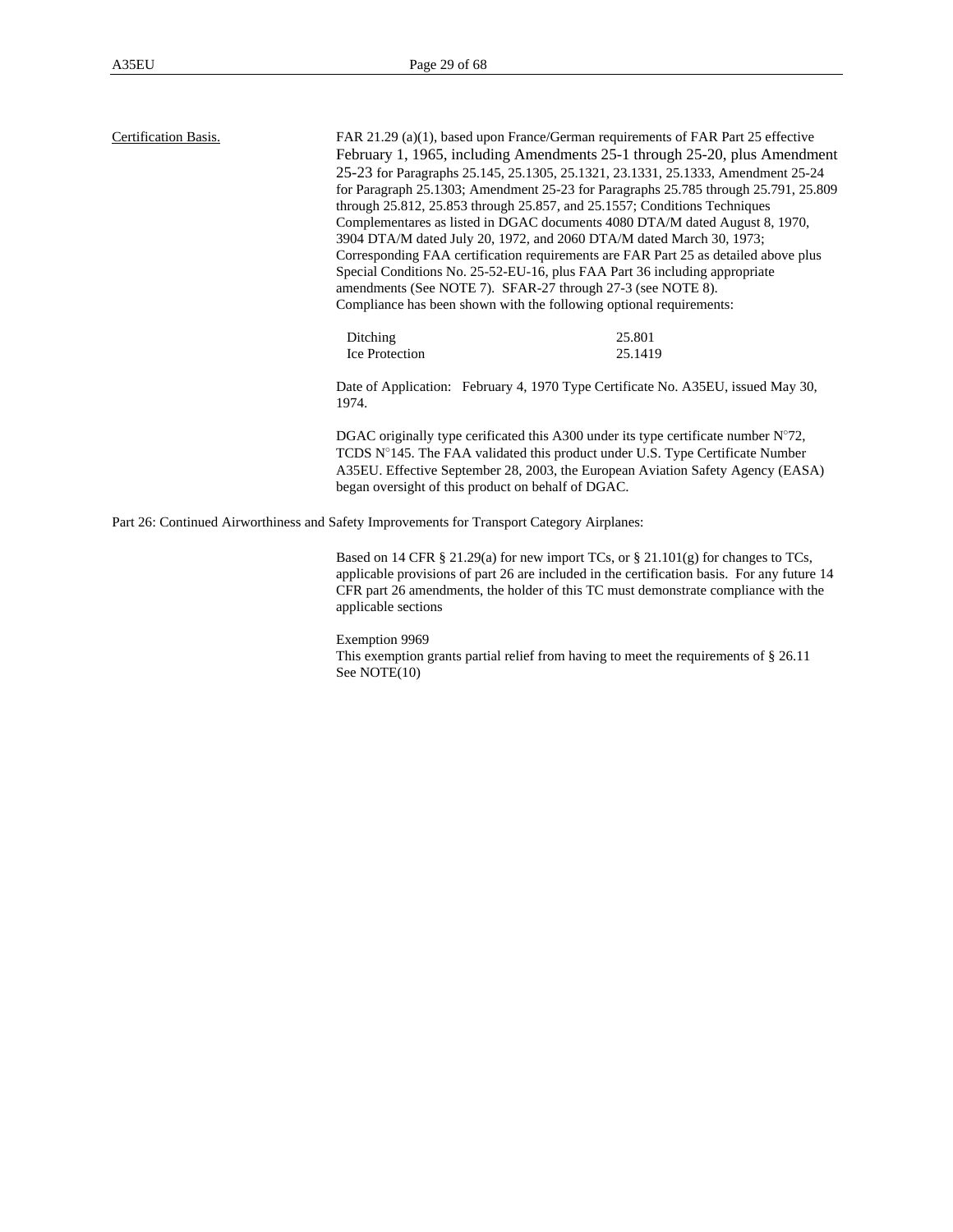| Certification Basis. | FAR 21.29 (a)(1), based upon France/German requirements of FAR Part 25 effective<br>February 1, 1965, including Amendments 25-1 through 25-20, plus Amendment<br>25-23 for Paragraphs 25.145, 25.1305, 25.1321, 23.1331, 25.1333, Amendment 25-24<br>for Paragraph 25.1303; Amendment 25-23 for Paragraphs 25.785 through 25.791, 25.809<br>through 25.812, 25.853 through 25.857, and 25.1557; Conditions Techniques<br>Complementares as listed in DGAC documents 4080 DTA/M dated August 8, 1970, |         |
|----------------------|------------------------------------------------------------------------------------------------------------------------------------------------------------------------------------------------------------------------------------------------------------------------------------------------------------------------------------------------------------------------------------------------------------------------------------------------------------------------------------------------------|---------|
|                      | 3904 DTA/M dated July 20, 1972, and 2060 DTA/M dated March 30, 1973;                                                                                                                                                                                                                                                                                                                                                                                                                                 |         |
|                      | Corresponding FAA certification requirements are FAR Part 25 as detailed above plus<br>Special Conditions No. 25-52-EU-16, plus FAA Part 36 including appropriate<br>amendments (See NOTE 7). SFAR-27 through 27-3 (see NOTE 8).                                                                                                                                                                                                                                                                     |         |
|                      | Compliance has been shown with the following optional requirements:                                                                                                                                                                                                                                                                                                                                                                                                                                  |         |
|                      | Ditching                                                                                                                                                                                                                                                                                                                                                                                                                                                                                             | 25.801  |
|                      | <b>Ice Protection</b>                                                                                                                                                                                                                                                                                                                                                                                                                                                                                | 25.1419 |
|                      | Date of Application: February 4, 1970 Type Certificate No. A35EU, issued May 30,<br>1974.                                                                                                                                                                                                                                                                                                                                                                                                            |         |
|                      | DGAC originally type cerificated this A300 under its type certificate number $N^{\circ}72$ ,<br>TCDS N°145. The FAA validated this product under U.S. Type Certificate Number<br>A35EU. Effective September 28, 2003, the European Aviation Safety Agency (EASA)<br>began oversight of this product on behalf of DGAC.                                                                                                                                                                               |         |
|                      | Part 26: Continued Airworthiness and Safety Improvements for Transport Category Airplanes:                                                                                                                                                                                                                                                                                                                                                                                                           |         |
|                      | Based on 14 CFR § 21.29(a) for new import TCs, or § 21.101(g) for changes to TCs,<br>$\alpha$ as the state of $\alpha$                                                                                                                                                                                                                                                                                                                                                                               |         |

applicable provisions of part 26 are included in the certification basis. For any future 14 CFR part 26 amendments, the holder of this TC must demonstrate compliance with the applicable sections

#### Exemption 9969

This exemption grants partial relief from having to meet the requirements of § 26.11 See NOTE(10)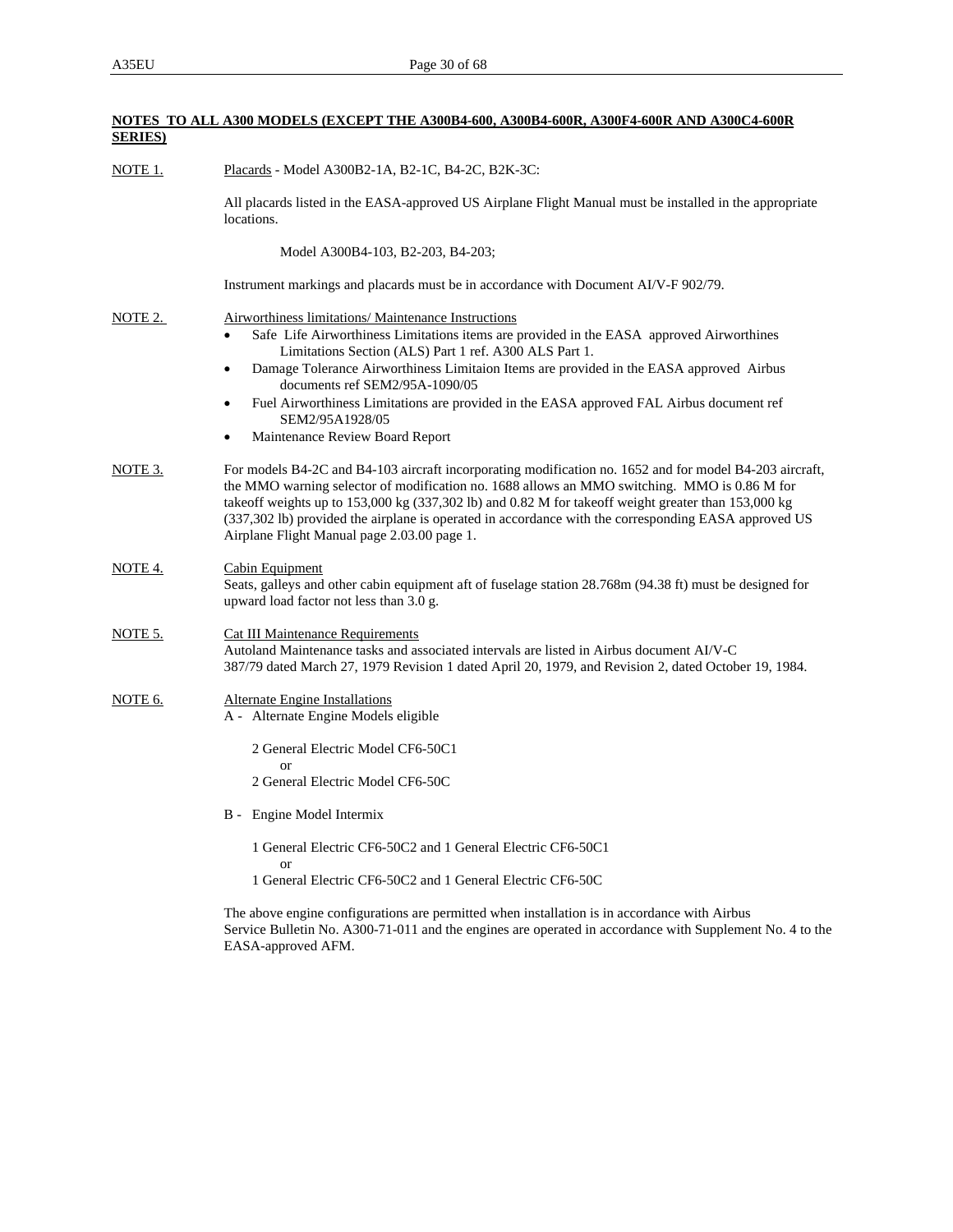**NOTES TO ALL A300 MODELS (EXCEPT THE A300B4-600, A300B4-600R, A300F4-600R AND A300C4-600R** 

| <b>SERIES</b> ) |                                                                                                                                                                                                                                                                                                                                                                                                                                                                       |
|-----------------|-----------------------------------------------------------------------------------------------------------------------------------------------------------------------------------------------------------------------------------------------------------------------------------------------------------------------------------------------------------------------------------------------------------------------------------------------------------------------|
| <b>NOTE 1.</b>  | Placards - Model A300B2-1A, B2-1C, B4-2C, B2K-3C:                                                                                                                                                                                                                                                                                                                                                                                                                     |
|                 | All placards listed in the EASA-approved US Airplane Flight Manual must be installed in the appropriate<br>locations.                                                                                                                                                                                                                                                                                                                                                 |
|                 | Model A300B4-103, B2-203, B4-203;                                                                                                                                                                                                                                                                                                                                                                                                                                     |
|                 | Instrument markings and placards must be in accordance with Document AI/V-F 902/79.                                                                                                                                                                                                                                                                                                                                                                                   |
| NOTE 2.         | <b>Airworthiness limitations/ Maintenance Instructions</b><br>Safe Life Airworthiness Limitations items are provided in the EASA approved Airworthines<br>$\bullet$<br>Limitations Section (ALS) Part 1 ref. A300 ALS Part 1.                                                                                                                                                                                                                                         |
|                 | Damage Tolerance Airworthiness Limitaion Items are provided in the EASA approved Airbus<br>٠<br>documents ref SEM2/95A-1090/05                                                                                                                                                                                                                                                                                                                                        |
|                 | Fuel Airworthiness Limitations are provided in the EASA approved FAL Airbus document ref<br>$\bullet$<br>SEM2/95A1928/05                                                                                                                                                                                                                                                                                                                                              |
|                 | Maintenance Review Board Report<br>٠                                                                                                                                                                                                                                                                                                                                                                                                                                  |
| NOTE 3.         | For models B4-2C and B4-103 aircraft incorporating modification no. 1652 and for model B4-203 aircraft,<br>the MMO warning selector of modification no. 1688 allows an MMO switching. MMO is 0.86 M for<br>takeoff weights up to 153,000 kg (337,302 lb) and 0.82 M for takeoff weight greater than 153,000 kg<br>(337,302 lb) provided the airplane is operated in accordance with the corresponding EASA approved US<br>Airplane Flight Manual page 2.03.00 page 1. |
| <u>NOTE 4.</u>  | Cabin Equipment<br>Seats, galleys and other cabin equipment aft of fuselage station 28.768m (94.38 ft) must be designed for<br>upward load factor not less than 3.0 g.                                                                                                                                                                                                                                                                                                |
| NOTE 5.         | <b>Cat III Maintenance Requirements</b><br>Autoland Maintenance tasks and associated intervals are listed in Airbus document AI/V-C<br>387/79 dated March 27, 1979 Revision 1 dated April 20, 1979, and Revision 2, dated October 19, 1984.                                                                                                                                                                                                                           |
| NOTE 6.         | <b>Alternate Engine Installations</b><br>A - Alternate Engine Models eligible                                                                                                                                                                                                                                                                                                                                                                                         |
|                 | 2 General Electric Model CF6-50C1                                                                                                                                                                                                                                                                                                                                                                                                                                     |
|                 | <b>or</b><br>2 General Electric Model CF6-50C                                                                                                                                                                                                                                                                                                                                                                                                                         |
|                 | B - Engine Model Intermix                                                                                                                                                                                                                                                                                                                                                                                                                                             |
|                 | 1 General Electric CF6-50C2 and 1 General Electric CF6-50C1<br><b>or</b>                                                                                                                                                                                                                                                                                                                                                                                              |
|                 | 1 General Electric CF6-50C2 and 1 General Electric CF6-50C                                                                                                                                                                                                                                                                                                                                                                                                            |
|                 | The above engine configurations are permitted when installation is in accordance with Airbus<br>Service Bulletin No. A300-71-011 and the engines are operated in accordance with Supplement No. 4 to the<br>EASA-approved AFM.                                                                                                                                                                                                                                        |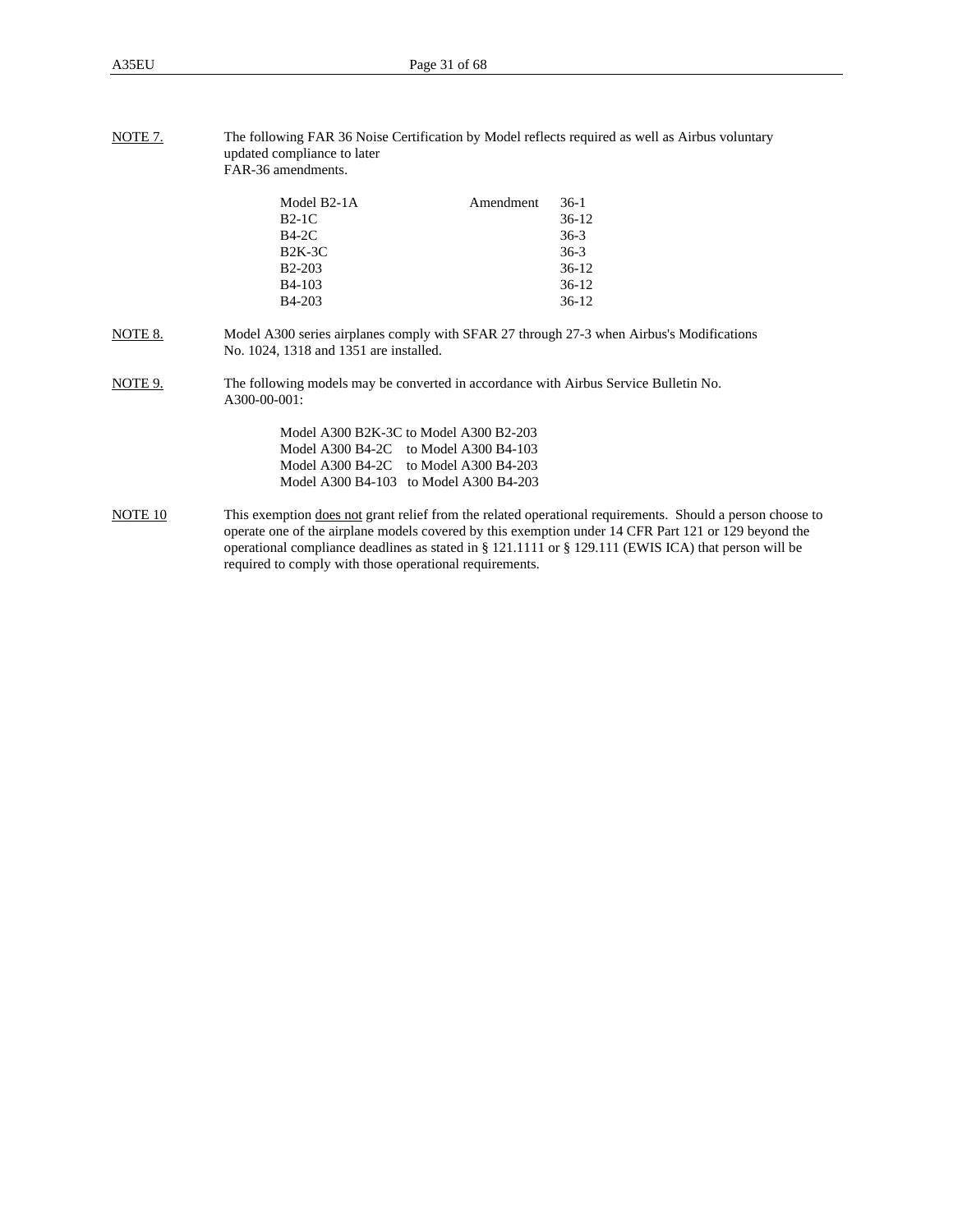| NOTE 7. | The following FAR 36 Noise Certification by Model reflects required as well as Airbus voluntary |
|---------|-------------------------------------------------------------------------------------------------|
|         | updated compliance to later                                                                     |
|         | FAR-36 amendments.                                                                              |

| Model B <sub>2</sub> -1A<br>$B2-1C$<br>$B4-2C$<br>$B2K-3C$ | Amendment | $36-1$<br>$36-12$<br>$36-3$<br>$36-3$ |
|------------------------------------------------------------|-----------|---------------------------------------|
| <b>B2-203</b>                                              |           | $36-12$                               |
| <b>B</b> 4-103                                             |           | $36-12$                               |
| <b>B</b> 4-203                                             |           | $36-12$                               |

NOTE 8. Model A300 series airplanes comply with SFAR 27 through 27-3 when Airbus's Modifications No. 1024, 1318 and 1351 are installed.

NOTE 9. The following models may be converted in accordance with Airbus Service Bulletin No. A300-00-001:

| Model A300 B2K-3C to Model A300 B2-203 |
|----------------------------------------|
| Model A300 B4-2C to Model A300 B4-103  |
| Model A300 B4-2C to Model A300 B4-203  |
| Model A300 B4-103 to Model A300 B4-203 |

NOTE 10 This exemption does not grant relief from the related operational requirements. Should a person choose to operate one of the airplane models covered by this exemption under 14 CFR Part 121 or 129 beyond the operational compliance deadlines as stated in § 121.1111 or § 129.111 (EWIS ICA) that person will be required to comply with those operational requirements.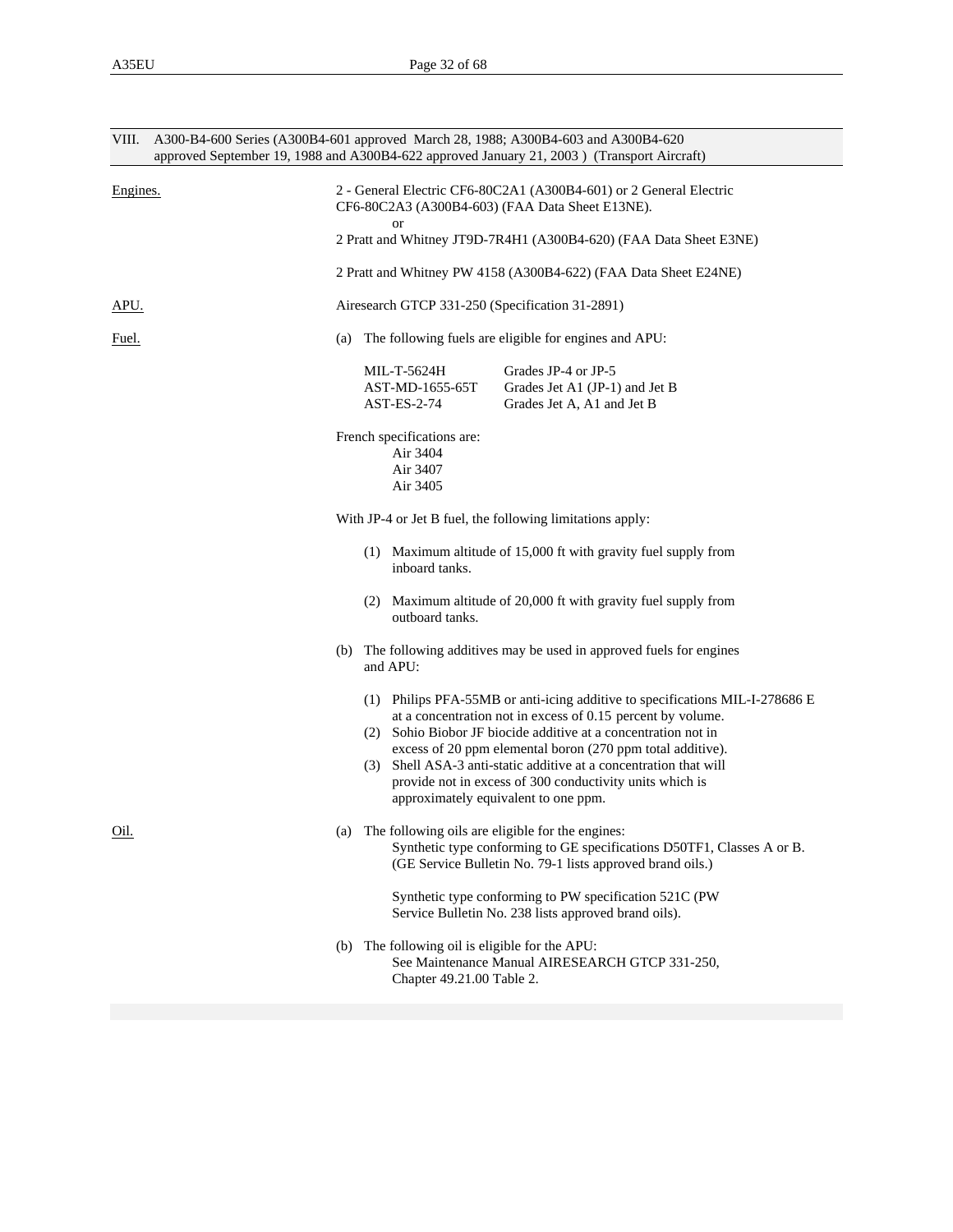| VIII.       | A300-B4-600 Series (A300B4-601 approved March 28, 1988; A300B4-603 and A300B4-620<br>approved September 19, 1988 and A300B4-622 approved January 21, 2003) (Transport Aircraft) |     |                                                                         |                                                                                                                                                                                                                                                                                                                                                                                                                                                  |  |  |
|-------------|---------------------------------------------------------------------------------------------------------------------------------------------------------------------------------|-----|-------------------------------------------------------------------------|--------------------------------------------------------------------------------------------------------------------------------------------------------------------------------------------------------------------------------------------------------------------------------------------------------------------------------------------------------------------------------------------------------------------------------------------------|--|--|
| Engines.    |                                                                                                                                                                                 |     | or                                                                      | 2 - General Electric CF6-80C2A1 (A300B4-601) or 2 General Electric<br>CF6-80C2A3 (A300B4-603) (FAA Data Sheet E13NE).<br>2 Pratt and Whitney JT9D-7R4H1 (A300B4-620) (FAA Data Sheet E3NE)<br>2 Pratt and Whitney PW 4158 (A300B4-622) (FAA Data Sheet E24NE)                                                                                                                                                                                    |  |  |
| APU.        |                                                                                                                                                                                 |     |                                                                         | Airesearch GTCP 331-250 (Specification 31-2891)                                                                                                                                                                                                                                                                                                                                                                                                  |  |  |
| Fuel.       | (a)                                                                                                                                                                             |     |                                                                         | The following fuels are eligible for engines and APU:                                                                                                                                                                                                                                                                                                                                                                                            |  |  |
|             |                                                                                                                                                                                 |     | MIL-T-5624H<br>AST-MD-1655-65T<br>AST-ES-2-74                           | Grades JP-4 or JP-5<br>Grades Jet A1 (JP-1) and Jet B<br>Grades Jet A, A1 and Jet B                                                                                                                                                                                                                                                                                                                                                              |  |  |
|             |                                                                                                                                                                                 |     | French specifications are:<br>Air 3404<br>Air 3407<br>Air 3405          |                                                                                                                                                                                                                                                                                                                                                                                                                                                  |  |  |
|             |                                                                                                                                                                                 |     |                                                                         | With JP-4 or Jet B fuel, the following limitations apply:                                                                                                                                                                                                                                                                                                                                                                                        |  |  |
|             |                                                                                                                                                                                 |     | inboard tanks.                                                          | (1) Maximum altitude of 15,000 ft with gravity fuel supply from                                                                                                                                                                                                                                                                                                                                                                                  |  |  |
|             |                                                                                                                                                                                 |     | outboard tanks.                                                         | (2) Maximum altitude of 20,000 ft with gravity fuel supply from                                                                                                                                                                                                                                                                                                                                                                                  |  |  |
|             |                                                                                                                                                                                 |     | and APU:                                                                | (b) The following additives may be used in approved fuels for engines                                                                                                                                                                                                                                                                                                                                                                            |  |  |
|             |                                                                                                                                                                                 | (3) |                                                                         | (1) Philips PFA-55MB or anti-icing additive to specifications MIL-I-278686 E<br>at a concentration not in excess of 0.15 percent by volume.<br>(2) Sohio Biobor JF biocide additive at a concentration not in<br>excess of 20 ppm elemental boron (270 ppm total additive).<br>Shell ASA-3 anti-static additive at a concentration that will<br>provide not in excess of 300 conductivity units which is<br>approximately equivalent to one ppm. |  |  |
| <u>Oil.</u> | (a)                                                                                                                                                                             |     |                                                                         | The following oils are eligible for the engines:<br>Synthetic type conforming to GE specifications D50TF1, Classes A or B.<br>(GE Service Bulletin No. 79-1 lists approved brand oils.)                                                                                                                                                                                                                                                          |  |  |
|             |                                                                                                                                                                                 |     |                                                                         | Synthetic type conforming to PW specification 521C (PW<br>Service Bulletin No. 238 lists approved brand oils).                                                                                                                                                                                                                                                                                                                                   |  |  |
|             | (b)                                                                                                                                                                             |     | The following oil is eligible for the APU:<br>Chapter 49.21.00 Table 2. | See Maintenance Manual AIRESEARCH GTCP 331-250,                                                                                                                                                                                                                                                                                                                                                                                                  |  |  |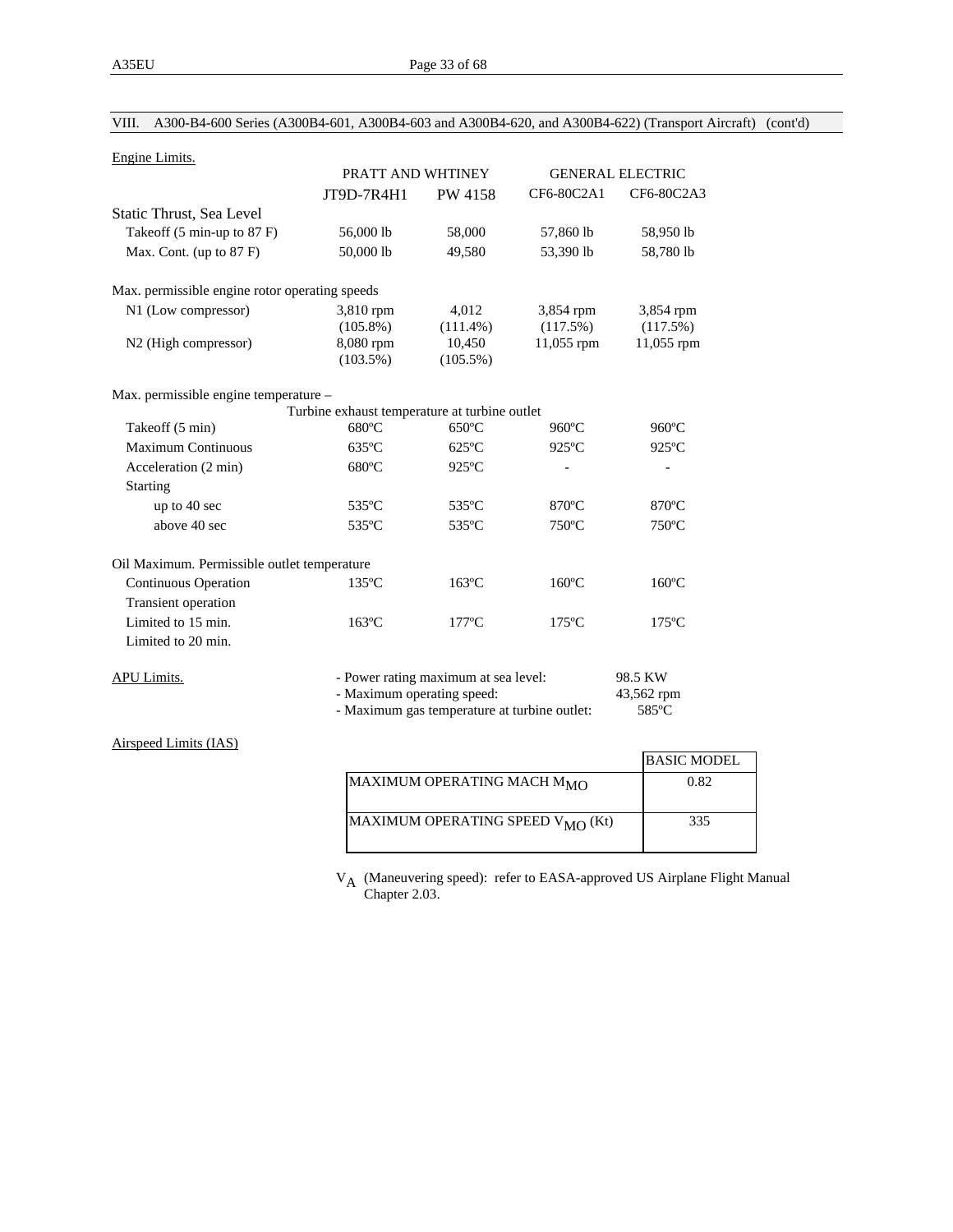| Engine Limits.                                 |                                               |                                              |                 |                         |
|------------------------------------------------|-----------------------------------------------|----------------------------------------------|-----------------|-------------------------|
|                                                | PRATT AND WHTINEY                             |                                              |                 | <b>GENERAL ELECTRIC</b> |
|                                                | JT9D-7R4H1                                    | PW 4158                                      | CF6-80C2A1      | CF6-80C2A3              |
| Static Thrust, Sea Level                       |                                               |                                              |                 |                         |
| Takeoff (5 min-up to 87 F)                     | 56,000 lb                                     | 58,000                                       | 57,860 lb       | 58,950 lb               |
| Max. Cont. (up to 87 F)                        | 50,000 lb                                     | 49,580                                       | 53,390 lb       | 58,780 lb               |
| Max. permissible engine rotor operating speeds |                                               |                                              |                 |                         |
| N1 (Low compressor)                            | 3,810 rpm                                     | 4.012                                        | 3,854 rpm       | 3,854 rpm               |
|                                                | $(105.8\%)$                                   | $(111.4\%)$                                  | (117.5%)        | (117.5%)                |
| N2 (High compressor)                           | 8,080 rpm                                     | 10,450                                       | 11,055 rpm      | 11,055 rpm              |
|                                                | $(103.5\%)$                                   | $(105.5\%)$                                  |                 |                         |
| Max. permissible engine temperature -          |                                               |                                              |                 |                         |
|                                                | Turbine exhaust temperature at turbine outlet |                                              |                 |                         |
| Takeoff (5 min)                                | $680^{\circ}$ C                               | $650^{\circ}$ C                              | $960^{\circ}$ C | $960$ °C                |
| <b>Maximum Continuous</b>                      | $635^{\circ}$ C                               | $625^{\circ}$ C                              | 925°C           | 925°C                   |
| Acceleration (2 min)                           | $680^{\circ}$ C                               | $925^{\circ}$ C                              |                 |                         |
| <b>Starting</b>                                |                                               |                                              |                 |                         |
| up to 40 sec                                   | 535°C                                         | 535°C                                        | $870^{\circ}$ C | $870^{\circ}$ C         |
| above 40 sec                                   | 535°C                                         | 535°C                                        | 750°C           | 750°C                   |
|                                                |                                               |                                              |                 |                         |
| Oil Maximum. Permissible outlet temperature    |                                               |                                              |                 |                         |
| <b>Continuous Operation</b>                    | $135^{\circ}$ C                               | $163^{\circ}$ C                              | $160^{\circ}$ C | $160^{\circ}$ C         |
| Transient operation                            |                                               |                                              |                 |                         |
| Limited to 15 min.                             | $163^{\circ}$ C                               | $177^{\circ}$ C                              | $175^{\circ}$ C | $175^{\circ}$ C         |
| Limited to 20 min.                             |                                               |                                              |                 |                         |
| <b>APU Limits.</b>                             |                                               | - Power rating maximum at sea level:         |                 | 98.5 KW                 |
|                                                | - Maximum operating speed:                    |                                              |                 | 43,562 rpm              |
|                                                |                                               | - Maximum gas temperature at turbine outlet: |                 | 585°C                   |
| Airspeed Limits (IAS)                          |                                               |                                              |                 |                         |
|                                                |                                               |                                              |                 | <b>BASIC MODEL</b>      |
|                                                |                                               | MAXIMUM OPERATING MACH M <sub>MO</sub>       |                 | 0.82                    |

VIII. A300-B4-600 Series (A300B4-601, A300B4-603 and A300B4-620, and A300B4-622) (Transport Aircraft) (cont'd)

V<sub>A</sub> (Maneuvering speed): refer to EASA-approved US Airplane Flight Manual Chapter 2.03.

 $MAXIMUM OPERATING SPEED V<sub>MO</sub> (Kt)$  335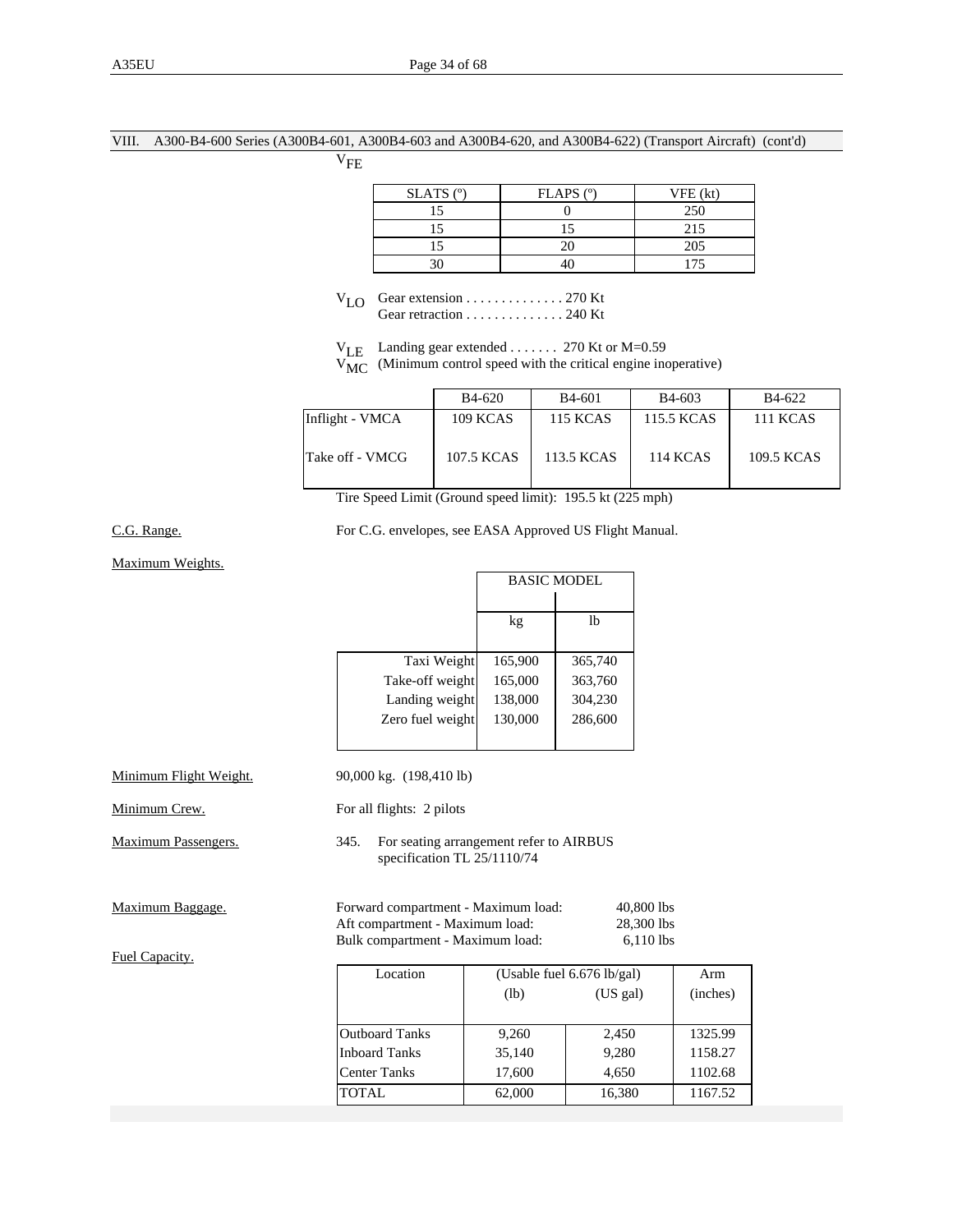### VIII. A300-B4-600 Series (A300B4-601, A300B4-603 and A300B4-620, and A300B4-622) (Transport Aircraft) (cont'd)

 $\rm V_{FE}$ 

| $SLATS$ ( $°$ ) | $FLAPS$ ( $^{\circ}$ ) | VFE (kt) |
|-----------------|------------------------|----------|
|                 |                        | 250      |
|                 |                        | 215      |
|                 |                        | 205      |
|                 |                        | 175      |

 $V_{LO}$  Gear extension . . . . . . . . . . . . . . . . 270 Kt Gear retraction . . . . . . . . . . . . . . . 240 Kt

 $V_{LE}$  Landing gear extended . . . . . . . 270 Kt or M=0.59

 $V_{MC}$  (Minimum control speed with the critical engine inoperative)

|                 | <b>B</b> 4-620  | <b>B</b> 4-601  | <b>B</b> 4-603  | <b>B</b> 4-622  |
|-----------------|-----------------|-----------------|-----------------|-----------------|
| Inflight - VMCA | <b>109 KCAS</b> | <b>115 KCAS</b> | 115.5 KCAS      | <b>111 KCAS</b> |
| Take off - VMCG | 107.5 KCAS      | 113.5 KCAS      | <b>114 KCAS</b> | 109.5 KCAS      |

Tire Speed Limit (Ground speed limit): 195.5 kt (225 mph)

## C.G. Range. For C.G. envelopes, see EASA Approved US Flight Manual.

Maximum Weights.

|                        |                         | <b>BASIC MODEL</b> |         |
|------------------------|-------------------------|--------------------|---------|
|                        |                         | kg                 | lb      |
|                        | Taxi Weight             | 165,900            | 365,740 |
|                        | Take-off weight         | 165,000            | 363,760 |
|                        | Landing weight          | 138,000            | 304,230 |
|                        | Zero fuel weight        | 130,000            | 286,600 |
|                        |                         |                    |         |
| Minimum Flight Weight. | 90,000 kg. (198,410 lb) |                    |         |

| Minimum Crew. | For all flights: 2 pilots |  |
|---------------|---------------------------|--|
|               |                           |  |

Maximum Passengers. 345. For seating arrangement refer to AIRBUS specification TL 25/1110/74

| Maximum Baggage. |  |
|------------------|--|
|                  |  |

Fuel Capacity.

| Maximum Baggage. | Forward compartment - Maximum load: | 40,800 lbs |
|------------------|-------------------------------------|------------|
|                  | Aft compartment - Maximum load:     | 28,300 lbs |
|                  | Bulk compartment - Maximum load:    | 6.110 lbs  |

| Location              | (Usable fuel $6.676$ lb/gal) | Arm    |          |
|-----------------------|------------------------------|--------|----------|
|                       | (US gal)<br>(lb)             |        | (inches) |
|                       |                              |        |          |
| <b>Outboard Tanks</b> | 9,260                        | 2,450  | 1325.99  |
| <b>Inboard Tanks</b>  | 35,140                       | 9,280  | 1158.27  |
| <b>Center Tanks</b>   | 17,600                       | 4,650  | 1102.68  |
| TOTAL.                | 62,000                       | 16,380 | 1167.52  |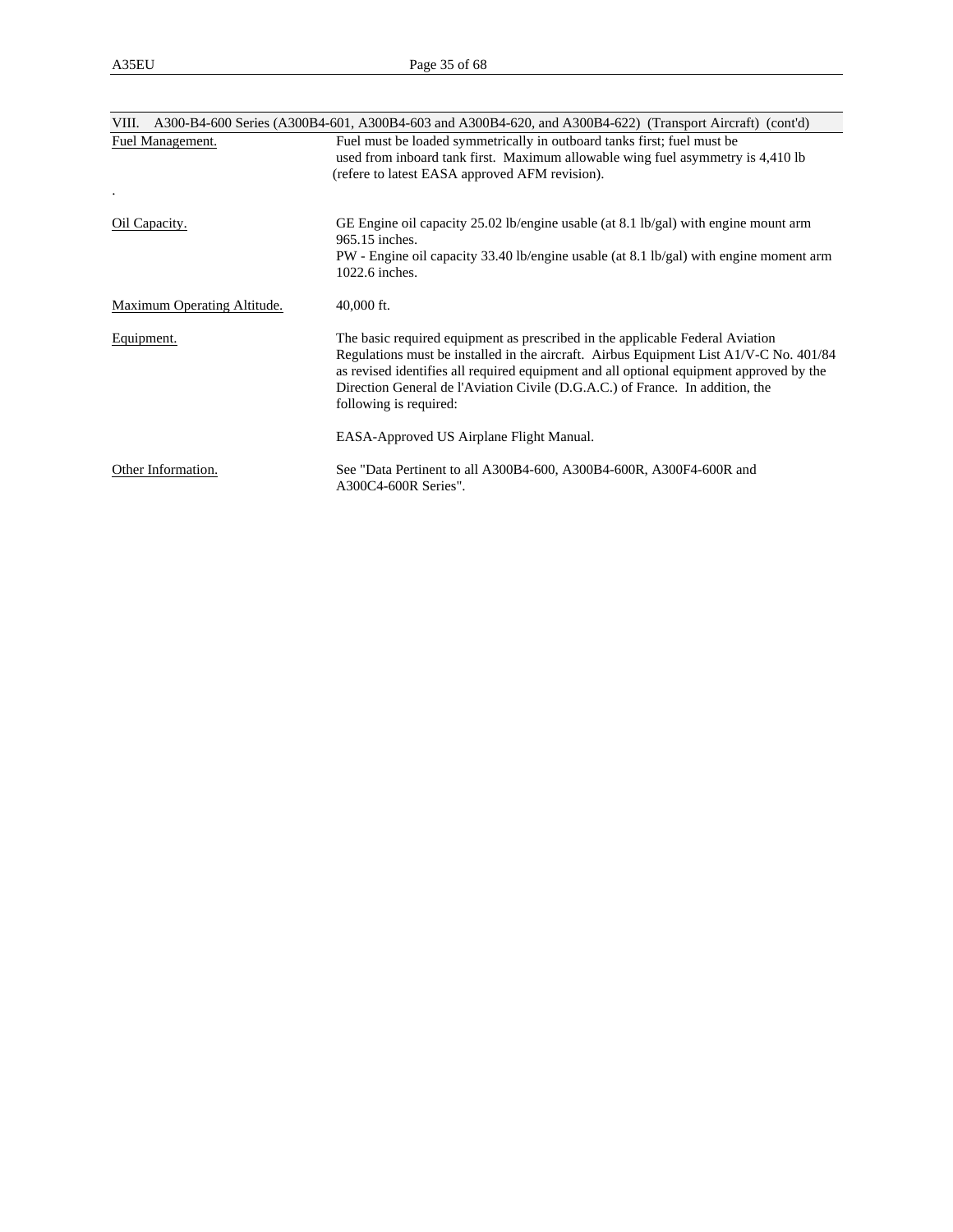| VIII.                       | A300-B4-600 Series (A300B4-601, A300B4-603 and A300B4-620, and A300B4-622) (Transport Aircraft) (cont'd)                                                                                                                                                                                                                                                                      |
|-----------------------------|-------------------------------------------------------------------------------------------------------------------------------------------------------------------------------------------------------------------------------------------------------------------------------------------------------------------------------------------------------------------------------|
| Fuel Management.            | Fuel must be loaded symmetrically in outboard tanks first; fuel must be<br>used from inboard tank first. Maximum allowable wing fuel asymmetry is 4,410 lb<br>(refere to latest EASA approved AFM revision).                                                                                                                                                                  |
| Oil Capacity.               | GE Engine oil capacity 25.02 lb/engine usable (at 8.1 lb/gal) with engine mount arm<br>965.15 inches.<br>PW - Engine oil capacity 33.40 lb/engine usable (at 8.1 lb/gal) with engine moment arm<br>1022.6 inches.                                                                                                                                                             |
| Maximum Operating Altitude. | $40,000$ ft.                                                                                                                                                                                                                                                                                                                                                                  |
| Equipment.                  | The basic required equipment as prescribed in the applicable Federal Aviation<br>Regulations must be installed in the aircraft. Airbus Equipment List A1/V-C No. 401/84<br>as revised identifies all required equipment and all optional equipment approved by the<br>Direction General de l'Aviation Civile (D.G.A.C.) of France. In addition, the<br>following is required: |
|                             | EASA-Approved US Airplane Flight Manual.                                                                                                                                                                                                                                                                                                                                      |
| Other Information.          | See "Data Pertinent to all A300B4-600, A300B4-600R, A300F4-600R and<br>A300C4-600R Series".                                                                                                                                                                                                                                                                                   |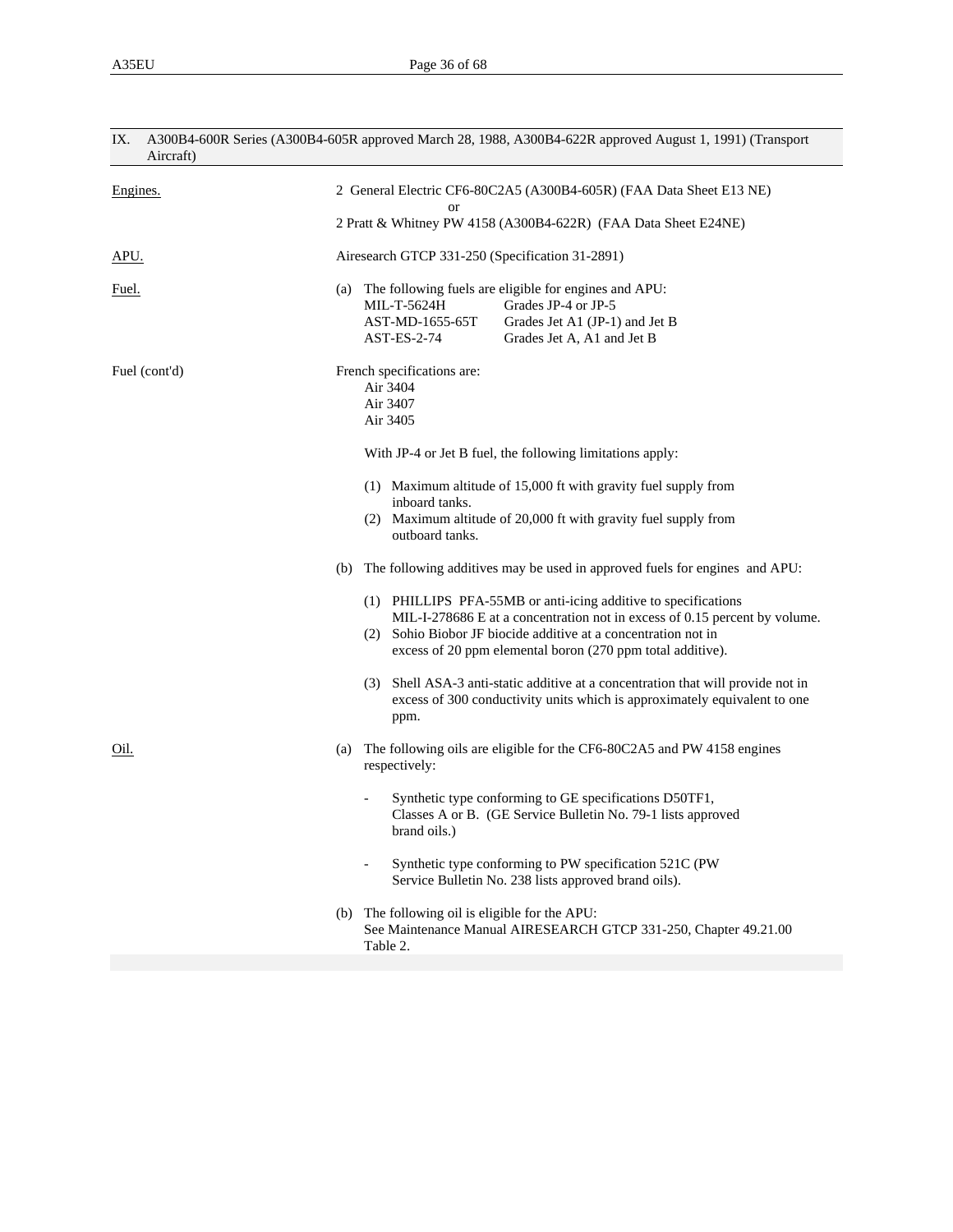| IX.<br>Aircraft)             | A300B4-600R Series (A300B4-605R approved March 28, 1988, A300B4-622R approved August 1, 1991) (Transport                                                                                                                                                                                                                                                                                                                                                                                                                                                                                                                                                                                                                                                                                                                                                                                                                                 |  |  |  |  |
|------------------------------|------------------------------------------------------------------------------------------------------------------------------------------------------------------------------------------------------------------------------------------------------------------------------------------------------------------------------------------------------------------------------------------------------------------------------------------------------------------------------------------------------------------------------------------------------------------------------------------------------------------------------------------------------------------------------------------------------------------------------------------------------------------------------------------------------------------------------------------------------------------------------------------------------------------------------------------|--|--|--|--|
| Engines.                     | 2 General Electric CF6-80C2A5 (A300B4-605R) (FAA Data Sheet E13 NE)<br><b>or</b><br>2 Pratt & Whitney PW 4158 (A300B4-622R) (FAA Data Sheet E24NE)                                                                                                                                                                                                                                                                                                                                                                                                                                                                                                                                                                                                                                                                                                                                                                                       |  |  |  |  |
| APU.                         | Airesearch GTCP 331-250 (Specification 31-2891)                                                                                                                                                                                                                                                                                                                                                                                                                                                                                                                                                                                                                                                                                                                                                                                                                                                                                          |  |  |  |  |
| Fuel.                        | The following fuels are eligible for engines and APU:<br>(a)<br>MIL-T-5624H<br>Grades JP-4 or JP-5<br>AST-MD-1655-65T<br>Grades Jet A1 (JP-1) and Jet B<br>AST-ES-2-74<br>Grades Jet A, A1 and Jet B                                                                                                                                                                                                                                                                                                                                                                                                                                                                                                                                                                                                                                                                                                                                     |  |  |  |  |
| Fuel (cont'd)<br><u>Oil.</u> | French specifications are:<br>Air 3404<br>Air 3407<br>Air 3405<br>With JP-4 or Jet B fuel, the following limitations apply:<br>(1) Maximum altitude of 15,000 ft with gravity fuel supply from<br>inboard tanks.<br>(2) Maximum altitude of 20,000 ft with gravity fuel supply from<br>outboard tanks.<br>The following additives may be used in approved fuels for engines and APU:<br>(b)<br>(1) PHILLIPS PFA-55MB or anti-icing additive to specifications<br>MIL-I-278686 E at a concentration not in excess of 0.15 percent by volume.<br>(2) Sohio Biobor JF biocide additive at a concentration not in<br>excess of 20 ppm elemental boron (270 ppm total additive).<br>Shell ASA-3 anti-static additive at a concentration that will provide not in<br>(3)<br>excess of 300 conductivity units which is approximately equivalent to one<br>ppm.<br>The following oils are eligible for the CF6-80C2A5 and PW 4158 engines<br>(a) |  |  |  |  |
|                              | respectively:<br>Synthetic type conforming to GE specifications D50TF1,<br>Classes A or B. (GE Service Bulletin No. 79-1 lists approved<br>brand oils.)<br>Synthetic type conforming to PW specification 521C (PW<br>Service Bulletin No. 238 lists approved brand oils).<br>The following oil is eligible for the APU:<br>(b)<br>See Maintenance Manual AIRESEARCH GTCP 331-250, Chapter 49.21.00<br>Table 2.                                                                                                                                                                                                                                                                                                                                                                                                                                                                                                                           |  |  |  |  |
|                              |                                                                                                                                                                                                                                                                                                                                                                                                                                                                                                                                                                                                                                                                                                                                                                                                                                                                                                                                          |  |  |  |  |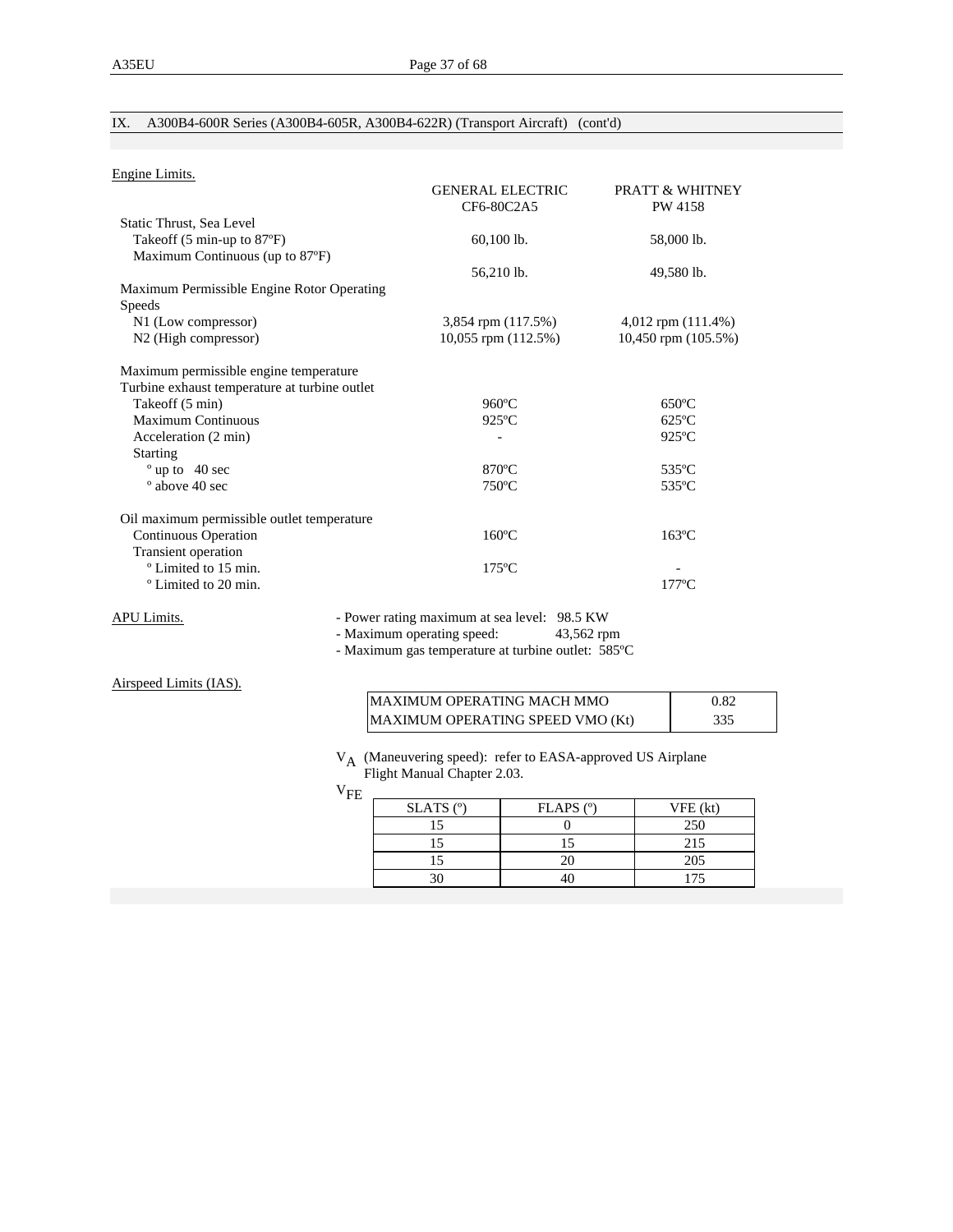## IX. A300B4-600R Series (A300B4-605R, A300B4-622R) (Transport Aircraft) (cont'd)

| Engine Limits.                                |                         |                            |
|-----------------------------------------------|-------------------------|----------------------------|
|                                               | <b>GENERAL ELECTRIC</b> | <b>PRATT &amp; WHITNEY</b> |
|                                               | CF6-80C2A5              | PW 4158                    |
| Static Thrust, Sea Level                      |                         |                            |
| Takeoff (5 min-up to 87°F)                    | $60,100$ lb.            | 58,000 lb.                 |
| Maximum Continuous (up to 87°F)               |                         |                            |
|                                               | 56,210 lb.              | 49,580 lb.                 |
| Maximum Permissible Engine Rotor Operating    |                         |                            |
| <b>Speeds</b>                                 |                         |                            |
| N1 (Low compressor)                           | 3,854 rpm (117.5%)      | $4,012$ rpm $(111.4%)$     |
| N <sub>2</sub> (High compressor)              | 10,055 rpm (112.5%)     | 10,450 rpm (105.5%)        |
| Maximum permissible engine temperature        |                         |                            |
| Turbine exhaust temperature at turbine outlet |                         |                            |
| Takeoff (5 min)                               | $960^{\circ}$ C         | $650^{\circ}$ C            |
| <b>Maximum Continuous</b>                     | $925^{\circ}$ C         | $625^{\circ}$ C            |
| Acceleration (2 min)                          |                         | $925^{\circ}$ C            |
| <b>Starting</b>                               |                         |                            |
| $^{\circ}$ up to 40 sec                       | $870^{\circ}$ C         | 535°C                      |
| ° above 40 sec                                | $750^{\circ}$ C         | 535°C                      |
| Oil maximum permissible outlet temperature    |                         |                            |
| Continuous Operation                          | $160^{\circ}$ C         | $163^{\circ}$ C            |
| Transient operation                           |                         |                            |
| <sup>o</sup> Limited to 15 min.               | $175^{\circ}$ C         |                            |
| <sup>o</sup> Limited to 20 min.               |                         | $177^{\circ}$ C            |
|                                               |                         |                            |

APU Limits. - Power rating maximum at sea level: 98.5 KW

- Maximum operating speed: 43,562 rpm

- Maximum gas temperature at turbine outlet: 585ºC

Airspeed Limits (IAS).

| <b>MAXIMUM OPERATING MACH MMO</b> | 0.82 |
|-----------------------------------|------|
| MAXIMUM OPERATING SPEED VMO (Kt)  | 335  |

 VA (Maneuvering speed): refer to EASA-approved US Airplane Flight Manual Chapter 2.03.

 $\rm v_{FE}$ 

| $SLATS$ ( $°$ ) | $FLAPS$ ( $^{\circ}$ ) | VFE (kt) |
|-----------------|------------------------|----------|
|                 |                        | 250      |
|                 |                        | 215      |
|                 |                        | 205      |
|                 |                        | 175      |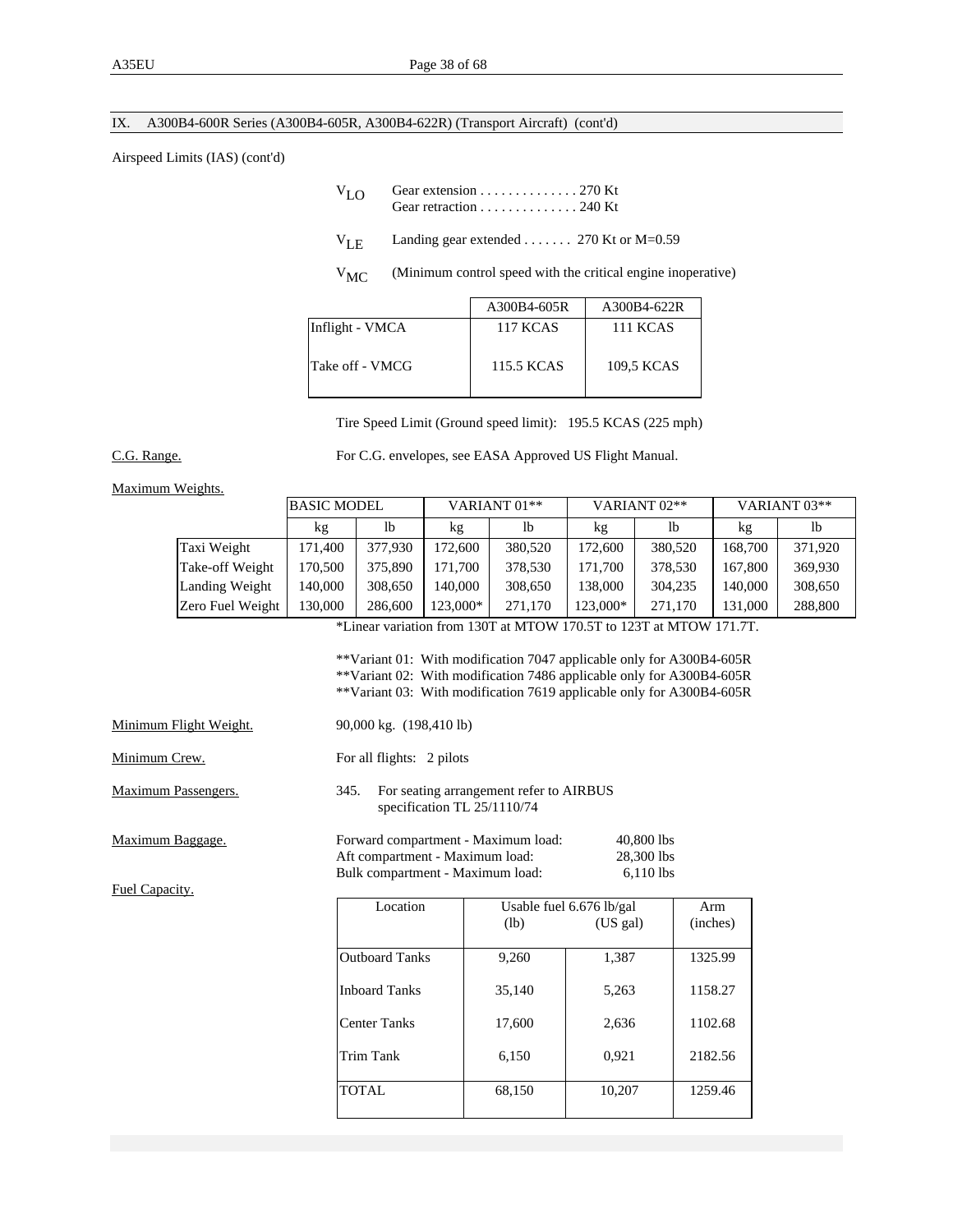## IX. A300B4-600R Series (A300B4-605R, A300B4-622R) (Transport Aircraft) (cont'd)

#### Airspeed Limits (IAS) (cont'd)

| $V_{L}$ $\cap$ | Gear extension $\ldots \ldots \ldots \ldots 270$ Kt<br>Gear retraction $\ldots \ldots \ldots \ldots 240$ Kt                                                                                                                         |  |
|----------------|-------------------------------------------------------------------------------------------------------------------------------------------------------------------------------------------------------------------------------------|--|
|                | $V_{\text{LF}}$ Landing gear extended  270 Kt or M=0.59                                                                                                                                                                             |  |
|                | $\overline{a}$ , the contract of the contract of the contract of the contract of the contract of the contract of the contract of the contract of the contract of the contract of the contract of the contract of the contract of th |  |

V<sub>MC</sub> (Minimum control speed with the critical engine inoperative)

|                 | A300B4-605R     | A300B4-622R     |
|-----------------|-----------------|-----------------|
| Inflight - VMCA | <b>117 KCAS</b> | <b>111 KCAS</b> |
| Take off - VMCG | 115.5 KCAS      | 109.5 KCAS      |

Tire Speed Limit (Ground speed limit): 195.5 KCAS (225 mph)

C.G. Range. For C.G. envelopes, see EASA Approved US Flight Manual.

#### Maximum Weights.

|                                                                    | <b>BASIC MODEL</b> | VARIANT 01**   |          |         | VARIANT <sub>02</sub> ** |         | VARIANT <sub>03</sub> ** |         |
|--------------------------------------------------------------------|--------------------|----------------|----------|---------|--------------------------|---------|--------------------------|---------|
|                                                                    | kg                 | 1 <sub>b</sub> | kg       | lb      | kg                       | lb      | kg                       | lb      |
| Taxi Weight                                                        | 171.400            | 377,930        | 172,600  | 380,520 | 172,600                  | 380,520 | 168.700                  | 371.920 |
| Take-off Weight                                                    | 170,500            | 375,890        | 171.700  | 378,530 | 171,700                  | 378.530 | 167,800                  | 369.930 |
| Landing Weight                                                     | 140,000            | 308,650        | 140,000  | 308,650 | 138,000                  | 304,235 | 140.000                  | 308,650 |
| Zero Fuel Weight                                                   | 130,000            | 286,600        | 123,000* | 271,170 | 123,000*                 | 271.170 | 131,000                  | 288,800 |
| *Linear variation from 130T at MTOW 170.5T to 123T at MTOW 171.7T. |                    |                |          |         |                          |         |                          |         |

 \*\*Variant 01: With modification 7047 applicable only for A300B4-605R \*\*Variant 02: With modification 7486 applicable only for A300B4-605R \*\*Variant 03: With modification 7619 applicable only for A300B4-605R

| Minimum Flight Weight. | 90,000 kg. (198,410 lb)   |
|------------------------|---------------------------|
| Minimum Crew.          | For all flights: 2 pilots |
| .                      |                           |

Maximum Passengers. 345. For seating arrangement refer to AIRBUS specification TL 25/1110/74

Maximum Baggage. Forward compartment - Maximum load: 40,800 lbs<br>Aft compartment - Maximum load: 28,300 lbs Aft compartment - Maximum load: Bulk compartment - Maximum load: 6,110 lbs

Fuel Capacity.

| Location              | Usable fuel $6.676$ lb/gal | Arm      |          |
|-----------------------|----------------------------|----------|----------|
|                       | (lb)                       | (US gal) | (inches) |
| <b>Outboard Tanks</b> | 9,260                      | 1,387    | 1325.99  |
| <b>Inboard Tanks</b>  | 35,140                     | 5,263    | 1158.27  |
| <b>Center Tanks</b>   | 17,600                     | 2,636    | 1102.68  |
| Trim Tank             | 6,150                      | 0,921    | 2182.56  |
| <b>TOTAL</b>          | 68,150                     | 10,207   | 1259.46  |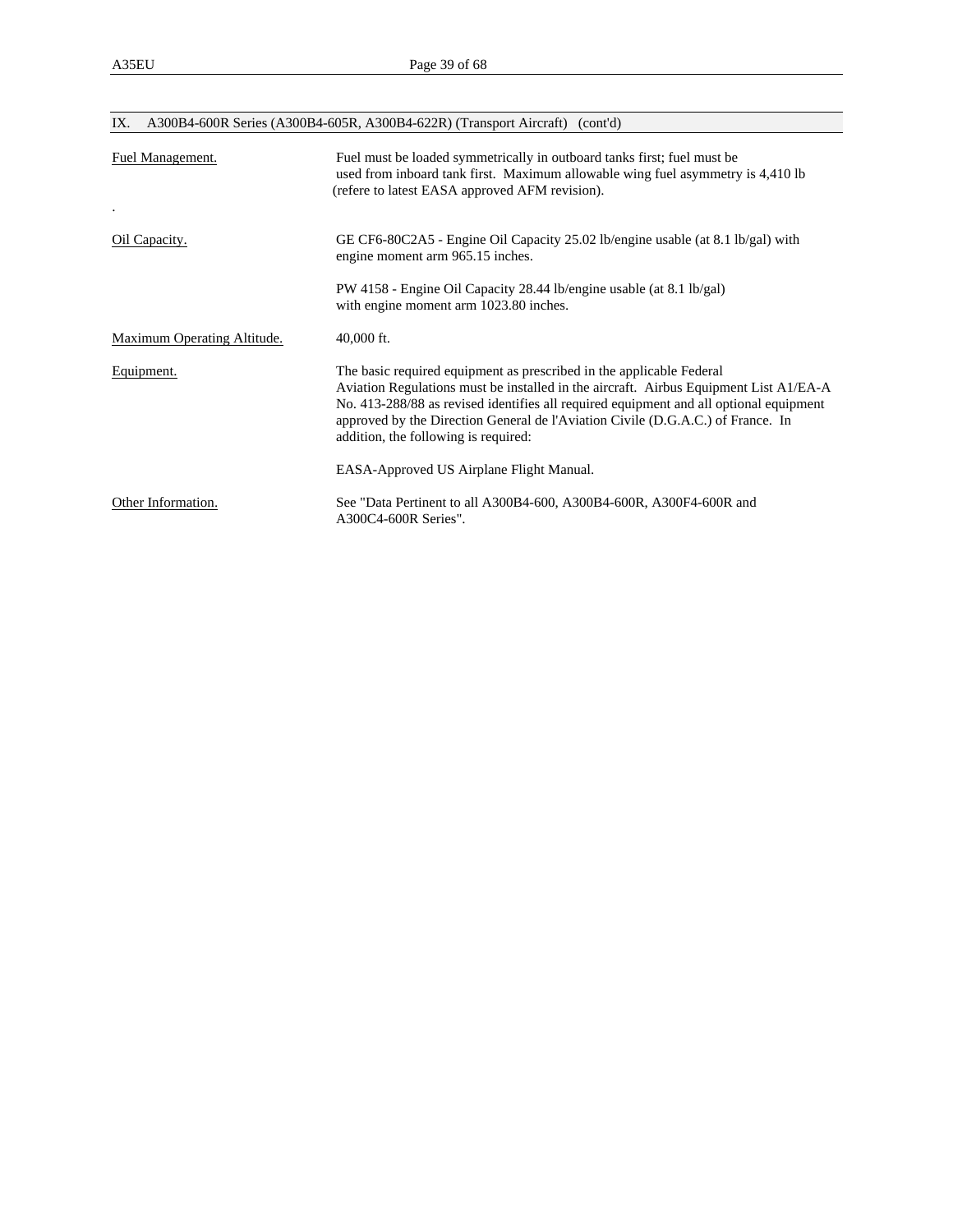| IX.                         | A300B4-600R Series (A300B4-605R, A300B4-622R) (Transport Aircraft) (cont'd)                                                                                                                                                                                                                                                                                                          |  |  |  |
|-----------------------------|--------------------------------------------------------------------------------------------------------------------------------------------------------------------------------------------------------------------------------------------------------------------------------------------------------------------------------------------------------------------------------------|--|--|--|
| Fuel Management.            | Fuel must be loaded symmetrically in outboard tanks first; fuel must be<br>used from inboard tank first. Maximum allowable wing fuel asymmetry is 4,410 lb<br>(refere to latest EASA approved AFM revision).                                                                                                                                                                         |  |  |  |
| Oil Capacity.               | GE CF6-80C2A5 - Engine Oil Capacity 25.02 lb/engine usable (at 8.1 lb/gal) with<br>engine moment arm 965.15 inches.                                                                                                                                                                                                                                                                  |  |  |  |
|                             | PW 4158 - Engine Oil Capacity 28.44 lb/engine usable (at 8.1 lb/gal)<br>with engine moment arm 1023.80 inches.                                                                                                                                                                                                                                                                       |  |  |  |
| Maximum Operating Altitude. | $40,000$ ft.                                                                                                                                                                                                                                                                                                                                                                         |  |  |  |
| Equipment.                  | The basic required equipment as prescribed in the applicable Federal<br>Aviation Regulations must be installed in the aircraft. Airbus Equipment List $A1/EA-A$<br>No. 413-288/88 as revised identifies all required equipment and all optional equipment<br>approved by the Direction General de l'Aviation Civile (D.G.A.C.) of France. In<br>addition, the following is required: |  |  |  |
|                             | EASA-Approved US Airplane Flight Manual.                                                                                                                                                                                                                                                                                                                                             |  |  |  |
| Other Information.          | See "Data Pertinent to all A300B4-600, A300B4-600R, A300F4-600R and<br>A300C4-600R Series".                                                                                                                                                                                                                                                                                          |  |  |  |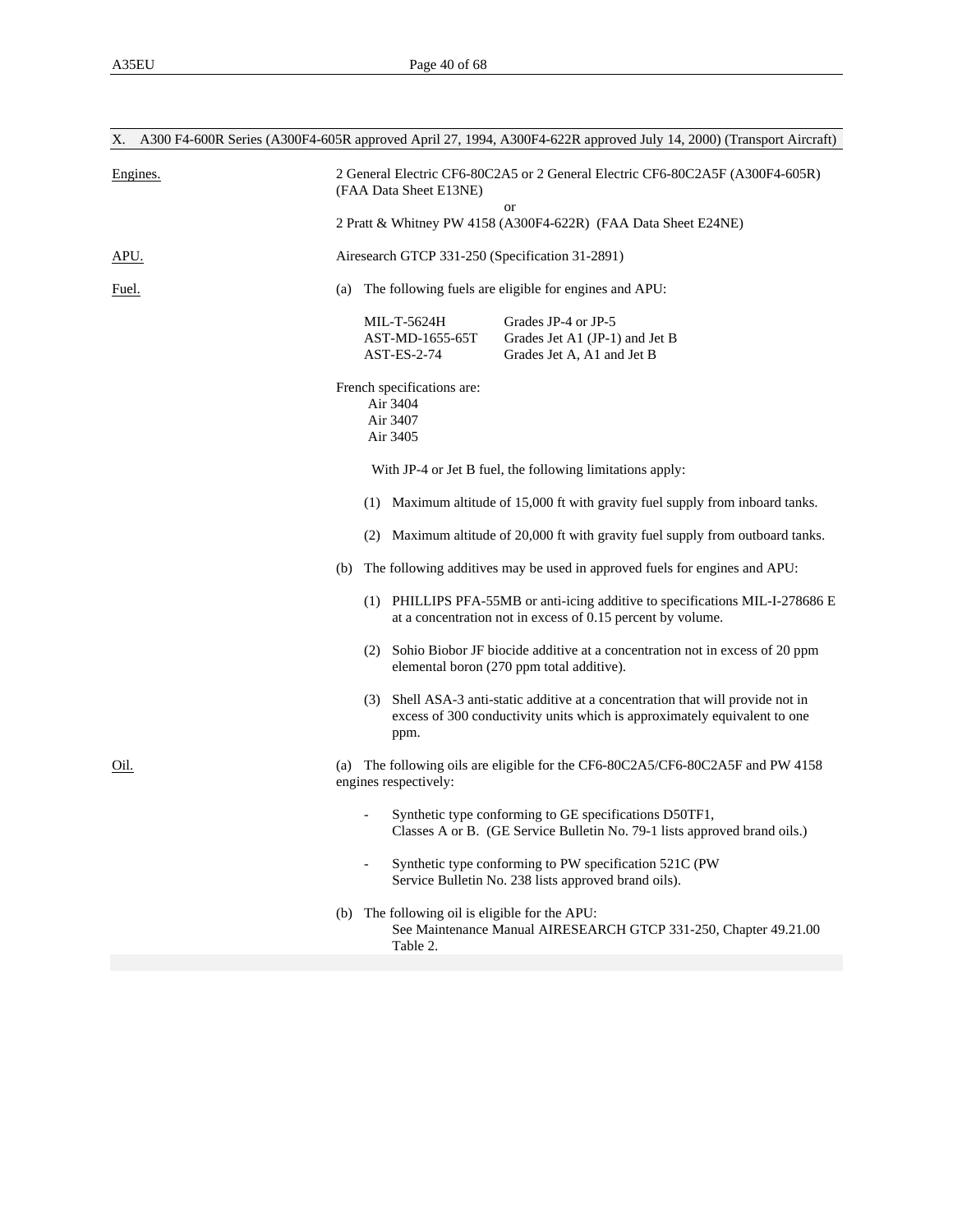| Χ.           | A300 F4-600R Series (A300F4-605R approved April 27, 1994, A300F4-622R approved July 14, 2000) (Transport Aircraft)                                                    |  |  |
|--------------|-----------------------------------------------------------------------------------------------------------------------------------------------------------------------|--|--|
| Engines.     | 2 General Electric CF6-80C2A5 or 2 General Electric CF6-80C2A5F (A300F4-605R)<br>(FAA Data Sheet E13NE)                                                               |  |  |
|              | or<br>2 Pratt & Whitney PW 4158 (A300F4-622R) (FAA Data Sheet E24NE)                                                                                                  |  |  |
| APU.         | Airesearch GTCP 331-250 (Specification 31-2891)                                                                                                                       |  |  |
| <u>Fuel.</u> | The following fuels are eligible for engines and APU:<br>(a)                                                                                                          |  |  |
|              | MIL-T-5624H<br>Grades JP-4 or JP-5<br>AST-MD-1655-65T<br>Grades Jet A1 (JP-1) and Jet B<br>$AST-ES-2-74$<br>Grades Jet A, A1 and Jet B                                |  |  |
|              | French specifications are:<br>Air 3404<br>Air 3407<br>Air 3405                                                                                                        |  |  |
|              | With JP-4 or Jet B fuel, the following limitations apply:                                                                                                             |  |  |
|              | (1) Maximum altitude of 15,000 ft with gravity fuel supply from inboard tanks.                                                                                        |  |  |
|              | Maximum altitude of 20,000 ft with gravity fuel supply from outboard tanks.<br>(2)                                                                                    |  |  |
|              | The following additives may be used in approved fuels for engines and APU:<br>(b)                                                                                     |  |  |
|              | (1) PHILLIPS PFA-55MB or anti-icing additive to specifications MIL-I-278686 E<br>at a concentration not in excess of 0.15 percent by volume.                          |  |  |
|              | (2) Sohio Biobor JF biocide additive at a concentration not in excess of 20 ppm<br>elemental boron (270 ppm total additive).                                          |  |  |
|              | (3) Shell ASA-3 anti-static additive at a concentration that will provide not in<br>excess of 300 conductivity units which is approximately equivalent to one<br>ppm. |  |  |
| <u>Oil.</u>  | (a) The following oils are eligible for the CF6-80C2A5/CF6-80C2A5F and PW 4158<br>engines respectively:                                                               |  |  |
|              | Synthetic type conforming to GE specifications D50TF1,<br>Classes A or B. (GE Service Bulletin No. 79-1 lists approved brand oils.)                                   |  |  |
|              | Synthetic type conforming to PW specification 521C (PW<br>Service Bulletin No. 238 lists approved brand oils).                                                        |  |  |
|              | (b) The following oil is eligible for the APU:<br>See Maintenance Manual AIRESEARCH GTCP 331-250, Chapter 49.21.00<br>Table 2.                                        |  |  |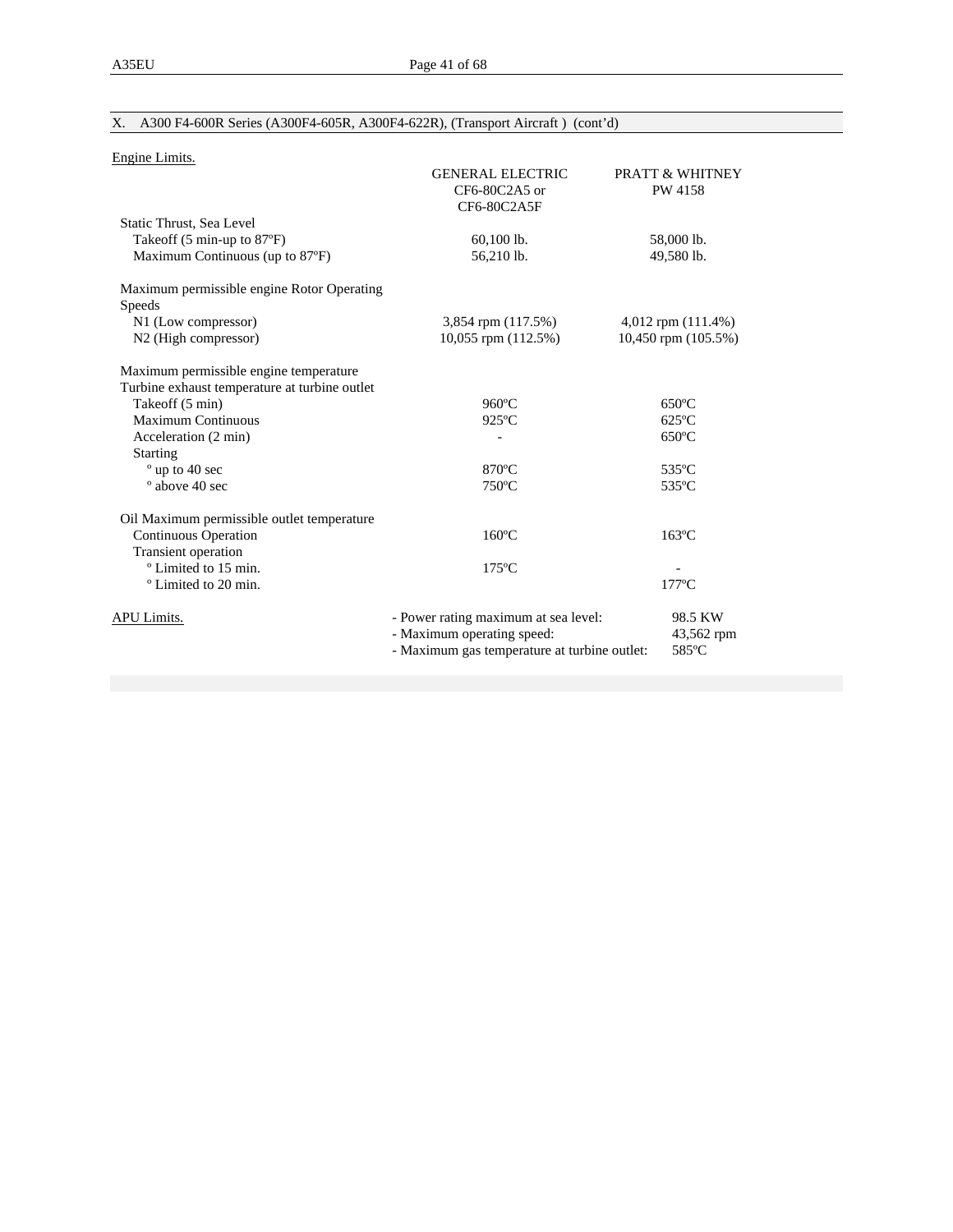# X. A300 F4-600R Series (A300F4-605R, A300F4-622R), (Transport Aircraft ) (cont'd)

| Engine Limits.                                                                          |                                                                                                                    |                                       |
|-----------------------------------------------------------------------------------------|--------------------------------------------------------------------------------------------------------------------|---------------------------------------|
|                                                                                         | <b>GENERAL ELECTRIC</b><br>CF6-80C2A5 or<br>CF6-80C2A5F                                                            | <b>PRATT &amp; WHITNEY</b><br>PW 4158 |
| Static Thrust, Sea Level                                                                |                                                                                                                    |                                       |
| Takeoff $(5 \text{ min-up to } 87^{\circ}F)$                                            | $60,100$ lb.                                                                                                       | 58,000 lb.                            |
| Maximum Continuous (up to 87°F)                                                         | 56,210 lb.                                                                                                         | 49,580 lb.                            |
| Maximum permissible engine Rotor Operating<br>Speeds                                    |                                                                                                                    |                                       |
| N1 (Low compressor)                                                                     | 3,854 rpm (117.5%)                                                                                                 | 4,012 rpm (111.4%)                    |
| N2 (High compressor)                                                                    | $10,055$ rpm $(112.5%)$                                                                                            | 10,450 rpm (105.5%)                   |
| Maximum permissible engine temperature<br>Turbine exhaust temperature at turbine outlet |                                                                                                                    |                                       |
| Takeoff (5 min)                                                                         | $960^{\circ}$ C                                                                                                    | $650^{\circ}$ C                       |
| <b>Maximum Continuous</b>                                                               | $925^{\circ}$ C                                                                                                    | $625^{\circ}$ C                       |
| Acceleration (2 min)                                                                    |                                                                                                                    | $650^{\circ}$ C                       |
| <b>Starting</b>                                                                         |                                                                                                                    |                                       |
| ° up to 40 sec                                                                          | $870^{\circ}$ C                                                                                                    | 535°C                                 |
| $^{\circ}$ above 40 sec                                                                 | $750^{\circ}$ C                                                                                                    | 535°C                                 |
| Oil Maximum permissible outlet temperature                                              |                                                                                                                    |                                       |
| Continuous Operation                                                                    | $160^{\circ}$ C                                                                                                    | $163^{\circ}$ C                       |
| Transient operation                                                                     |                                                                                                                    |                                       |
| <sup>o</sup> Limited to 15 min.                                                         | $175^{\circ}$ C                                                                                                    |                                       |
| <sup>o</sup> Limited to 20 min.                                                         |                                                                                                                    | $177^{\circ}$ C                       |
| APU Limits.                                                                             | - Power rating maximum at sea level:<br>- Maximum operating speed:<br>- Maximum gas temperature at turbine outlet: | 98.5 KW<br>43,562 rpm<br>585°C        |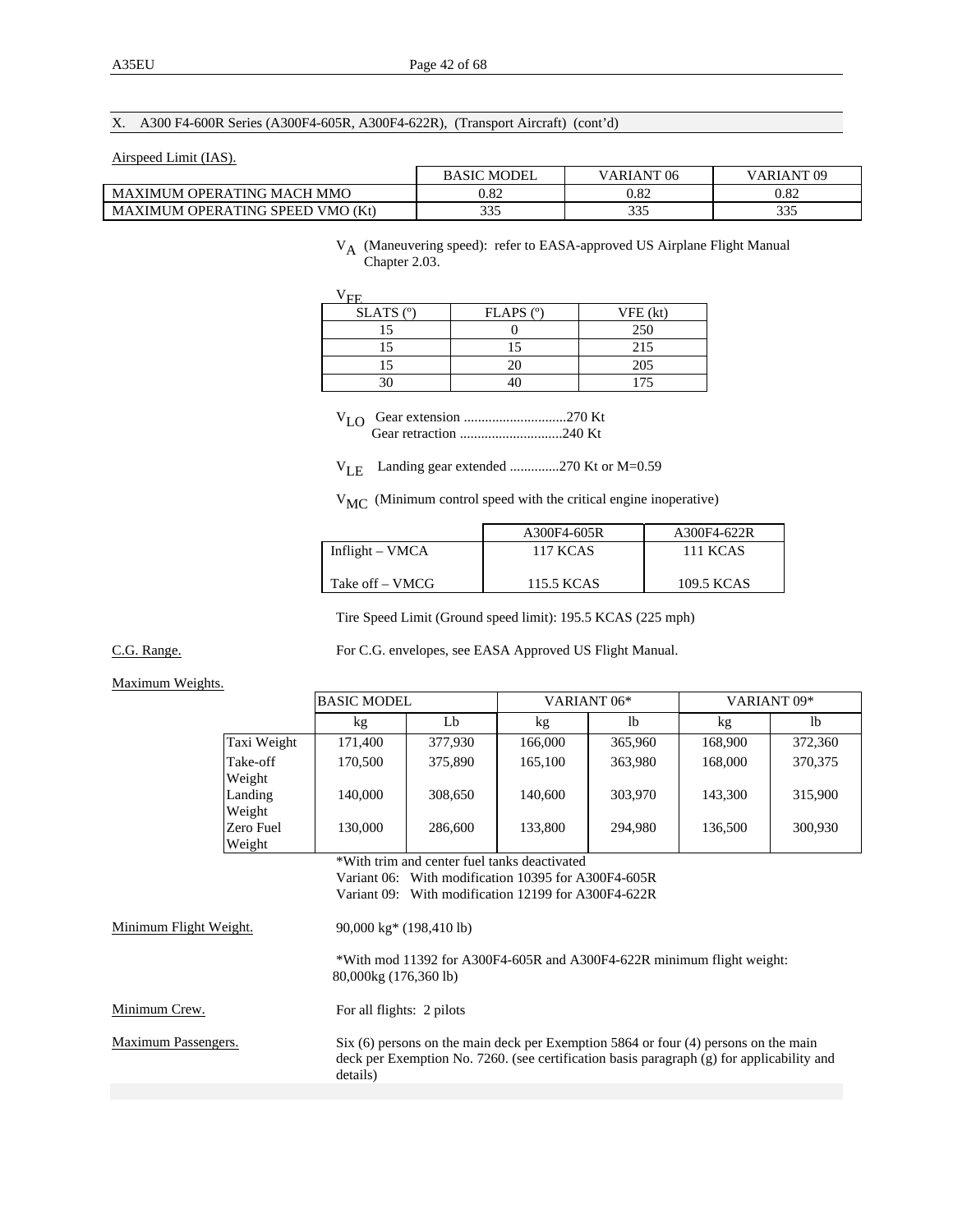#### X. A300 F4-600R Series (A300F4-605R, A300F4-622R), (Transport Aircraft) (cont'd)

#### Airspeed Limit (IAS).

|                                                      | MODEL<br>BASIC | VARIANT <sub>06</sub> | ARIANT 09  |
|------------------------------------------------------|----------------|-----------------------|------------|
| MAXIMUM OPERATING MACH MMO                           | 0.82           | $0.82\,$              | 0.82       |
| <b>MAXIMUM OPERATING SPEED</b><br><b>VMO</b><br>(Kt) | 335            | 225<br>ັບມ            | つつご<br>--- |

#### VA (Maneuvering speed): refer to EASA-approved US Airplane Flight Manual Chapter 2.03.

| EЕ            |           |                          |
|---------------|-----------|--------------------------|
| SLATS $(°)$   | FLAPS (°) | VFE (kt)                 |
|               |           | 250                      |
|               |           | $\sim$ $\pm$             |
|               |           | 205                      |
| $\mathcal{L}$ |           | $\overline{\phantom{a}}$ |

 VLO Gear extension .............................270 Kt Gear retraction .............................240 Kt

VLE Landing gear extended ..............270 Kt or M=0.59

VMC (Minimum control speed with the critical engine inoperative)

|                   | A300F4-605R | A300F4-622R |
|-------------------|-------------|-------------|
| Inflight $-$ VMCA | 117 KCAS    | 111 KCAS    |
|                   |             |             |
| Take off – VMCG   | 115.5 KCAS  | 109.5 KCAS  |

Tire Speed Limit (Ground speed limit): 195.5 KCAS (225 mph)

C.G. Range. For C.G. envelopes, see EASA Approved US Flight Manual.

### Maximum Weights.

|             | <b>BASIC MODEL</b> |         | VARIANT <sub>06</sub> * |         | VARIANT <sub>09*</sub> |         |
|-------------|--------------------|---------|-------------------------|---------|------------------------|---------|
|             | kg                 | Lb      | kg                      | lb      | kg                     | lb      |
| Taxi Weight | 171.400            | 377,930 | 166,000                 | 365,960 | 168,900                | 372,360 |
| Take-off    | 170,500            | 375,890 | 165,100                 | 363,980 | 168,000                | 370,375 |
| Weight      |                    |         |                         |         |                        |         |
| Landing     | 140,000            | 308,650 | 140,600                 | 303,970 | 143,300                | 315,900 |
| Weight      |                    |         |                         |         |                        |         |
| Zero Fuel   | 130,000            | 286,600 | 133,800                 | 294.980 | 136,500                | 300,930 |
| Weight      |                    |         |                         |         |                        |         |

 \*With trim and center fuel tanks deactivated Variant 06: With modification 10395 for A300F4-605R Variant 09: With modification 12199 for A300F4-622R

|                        | <u>, amant 07. - 11. mode mandation 12177 IOI 11.0001 - 022IN</u>                                                                                                                                |
|------------------------|--------------------------------------------------------------------------------------------------------------------------------------------------------------------------------------------------|
| Minimum Flight Weight. | $90,000 \text{ kg}^*$ (198,410 lb)                                                                                                                                                               |
|                        | *With mod 11392 for A300F4-605R and A300F4-622R minimum flight weight:<br>80,000kg (176,360 lb)                                                                                                  |
| Minimum Crew.          | For all flights: 2 pilots                                                                                                                                                                        |
| Maximum Passengers.    | Six $(6)$ persons on the main deck per Exemption 5864 or four $(4)$ persons on the main<br>deck per Exemption No. 7260. (see certification basis paragraph (g) for applicability and<br>details) |
|                        |                                                                                                                                                                                                  |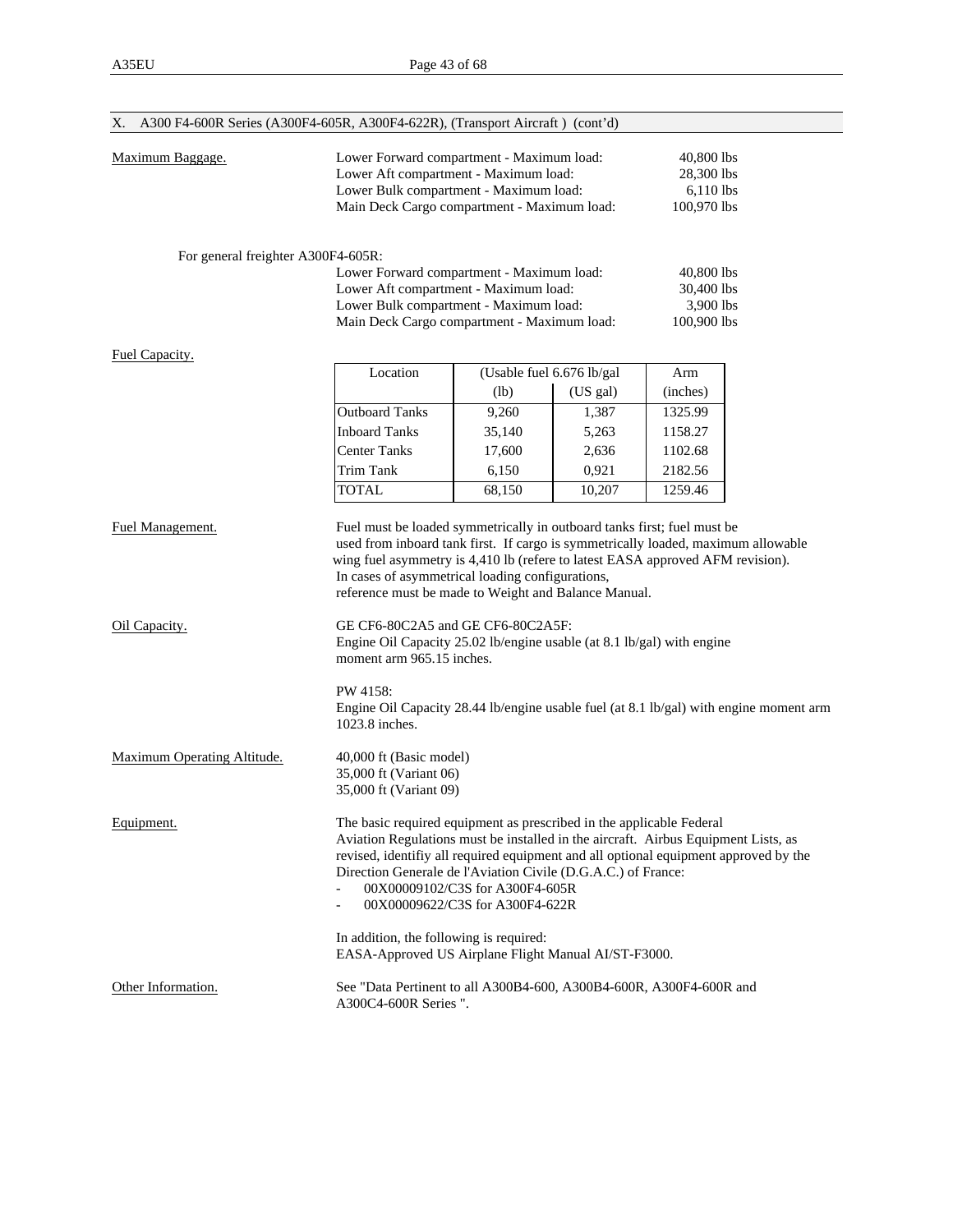| X. A300 F4-600R Series (A300F4-605R, A300F4-622R), (Transport Aircraft) (cont'd) |                                                                                                                                                                                                                                                                                                                                                                                                                                                                                                                                                     |        |                                                        |                                                      |  |
|----------------------------------------------------------------------------------|-----------------------------------------------------------------------------------------------------------------------------------------------------------------------------------------------------------------------------------------------------------------------------------------------------------------------------------------------------------------------------------------------------------------------------------------------------------------------------------------------------------------------------------------------------|--------|--------------------------------------------------------|------------------------------------------------------|--|
| Maximum Baggage.                                                                 | Lower Forward compartment - Maximum load:<br>Lower Aft compartment - Maximum load:<br>Lower Bulk compartment - Maximum load:<br>Main Deck Cargo compartment - Maximum load:                                                                                                                                                                                                                                                                                                                                                                         |        | 40,800 lbs<br>28,300 lbs<br>$6,110$ lbs<br>100,970 lbs |                                                      |  |
| For general freighter A300F4-605R:                                               |                                                                                                                                                                                                                                                                                                                                                                                                                                                                                                                                                     |        |                                                        |                                                      |  |
|                                                                                  | Lower Forward compartment - Maximum load:<br>Lower Aft compartment - Maximum load:<br>Lower Bulk compartment - Maximum load:<br>Main Deck Cargo compartment - Maximum load:                                                                                                                                                                                                                                                                                                                                                                         |        |                                                        | 40,800 lbs<br>30,400 lbs<br>3,900 lbs<br>100,900 lbs |  |
| Fuel Capacity.                                                                   |                                                                                                                                                                                                                                                                                                                                                                                                                                                                                                                                                     |        |                                                        |                                                      |  |
|                                                                                  | Location                                                                                                                                                                                                                                                                                                                                                                                                                                                                                                                                            |        | (Usable fuel 6.676 lb/gal                              | Arm                                                  |  |
|                                                                                  |                                                                                                                                                                                                                                                                                                                                                                                                                                                                                                                                                     | (lb)   | (US gal)                                               | (inches)                                             |  |
|                                                                                  | <b>Outboard Tanks</b>                                                                                                                                                                                                                                                                                                                                                                                                                                                                                                                               | 9,260  | 1,387                                                  | 1325.99                                              |  |
|                                                                                  | <b>Inboard Tanks</b>                                                                                                                                                                                                                                                                                                                                                                                                                                                                                                                                | 35,140 | 5,263                                                  | 1158.27                                              |  |
|                                                                                  | <b>Center Tanks</b>                                                                                                                                                                                                                                                                                                                                                                                                                                                                                                                                 | 17,600 | 2,636                                                  | 1102.68                                              |  |
|                                                                                  | Trim Tank                                                                                                                                                                                                                                                                                                                                                                                                                                                                                                                                           | 6,150  | 0,921                                                  | 2182.56                                              |  |
|                                                                                  | <b>TOTAL</b>                                                                                                                                                                                                                                                                                                                                                                                                                                                                                                                                        | 68,150 | 10,207                                                 | 1259.46                                              |  |
| Oil Capacity.                                                                    | used from inboard tank first. If cargo is symmetrically loaded, maximum allowable<br>wing fuel asymmetry is 4,410 lb (refere to latest EASA approved AFM revision).<br>In cases of asymmetrical loading configurations,<br>reference must be made to Weight and Balance Manual.<br>GE CF6-80C2A5 and GE CF6-80C2A5F:<br>Engine Oil Capacity 25.02 lb/engine usable (at 8.1 lb/gal) with engine<br>moment arm 965.15 inches.<br>PW 4158:<br>Engine Oil Capacity 28.44 lb/engine usable fuel (at 8.1 lb/gal) with engine moment arm<br>1023.8 inches. |        |                                                        |                                                      |  |
| Maximum Operating Altitude.                                                      | 40,000 ft (Basic model)<br>35,000 ft (Variant 06)<br>35,000 ft (Variant 09)                                                                                                                                                                                                                                                                                                                                                                                                                                                                         |        |                                                        |                                                      |  |
| Equipment.                                                                       | The basic required equipment as prescribed in the applicable Federal<br>Aviation Regulations must be installed in the aircraft. Airbus Equipment Lists, as<br>revised, identifiy all required equipment and all optional equipment approved by the<br>Direction Generale de l'Aviation Civile (D.G.A.C.) of France:<br>00X00009102/C3S for A300F4-605R<br>00X00009622/C3S for A300F4-622R<br>In addition, the following is required:                                                                                                                |        |                                                        |                                                      |  |
|                                                                                  | EASA-Approved US Airplane Flight Manual AI/ST-F3000.                                                                                                                                                                                                                                                                                                                                                                                                                                                                                                |        |                                                        |                                                      |  |
| Other Information.                                                               | See "Data Pertinent to all A300B4-600, A300B4-600R, A300F4-600R and<br>A300C4-600R Series ".                                                                                                                                                                                                                                                                                                                                                                                                                                                        |        |                                                        |                                                      |  |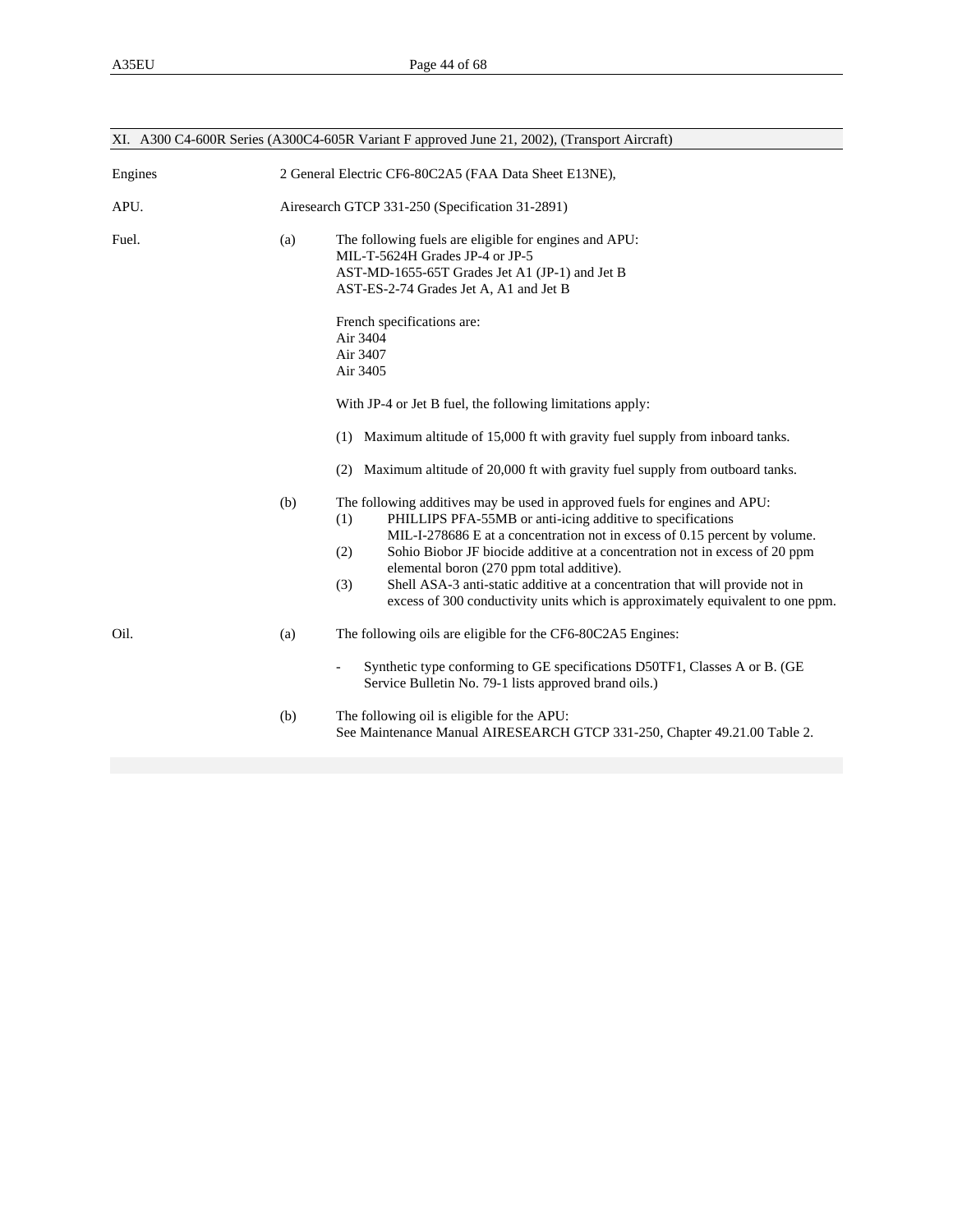|         |                                                       | XI. A300 C4-600R Series (A300C4-605R Variant F approved June 21, 2002), (Transport Aircraft)                                                                                                                                                                                                                                                                                                                                                            |  |
|---------|-------------------------------------------------------|---------------------------------------------------------------------------------------------------------------------------------------------------------------------------------------------------------------------------------------------------------------------------------------------------------------------------------------------------------------------------------------------------------------------------------------------------------|--|
| Engines | 2 General Electric CF6-80C2A5 (FAA Data Sheet E13NE), |                                                                                                                                                                                                                                                                                                                                                                                                                                                         |  |
| APU.    |                                                       | Airesearch GTCP 331-250 (Specification 31-2891)                                                                                                                                                                                                                                                                                                                                                                                                         |  |
| Fuel.   | (a)                                                   | The following fuels are eligible for engines and APU:<br>MIL-T-5624H Grades JP-4 or JP-5<br>AST-MD-1655-65T Grades Jet A1 (JP-1) and Jet B<br>AST-ES-2-74 Grades Jet A, A1 and Jet B                                                                                                                                                                                                                                                                    |  |
|         |                                                       | French specifications are:<br>Air 3404<br>Air 3407<br>Air 3405                                                                                                                                                                                                                                                                                                                                                                                          |  |
|         |                                                       | With JP-4 or Jet B fuel, the following limitations apply:                                                                                                                                                                                                                                                                                                                                                                                               |  |
|         |                                                       | Maximum altitude of 15,000 ft with gravity fuel supply from inboard tanks.<br>(1)                                                                                                                                                                                                                                                                                                                                                                       |  |
|         |                                                       | Maximum altitude of 20,000 ft with gravity fuel supply from outboard tanks.<br>(2)                                                                                                                                                                                                                                                                                                                                                                      |  |
|         | (b)                                                   | The following additives may be used in approved fuels for engines and APU:<br>PHILLIPS PFA-55MB or anti-icing additive to specifications<br>(1)<br>MIL-I-278686 E at a concentration not in excess of 0.15 percent by volume.<br>Sohio Biobor JF biocide additive at a concentration not in excess of 20 ppm<br>(2)<br>elemental boron (270 ppm total additive).<br>Shell ASA-3 anti-static additive at a concentration that will provide not in<br>(3) |  |
|         |                                                       | excess of 300 conductivity units which is approximately equivalent to one ppm.                                                                                                                                                                                                                                                                                                                                                                          |  |
| Oil.    | (a)                                                   | The following oils are eligible for the CF6-80C2A5 Engines:<br>Synthetic type conforming to GE specifications D50TF1, Classes A or B. (GE<br>$\overline{\phantom{a}}$                                                                                                                                                                                                                                                                                   |  |
|         |                                                       | Service Bulletin No. 79-1 lists approved brand oils.)                                                                                                                                                                                                                                                                                                                                                                                                   |  |
|         | (b)                                                   | The following oil is eligible for the APU:<br>See Maintenance Manual AIRESEARCH GTCP 331-250, Chapter 49.21.00 Table 2.                                                                                                                                                                                                                                                                                                                                 |  |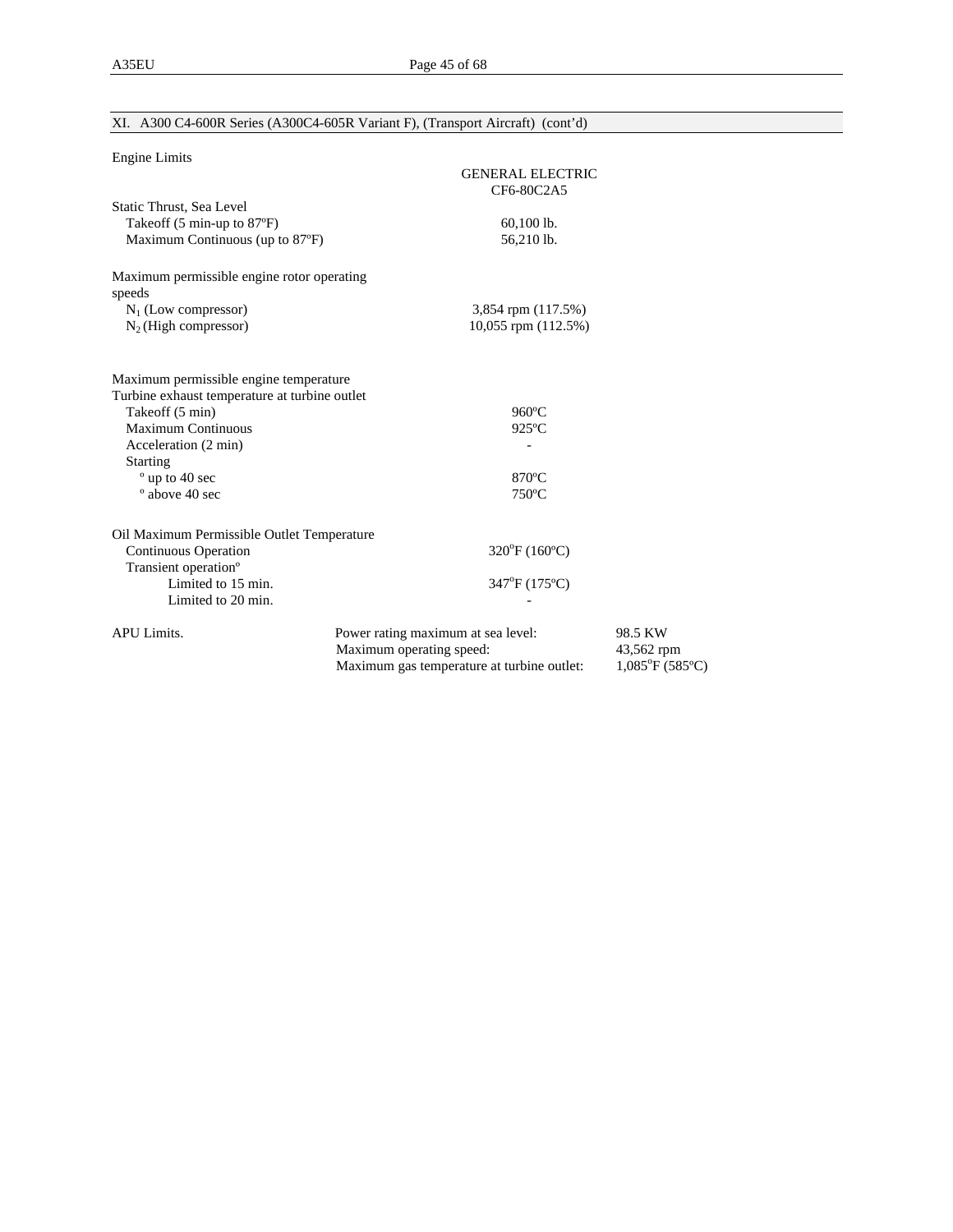| <b>Engine Limits</b>                          |                                            |                                |
|-----------------------------------------------|--------------------------------------------|--------------------------------|
|                                               | <b>GENERAL ELECTRIC</b>                    |                                |
|                                               | CF6-80C2A5                                 |                                |
| Static Thrust, Sea Level                      |                                            |                                |
| Takeoff (5 min-up to 87°F)                    | 60,100 lb.<br>56,210 lb.                   |                                |
| Maximum Continuous (up to 87°F)               |                                            |                                |
| Maximum permissible engine rotor operating    |                                            |                                |
| speeds                                        |                                            |                                |
| $N_1$ (Low compressor)                        | 3,854 rpm (117.5%)                         |                                |
| $N_2$ (High compressor)                       | 10,055 rpm (112.5%)                        |                                |
| Maximum permissible engine temperature        |                                            |                                |
| Turbine exhaust temperature at turbine outlet |                                            |                                |
| Takeoff (5 min)                               | $960^{\circ}$ C                            |                                |
| <b>Maximum Continuous</b>                     | $925^{\circ}$ C                            |                                |
| Acceleration (2 min)                          |                                            |                                |
| <b>Starting</b>                               |                                            |                                |
| ° up to 40 sec                                | $870^{\circ}$ C                            |                                |
| $^{\circ}$ above 40 sec                       | $750^{\circ}$ C                            |                                |
| Oil Maximum Permissible Outlet Temperature    |                                            |                                |
| <b>Continuous Operation</b>                   | 320°F (160°C)                              |                                |
| Transient operation <sup>o</sup>              |                                            |                                |
| Limited to 15 min.                            | 347°F (175°C)                              |                                |
| Limited to 20 min.                            |                                            |                                |
| APU Limits.                                   | Power rating maximum at sea level:         | 98.5 KW                        |
|                                               | Maximum operating speed:                   | 43,562 rpm                     |
|                                               | Maximum gas temperature at turbine outlet: | $1,085^{\circ}F(585^{\circ}C)$ |

# XI. A300 C4-600R Series (A300C4-605R Variant F), (Transport Aircraft) (cont'd)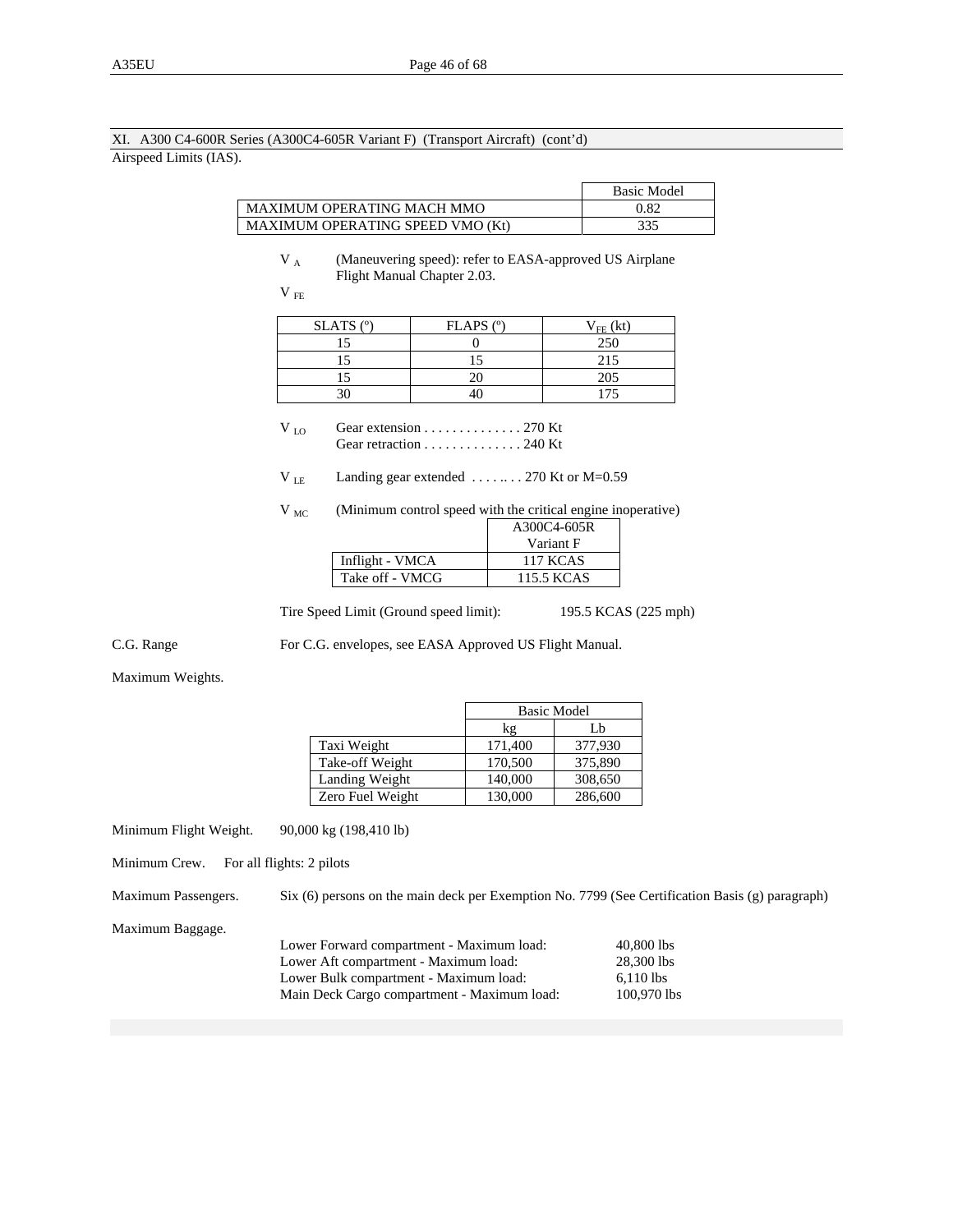## XI. A300 C4-600R Series (A300C4-605R Variant F) (Transport Aircraft) (cont'd) Airspeed Limits (IAS).

|                                  | <b>Basic Model</b> |
|----------------------------------|--------------------|
| MAXIMUM OPERATING MACH MMO       | 0.82               |
| MAXIMUM OPERATING SPEED VMO (Kt) | 335                |

V<sub>A</sub> (Maneuvering speed): refer to EASA-approved US Airplane Flight Manual Chapter 2.03.

| × |  |
|---|--|
|---|--|

| $SLATS$ ( $°$ ) | $FLAPS$ ( $^{\circ}$ ) | $V_{FE}$ (kt) |
|-----------------|------------------------|---------------|
|                 |                        | 250           |
|                 |                        | 215           |
|                 |                        | 205           |
|                 |                        |               |

 $V_{\text{LO}}$  Gear extension . . . . . . . . . . . . . 270 Kt Gear retraction . . . . . . . . . . . . . . 240 Kt

V LE Landing gear extended . . . . .. . . 270 Kt or M=0.59

 $V_{MC}$  (Minimum control speed with the critical engine inoperative)

|                 | A300C4-605R     |
|-----------------|-----------------|
|                 | Variant F       |
| Inflight - VMCA | <b>117 KCAS</b> |
| Take off - VMCG | 115.5 KCAS      |
|                 |                 |

Tire Speed Limit (Ground speed limit): 195.5 KCAS (225 mph)

C.G. Range For C.G. envelopes, see EASA Approved US Flight Manual.

Maximum Weights.

|                  | <b>Basic Model</b> |         |
|------------------|--------------------|---------|
|                  | kg                 | Lb      |
| Taxi Weight      | 171.400            | 377,930 |
| Take-off Weight  | 170,500            | 375,890 |
| Landing Weight   | 140,000            | 308,650 |
| Zero Fuel Weight | 130,000            | 286,600 |

Minimum Flight Weight. 90,000 kg (198,410 lb)

Minimum Crew. For all flights: 2 pilots

Maximum Passengers. Six (6) persons on the main deck per Exemption No. 7799 (See Certification Basis (g) paragraph)

Maximum Baggage.

| Lower Forward compartment - Maximum load:   | 40,800 lbs  |
|---------------------------------------------|-------------|
| Lower Aft compartment - Maximum load:       | 28,300 lbs  |
| Lower Bulk compartment - Maximum load:      | $6.110$ lbs |
| Main Deck Cargo compartment - Maximum load: | 100.970 lbs |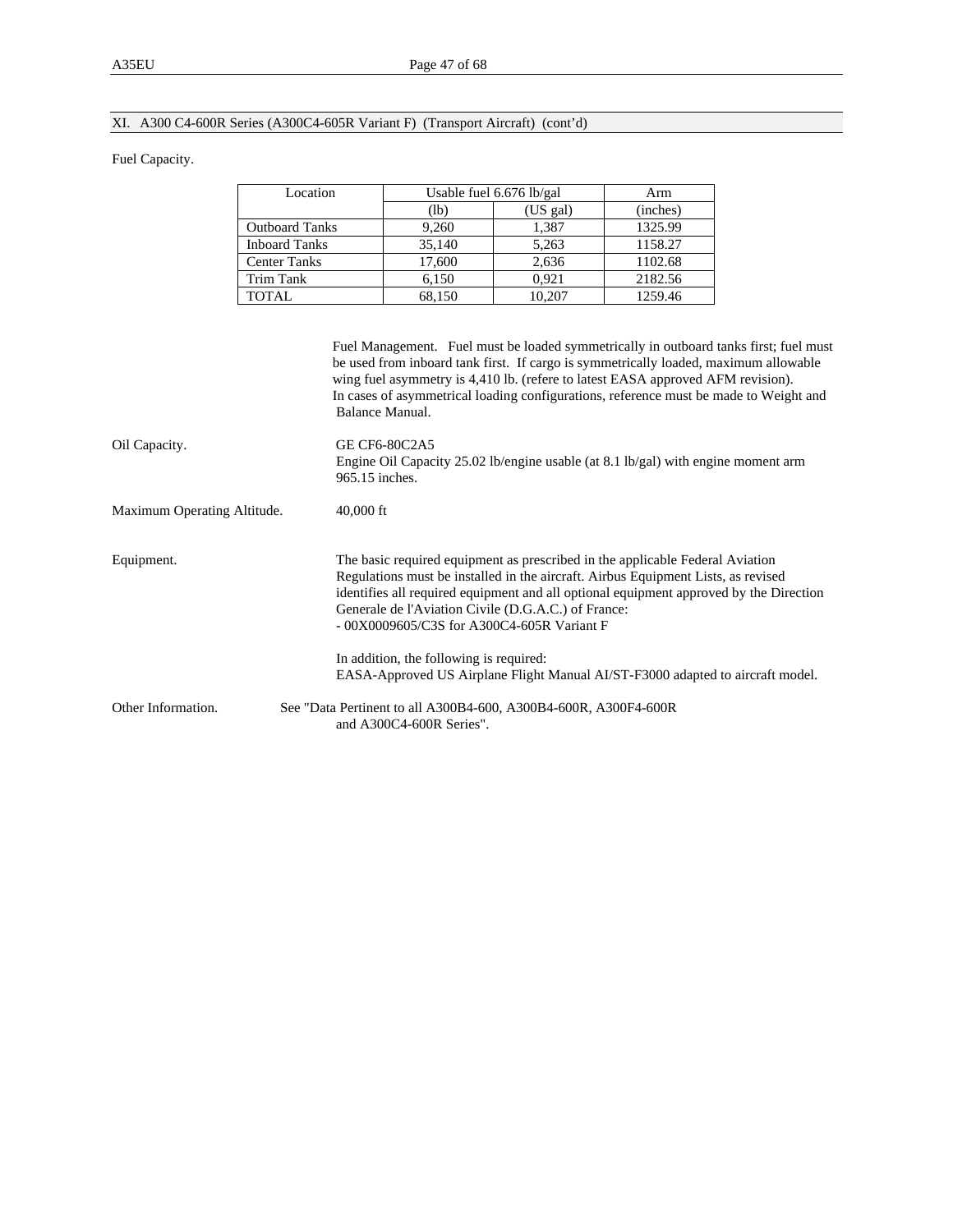#### XI. A300 C4-600R Series (A300C4-605R Variant F) (Transport Aircraft) (cont'd)

#### Fuel Capacity.

| Location              |        | Usable fuel 6.676 lb/gal |          |
|-----------------------|--------|--------------------------|----------|
|                       | (lb`   | (US gal)                 | (inches) |
| <b>Outboard Tanks</b> | 9.260  | 1,387                    | 1325.99  |
| <b>Inboard Tanks</b>  | 35,140 | 5,263                    | 1158.27  |
| <b>Center Tanks</b>   | 17.600 | 2.636                    | 1102.68  |
| Trim Tank             | 6.150  | 0.921                    | 2182.56  |
| TOTAL.                | 68.150 | 10.207                   | 1259.46  |

Fuel Management. Fuel must be loaded symmetrically in outboard tanks first; fuel must be used from inboard tank first. If cargo is symmetrically loaded, maximum allowable wing fuel asymmetry is 4,410 lb. (refere to latest EASA approved AFM revision). In cases of asymmetrical loading configurations, reference must be made to Weight and Balance Manual. Oil Capacity. GE CF6-80C2A5 Engine Oil Capacity 25.02 lb/engine usable (at 8.1 lb/gal) with engine moment arm 965.15 inches. Maximum Operating Altitude. 40,000 ft Equipment. The basic required equipment as prescribed in the applicable Federal Aviation Regulations must be installed in the aircraft. Airbus Equipment Lists, as revised identifies all required equipment and all optional equipment approved by the Direction Generale de l'Aviation Civile (D.G.A.C.) of France: - 00X0009605/C3S for A300C4-605R Variant F In addition, the following is required: EASA-Approved US Airplane Flight Manual AI/ST-F3000 adapted to aircraft model. Other Information. See "Data Pertinent to all A300B4-600, A300B4-600R, A300F4-600R and A300C4-600R Series".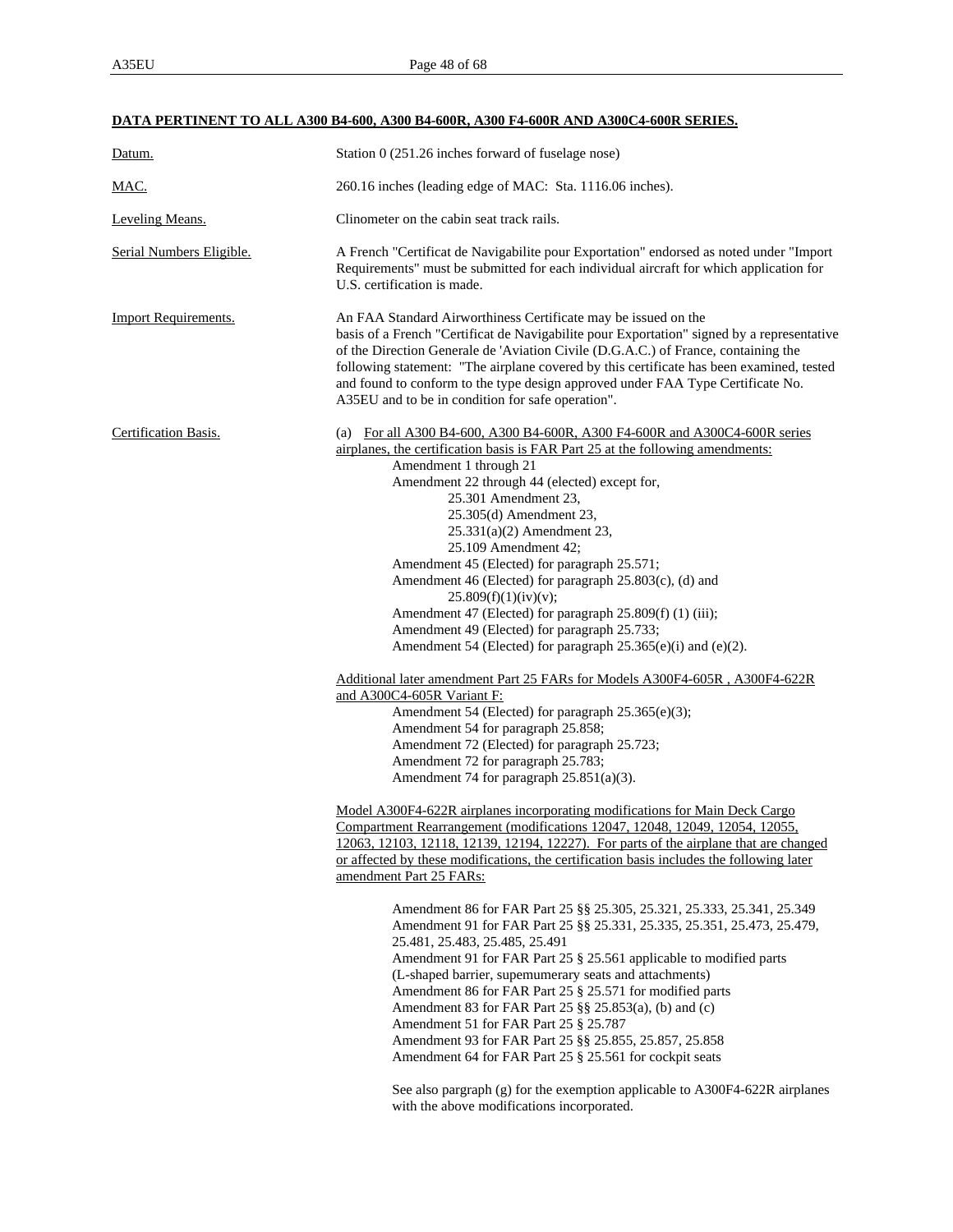# **DATA PERTINENT TO ALL A300 B4-600, A300 B4-600R, A300 F4-600R AND A300C4-600R SERIES.**

| Datum.                      | Station 0 (251.26 inches forward of fuselage nose)                                                                                                                                                                                                                                                                                                                                                                                                                                                                                                                                                                                                                                                                                                                                                                                                                                                                                                                                                                                                                                                                                                                                                                                                                                                                                                                                                                                                                                                                                                                                                                                                                                                                                                                                                                                                                                                                                                                                                                                                                                                                                   |  |  |
|-----------------------------|--------------------------------------------------------------------------------------------------------------------------------------------------------------------------------------------------------------------------------------------------------------------------------------------------------------------------------------------------------------------------------------------------------------------------------------------------------------------------------------------------------------------------------------------------------------------------------------------------------------------------------------------------------------------------------------------------------------------------------------------------------------------------------------------------------------------------------------------------------------------------------------------------------------------------------------------------------------------------------------------------------------------------------------------------------------------------------------------------------------------------------------------------------------------------------------------------------------------------------------------------------------------------------------------------------------------------------------------------------------------------------------------------------------------------------------------------------------------------------------------------------------------------------------------------------------------------------------------------------------------------------------------------------------------------------------------------------------------------------------------------------------------------------------------------------------------------------------------------------------------------------------------------------------------------------------------------------------------------------------------------------------------------------------------------------------------------------------------------------------------------------------|--|--|
| <u>MAC.</u>                 | 260.16 inches (leading edge of MAC: Sta. 1116.06 inches).                                                                                                                                                                                                                                                                                                                                                                                                                                                                                                                                                                                                                                                                                                                                                                                                                                                                                                                                                                                                                                                                                                                                                                                                                                                                                                                                                                                                                                                                                                                                                                                                                                                                                                                                                                                                                                                                                                                                                                                                                                                                            |  |  |
| Leveling Means.             | Clinometer on the cabin seat track rails.                                                                                                                                                                                                                                                                                                                                                                                                                                                                                                                                                                                                                                                                                                                                                                                                                                                                                                                                                                                                                                                                                                                                                                                                                                                                                                                                                                                                                                                                                                                                                                                                                                                                                                                                                                                                                                                                                                                                                                                                                                                                                            |  |  |
| Serial Numbers Eligible.    | A French "Certificat de Navigabilite pour Exportation" endorsed as noted under "Import<br>Requirements" must be submitted for each individual aircraft for which application for<br>U.S. certification is made.                                                                                                                                                                                                                                                                                                                                                                                                                                                                                                                                                                                                                                                                                                                                                                                                                                                                                                                                                                                                                                                                                                                                                                                                                                                                                                                                                                                                                                                                                                                                                                                                                                                                                                                                                                                                                                                                                                                      |  |  |
| <b>Import Requirements.</b> | An FAA Standard Airworthiness Certificate may be issued on the<br>basis of a French "Certificat de Navigabilite pour Exportation" signed by a representative<br>of the Direction Generale de 'Aviation Civile (D.G.A.C.) of France, containing the<br>following statement: "The airplane covered by this certificate has been examined, tested<br>and found to conform to the type design approved under FAA Type Certificate No.<br>A35EU and to be in condition for safe operation".                                                                                                                                                                                                                                                                                                                                                                                                                                                                                                                                                                                                                                                                                                                                                                                                                                                                                                                                                                                                                                                                                                                                                                                                                                                                                                                                                                                                                                                                                                                                                                                                                                               |  |  |
| Certification Basis.        | (a) For all A300 B4-600, A300 B4-600R, A300 F4-600R and A300C4-600R series<br>airplanes, the certification basis is FAR Part 25 at the following amendments:<br>Amendment 1 through 21<br>Amendment 22 through 44 (elected) except for,<br>25.301 Amendment 23,<br>25.305(d) Amendment 23,<br>$25.331(a)(2)$ Amendment 23,<br>25.109 Amendment 42;<br>Amendment 45 (Elected) for paragraph 25.571;<br>Amendment 46 (Elected) for paragraph 25.803(c), (d) and<br>25.809(f)(1)(iv)(v);<br>Amendment 47 (Elected) for paragraph 25.809(f) (1) (iii);<br>Amendment 49 (Elected) for paragraph 25.733;<br>Amendment 54 (Elected) for paragraph 25.365(e)(i) and (e)(2).<br>Additional later amendment Part 25 FARs for Models A300F4-605R, A300F4-622R<br>and A300C4-605R Variant F:<br>Amendment 54 (Elected) for paragraph 25.365(e)(3);<br>Amendment 54 for paragraph 25.858;<br>Amendment 72 (Elected) for paragraph 25.723;<br>Amendment 72 for paragraph 25.783;<br>Amendment 74 for paragraph 25.851(a)(3).<br>Model A300F4-622R airplanes incorporating modifications for Main Deck Cargo<br>Compartment Rearrangement (modifications 12047, 12048, 12049, 12054, 12055,<br>12063, 12103, 12118, 12139, 12194, 12227). For parts of the airplane that are changed<br>or affected by these modifications, the certification basis includes the following later<br>amendment Part 25 FARs:<br>Amendment 86 for FAR Part 25 §§ 25.305, 25.321, 25.333, 25.341, 25.349<br>Amendment 91 for FAR Part 25 §§ 25.331, 25.335, 25.351, 25.473, 25.479,<br>25.481, 25.483, 25.485, 25.491<br>Amendment 91 for FAR Part 25 § 25.561 applicable to modified parts<br>(L-shaped barrier, supemumerary seats and attachments)<br>Amendment 86 for FAR Part 25 § 25.571 for modified parts<br>Amendment 83 for FAR Part 25 §§ 25.853(a), (b) and (c)<br>Amendment 51 for FAR Part 25 § 25.787<br>Amendment 93 for FAR Part 25 §§ 25.855, 25.857, 25.858<br>Amendment 64 for FAR Part 25 § 25.561 for cockpit seats<br>See also pargraph (g) for the exemption applicable to A300F4-622R airplanes<br>with the above modifications incorporated. |  |  |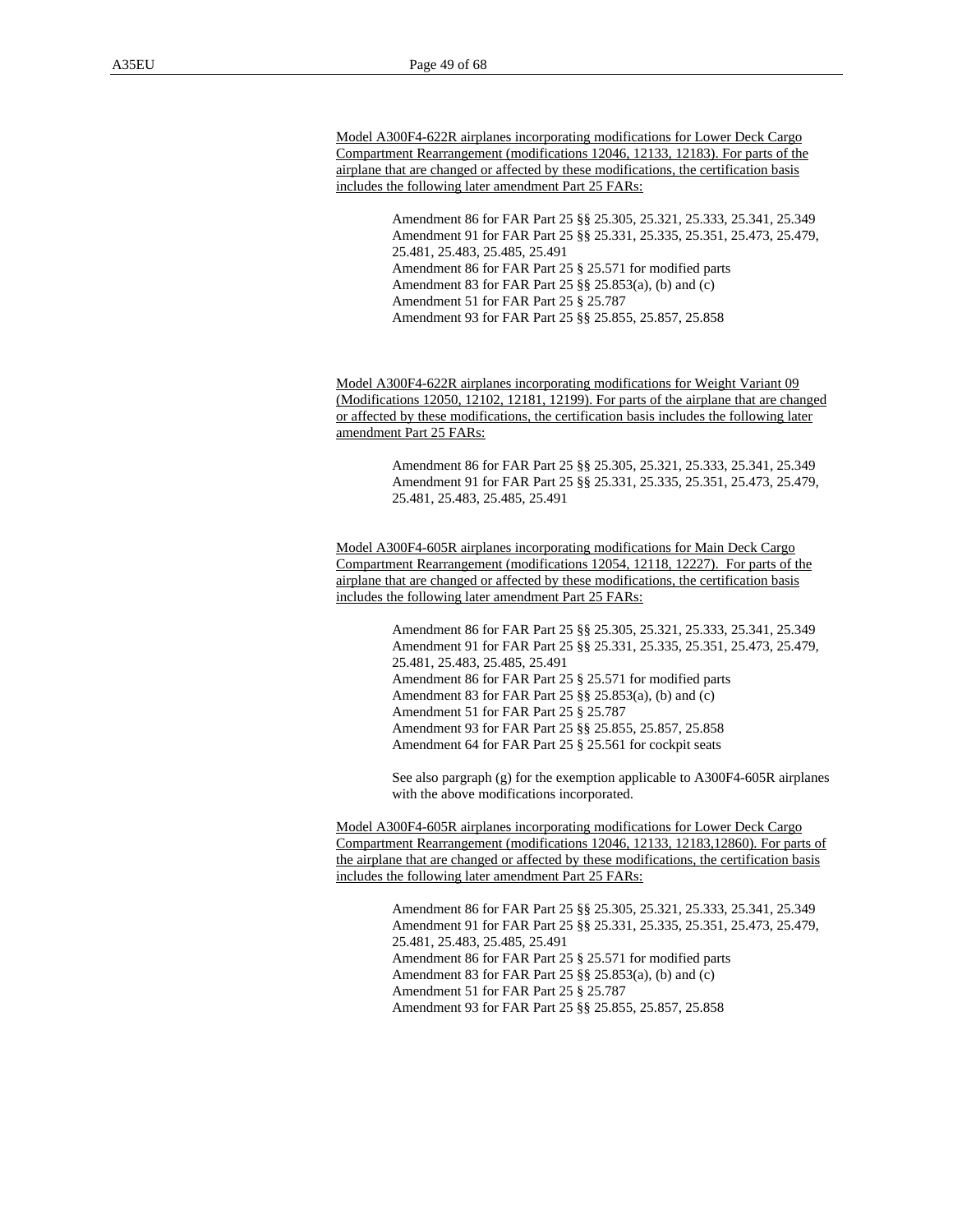Model A300F4-622R airplanes incorporating modifications for Lower Deck Cargo Compartment Rearrangement (modifications 12046, 12133, 12183). For parts of the airplane that are changed or affected by these modifications, the certification basis includes the following later amendment Part 25 FARs:

> Amendment 86 for FAR Part 25 §§ 25.305, 25.321, 25.333, 25.341, 25.349 Amendment 91 for FAR Part 25 §§ 25.331, 25.335, 25.351, 25.473, 25.479, 25.481, 25.483, 25.485, 25.491 Amendment 86 for FAR Part 25 § 25.571 for modified parts Amendment 83 for FAR Part 25 §§ 25.853(a), (b) and (c) Amendment 51 for FAR Part 25 § 25.787 Amendment 93 for FAR Part 25 §§ 25.855, 25.857, 25.858

Model A300F4-622R airplanes incorporating modifications for Weight Variant 09 (Modifications 12050, 12102, 12181, 12199). For parts of the airplane that are changed or affected by these modifications, the certification basis includes the following later amendment Part 25 FARs:

> Amendment 86 for FAR Part 25 §§ 25.305, 25.321, 25.333, 25.341, 25.349 Amendment 91 for FAR Part 25 §§ 25.331, 25.335, 25.351, 25.473, 25.479, 25.481, 25.483, 25.485, 25.491

Model A300F4-605R airplanes incorporating modifications for Main Deck Cargo Compartment Rearrangement (modifications 12054, 12118, 12227). For parts of the airplane that are changed or affected by these modifications, the certification basis includes the following later amendment Part 25 FARs:

> Amendment 86 for FAR Part 25 §§ 25.305, 25.321, 25.333, 25.341, 25.349 Amendment 91 for FAR Part 25 §§ 25.331, 25.335, 25.351, 25.473, 25.479, 25.481, 25.483, 25.485, 25.491 Amendment 86 for FAR Part 25 § 25.571 for modified parts Amendment 83 for FAR Part 25 §§ 25.853(a), (b) and (c) Amendment 51 for FAR Part 25 § 25.787 Amendment 93 for FAR Part 25 §§ 25.855, 25.857, 25.858 Amendment 64 for FAR Part 25 § 25.561 for cockpit seats

See also pargraph (g) for the exemption applicable to A300F4-605R airplanes with the above modifications incorporated.

Model A300F4-605R airplanes incorporating modifications for Lower Deck Cargo Compartment Rearrangement (modifications 12046, 12133, 12183,12860). For parts of the airplane that are changed or affected by these modifications, the certification basis includes the following later amendment Part 25 FARs:

> Amendment 86 for FAR Part 25 §§ 25.305, 25.321, 25.333, 25.341, 25.349 Amendment 91 for FAR Part 25 §§ 25.331, 25.335, 25.351, 25.473, 25.479, 25.481, 25.483, 25.485, 25.491 Amendment 86 for FAR Part 25 § 25.571 for modified parts Amendment 83 for FAR Part 25 §§ 25.853(a), (b) and (c) Amendment 51 for FAR Part 25 § 25.787 Amendment 93 for FAR Part 25 §§ 25.855, 25.857, 25.858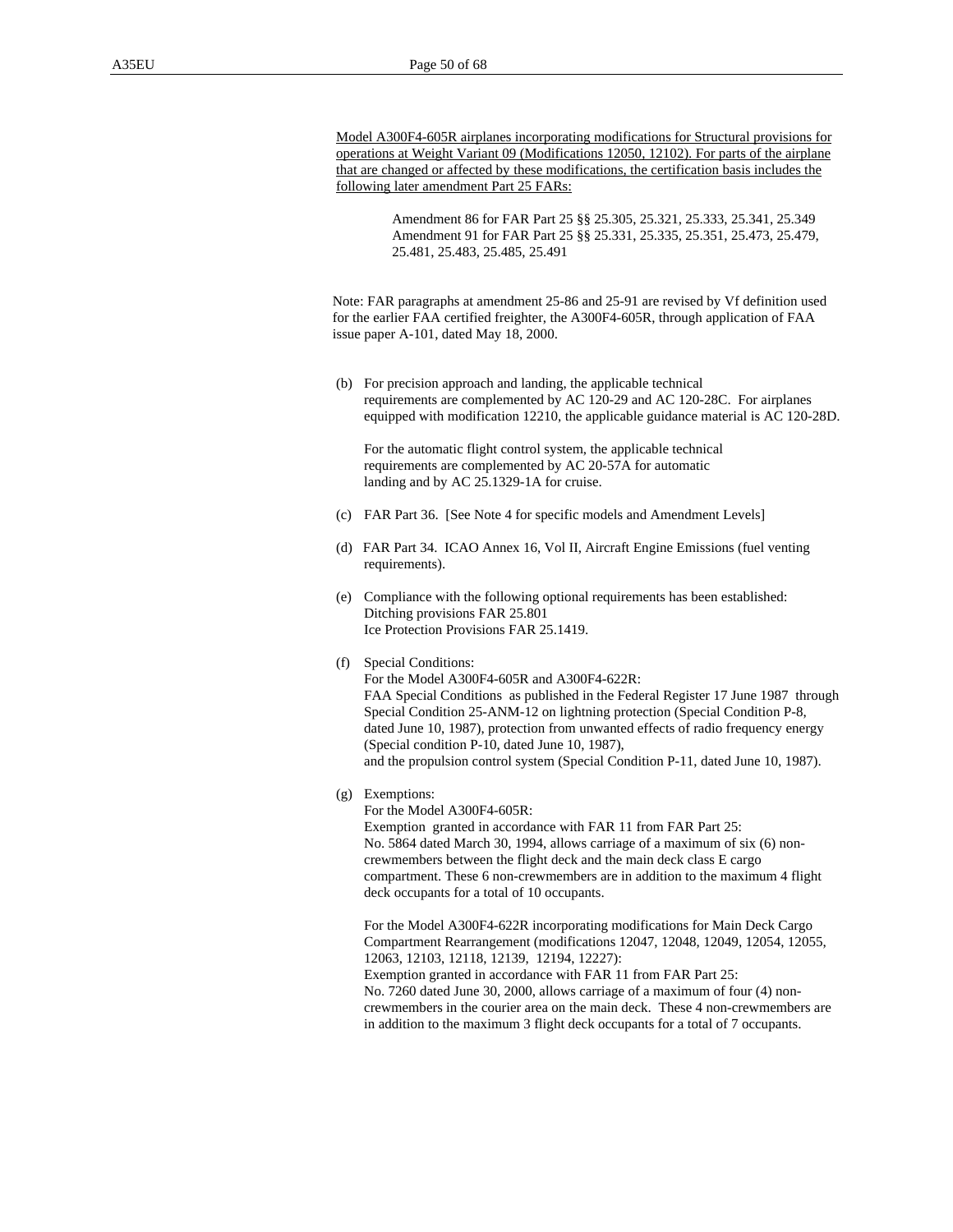Model A300F4-605R airplanes incorporating modifications for Structural provisions for operations at Weight Variant 09 (Modifications 12050, 12102). For parts of the airplane that are changed or affected by these modifications, the certification basis includes the following later amendment Part 25 FARs:

> Amendment 86 for FAR Part 25 §§ 25.305, 25.321, 25.333, 25.341, 25.349 Amendment 91 for FAR Part 25 §§ 25.331, 25.335, 25.351, 25.473, 25.479, 25.481, 25.483, 25.485, 25.491

Note: FAR paragraphs at amendment 25-86 and 25-91 are revised by Vf definition used for the earlier FAA certified freighter, the A300F4-605R, through application of FAA issue paper A-101, dated May 18, 2000.

 (b) For precision approach and landing, the applicable technical requirements are complemented by AC 120-29 and AC 120-28C. For airplanes equipped with modification 12210, the applicable guidance material is AC 120-28D.

 For the automatic flight control system, the applicable technical requirements are complemented by AC 20-57A for automatic landing and by AC 25.1329-1A for cruise.

- (c) FAR Part 36. [See Note 4 for specific models and Amendment Levels]
- (d) FAR Part 34. ICAO Annex 16, Vol II, Aircraft Engine Emissions (fuel venting requirements).
- (e) Compliance with the following optional requirements has been established: Ditching provisions FAR 25.801 Ice Protection Provisions FAR 25.1419.
- (f) Special Conditions:

 For the Model A300F4-605R and A300F4-622R: FAA Special Conditions as published in the Federal Register 17 June 1987 through Special Condition 25-ANM-12 on lightning protection (Special Condition P-8, dated June 10, 1987), protection from unwanted effects of radio frequency energy (Special condition P-10, dated June 10, 1987), and the propulsion control system (Special Condition P-11, dated June 10, 1987).

(g) Exemptions:

For the Model A300F4-605R:

Exemption granted in accordance with FAR 11 from FAR Part 25: No. 5864 dated March 30, 1994, allows carriage of a maximum of six (6) noncrewmembers between the flight deck and the main deck class E cargo compartment. These 6 non-crewmembers are in addition to the maximum 4 flight deck occupants for a total of 10 occupants.

For the Model A300F4-622R incorporating modifications for Main Deck Cargo Compartment Rearrangement (modifications 12047, 12048, 12049, 12054, 12055, 12063, 12103, 12118, 12139, 12194, 12227): Exemption granted in accordance with FAR 11 from FAR Part 25: No. 7260 dated June 30, 2000, allows carriage of a maximum of four (4) noncrewmembers in the courier area on the main deck. These 4 non-crewmembers are in addition to the maximum 3 flight deck occupants for a total of 7 occupants.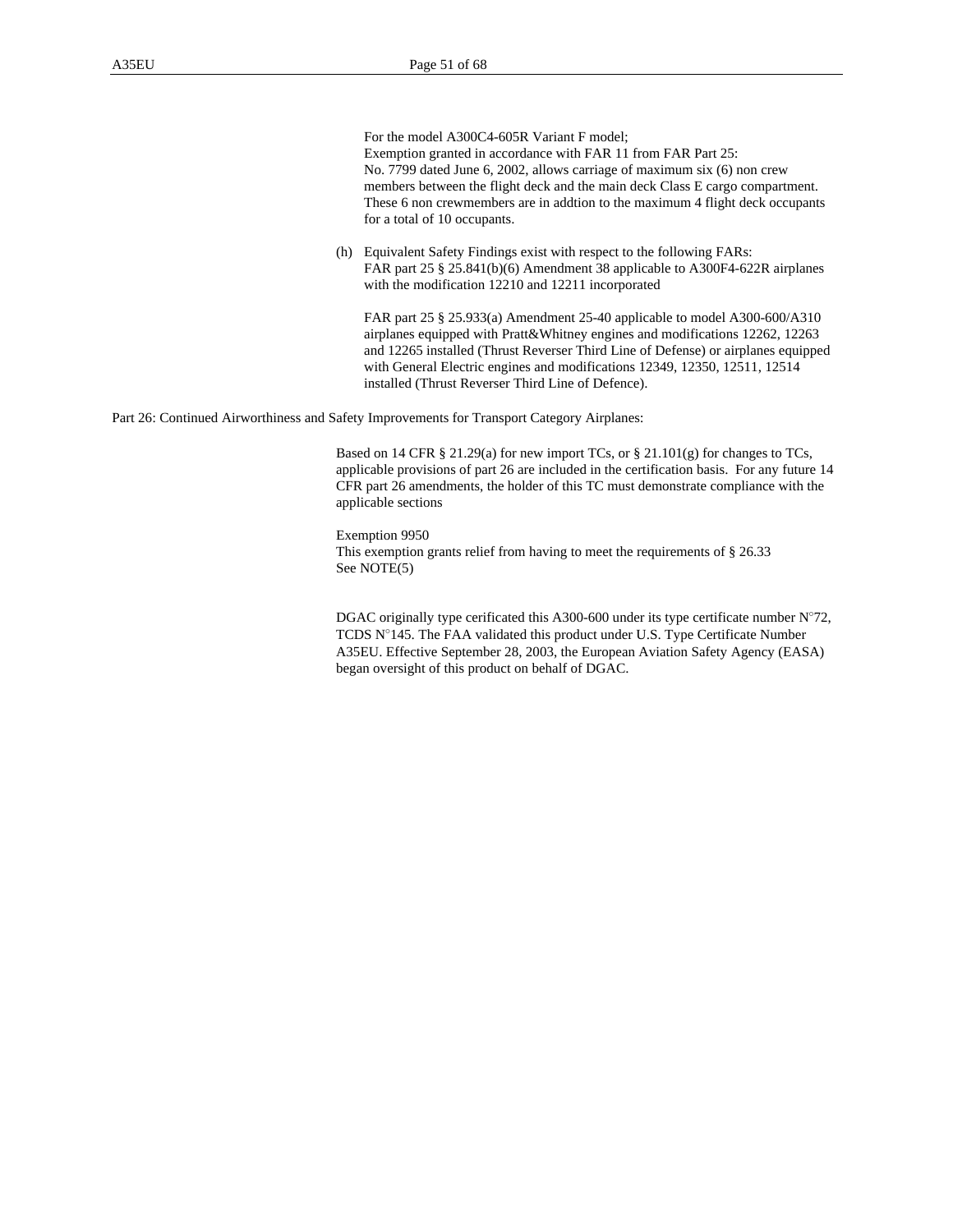#### For the model A300C4-605R Variant F model; Exemption granted in accordance with FAR 11 from FAR Part 25: No. 7799 dated June 6, 2002, allows carriage of maximum six (6) non crew

members between the flight deck and the main deck Class E cargo compartment. These 6 non crewmembers are in addtion to the maximum 4 flight deck occupants for a total of 10 occupants.

(h) Equivalent Safety Findings exist with respect to the following FARs: FAR part 25 § 25.841(b)(6) Amendment 38 applicable to A300F4-622R airplanes with the modification 12210 and 12211 incorporated

FAR part 25 § 25.933(a) Amendment 25-40 applicable to model A300-600/A310 airplanes equipped with Pratt&Whitney engines and modifications 12262, 12263 and 12265 installed (Thrust Reverser Third Line of Defense) or airplanes equipped with General Electric engines and modifications 12349, 12350, 12511, 12514 installed (Thrust Reverser Third Line of Defence).

Part 26: Continued Airworthiness and Safety Improvements for Transport Category Airplanes:

Based on 14 CFR § 21.29(a) for new import TCs, or § 21.101(g) for changes to TCs, applicable provisions of part 26 are included in the certification basis. For any future 14 CFR part 26 amendments, the holder of this TC must demonstrate compliance with the applicable sections

Exemption 9950 This exemption grants relief from having to meet the requirements of § 26.33 See NOTE(5)

DGAC originally type cerificated this A300-600 under its type certificate number N°72, TCDS N°145. The FAA validated this product under U.S. Type Certificate Number A35EU. Effective September 28, 2003, the European Aviation Safety Agency (EASA) began oversight of this product on behalf of DGAC.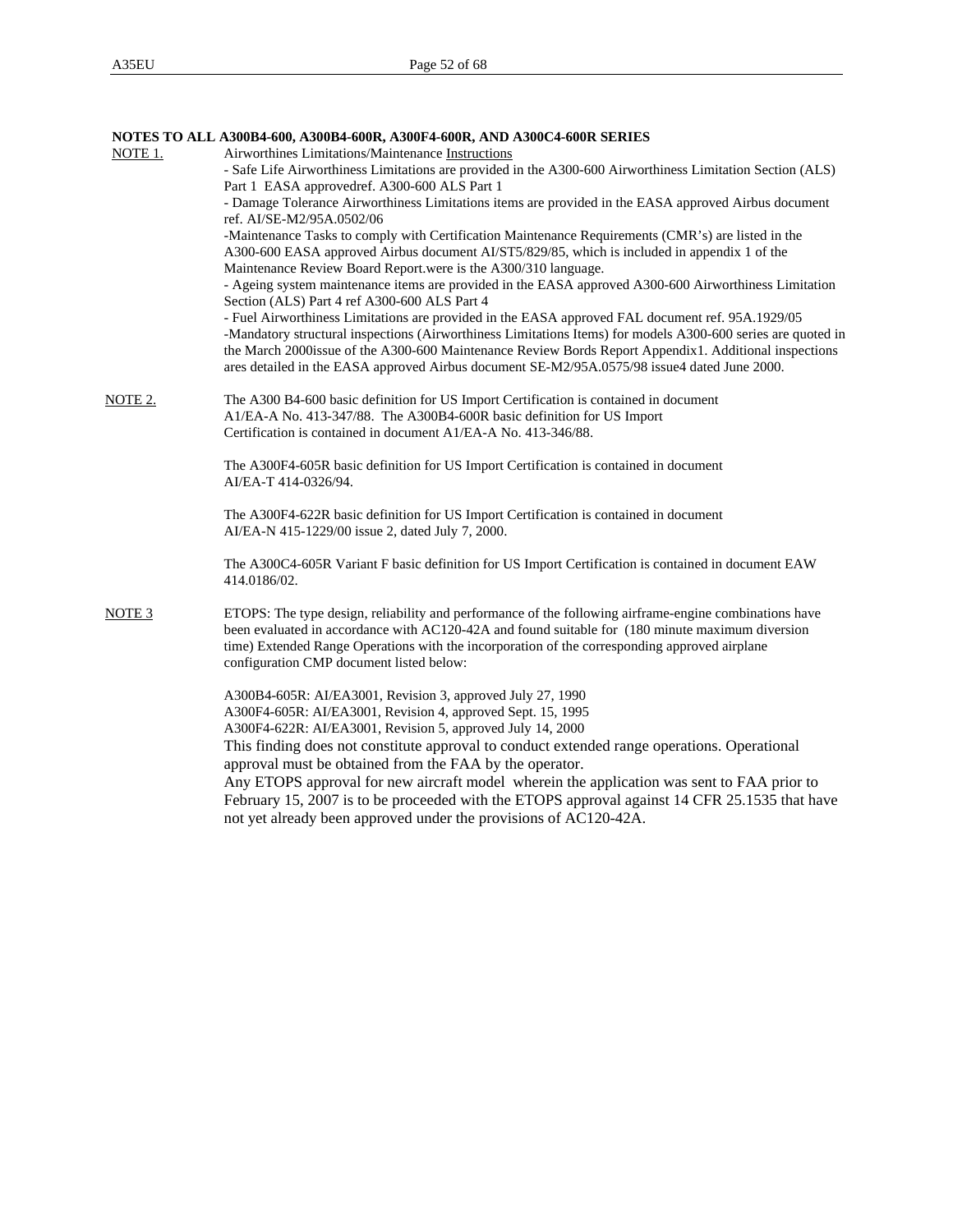|                   | NOTES TO ALL A300B4-600, A300B4-600R, A300F4-600R, AND A300C4-600R SERIES                                                                                                                                                                                                                                                                                                                                                 |
|-------------------|---------------------------------------------------------------------------------------------------------------------------------------------------------------------------------------------------------------------------------------------------------------------------------------------------------------------------------------------------------------------------------------------------------------------------|
| NOTE 1.           | Airworthines Limitations/Maintenance Instructions                                                                                                                                                                                                                                                                                                                                                                         |
|                   | - Safe Life Airworthiness Limitations are provided in the A300-600 Airworthiness Limitation Section (ALS)                                                                                                                                                                                                                                                                                                                 |
|                   | Part 1 EASA approvedref. A300-600 ALS Part 1                                                                                                                                                                                                                                                                                                                                                                              |
|                   | - Damage Tolerance Airworthiness Limitations items are provided in the EASA approved Airbus document<br>ref. AI/SE-M2/95A.0502/06                                                                                                                                                                                                                                                                                         |
|                   | -Maintenance Tasks to comply with Certification Maintenance Requirements (CMR's) are listed in the<br>A300-600 EASA approved Airbus document AI/ST5/829/85, which is included in appendix 1 of the<br>Maintenance Review Board Report.were is the A300/310 language.                                                                                                                                                      |
|                   | - Ageing system maintenance items are provided in the EASA approved A300-600 Airworthiness Limitation<br>Section (ALS) Part 4 ref A300-600 ALS Part 4                                                                                                                                                                                                                                                                     |
|                   | - Fuel Airworthiness Limitations are provided in the EASA approved FAL document ref. 95A.1929/05<br>-Mandatory structural inspections (Airworthiness Limitations Items) for models A300-600 series are quoted in<br>the March 2000issue of the A300-600 Maintenance Review Bords Report Appendix1. Additional inspections<br>ares detailed in the EASA approved Airbus document SE-M2/95A.0575/98 issue4 dated June 2000. |
| NOTE 2.           | The A300 B4-600 basic definition for US Import Certification is contained in document<br>A1/EA-A No. 413-347/88. The A300B4-600R basic definition for US Import                                                                                                                                                                                                                                                           |
|                   | Certification is contained in document A1/EA-A No. 413-346/88.                                                                                                                                                                                                                                                                                                                                                            |
|                   | The A300F4-605R basic definition for US Import Certification is contained in document<br>AI/EA-T 414-0326/94.                                                                                                                                                                                                                                                                                                             |
|                   | The A300F4-622R basic definition for US Import Certification is contained in document<br>AI/EA-N 415-1229/00 issue 2, dated July 7, 2000.                                                                                                                                                                                                                                                                                 |
|                   | The A300C4-605R Variant F basic definition for US Import Certification is contained in document EAW<br>414.0186/02.                                                                                                                                                                                                                                                                                                       |
| NOTE <sub>3</sub> | ETOPS: The type design, reliability and performance of the following airframe-engine combinations have<br>been evaluated in accordance with AC120-42A and found suitable for (180 minute maximum diversion<br>time) Extended Range Operations with the incorporation of the corresponding approved airplane<br>configuration CMP document listed below:                                                                   |
|                   | A300B4-605R: AI/EA3001, Revision 3, approved July 27, 1990<br>A300F4-605R: AI/EA3001, Revision 4, approved Sept. 15, 1995<br>A300F4-622R: AI/EA3001, Revision 5, approved July 14, 2000                                                                                                                                                                                                                                   |
|                   | This finding does not constitute approval to conduct extended range operations. Operational<br>approval must be obtained from the FAA by the operator.                                                                                                                                                                                                                                                                    |
|                   | Any ETOPS approval for new aircraft model wherein the application was sent to FAA prior to<br>February 15, 2007 is to be proceeded with the ETOPS approval against 14 CFR 25.1535 that have<br>not yet already been approved under the provisions of AC120-42A.                                                                                                                                                           |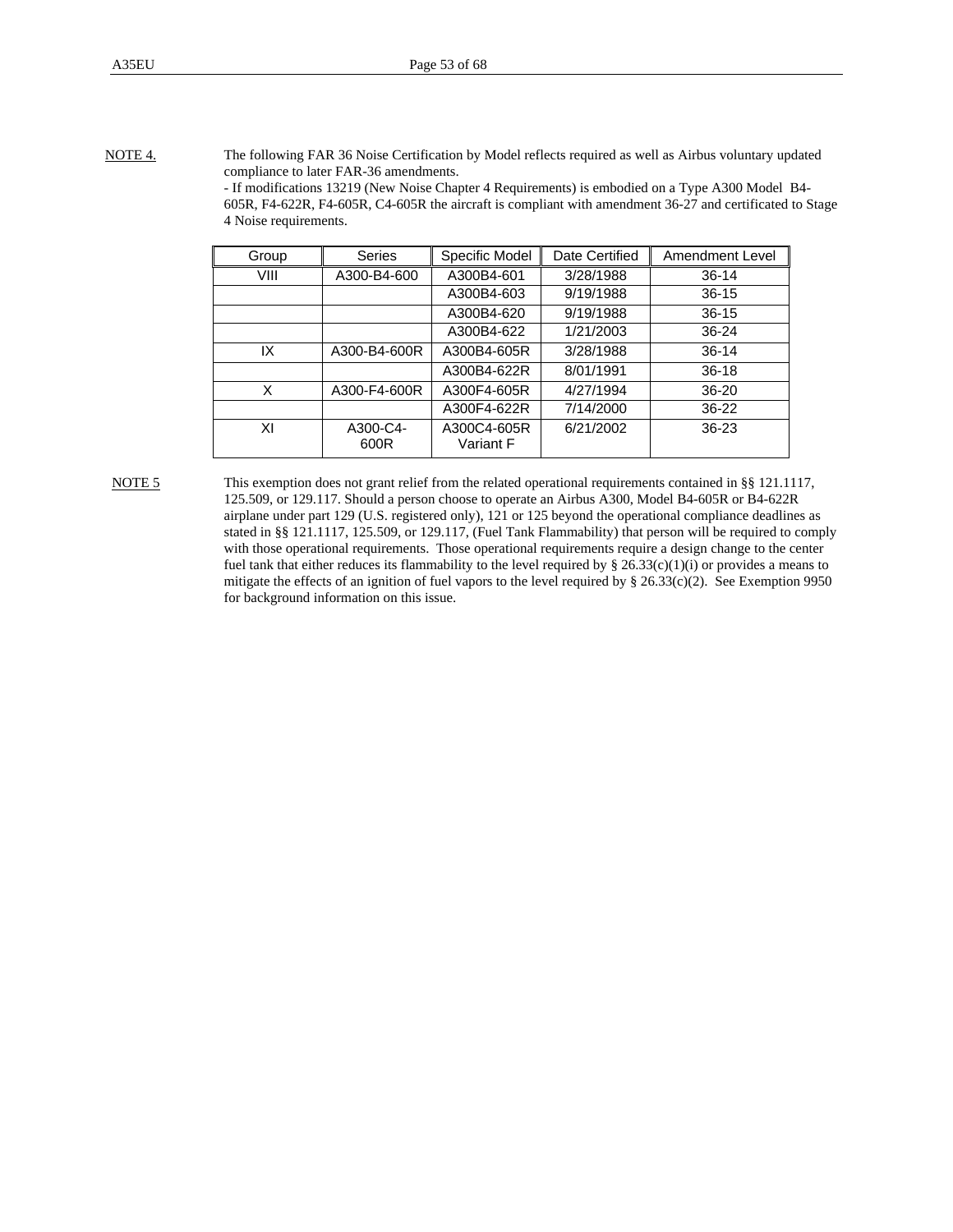NOTE 4. The following FAR 36 Noise Certification by Model reflects required as well as Airbus voluntary updated compliance to later FAR-36 amendments. - If modifications 13219 (New Noise Chapter 4 Requirements) is embodied on a Type A300 Model B4-

605R, F4-622R, F4-605R, C4-605R the aircraft is compliant with amendment 36-27 and certificated to Stage 4 Noise requirements.

| Group | <b>Series</b>    | Specific Model           | Date Certified | Amendment Level |
|-------|------------------|--------------------------|----------------|-----------------|
| VIII  | A300-B4-600      | A300B4-601               | 3/28/1988      | $36 - 14$       |
|       |                  | A300B4-603               | 9/19/1988      | $36 - 15$       |
|       |                  | A300B4-620               | 9/19/1988      | $36 - 15$       |
|       |                  | A300B4-622               | 1/21/2003      | 36-24           |
| IX    | A300-B4-600R     | A300B4-605R              | 3/28/1988      | $36 - 14$       |
|       |                  | A300B4-622R              | 8/01/1991      | $36 - 18$       |
| X     | A300-F4-600R     | A300F4-605R              | 4/27/1994      | 36-20           |
|       |                  | A300F4-622R              | 7/14/2000      | $36-22$         |
| ΧI    | A300-C4-<br>600R | A300C4-605R<br>Variant F | 6/21/2002      | $36 - 23$       |

NOTE 5 This exemption does not grant relief from the related operational requirements contained in §§ 121.1117, 125.509, or 129.117. Should a person choose to operate an Airbus A300, Model B4-605R or B4-622R airplane under part 129 (U.S. registered only), 121 or 125 beyond the operational compliance deadlines as stated in §§ 121.1117, 125.509, or 129.117, (Fuel Tank Flammability) that person will be required to comply with those operational requirements. Those operational requirements require a design change to the center fuel tank that either reduces its flammability to the level required by  $\S 26.33(c)(1)(i)$  or provides a means to mitigate the effects of an ignition of fuel vapors to the level required by § 26.33(c)(2). See Exemption 9950 for background information on this issue.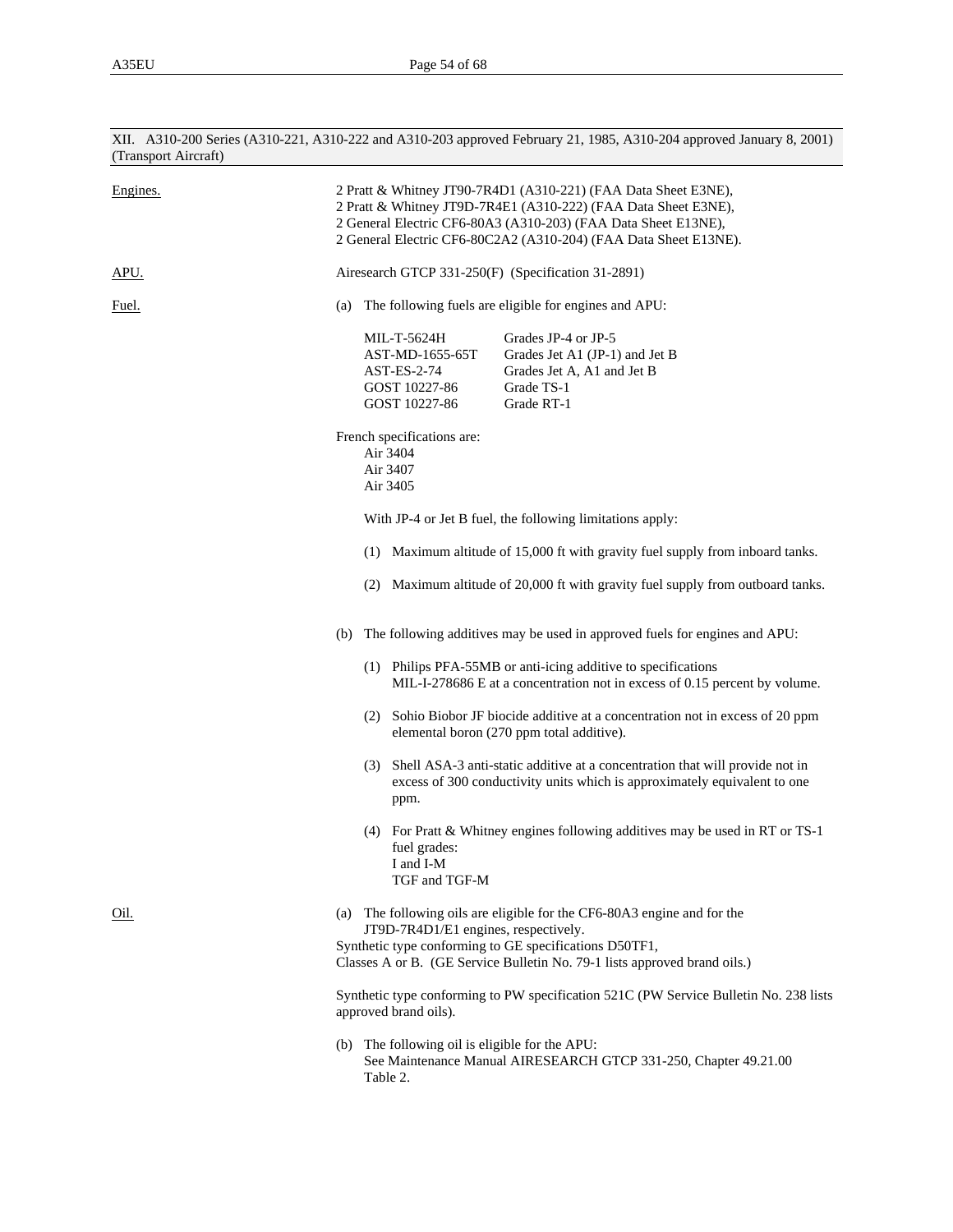| (Transport Aircraft) | XII. A310-200 Series (A310-221, A310-222 and A310-203 approved February 21, 1985, A310-204 approved January 8, 2001)                                                                                                                                                   |  |  |
|----------------------|------------------------------------------------------------------------------------------------------------------------------------------------------------------------------------------------------------------------------------------------------------------------|--|--|
| Engines.             | 2 Pratt & Whitney JT90-7R4D1 (A310-221) (FAA Data Sheet E3NE),<br>2 Pratt & Whitney JT9D-7R4E1 (A310-222) (FAA Data Sheet E3NE),<br>2 General Electric CF6-80A3 (A310-203) (FAA Data Sheet E13NE),<br>2 General Electric CF6-80C2A2 (A310-204) (FAA Data Sheet E13NE). |  |  |
| APU.                 | Airesearch GTCP 331-250(F) (Specification 31-2891)                                                                                                                                                                                                                     |  |  |
| Fuel.                | The following fuels are eligible for engines and APU:<br>(a)                                                                                                                                                                                                           |  |  |
|                      | MIL-T-5624H<br>Grades JP-4 or JP-5<br>Grades Jet A1 (JP-1) and Jet B<br>AST-MD-1655-65T<br>AST-ES-2-74<br>Grades Jet A, A1 and Jet B<br>Grade TS-1<br>GOST 10227-86<br>GOST 10227-86<br>Grade RT-1                                                                     |  |  |
|                      | French specifications are:<br>Air 3404<br>Air 3407<br>Air 3405                                                                                                                                                                                                         |  |  |
|                      | With JP-4 or Jet B fuel, the following limitations apply:                                                                                                                                                                                                              |  |  |
|                      | (1) Maximum altitude of 15,000 ft with gravity fuel supply from inboard tanks.                                                                                                                                                                                         |  |  |
|                      | (2) Maximum altitude of 20,000 ft with gravity fuel supply from outboard tanks.                                                                                                                                                                                        |  |  |
|                      | The following additives may be used in approved fuels for engines and APU:<br>(b)                                                                                                                                                                                      |  |  |
|                      | (1) Philips PFA-55MB or anti-icing additive to specifications<br>MIL-I-278686 E at a concentration not in excess of 0.15 percent by volume.                                                                                                                            |  |  |
|                      | (2) Sohio Biobor JF biocide additive at a concentration not in excess of 20 ppm<br>elemental boron (270 ppm total additive).                                                                                                                                           |  |  |
|                      | (3) Shell ASA-3 anti-static additive at a concentration that will provide not in<br>excess of 300 conductivity units which is approximately equivalent to one<br>ppm.                                                                                                  |  |  |
|                      | (4) For Pratt & Whitney engines following additives may be used in RT or TS-1<br>fuel grades:<br>I and I-M<br>TGF and TGF-M                                                                                                                                            |  |  |
| <u>Oil.</u>          | The following oils are eligible for the CF6-80A3 engine and for the<br>(a)<br>JT9D-7R4D1/E1 engines, respectively.<br>Synthetic type conforming to GE specifications D50TF1,<br>Classes A or B. (GE Service Bulletin No. 79-1 lists approved brand oils.)              |  |  |
|                      | Synthetic type conforming to PW specification 521C (PW Service Bulletin No. 238 lists<br>approved brand oils).                                                                                                                                                         |  |  |
|                      | (b) The following oil is eligible for the APU:<br>See Maintenance Manual AIRESEARCH GTCP 331-250, Chapter 49.21.00<br>Table 2.                                                                                                                                         |  |  |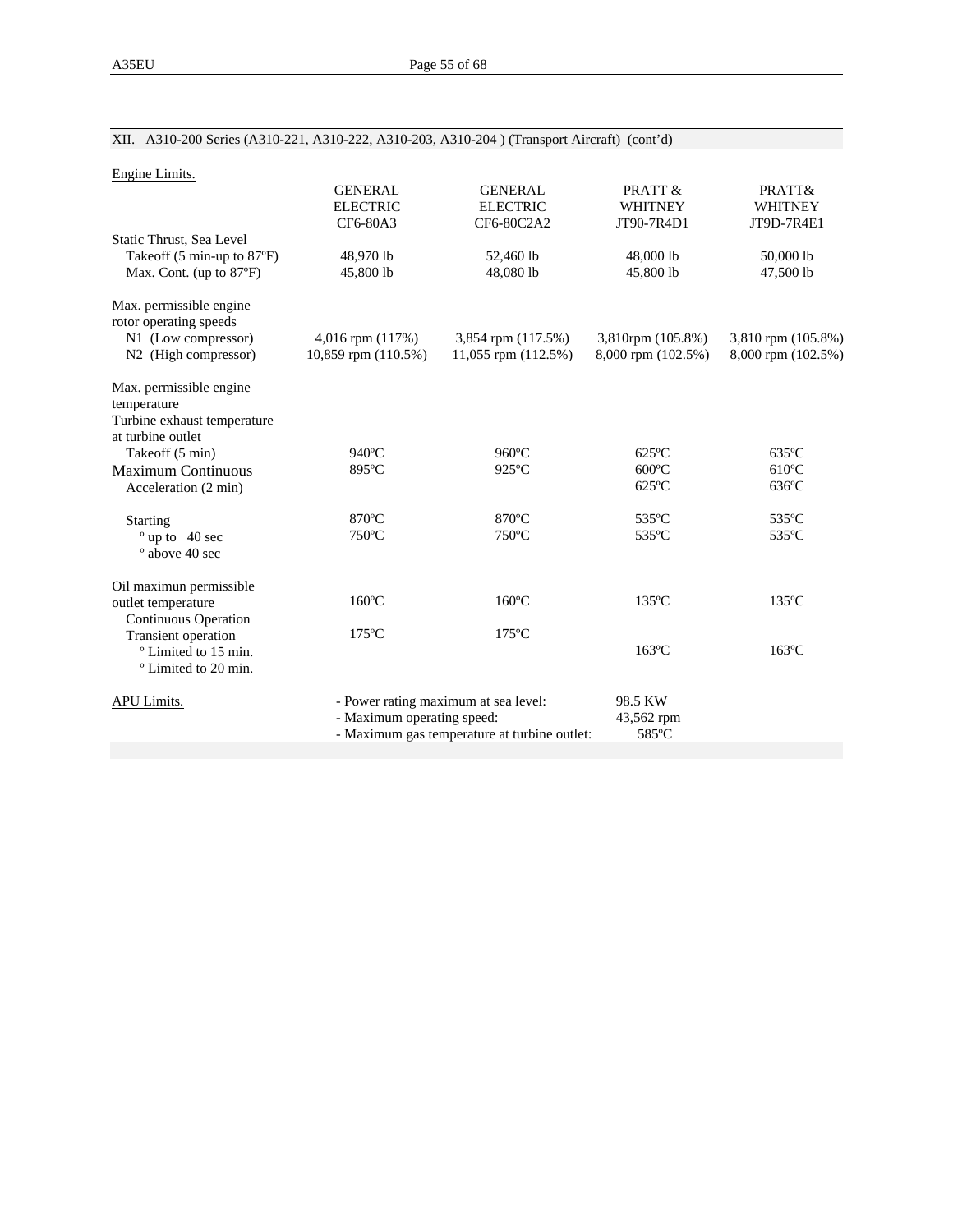| Engine Limits.                                                                             |                                                                                                                    |                                   |                                    |                             |
|--------------------------------------------------------------------------------------------|--------------------------------------------------------------------------------------------------------------------|-----------------------------------|------------------------------------|-----------------------------|
|                                                                                            | <b>GENERAL</b><br><b>ELECTRIC</b>                                                                                  | <b>GENERAL</b><br><b>ELECTRIC</b> | PRATT &<br><b>WHITNEY</b>          | PRATT&<br><b>WHITNEY</b>    |
|                                                                                            | CF6-80A3                                                                                                           | CF6-80C2A2                        | JT90-7R4D1                         | JT9D-7R4E1                  |
| Static Thrust, Sea Level<br>Takeoff (5 min-up to 87°F)<br>Max. Cont. (up to 87°F)          | 48,970 lb<br>45,800 lb                                                                                             | 52,460 lb<br>48,080 lb            | 48,000 lb<br>45,800 lb             | 50,000 lb<br>47,500 lb      |
| Max. permissible engine<br>rotor operating speeds<br>N1 (Low compressor)                   | 4,016 rpm (117%)                                                                                                   | 3,854 rpm (117.5%)                | 3,810rpm (105.8%)                  | 3,810 rpm (105.8%)          |
| N <sub>2</sub> (High compressor)                                                           | 10,859 rpm (110.5%)                                                                                                | 11,055 rpm (112.5%)               | 8,000 rpm (102.5%)                 | 8,000 rpm (102.5%)          |
| Max. permissible engine<br>temperature<br>Turbine exhaust temperature<br>at turbine outlet |                                                                                                                    |                                   |                                    |                             |
| Takeoff (5 min)                                                                            | $940^{\circ}$ C                                                                                                    | $960^{\circ}$ C                   | $625^{\circ}$ C                    | $635^{\circ}$ C             |
| <b>Maximum Continuous</b><br>Acceleration (2 min)                                          | 895°C                                                                                                              | $925^{\circ}$ C                   | $600^{\circ}$ C<br>$625^{\circ}$ C | $610^{\circ}$ C<br>$636$ °C |
| Starting                                                                                   | 870°C                                                                                                              | 870°C                             | 535°C                              | 535°C                       |
| $^{\circ}$ up to 40 sec<br>$^{\circ}$ above 40 sec                                         | $750^{\circ}$ C                                                                                                    | $750^{\circ}$ C                   | 535°C                              | 535°C                       |
| Oil maximun permissible                                                                    |                                                                                                                    |                                   |                                    |                             |
| outlet temperature<br>Continuous Operation                                                 | $160^{\circ}$ C                                                                                                    | $160^{\circ}$ C                   | $135^{\circ}$ C                    | $135^{\circ}$ C             |
| Transient operation<br><sup>o</sup> Limited to 15 min.<br><sup>o</sup> Limited to 20 min.  | $175^{\circ}$ C                                                                                                    | $175^{\circ}$ C                   | $163^{\circ}$ C                    | $163^{\circ}$ C             |
| APU Limits.                                                                                | - Power rating maximum at sea level:<br>- Maximum operating speed:<br>- Maximum gas temperature at turbine outlet: |                                   | 98.5 KW<br>43,562 rpm<br>585°C     |                             |

# XII. A310-200 Series (A310-221, A310-222, A310-203, A310-204 ) (Transport Aircraft) (cont'd)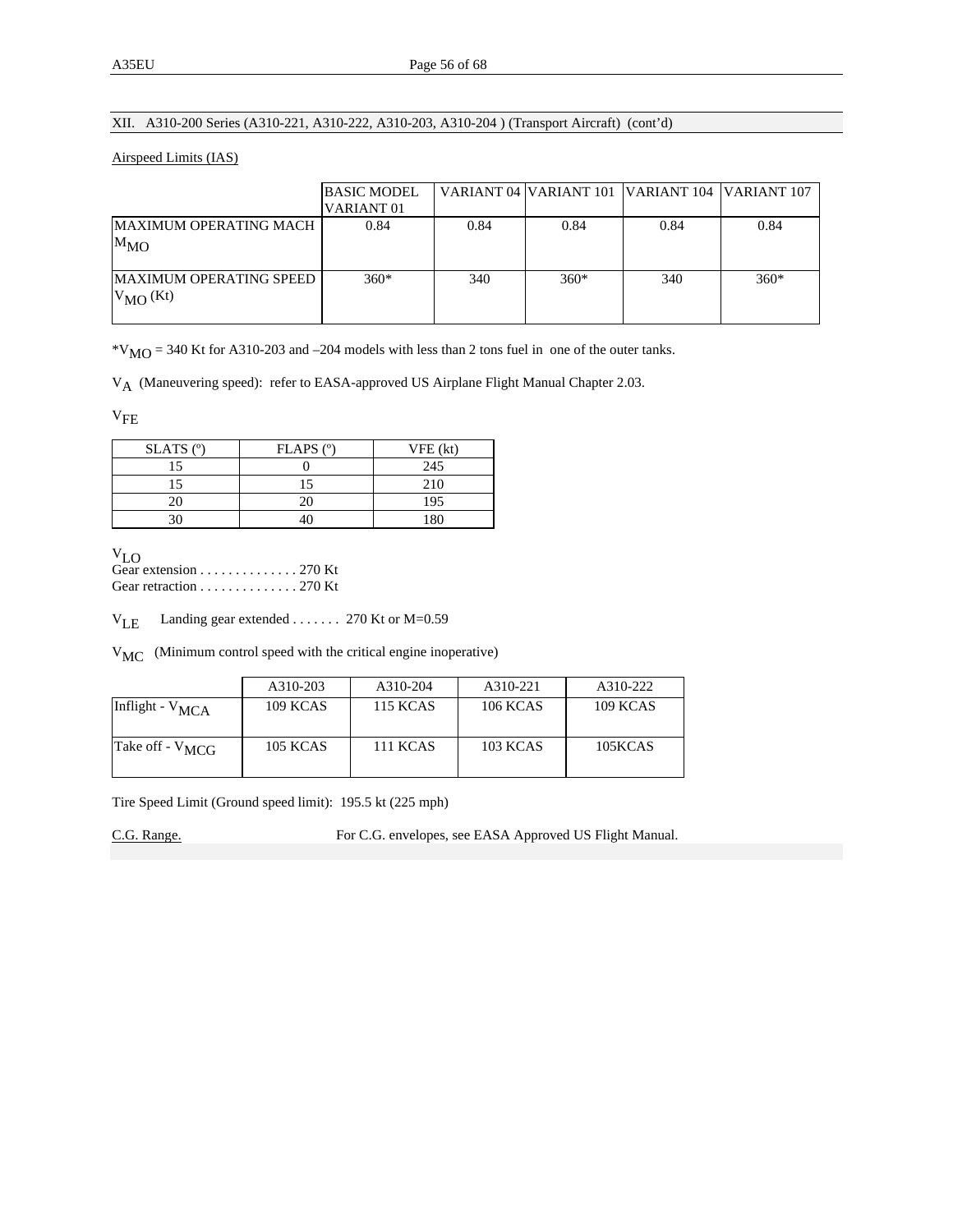## XII. A310-200 Series (A310-221, A310-222, A310-203, A310-204 ) (Transport Aircraft) (cont'd)

#### Airspeed Limits (IAS)

|                                                 | <b>BASIC MODEL</b><br>VARIANT <sub>01</sub> |      | VARIANT 04 VARIANT 101 VARIANT 104 VARIANT 107 |      |        |
|-------------------------------------------------|---------------------------------------------|------|------------------------------------------------|------|--------|
| MAXIMUM OPERATING MACH<br>$M_{MO}$              | 0.84                                        | 0.84 | 0.84                                           | 0.84 | 0.84   |
| <b>MAXIMUM OPERATING SPEED</b><br>$V_{MO}$ (Kt) | $360*$                                      | 340  | $360*$                                         | 340  | $360*$ |

 $*V_{\text{MO}} = 340$  Kt for A310-203 and –204 models with less than 2 tons fuel in one of the outer tanks.

VA (Maneuvering speed): refer to EASA-approved US Airplane Flight Manual Chapter 2.03.

## $V<sub>FE</sub>$

| $SLATS$ ( $°$ ) | $FLAPS$ ( $^{\circ}$ ) | VFE (kt) |
|-----------------|------------------------|----------|
|                 |                        | 245      |
|                 |                        | 210      |
|                 |                        | 195      |
| 20              |                        | 1 O C    |

 $V_{LO}$ Gear extension . . . . . . . . . . . . . . 270 Kt Gear retraction . . . . . . . . . . . . . . 270 Kt

VLE Landing gear extended . . . . . . . 270 Kt or M=0.59

VMC (Minimum control speed with the critical engine inoperative)

|                             | A310-203 | A310-204        | A310-221        | A310-222 |
|-----------------------------|----------|-----------------|-----------------|----------|
| Inflight - $V_{MCA}$        | 109 KCAS | 115 KCAS        | 106 KCAS        | 109 KCAS |
| Take off - V <sub>MCG</sub> | 105 KCAS | <b>111 KCAS</b> | <b>103 KCAS</b> | 105KCAS  |

Tire Speed Limit (Ground speed limit): 195.5 kt (225 mph)

C.G. Range. For C.G. envelopes, see EASA Approved US Flight Manual.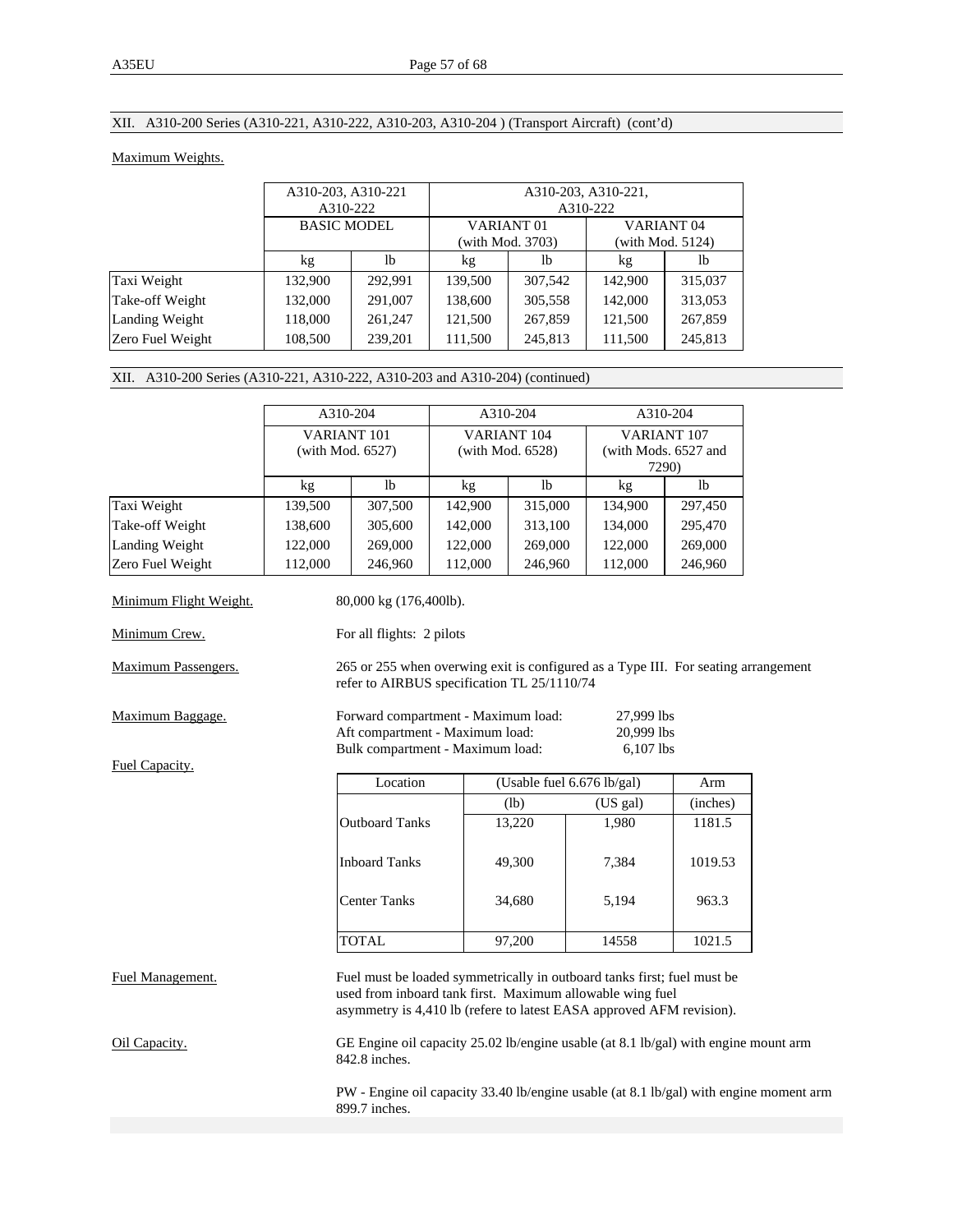# XII. A310-200 Series (A310-221, A310-222, A310-203, A310-204 ) (Transport Aircraft) (cont'd)

### Maximum Weights.

|                  | A310-203, A310-221<br>A310-222 |         | A310-203, A310-221,<br>A310-222           |         |                                           |         |
|------------------|--------------------------------|---------|-------------------------------------------|---------|-------------------------------------------|---------|
|                  | <b>BASIC MODEL</b>             |         | VARIANT <sub>01</sub><br>(with Mod. 3703) |         | VARIANT <sub>04</sub><br>(with Mod. 5124) |         |
|                  | kg                             | lb      | kg                                        | 1b      | kg                                        | lb      |
| Taxi Weight      | 132,900                        | 292.991 | 139,500                                   | 307,542 | 142,900                                   | 315,037 |
| Take-off Weight  | 132,000                        | 291,007 | 138,600                                   | 305,558 | 142,000                                   | 313,053 |
| Landing Weight   | 118,000                        | 261,247 | 121,500                                   | 267,859 | 121,500                                   | 267,859 |
| Zero Fuel Weight | 108,500                        | 239,201 | 111,500                                   | 245,813 | 111,500                                   | 245,813 |

## XII. A310-200 Series (A310-221, A310-222, A310-203 and A310-204) (continued)

|                        | A310-204         |                                                                                                                                                                                                              |                  | A310-204                   |                               | A310-204                                                                               |
|------------------------|------------------|--------------------------------------------------------------------------------------------------------------------------------------------------------------------------------------------------------------|------------------|----------------------------|-------------------------------|----------------------------------------------------------------------------------------|
|                        | VARIANT 101      |                                                                                                                                                                                                              |                  | VARIANT 104                |                               | VARIANT 107                                                                            |
|                        | (with Mod. 6527) |                                                                                                                                                                                                              | (with Mod. 6528) |                            | (with Mods. 6527 and<br>7290) |                                                                                        |
|                        | kg               | lb                                                                                                                                                                                                           | $\rm kg$         | lb                         | kg                            | 1 <sub>b</sub>                                                                         |
| Taxi Weight            | 139,500          | 307,500                                                                                                                                                                                                      | 142,900          | 315,000                    | 134,900                       | 297,450                                                                                |
| Take-off Weight        | 138,600          | 305,600                                                                                                                                                                                                      | 142,000          | 313,100                    | 134,000                       | 295,470                                                                                |
| Landing Weight         | 122,000          | 269,000                                                                                                                                                                                                      | 122,000          | 269,000                    | 122,000                       | 269,000                                                                                |
| Zero Fuel Weight       | 112,000          | 246,960                                                                                                                                                                                                      | 112,000          | 246,960                    | 112,000                       | 246,960                                                                                |
| Minimum Flight Weight. |                  | 80,000 kg (176,400lb).                                                                                                                                                                                       |                  |                            |                               |                                                                                        |
| Minimum Crew.          |                  | For all flights: 2 pilots                                                                                                                                                                                    |                  |                            |                               |                                                                                        |
| Maximum Passengers.    |                  | refer to AIRBUS specification TL 25/1110/74                                                                                                                                                                  |                  |                            |                               | 265 or 255 when overwing exit is configured as a Type III. For seating arrangement     |
| Maximum Baggage.       |                  | Forward compartment - Maximum load:<br>27,999 lbs<br>Aft compartment - Maximum load:<br>20,999 lbs<br>Bulk compartment - Maximum load:<br>6,107 lbs                                                          |                  |                            |                               |                                                                                        |
| Fuel Capacity.         |                  |                                                                                                                                                                                                              |                  |                            |                               |                                                                                        |
|                        |                  | Location                                                                                                                                                                                                     |                  | (Usable fuel 6.676 lb/gal) |                               | Arm                                                                                    |
|                        |                  |                                                                                                                                                                                                              |                  | (lb)                       | (US gal)                      | (inches)                                                                               |
|                        |                  | <b>Outboard Tanks</b>                                                                                                                                                                                        |                  | 13,220                     | 1,980                         | 1181.5                                                                                 |
|                        |                  | <b>Inboard Tanks</b>                                                                                                                                                                                         |                  | 49,300                     | 7,384                         | 1019.53                                                                                |
|                        |                  | <b>Center Tanks</b>                                                                                                                                                                                          |                  | 34,680                     | 5,194                         | 963.3                                                                                  |
|                        |                  | <b>TOTAL</b>                                                                                                                                                                                                 |                  | 97,200                     | 14558                         | 1021.5                                                                                 |
| Fuel Management.       |                  | Fuel must be loaded symmetrically in outboard tanks first; fuel must be<br>used from inboard tank first. Maximum allowable wing fuel<br>asymmetry is 4,410 lb (refere to latest EASA approved AFM revision). |                  |                            |                               |                                                                                        |
| Oil Capacity.          |                  | GE Engine oil capacity 25.02 lb/engine usable (at 8.1 lb/gal) with engine mount arm<br>$842.8$ inches.                                                                                                       |                  |                            |                               |                                                                                        |
|                        |                  | 899.7 inches.                                                                                                                                                                                                |                  |                            |                               | PW - Engine oil capacity 33.40 lb/engine usable (at 8.1 lb/gal) with engine moment arm |
|                        |                  |                                                                                                                                                                                                              |                  |                            |                               |                                                                                        |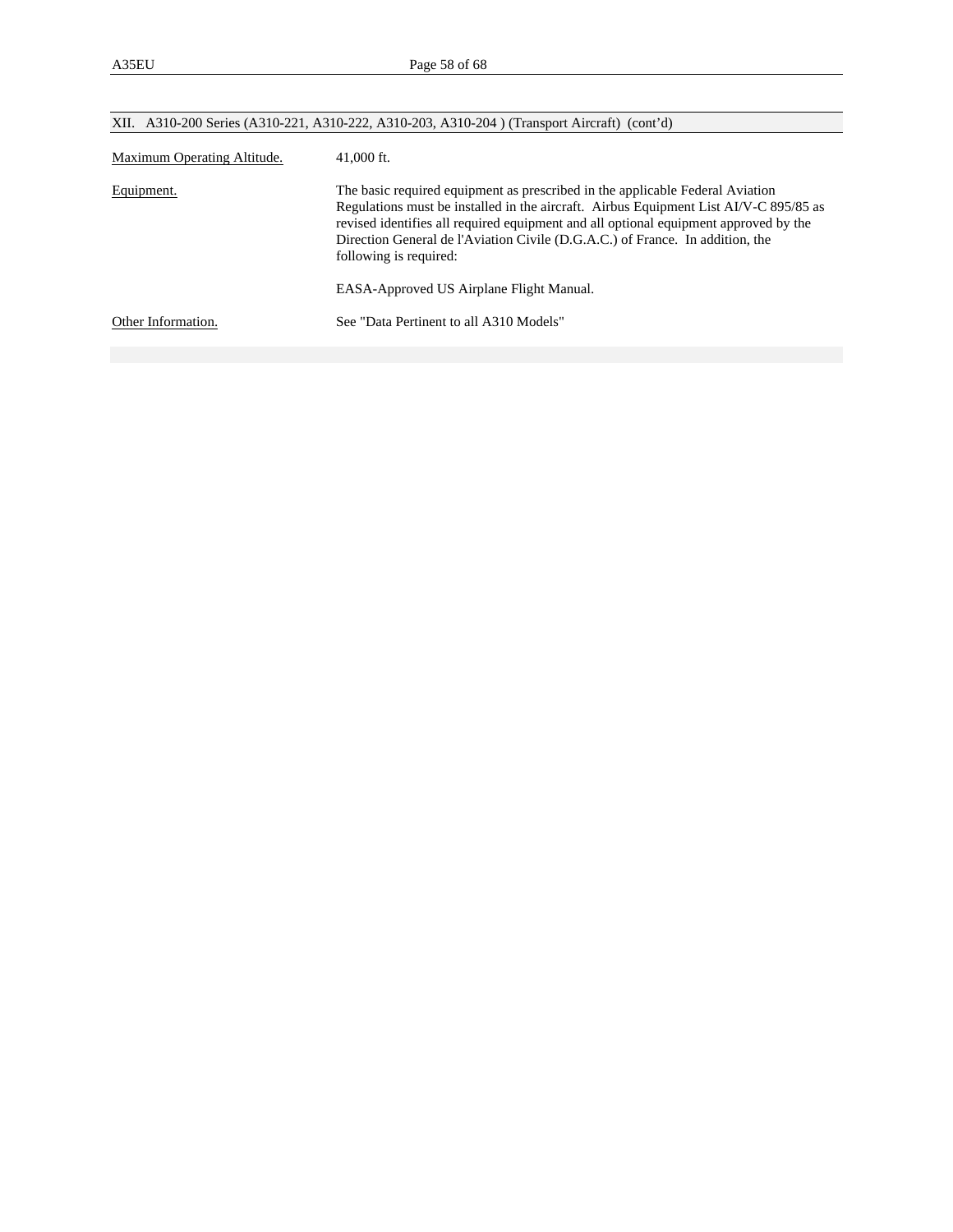| XII. A310-200 Series (A310-221, A310-222, A310-203, A310-204) (Transport Aircraft) (cont'd) |                                                                                                                                                                                                                                                                                                                                                                                                                       |  |  |  |
|---------------------------------------------------------------------------------------------|-----------------------------------------------------------------------------------------------------------------------------------------------------------------------------------------------------------------------------------------------------------------------------------------------------------------------------------------------------------------------------------------------------------------------|--|--|--|
| Maximum Operating Altitude.                                                                 | $41,000$ ft.                                                                                                                                                                                                                                                                                                                                                                                                          |  |  |  |
| Equipment.                                                                                  | The basic required equipment as prescribed in the applicable Federal Aviation<br>Regulations must be installed in the aircraft. Airbus Equipment List AI/V-C 895/85 as<br>revised identifies all required equipment and all optional equipment approved by the<br>Direction General de l'Aviation Civile (D.G.A.C.) of France. In addition, the<br>following is required:<br>EASA-Approved US Airplane Flight Manual. |  |  |  |
| Other Information.                                                                          | See "Data Pertinent to all A310 Models"                                                                                                                                                                                                                                                                                                                                                                               |  |  |  |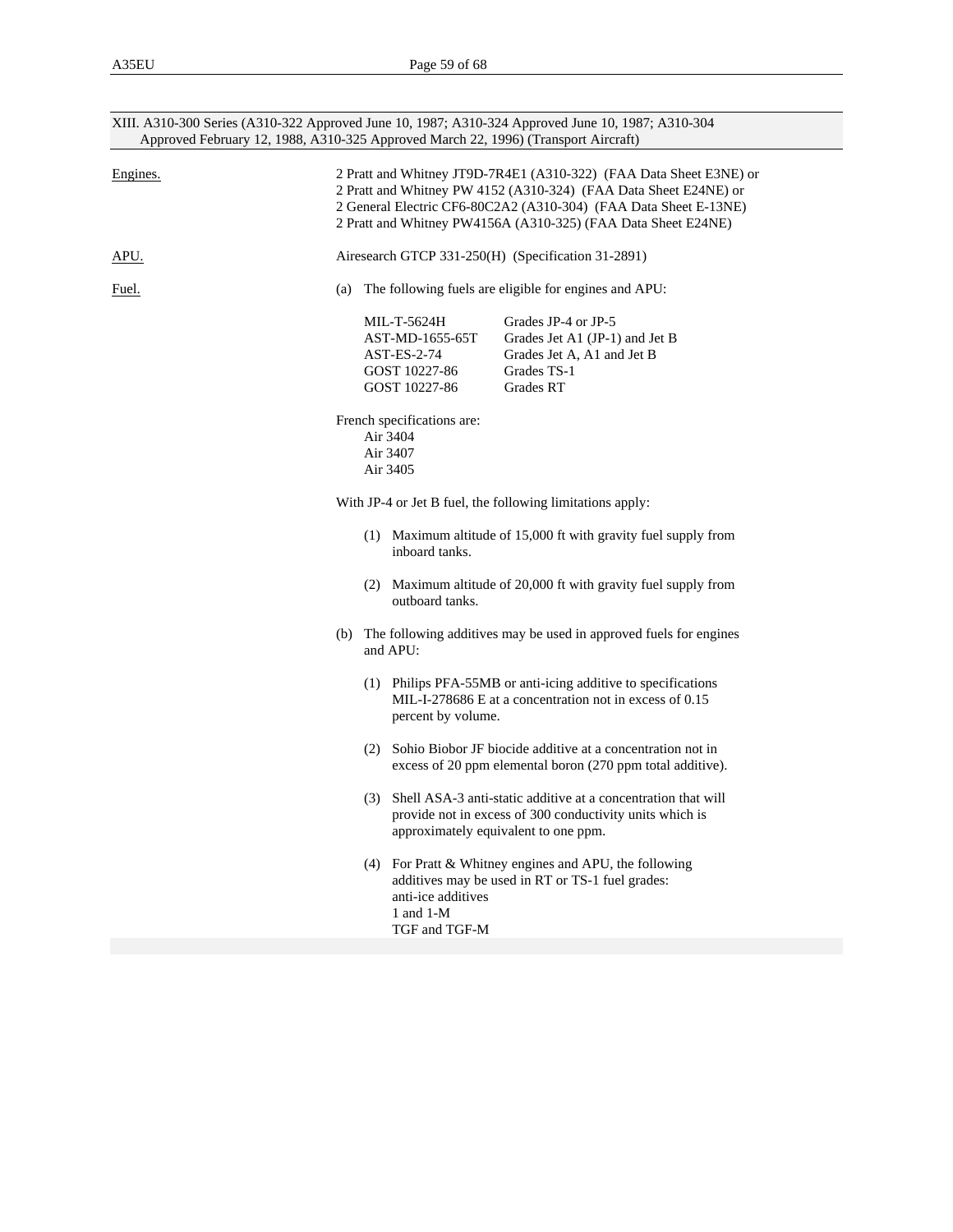|              | XIII. A310-300 Series (A310-322 Approved June 10, 1987; A310-324 Approved June 10, 1987; A310-304<br>Approved February 12, 1988, A310-325 Approved March 22, 1996) (Transport Aircraft)                                                                                     |  |  |  |  |
|--------------|-----------------------------------------------------------------------------------------------------------------------------------------------------------------------------------------------------------------------------------------------------------------------------|--|--|--|--|
| Engines.     | 2 Pratt and Whitney JT9D-7R4E1 (A310-322) (FAA Data Sheet E3NE) or<br>2 Pratt and Whitney PW 4152 (A310-324) (FAA Data Sheet E24NE) or<br>2 General Electric CF6-80C2A2 (A310-304) (FAA Data Sheet E-13NE)<br>2 Pratt and Whitney PW4156A (A310-325) (FAA Data Sheet E24NE) |  |  |  |  |
| APU.         | Airesearch GTCP 331-250(H) (Specification 31-2891)                                                                                                                                                                                                                          |  |  |  |  |
| <u>Fuel.</u> | The following fuels are eligible for engines and APU:<br>(a)                                                                                                                                                                                                                |  |  |  |  |
|              | Grades JP-4 or JP-5<br>MIL-T-5624H<br>AST-MD-1655-65T<br>Grades Jet A1 (JP-1) and Jet B<br>AST-ES-2-74<br>Grades Jet A, A1 and Jet B<br>GOST 10227-86<br>Grades TS-1<br>GOST 10227-86<br>Grades RT                                                                          |  |  |  |  |
|              | French specifications are:<br>Air 3404<br>Air 3407<br>Air 3405                                                                                                                                                                                                              |  |  |  |  |
|              | With JP-4 or Jet B fuel, the following limitations apply:                                                                                                                                                                                                                   |  |  |  |  |
|              | (1) Maximum altitude of 15,000 ft with gravity fuel supply from<br>inboard tanks.                                                                                                                                                                                           |  |  |  |  |
|              | (2) Maximum altitude of 20,000 ft with gravity fuel supply from<br>outboard tanks.                                                                                                                                                                                          |  |  |  |  |
|              | (b) The following additives may be used in approved fuels for engines<br>and APU:                                                                                                                                                                                           |  |  |  |  |
|              | (1) Philips PFA-55MB or anti-icing additive to specifications<br>MIL-I-278686 E at a concentration not in excess of 0.15<br>percent by volume.                                                                                                                              |  |  |  |  |
|              | (2) Sohio Biobor JF biocide additive at a concentration not in<br>excess of 20 ppm elemental boron (270 ppm total additive).                                                                                                                                                |  |  |  |  |
|              | (3) Shell ASA-3 anti-static additive at a concentration that will<br>provide not in excess of 300 conductivity units which is<br>approximately equivalent to one ppm.                                                                                                       |  |  |  |  |
|              | (4) For Pratt & Whitney engines and APU, the following<br>additives may be used in RT or TS-1 fuel grades:<br>anti-ice additives<br>1 and 1-M<br>TGF and TGF-M                                                                                                              |  |  |  |  |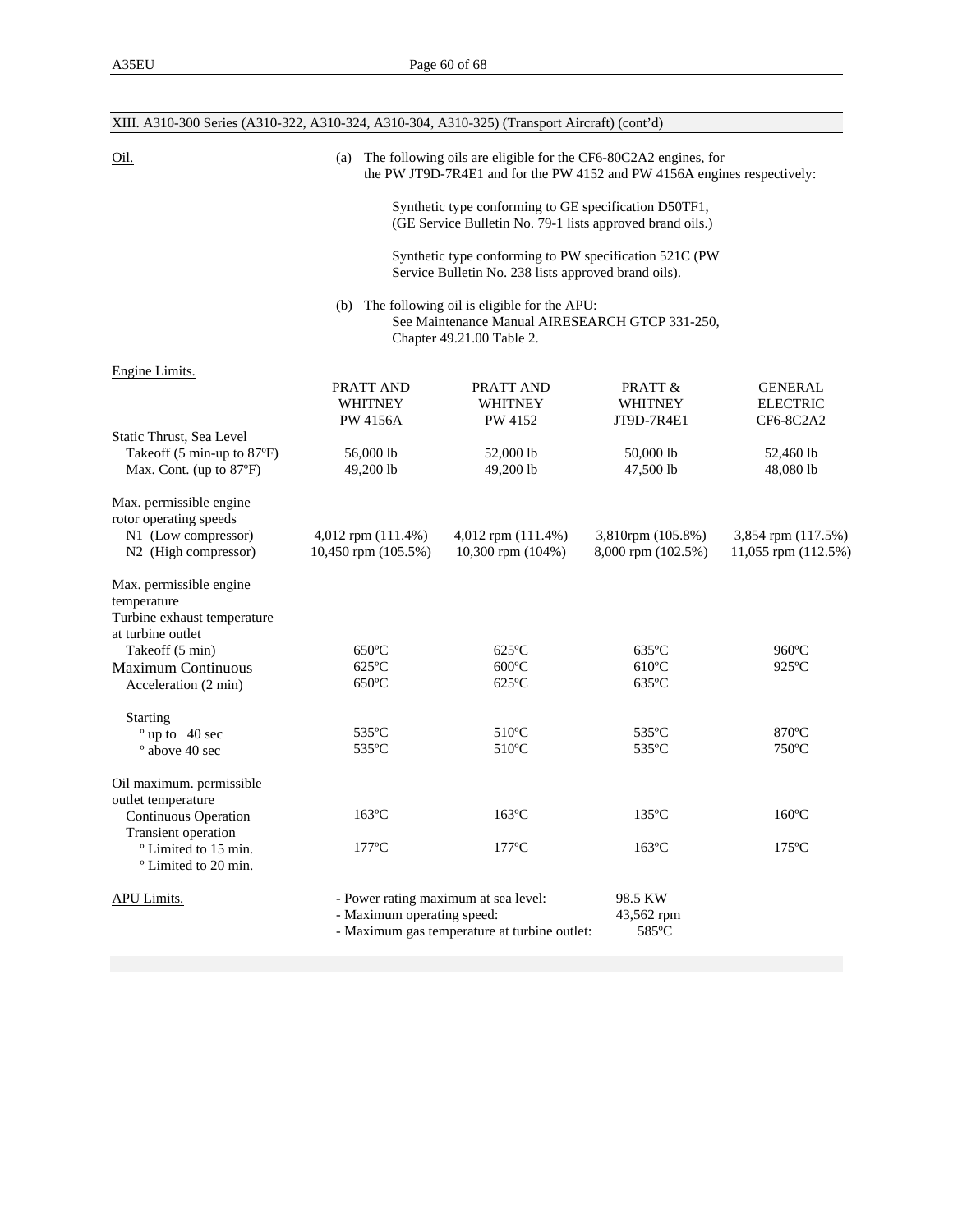| XIII. A310-300 Series (A310-322, A310-324, A310-304, A310-325) (Transport Aircraft) (cont'd)     |                                                                                                                                                                                                                                                                                                                                                                                            |                                                                                      |                                                       |                                           |  |  |
|--------------------------------------------------------------------------------------------------|--------------------------------------------------------------------------------------------------------------------------------------------------------------------------------------------------------------------------------------------------------------------------------------------------------------------------------------------------------------------------------------------|--------------------------------------------------------------------------------------|-------------------------------------------------------|-------------------------------------------|--|--|
| Oil.                                                                                             | The following oils are eligible for the CF6-80C2A2 engines, for<br>(a)<br>the PW JT9D-7R4E1 and for the PW 4152 and PW 4156A engines respectively:<br>Synthetic type conforming to GE specification D50TF1,<br>(GE Service Bulletin No. 79-1 lists approved brand oils.)<br>Synthetic type conforming to PW specification 521C (PW<br>Service Bulletin No. 238 lists approved brand oils). |                                                                                      |                                                       |                                           |  |  |
|                                                                                                  |                                                                                                                                                                                                                                                                                                                                                                                            |                                                                                      |                                                       |                                           |  |  |
|                                                                                                  |                                                                                                                                                                                                                                                                                                                                                                                            |                                                                                      |                                                       |                                           |  |  |
|                                                                                                  |                                                                                                                                                                                                                                                                                                                                                                                            | (b) The following oil is eligible for the APU:<br>Chapter 49.21.00 Table 2.          | See Maintenance Manual AIRESEARCH GTCP 331-250,       |                                           |  |  |
| Engine Limits.                                                                                   | PRATT AND<br>PRATT AND<br>PRATT &<br><b>GENERAL</b><br><b>WHITNEY</b><br><b>WHITNEY</b><br><b>WHITNEY</b><br><b>ELECTRIC</b><br><b>PW 4156A</b><br>PW 4152<br>JT9D-7R4E1<br>CF6-8C2A2                                                                                                                                                                                                      |                                                                                      |                                                       |                                           |  |  |
| Static Thrust, Sea Level<br>Takeoff (5 min-up to 87°F)<br>Max. Cont. (up to 87°F)                | 56,000 lb<br>49,200 lb                                                                                                                                                                                                                                                                                                                                                                     | 52,000 lb<br>49,200 lb                                                               | 50,000 lb<br>47,500 lb                                | 52,460 lb<br>48,080 lb                    |  |  |
| Max. permissible engine<br>rotor operating speeds<br>N1 (Low compressor)<br>N2 (High compressor) | $4,012$ rpm $(111.4%)$<br>10,450 rpm (105.5%)                                                                                                                                                                                                                                                                                                                                              | 4,012 rpm (111.4%)<br>10,300 rpm (104%)                                              | 3,810rpm (105.8%)<br>8,000 rpm (102.5%)               | 3,854 rpm (117.5%)<br>11,055 rpm (112.5%) |  |  |
| Max. permissible engine<br>temperature<br>Turbine exhaust temperature<br>at turbine outlet       |                                                                                                                                                                                                                                                                                                                                                                                            |                                                                                      |                                                       |                                           |  |  |
| Takeoff (5 min)<br><b>Maximum Continuous</b><br>Acceleration (2 min)                             | $650^{\circ}$ C<br>$625^{\circ}$ C<br>$650^{\circ}$ C                                                                                                                                                                                                                                                                                                                                      | $625^{\circ}$ C<br>$600^{\circ}$ C<br>$625^{\circ}$ C                                | $635^{\circ}$ C<br>$610^{\circ}$ C<br>$635^{\circ}$ C | 960°C<br>$925^{\circ}$ C                  |  |  |
| <b>Starting</b><br>$^{\circ}$ up to 40 sec<br>° above 40 sec                                     | 535°C<br>535°C                                                                                                                                                                                                                                                                                                                                                                             | $510^{\circ}$ C<br>$510^{\circ}$ C                                                   | 535°C<br>535°C                                        | 870°C<br>$750^{\circ}$ C                  |  |  |
| Oil maximum. permissible<br>outlet temperature<br><b>Continuous Operation</b>                    | $163^{\circ}$ C                                                                                                                                                                                                                                                                                                                                                                            | $163^{\circ}$ C                                                                      | $135^{\circ}$ C                                       | $160^{\rm o}{\rm C}$                      |  |  |
| Transient operation<br><sup>o</sup> Limited to 15 min.<br><sup>o</sup> Limited to 20 min.        | $177^{\circ}$ C                                                                                                                                                                                                                                                                                                                                                                            | $177^{\circ}$ C                                                                      | $163^{\circ}$ C                                       | $175^{\circ}$ C                           |  |  |
| <b>APU Limits.</b>                                                                               | - Maximum operating speed:                                                                                                                                                                                                                                                                                                                                                                 | - Power rating maximum at sea level:<br>- Maximum gas temperature at turbine outlet: | 98.5 KW<br>43,562 rpm<br>585°C                        |                                           |  |  |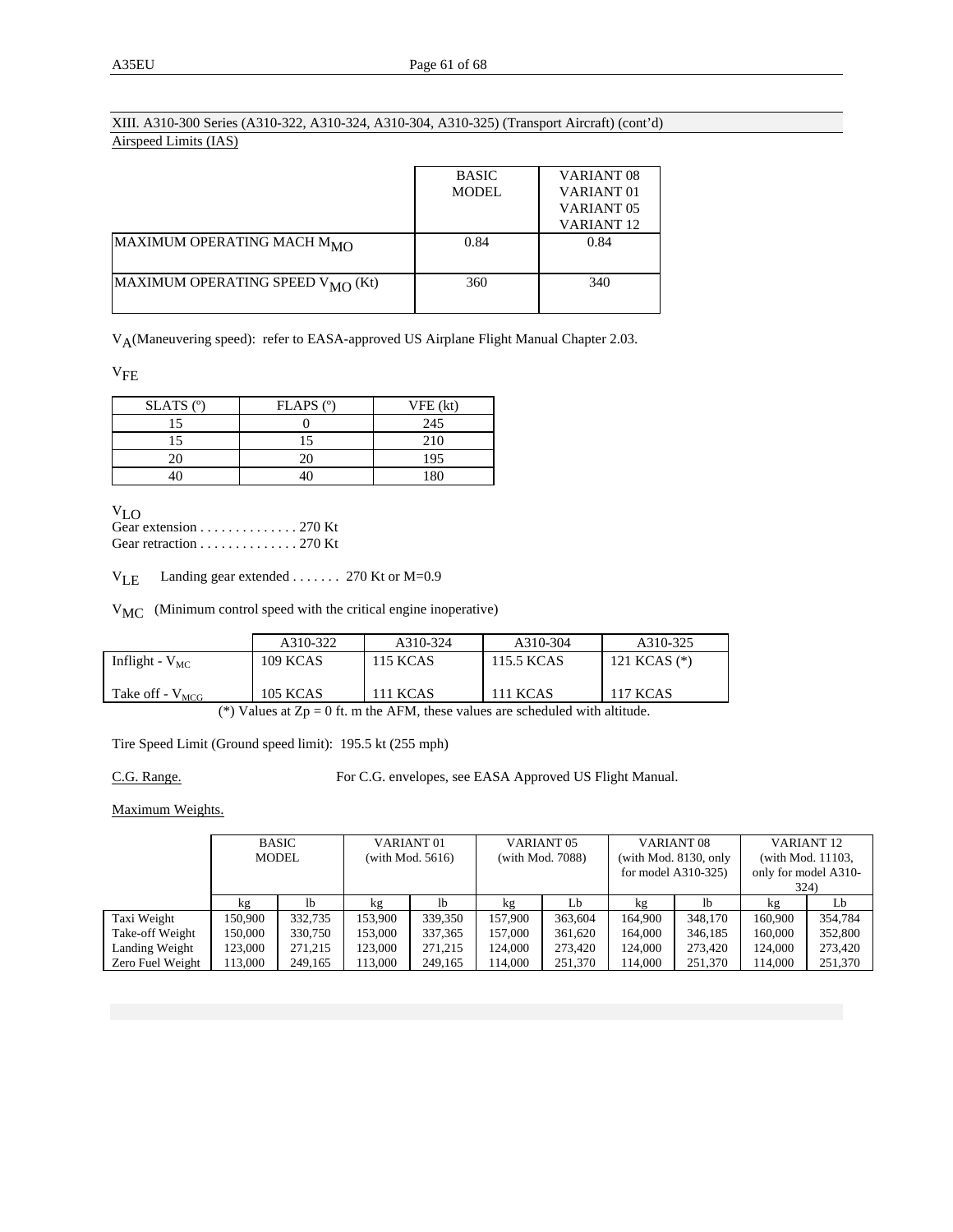## XIII. A310-300 Series (A310-322, A310-324, A310-304, A310-325) (Transport Aircraft) (cont'd) Airspeed Limits (IAS)

|                                              | <b>BASIC</b> | VARIANT <sub>08</sub> |
|----------------------------------------------|--------------|-----------------------|
|                                              | <b>MODEL</b> | VARIANT <sub>01</sub> |
|                                              |              | VARIANT <sub>05</sub> |
|                                              |              | <b>VARIANT 12</b>     |
| MAXIMUM OPERATING MACH M <sub>MO</sub>       | 0.84         | 0.84                  |
|                                              |              |                       |
| MAXIMUM OPERATING SPEED V <sub>MO</sub> (Kt) | 360          | 340                   |
|                                              |              |                       |

V<sub>A</sub>(Maneuvering speed): refer to EASA-approved US Airplane Flight Manual Chapter 2.03.

 $V<sub>FE</sub>$ 

| $SLATS$ ( $°$ ) | $FLAPS$ ( $^{\circ}$ ) | VFE (kt)       |
|-----------------|------------------------|----------------|
| 15              |                        | 245            |
|                 |                        | 210            |
|                 |                        | 195            |
|                 |                        | 1 <sub>Q</sub> |

V<sub>LO</sub><br>Gear extension . . . . . . . . . . . . . 270 Kt Gear retraction . . . . . . . . . . . . . . 270 Kt

V<sub>LE</sub> Landing gear extended . . . . . . . 270 Kt or M=0.9

V<sub>MC</sub> (Minimum control speed with the critical engine inoperative)

|                             | A310-322        | A310-324        | A310-304        | A310-325        |
|-----------------------------|-----------------|-----------------|-----------------|-----------------|
| Inflight - $V_{MC}$         | 109 KCAS        | 115 KCAS        | 115.5 KCAS      | 121 KCAS $(*)$  |
| Take off - V <sub>MCG</sub> | <b>105 KCAS</b> | <b>111 KCAS</b> | <b>111 KCAS</b> | <b>117 KCAS</b> |

(\*) Values at  $Zp = 0$  ft. m the AFM, these values are scheduled with altitude.

Tire Speed Limit (Ground speed limit): 195.5 kt (255 mph)

C.G. Range. For C.G. envelopes, see EASA Approved US Flight Manual.

Maximum Weights.

|                  | BASIC        |         | VARIANT <sub>01</sub> |         | VARIANT <sub>05</sub> |         | VARIANT <sub>08</sub> |                | VARIANT <sub>12</sub> |         |
|------------------|--------------|---------|-----------------------|---------|-----------------------|---------|-----------------------|----------------|-----------------------|---------|
|                  | <b>MODEL</b> |         | (with Mod. $5616$ )   |         | (with Mod. 7088)      |         | (with Mod. 8130, only |                | (with Mod. 11103,     |         |
|                  |              |         |                       |         |                       |         | for model $A310-325$  |                | only for model A310-  |         |
|                  |              |         |                       |         |                       |         |                       |                | 324)                  |         |
|                  | kg           | 1b      | kg                    | 1b      | kg                    | Lb      | kg                    | <sup>1</sup> b | kg                    | Lb      |
| Taxi Weight      | 150.900      | 332,735 | 153,900               | 339,350 | 157.900               | 363,604 | 164,900               | 348,170        | 160,900               | 354.784 |
| Take-off Weight  | 150,000      | 330,750 | 153,000               | 337,365 | 157.000               | 361,620 | 164,000               | 346,185        | 160,000               | 352,800 |
| Landing Weight   | 123,000      | 271,215 | 123,000               | 271,215 | 124,000               | 273,420 | 124,000               | 273,420        | 124,000               | 273,420 |
| Zero Fuel Weight | 113,000      | 249.165 | 113.000               | 249,165 | 14.000                | 251,370 | 114.000               | 251,370        | 114,000               | 251,370 |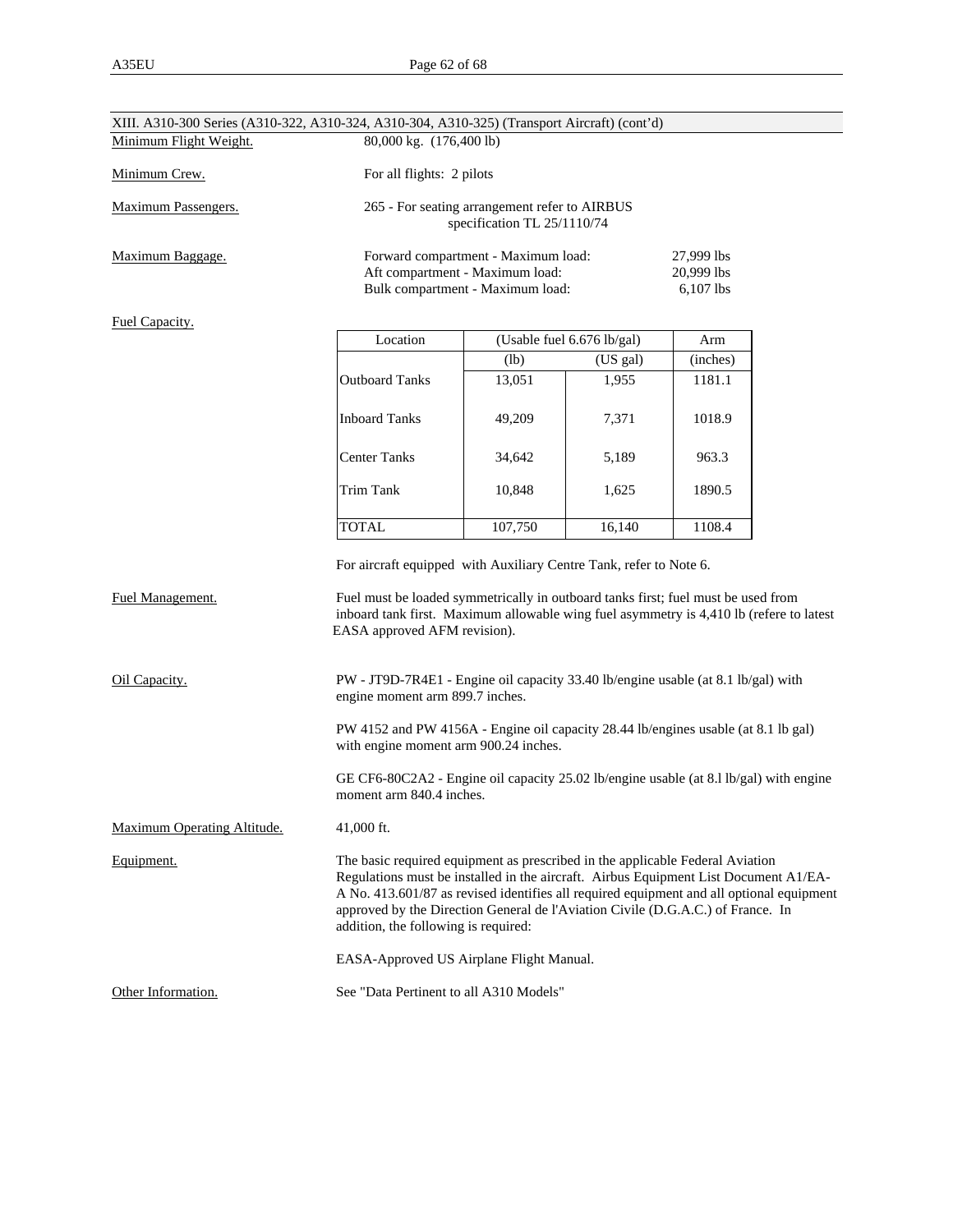| XIII. A310-300 Series (A310-322, A310-324, A310-304, A310-325) (Transport Aircraft) (cont'd) |                                                                                                                                                                                                                                                                                                                                                                                              |                                                                                                            |                                         |          |  |
|----------------------------------------------------------------------------------------------|----------------------------------------------------------------------------------------------------------------------------------------------------------------------------------------------------------------------------------------------------------------------------------------------------------------------------------------------------------------------------------------------|------------------------------------------------------------------------------------------------------------|-----------------------------------------|----------|--|
| Minimum Flight Weight.                                                                       | 80,000 kg. (176,400 lb)                                                                                                                                                                                                                                                                                                                                                                      |                                                                                                            |                                         |          |  |
| Minimum Crew.                                                                                | For all flights: 2 pilots                                                                                                                                                                                                                                                                                                                                                                    |                                                                                                            |                                         |          |  |
| Maximum Passengers.                                                                          |                                                                                                                                                                                                                                                                                                                                                                                              | 265 - For seating arrangement refer to AIRBUS<br>specification TL 25/1110/74                               |                                         |          |  |
| Maximum Baggage.                                                                             |                                                                                                                                                                                                                                                                                                                                                                                              | Forward compartment - Maximum load:<br>Aft compartment - Maximum load:<br>Bulk compartment - Maximum load: | 27,999 lbs<br>20,999 lbs<br>$6,107$ lbs |          |  |
| <b>Fuel Capacity.</b>                                                                        | Location<br>(Usable fuel 6.676 lb/gal)                                                                                                                                                                                                                                                                                                                                                       |                                                                                                            |                                         | Arm      |  |
|                                                                                              |                                                                                                                                                                                                                                                                                                                                                                                              | (US gal)<br>(lb)                                                                                           |                                         | (inches) |  |
|                                                                                              | <b>Outboard Tanks</b>                                                                                                                                                                                                                                                                                                                                                                        | 13,051                                                                                                     | 1,955                                   | 1181.1   |  |
|                                                                                              | <b>Inboard Tanks</b>                                                                                                                                                                                                                                                                                                                                                                         | 49,209                                                                                                     | 7,371                                   | 1018.9   |  |
|                                                                                              | <b>Center Tanks</b>                                                                                                                                                                                                                                                                                                                                                                          | 34,642                                                                                                     | 5,189                                   | 963.3    |  |
|                                                                                              | <b>Trim Tank</b>                                                                                                                                                                                                                                                                                                                                                                             | 10,848                                                                                                     | 1,625                                   | 1890.5   |  |
|                                                                                              | <b>TOTAL</b>                                                                                                                                                                                                                                                                                                                                                                                 | 107,750                                                                                                    | 16,140                                  | 1108.4   |  |
| <b>Fuel Management.</b>                                                                      | For aircraft equipped with Auxiliary Centre Tank, refer to Note 6.<br>Fuel must be loaded symmetrically in outboard tanks first; fuel must be used from<br>inboard tank first. Maximum allowable wing fuel asymmetry is 4,410 lb (refere to latest<br>EASA approved AFM revision).                                                                                                           |                                                                                                            |                                         |          |  |
| Oil Capacity.                                                                                | PW - JT9D-7R4E1 - Engine oil capacity 33.40 lb/engine usable (at 8.1 lb/gal) with<br>engine moment arm 899.7 inches.                                                                                                                                                                                                                                                                         |                                                                                                            |                                         |          |  |
|                                                                                              | PW 4152 and PW 4156A - Engine oil capacity 28.44 lb/engines usable (at 8.1 lb gal)<br>with engine moment arm 900.24 inches.                                                                                                                                                                                                                                                                  |                                                                                                            |                                         |          |  |
|                                                                                              | GE CF6-80C2A2 - Engine oil capacity 25.02 lb/engine usable (at 8.1 lb/gal) with engine<br>moment arm 840.4 inches.                                                                                                                                                                                                                                                                           |                                                                                                            |                                         |          |  |
| Maximum Operating Altitude.                                                                  | 41,000 ft.                                                                                                                                                                                                                                                                                                                                                                                   |                                                                                                            |                                         |          |  |
| Equipment.                                                                                   | The basic required equipment as prescribed in the applicable Federal Aviation<br>Regulations must be installed in the aircraft. Airbus Equipment List Document A1/EA-<br>A No. 413.601/87 as revised identifies all required equipment and all optional equipment<br>approved by the Direction General de l'Aviation Civile (D.G.A.C.) of France. In<br>addition, the following is required: |                                                                                                            |                                         |          |  |
|                                                                                              | EASA-Approved US Airplane Flight Manual.                                                                                                                                                                                                                                                                                                                                                     |                                                                                                            |                                         |          |  |
| Other Information.                                                                           | See "Data Pertinent to all A310 Models"                                                                                                                                                                                                                                                                                                                                                      |                                                                                                            |                                         |          |  |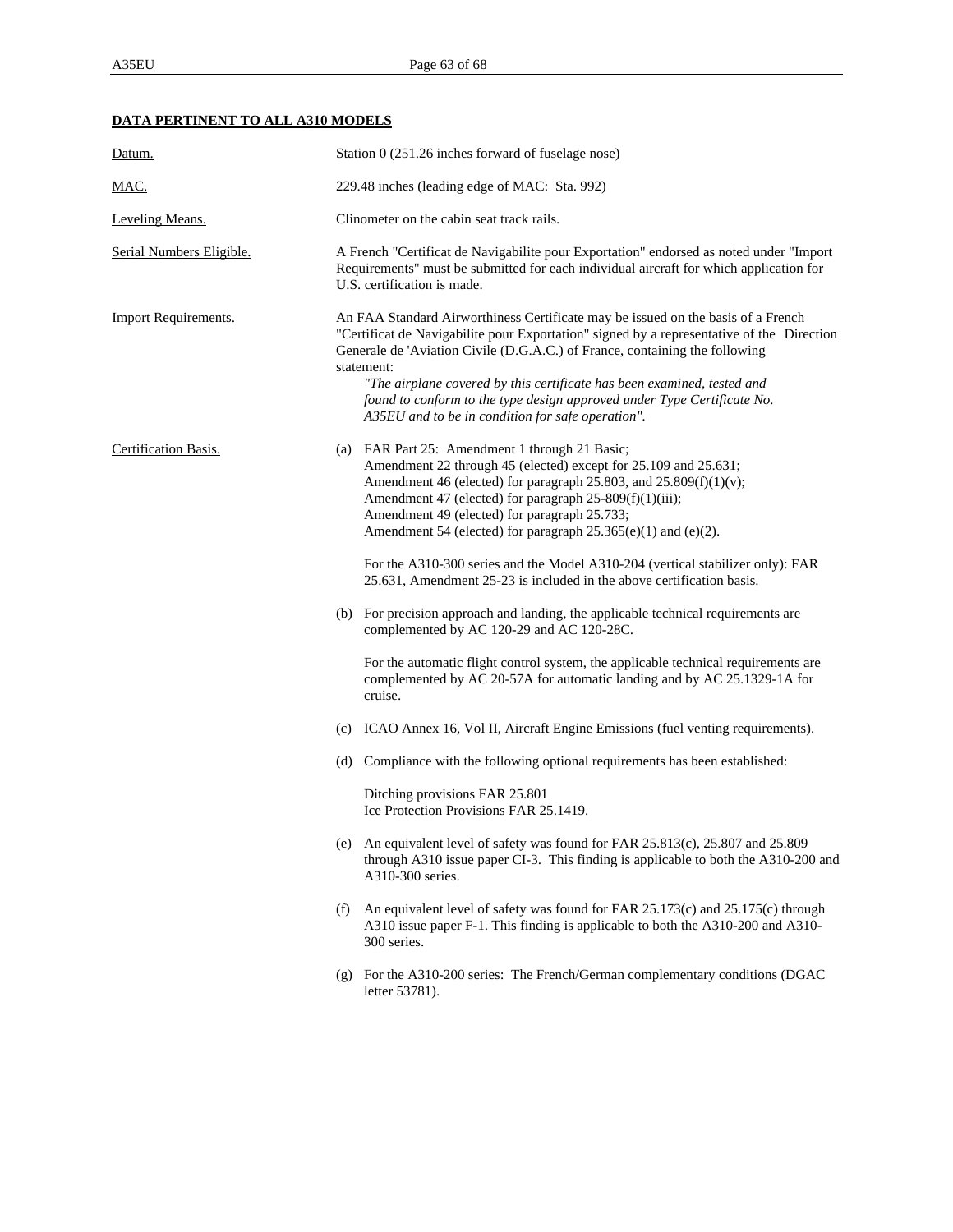## **DATA PERTINENT TO ALL A310 MODELS**

| Datum.                      | Station 0 (251.26 inches forward of fuselage nose)                                                                                                                                                                                                                                                                                                                                                                                                                                    |  |  |
|-----------------------------|---------------------------------------------------------------------------------------------------------------------------------------------------------------------------------------------------------------------------------------------------------------------------------------------------------------------------------------------------------------------------------------------------------------------------------------------------------------------------------------|--|--|
| <u>MAC.</u>                 | 229.48 inches (leading edge of MAC: Sta. 992)                                                                                                                                                                                                                                                                                                                                                                                                                                         |  |  |
| <b>Leveling Means.</b>      | Clinometer on the cabin seat track rails.                                                                                                                                                                                                                                                                                                                                                                                                                                             |  |  |
| Serial Numbers Eligible.    | A French "Certificat de Navigabilite pour Exportation" endorsed as noted under "Import<br>Requirements" must be submitted for each individual aircraft for which application for<br>U.S. certification is made.                                                                                                                                                                                                                                                                       |  |  |
| <b>Import Requirements.</b> | An FAA Standard Airworthiness Certificate may be issued on the basis of a French<br>"Certificat de Navigabilite pour Exportation" signed by a representative of the Direction<br>Generale de 'Aviation Civile (D.G.A.C.) of France, containing the following<br>statement:<br>"The airplane covered by this certificate has been examined, tested and<br>found to conform to the type design approved under Type Certificate No.<br>A35EU and to be in condition for safe operation". |  |  |
| Certification Basis.        | (a) FAR Part 25: Amendment 1 through 21 Basic;<br>Amendment 22 through 45 (elected) except for 25.109 and 25.631;<br>Amendment 46 (elected) for paragraph 25.803, and $25.809(f)(1)(v)$ ;<br>Amendment 47 (elected) for paragraph 25-809(f)(1)(iii);<br>Amendment 49 (elected) for paragraph 25.733;<br>Amendment 54 (elected) for paragraph 25.365(e)(1) and (e)(2).                                                                                                                 |  |  |
|                             | For the A310-300 series and the Model A310-204 (vertical stabilizer only): FAR<br>25.631, Amendment 25-23 is included in the above certification basis.                                                                                                                                                                                                                                                                                                                               |  |  |
|                             | (b) For precision approach and landing, the applicable technical requirements are<br>complemented by AC 120-29 and AC 120-28C.                                                                                                                                                                                                                                                                                                                                                        |  |  |
|                             | For the automatic flight control system, the applicable technical requirements are<br>complemented by AC 20-57A for automatic landing and by AC 25.1329-1A for<br>cruise.                                                                                                                                                                                                                                                                                                             |  |  |
|                             | (c) ICAO Annex 16, Vol II, Aircraft Engine Emissions (fuel venting requirements).                                                                                                                                                                                                                                                                                                                                                                                                     |  |  |
|                             | (d) Compliance with the following optional requirements has been established:                                                                                                                                                                                                                                                                                                                                                                                                         |  |  |
|                             | Ditching provisions FAR 25.801<br>Ice Protection Provisions FAR 25.1419.                                                                                                                                                                                                                                                                                                                                                                                                              |  |  |
|                             | (e) An equivalent level of safety was found for FAR 25.813(c), 25.807 and 25.809<br>through A310 issue paper CI-3. This finding is applicable to both the A310-200 and<br>A310-300 series.                                                                                                                                                                                                                                                                                            |  |  |
|                             | An equivalent level of safety was found for FAR 25.173(c) and 25.175(c) through<br>(f)<br>A310 issue paper F-1. This finding is applicable to both the A310-200 and A310-<br>300 series.                                                                                                                                                                                                                                                                                              |  |  |
|                             | (g) For the A310-200 series: The French/German complementary conditions (DGAC<br>letter 53781).                                                                                                                                                                                                                                                                                                                                                                                       |  |  |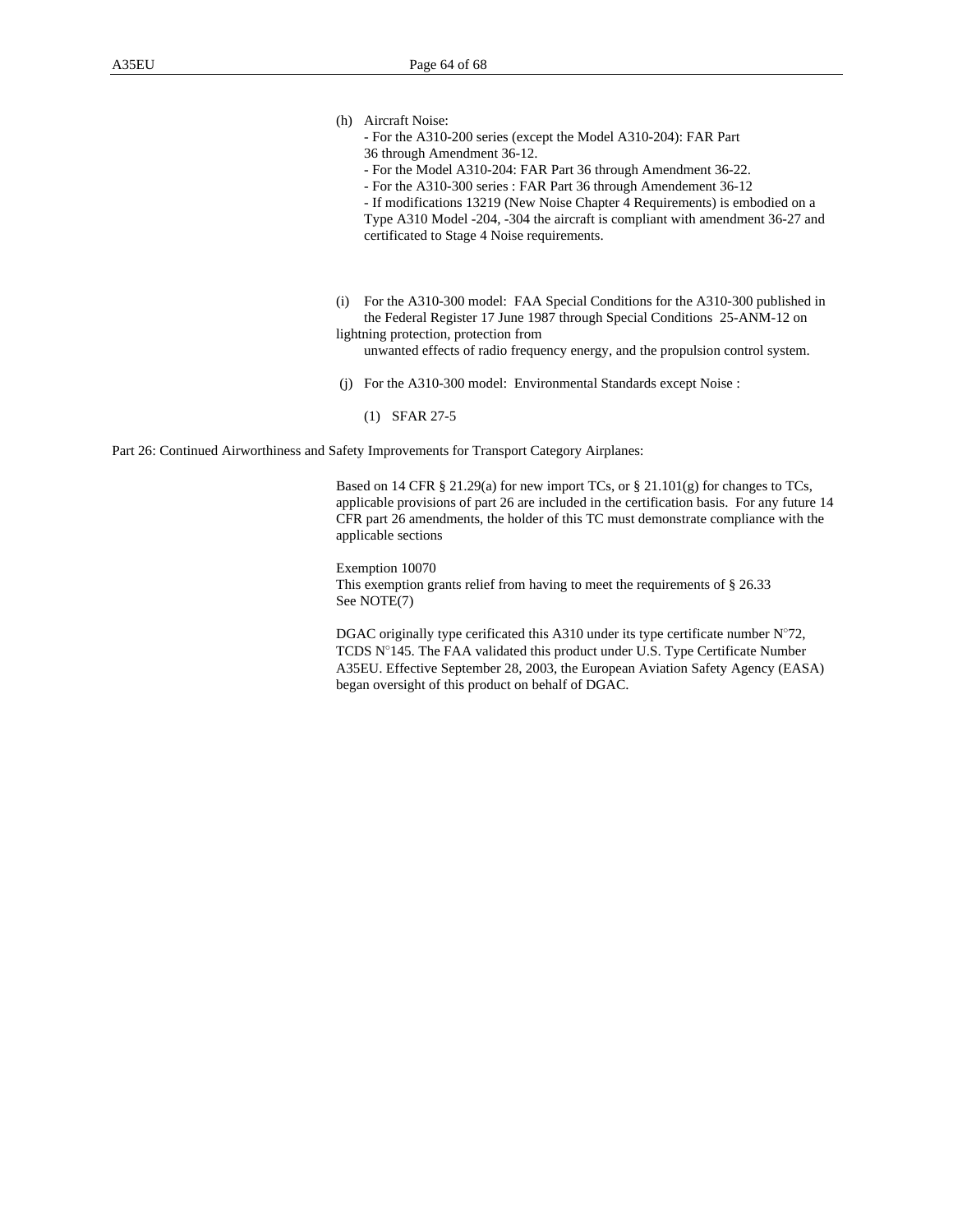- (h) Aircraft Noise:
	- For the A310-200 series (except the Model A310-204): FAR Part 36 through Amendment 36-12.
	- For the Model A310-204: FAR Part 36 through Amendment 36-22.
	- For the A310-300 series : FAR Part 36 through Amendement 36-12
	- If modifications 13219 (New Noise Chapter 4 Requirements) is embodied on a

Type A310 Model -204, -304 the aircraft is compliant with amendment 36-27 and certificated to Stage 4 Noise requirements.

(i) For the A310-300 model: FAA Special Conditions for the A310-300 published in the Federal Register 17 June 1987 through Special Conditions 25-ANM-12 on lightning protection, protection from

unwanted effects of radio frequency energy, and the propulsion control system.

- (j) For the A310-300 model: Environmental Standards except Noise :
	- (1) SFAR 27-5

Part 26: Continued Airworthiness and Safety Improvements for Transport Category Airplanes:

Based on 14 CFR § 21.29(a) for new import TCs, or § 21.101(g) for changes to TCs, applicable provisions of part 26 are included in the certification basis. For any future 14 CFR part 26 amendments, the holder of this TC must demonstrate compliance with the applicable sections

Exemption 10070 This exemption grants relief from having to meet the requirements of § 26.33 See NOTE(7)

DGAC originally type cerificated this A310 under its type certificate number N°72, TCDS N°145. The FAA validated this product under U.S. Type Certificate Number A35EU. Effective September 28, 2003, the European Aviation Safety Agency (EASA) began oversight of this product on behalf of DGAC.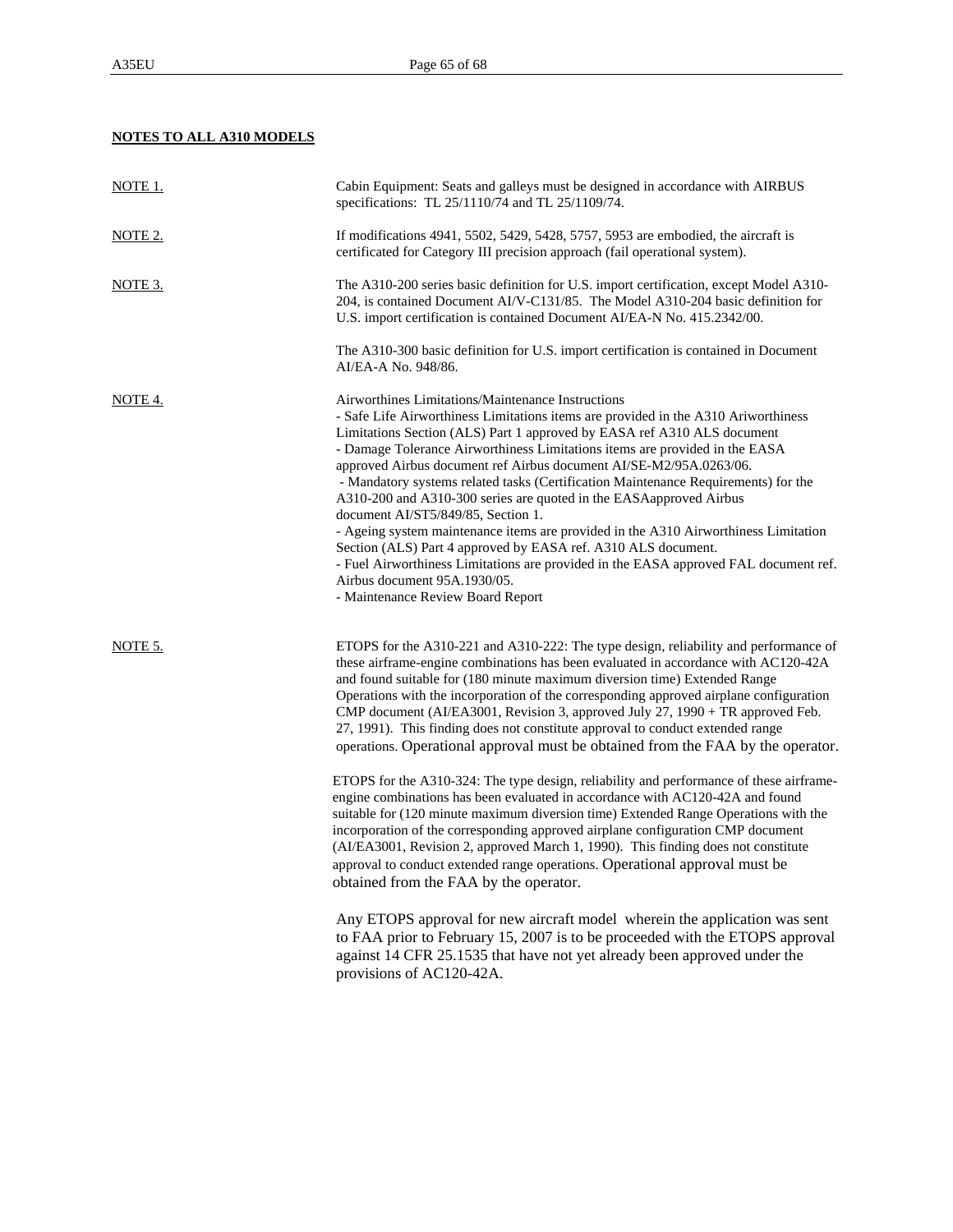# **NOTES TO ALL A310 MODELS**

| <u>NOTE 1.</u> | Cabin Equipment: Seats and galleys must be designed in accordance with AIRBUS<br>specifications: TL 25/1110/74 and TL 25/1109/74.                                                                                                                                                                                                                                                                                                                                                                                                                                                                                                                                                                                                                                                                                                                                                                                                                                                                                                                                                                                                                                            |
|----------------|------------------------------------------------------------------------------------------------------------------------------------------------------------------------------------------------------------------------------------------------------------------------------------------------------------------------------------------------------------------------------------------------------------------------------------------------------------------------------------------------------------------------------------------------------------------------------------------------------------------------------------------------------------------------------------------------------------------------------------------------------------------------------------------------------------------------------------------------------------------------------------------------------------------------------------------------------------------------------------------------------------------------------------------------------------------------------------------------------------------------------------------------------------------------------|
| NOTE 2.        | If modifications $4941, 5502, 5429, 5428, 5757, 5953$ are embodied, the aircraft is<br>certificated for Category III precision approach (fail operational system).                                                                                                                                                                                                                                                                                                                                                                                                                                                                                                                                                                                                                                                                                                                                                                                                                                                                                                                                                                                                           |
| NOTE 3.        | The A310-200 series basic definition for U.S. import certification, except Model A310-<br>204, is contained Document AI/V-C131/85. The Model A310-204 basic definition for<br>U.S. import certification is contained Document AI/EA-N No. 415.2342/00.                                                                                                                                                                                                                                                                                                                                                                                                                                                                                                                                                                                                                                                                                                                                                                                                                                                                                                                       |
|                | The A310-300 basic definition for U.S. import certification is contained in Document<br>AI/EA-A No. 948/86.                                                                                                                                                                                                                                                                                                                                                                                                                                                                                                                                                                                                                                                                                                                                                                                                                                                                                                                                                                                                                                                                  |
| NOTE 4.        | Airworthines Limitations/Maintenance Instructions<br>- Safe Life Airworthiness Limitations items are provided in the A310 Ariworthiness<br>Limitations Section (ALS) Part 1 approved by EASA ref A310 ALS document<br>- Damage Tolerance Airworthiness Limitations items are provided in the EASA<br>approved Airbus document ref Airbus document AI/SE-M2/95A.0263/06.<br>- Mandatory systems related tasks (Certification Maintenance Requirements) for the<br>A310-200 and A310-300 series are quoted in the EASAapproved Airbus<br>document AI/ST5/849/85, Section 1.<br>- Ageing system maintenance items are provided in the A310 Airworthiness Limitation<br>Section (ALS) Part 4 approved by EASA ref. A310 ALS document.<br>- Fuel Airworthiness Limitations are provided in the EASA approved FAL document ref.<br>Airbus document 95A.1930/05.<br>- Maintenance Review Board Report                                                                                                                                                                                                                                                                               |
| NOTE 5.        | ETOPS for the A310-221 and A310-222: The type design, reliability and performance of<br>these airframe-engine combinations has been evaluated in accordance with AC120-42A<br>and found suitable for (180 minute maximum diversion time) Extended Range<br>Operations with the incorporation of the corresponding approved airplane configuration<br>CMP document (AI/EA3001, Revision 3, approved July 27, 1990 + TR approved Feb.<br>27, 1991). This finding does not constitute approval to conduct extended range<br>operations. Operational approval must be obtained from the FAA by the operator.<br>ETOPS for the A310-324: The type design, reliability and performance of these airframe-<br>engine combinations has been evaluated in accordance with AC120-42A and found<br>suitable for (120 minute maximum diversion time) Extended Range Operations with the<br>incorporation of the corresponding approved airplane configuration CMP document<br>(AI/EA3001, Revision 2, approved March 1, 1990). This finding does not constitute<br>approval to conduct extended range operations. Operational approval must be<br>obtained from the FAA by the operator. |
|                | Any ETOPS approval for new aircraft model wherein the application was sent<br>to FAA prior to February 15, 2007 is to be proceeded with the ETOPS approval<br>against 14 CFR 25.1535 that have not yet already been approved under the<br>provisions of AC120-42A.                                                                                                                                                                                                                                                                                                                                                                                                                                                                                                                                                                                                                                                                                                                                                                                                                                                                                                           |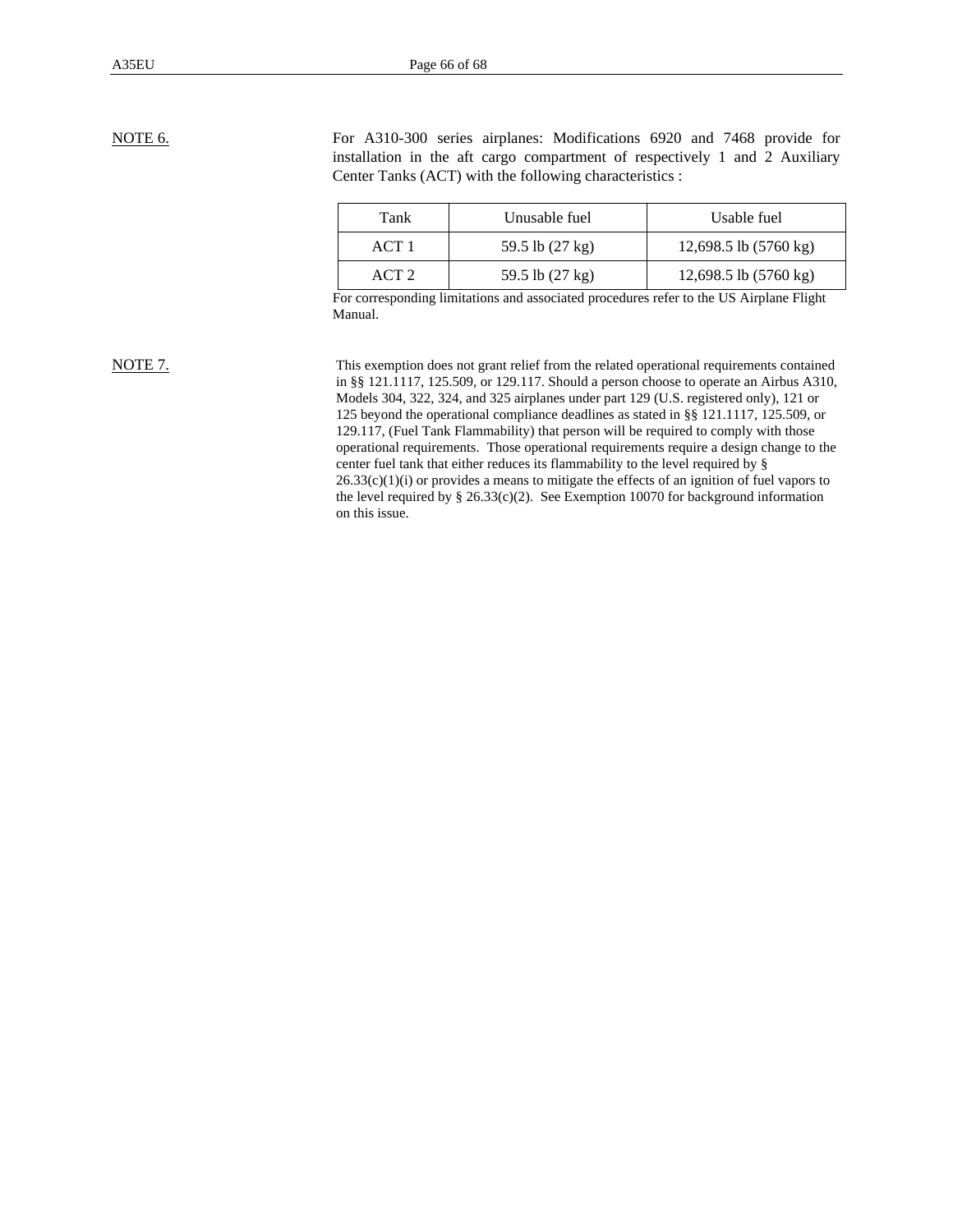NOTE 6. For A310-300 series airplanes: Modifications 6920 and 7468 provide for installation in the aft cargo compartment of respectively 1 and 2 Auxiliary Center Tanks (ACT) with the following characteristics :

| Tank  | Unusable fuel             | Usable fuel                     |
|-------|---------------------------|---------------------------------|
| ACT1  | 59.5 lb (27 kg)           | 12,698.5 lb $(5760 \text{ kg})$ |
| ACT 2 | 59.5 lb $(27 \text{ kg})$ | 12,698.5 lb $(5760 \text{ kg})$ |

For corresponding limitations and associated procedures refer to the US Airplane Flight Manual.

NOTE 7. This exemption does not grant relief from the related operational requirements contained in §§ 121.1117, 125.509, or 129.117. Should a person choose to operate an Airbus A310, Models 304, 322, 324, and 325 airplanes under part 129 (U.S. registered only), 121 or 125 beyond the operational compliance deadlines as stated in §§ 121.1117, 125.509, or 129.117, (Fuel Tank Flammability) that person will be required to comply with those operational requirements. Those operational requirements require a design change to the center fuel tank that either reduces its flammability to the level required by §  $26.33(c)(1)(i)$  or provides a means to mitigate the effects of an ignition of fuel vapors to the level required by  $\S 26.33(c)(2)$ . See Exemption 10070 for background information on this issue.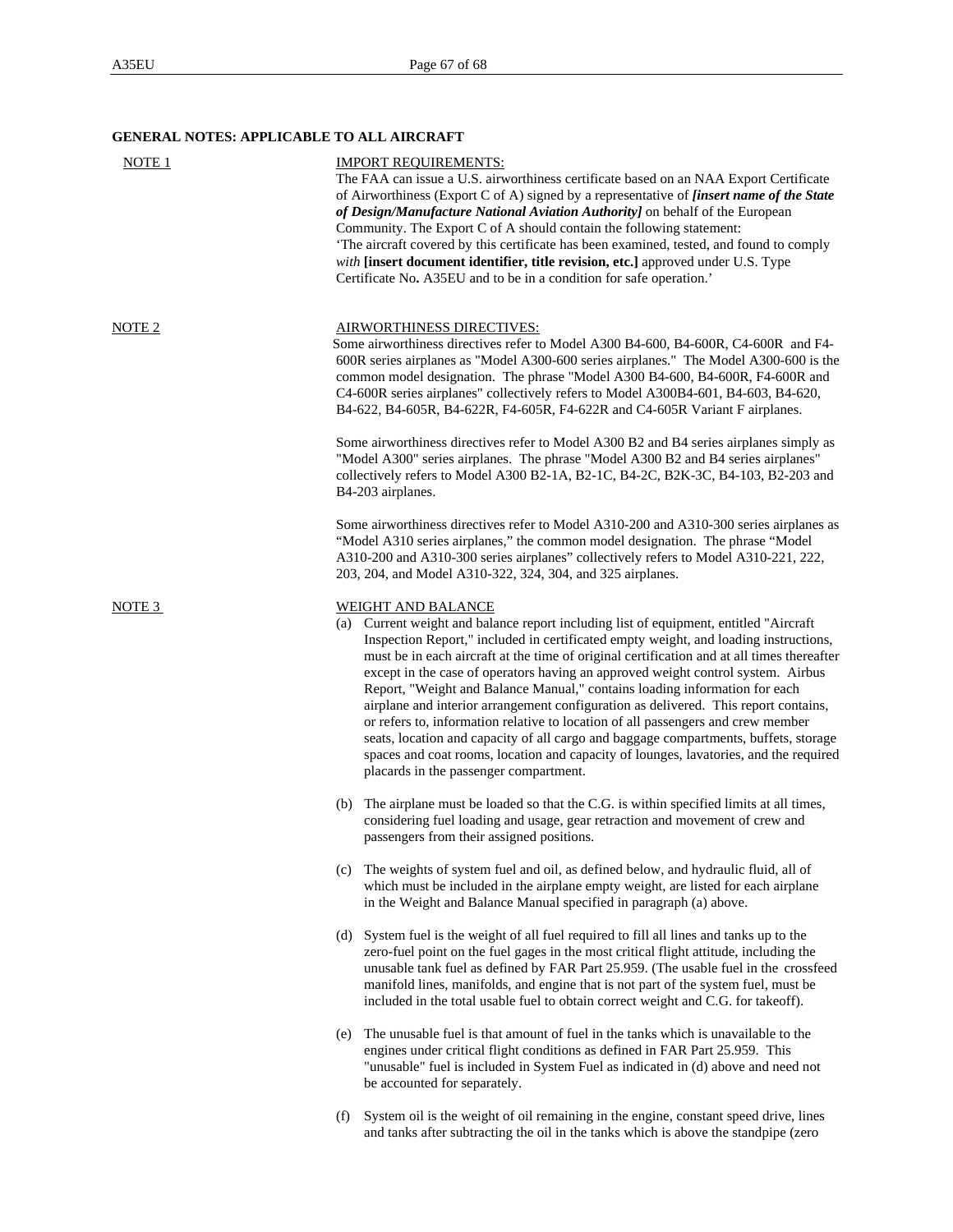## **GENERAL NOTES: APPLICABLE TO ALL AIRCRAFT**

| NOTE 1 | <b>IMPORT REQUIREMENTS:</b><br>The FAA can issue a U.S. airworthiness certificate based on an NAA Export Certificate<br>of Airworthiness (Export C of A) signed by a representative of <i>[insert name of the State</i><br>of Design/Manufacture National Aviation Authority] on behalf of the European<br>Community. The Export C of A should contain the following statement:<br>The aircraft covered by this certificate has been examined, tested, and found to comply<br>with [insert document identifier, title revision, etc.] approved under U.S. Type<br>Certificate No. A35EU and to be in a condition for safe operation.'                                                                                                                                                                                                                                             |
|--------|-----------------------------------------------------------------------------------------------------------------------------------------------------------------------------------------------------------------------------------------------------------------------------------------------------------------------------------------------------------------------------------------------------------------------------------------------------------------------------------------------------------------------------------------------------------------------------------------------------------------------------------------------------------------------------------------------------------------------------------------------------------------------------------------------------------------------------------------------------------------------------------|
| NOTE 2 | <b>AIRWORTHINESS DIRECTIVES:</b><br>Some airworthiness directives refer to Model A300 B4-600, B4-600R, C4-600R and F4-<br>600R series airplanes as "Model A300-600 series airplanes." The Model A300-600 is the<br>common model designation. The phrase "Model A300 B4-600, B4-600R, F4-600R and<br>C4-600R series airplanes" collectively refers to Model A300B4-601, B4-603, B4-620,<br>B4-622, B4-605R, B4-622R, F4-605R, F4-622R and C4-605R Variant F airplanes.                                                                                                                                                                                                                                                                                                                                                                                                             |
|        | Some airworthiness directives refer to Model A300 B2 and B4 series airplanes simply as<br>"Model A300" series airplanes. The phrase "Model A300 B2 and B4 series airplanes"<br>collectively refers to Model A300 B2-1A, B2-1C, B4-2C, B2K-3C, B4-103, B2-203 and<br>B4-203 airplanes.                                                                                                                                                                                                                                                                                                                                                                                                                                                                                                                                                                                             |
|        | Some airworthiness directives refer to Model A310-200 and A310-300 series airplanes as<br>"Model A310 series airplanes," the common model designation. The phrase "Model"<br>A310-200 and A310-300 series airplanes" collectively refers to Model A310-221, 222,<br>203, 204, and Model A310-322, 324, 304, and 325 airplanes.                                                                                                                                                                                                                                                                                                                                                                                                                                                                                                                                                    |
| NOTE 3 | <b>WEIGHT AND BALANCE</b><br>(a) Current weight and balance report including list of equipment, entitled "Aircraft"<br>Inspection Report," included in certificated empty weight, and loading instructions,<br>must be in each aircraft at the time of original certification and at all times thereafter<br>except in the case of operators having an approved weight control system. Airbus<br>Report, "Weight and Balance Manual," contains loading information for each<br>airplane and interior arrangement configuration as delivered. This report contains,<br>or refers to, information relative to location of all passengers and crew member<br>seats, location and capacity of all cargo and baggage compartments, buffets, storage<br>spaces and coat rooms, location and capacity of lounges, lavatories, and the required<br>placards in the passenger compartment. |
|        | (b) The airplane must be loaded so that the C.G. is within specified limits at all times,<br>considering fuel loading and usage, gear retraction and movement of crew and<br>passengers from their assigned positions.                                                                                                                                                                                                                                                                                                                                                                                                                                                                                                                                                                                                                                                            |
|        | (c) The weights of system fuel and oil, as defined below, and hydraulic fluid, all of<br>which must be included in the airplane empty weight, are listed for each airplane<br>in the Weight and Balance Manual specified in paragraph (a) above.                                                                                                                                                                                                                                                                                                                                                                                                                                                                                                                                                                                                                                  |
|        | (d) System fuel is the weight of all fuel required to fill all lines and tanks up to the<br>zero-fuel point on the fuel gages in the most critical flight attitude, including the<br>unusable tank fuel as defined by FAR Part 25.959. (The usable fuel in the crossfeed<br>manifold lines, manifolds, and engine that is not part of the system fuel, must be<br>included in the total usable fuel to obtain correct weight and C.G. for takeoff).                                                                                                                                                                                                                                                                                                                                                                                                                               |
|        | The unusable fuel is that amount of fuel in the tanks which is unavailable to the<br>(e)<br>engines under critical flight conditions as defined in FAR Part 25.959. This<br>"unusable" fuel is included in System Fuel as indicated in (d) above and need not<br>be accounted for separately.                                                                                                                                                                                                                                                                                                                                                                                                                                                                                                                                                                                     |
|        | System oil is the weight of oil remaining in the engine, constant speed drive, lines<br>(f)<br>and tanks after subtracting the oil in the tanks which is above the standpipe (zero                                                                                                                                                                                                                                                                                                                                                                                                                                                                                                                                                                                                                                                                                                |